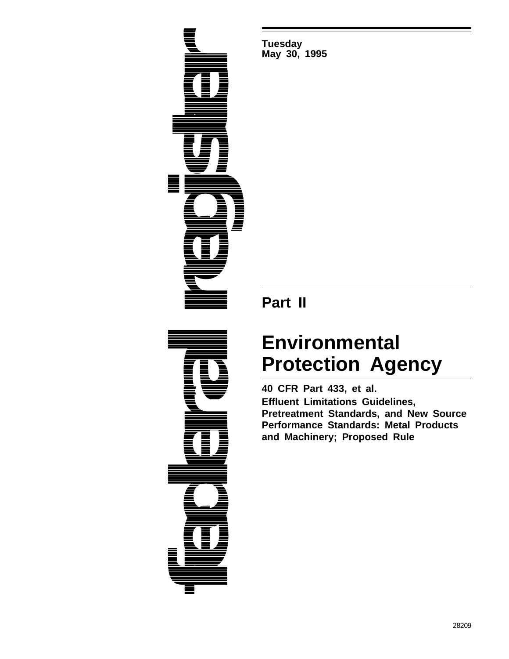

**Tuesday May 30, 1995**

# **Part II**

# **Environmental Protection Agency**

**40 CFR Part 433, et al. Effluent Limitations Guidelines, Pretreatment Standards, and New Source Performance Standards: Metal Products and Machinery; Proposed Rule**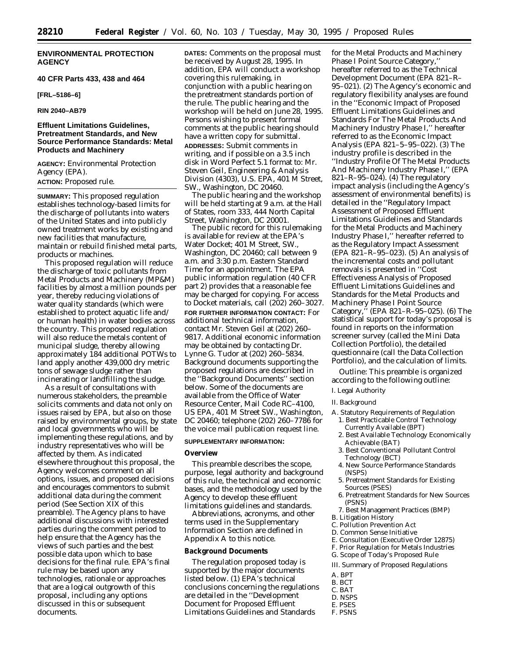## **ENVIRONMENTAL PROTECTION AGENCY**

## **40 CFR Parts 433, 438 and 464**

## **[FRL–5186–6]**

**RIN 2040–AB79**

## **Effluent Limitations Guidelines, Pretreatment Standards, and New Source Performance Standards: Metal Products and Machinery**

**AGENCY:** Environmental Protection Agency (EPA). **ACTION:** Proposed rule.

**SUMMARY:** This proposed regulation establishes technology-based limits for the discharge of pollutants into waters of the United States and into publicly owned treatment works by existing and new facilities that manufacture, maintain or rebuild finished metal parts, products or machines.

This proposed regulation will reduce the discharge of toxic pollutants from Metal Products and Machinery (MP&M) facilities by almost a million pounds per year, thereby reducing violations of water quality standards (which were established to protect aquatic life and/ or human health) in water bodies across the country. This proposed regulation will also reduce the metals content of municipal sludge, thereby allowing approximately 184 additional POTWs to land apply another 439,000 dry metric tons of sewage sludge rather than incinerating or landfilling the sludge.

As a result of consultations with numerous stakeholders, the preamble solicits comments and data not only on issues raised by EPA, but also on those raised by environmental groups, by state and local governments who will be implementing these regulations, and by industry representatives who will be affected by them. As indicated elsewhere throughout this proposal, the Agency welcomes comment on all options, issues, and proposed decisions and encourages commentors to submit additional data during the comment period (See Section XIX of this preamble). The Agency plans to have additional discussions with interested parties during the comment period to help ensure that the Agency has the views of such parties and the best possible data upon which to base decisions for the final rule. EPA's final rule may be based upon any technologies, rationale or approaches that are a logical outgrowth of this proposal, including any options discussed in this or subsequent documents.

**DATES:** Comments on the proposal must be received by August 28, 1995. In addition, EPA will conduct a workshop covering this rulemaking, in conjunction with a public hearing on the pretreatment standards portion of the rule. The public hearing and the workshop will be held on June 28, 1995. Persons wishing to present formal comments at the public hearing should have a written copy for submittal. **ADDRESSES:** Submit comments in writing, and if possible on a 3.5 inch disk in Word Perfect 5.1 format to: Mr. Steven Geil, Engineering & Analysis Division (4303), U.S. EPA, 401 M Street, SW., Washington, DC 20460.

The public hearing and the workshop will be held starting at 9 a.m. at the Hall of States, room 333, 444 North Capital Street, Washington, DC 20001.

The public record for this rulemaking is available for review at the EPA's Water Docket; 401 M Street, SW., Washington, DC 20460; call between 9 a.m. and 3:30 p.m. Eastern Standard Time for an appointment. The EPA public information regulation (40 CFR part 2) provides that a reasonable fee may be charged for copying. For access to Docket materials, call (202) 260–3027. **FOR FURTHER INFORMATION CONTACT:** For additional technical information, contact Mr. Steven Geil at (202) 260– 9817. Additional economic information may be obtained by contacting Dr. Lynne G. Tudor at (202) 260–5834. Background documents supporting the proposed regulations are described in the ''Background Documents'' section below. Some of the documents are available from the Office of Water Resource Center, Mail Code RC–4100, US EPA, 401 M Street SW., Washington, DC 20460; telephone (202) 260–7786 for the voice mail publication request line.

#### **SUPPLEMENTARY INFORMATION:**

## **Overview**

This preamble describes the scope, purpose, legal authority and background of this rule, the technical and economic bases, and the methodology used by the Agency to develop these effluent limitations guidelines and standards.

Abbreviations, acronyms, and other terms used in the Supplementary Information Section are defined in Appendix A to this notice.

## **Background Documents**

The regulation proposed today is supported by the major documents listed below. (1) EPA's technical conclusions concerning the regulations are detailed in the ''Development Document for Proposed Effluent Limitations Guidelines and Standards

for the Metal Products and Machinery Phase I Point Source Category,'' hereafter referred to as the Technical Development Document (EPA 821–R– 95–021). (2) The Agency's economic and regulatory flexibility analyses are found in the ''Economic Impact of Proposed Effluent Limitations Guidelines and Standards For The Metal Products And Machinery Industry Phase I,'' hereafter referred to as the Economic Impact Analysis (EPA 821–5–95–022). (3) The industry profile is described in the ''Industry Profile Of The Metal Products And Machinery Industry Phase I,'' (EPA 821–R–95–024). (4) The regulatory impact analysis (including the Agency's assessment of environmental benefits) is detailed in the ''Regulatory Impact Assessment of Proposed Effluent Limitations Guidelines and Standards for the Metal Products and Machinery Industry Phase I,'' hereafter referred to as the Regulatory Impact Assessment (EPA 821–R–95–023). (5) An analysis of the incremental costs and pollutant removals is presented in ''Cost Effectiveness Analysis of Proposed Effluent Limitations Guidelines and Standards for the Metal Products and Machinery Phase I Point Source Category,'' (EPA 821–R–95–025). (6) The statistical support for today's proposal is found in reports on the information screener survey (called the Mini Data Collection Portfolio), the detailed questionnaire (call the Data Collection Portfolio), and the calculation of limits.

*Outline:* This preamble is organized according to the following outline:

#### I. Legal Authority

#### II. Background

A. Statutory Requirements of Regulation 1. Best Practicable Control Technology Currently Available (BPT)

- 2. Best Available Technology Economically Achievable (BAT)
- 3. Best Conventional Pollutant Control Technology (BCT)
- 4. New Source Performance Standards (NSPS)
- 5. Pretreatment Standards for Existing Sources (PSES)
- 6. Pretreatment Standards for New Sources (PSNS)
- 7. Best Management Practices (BMP)
- B. Litigation History
- C. Pollution Prevention Act
- D. Common Sense Initiative
- E. Consultation (Executive Order 12875)
- F. Prior Regulation for Metals Industries
- G. Scope of Today's Proposed Rule
- III. Summary of Proposed Regulations
- A. BPT
- B. BCT
- C. BAT
- D. NSPS
- E. PSES
- F. PSNS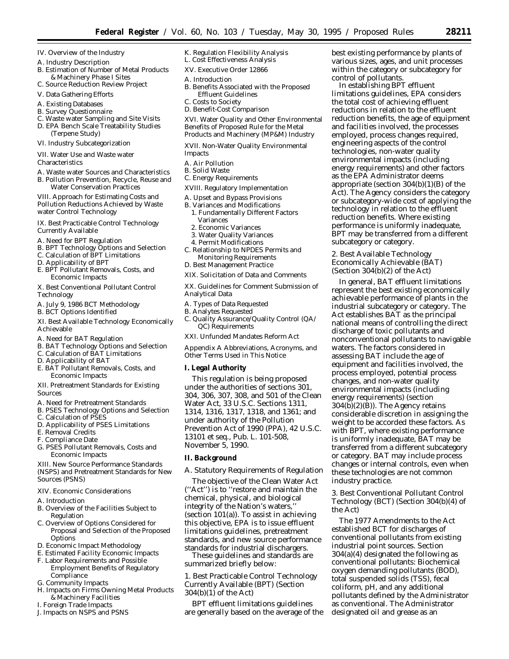- IV. Overview of the Industry
- A. Industry Description
- B. Estimation of Number of Metal Products & Machinery Phase I Sites
- C. Source Reduction Review Project
- V. Data Gathering Efforts
- A. Existing Databases
- B. Survey Questionnaire
- C. Waste water Sampling and Site Visits D. EPA Bench Scale Treatability Studies (Terpene Study)
- VI. Industry Subcategorization
- VII. Water Use and Waste water

**Characteristics** 

- A. Waste water Sources and Characteristics
- B. Pollution Prevention, Recycle, Reuse and Water Conservation Practices

VIII. Approach for Estimating Costs and Pollution Reductions Achieved by Waste water Control Technology

IX. Best Practicable Control Technology Currently Available

- A. Need for BPT Regulation
- B. BPT Technology Options and Selection
- C. Calculation of BPT Limitations
- D. Applicability of BPT
- E. BPT Pollutant Removals, Costs, and Economic Impacts
- X. Best Conventional Pollutant Control Technology
- A. July 9, 1986 BCT Methodology
- B. BCT Options Identified
- XI. Best Available Technology Economically Achievable
- A. Need for BAT Regulation
- B. BAT Technology Options and Selection
- C. Calculation of BAT Limitations
- D. Applicability of BAT
- E. BAT Pollutant Removals, Costs, and Economic Impacts
- XII. Pretreatment Standards for Existing Sources
- A. Need for Pretreatment Standards
- B. PSES Technology Options and Selection
- C. Calculation of PSES
- D. Applicability of PSES Limitations
- E. Removal Credits
- F. Compliance Date
- G. PSES Pollutant Removals, Costs and Economic Impacts

XIII. New Source Performance Standards (NSPS) and Pretreatment Standards for New Sources (PSNS)

- XIV. Economic Considerations
- A. Introduction
- B. Overview of the Facilities Subject to Regulation
- C. Overview of Options Considered for Proposal and Selection of the Proposed **Options**
- D. Economic Impact Methodology
- E. Estimated Facility Economic Impacts
- F. Labor Requirements and Possible Employment Benefits of Regulatory **Compliance**
- G. Community Impacts
- H. Impacts on Firms Owning Metal Products & Machinery Facilities
- I. Foreign Trade Impacts
- J. Impacts on NSPS and PSNS
- K. Regulation Flexibility Analysis
- L. Cost Effectiveness Analysis XV. Executive Order 12866
- A. Introduction
- B. Benefits Associated with the Proposed Effluent Guidelines
- C. Costs to Society
- D. Benefit-Cost Comparison

XVI. Water Quality and Other Environmental Benefits of Proposed Rule for the Metal Products and Machinery (MP&M) Industry

XVII. Non-Water Quality Environmental Impacts

- A. Air Pollution
- B. Solid Waste
- C. Energy Requirements
- XVIII. Regulatory Implementation
- A. Upset and Bypass Provisions
- B. Variances and Modifications
- 1. Fundamentally Different Factors Variances
- 2. Economic Variances
- 3. Water Quality Variances
- 4. Permit Modifications
- C. Relationship to NPDES Permits and Monitoring Requirements
- D. Best Management Practice
- XIX. Solicitation of Data and Comments

XX. Guidelines for Comment Submission of Analytical Data

- A. Types of Data Requested
- B. Analytes Requested
- C. Quality Assurance/Quality Control (QA/ QC) Requirements

XXI. Unfunded Mandates Reform Act

Appendix A Abbreviations, Acronyms, and Other Terms Used in This Notice

#### **I. Legal Authority**

This regulation is being proposed under the authorities of sections 301, 304, 306, 307, 308, and 501 of the Clean Water Act, 33 U.S.C. Sections 1311, 1314, 1316, 1317, 1318, and 1361; and under authority of the Pollution Prevention Act of 1990 (PPA), 42 U.S.C. 13101 et seq., Pub. L. 101-508, November 5, 1990.

#### **II. Background**

## *A. Statutory Requirements of Regulation*

The objective of the Clean Water Act (''Act'') is to ''restore and maintain the chemical, physical, and biological integrity of the Nation's waters,'' (section 101(a)). To assist in achieving this objective, EPA is to issue effluent limitations guidelines, pretreatment standards, and new source performance standards for industrial dischargers.

These guidelines and standards are summarized briefly below:

1. Best Practicable Control Technology Currently Available (BPT) (Section 304(b)(1) of the Act)

BPT effluent limitations guidelines are generally based on the average of the best existing performance by plants of various sizes, ages, and unit processes within the category or subcategory for control of pollutants.

In establishing BPT effluent limitations guidelines, EPA considers the total cost of achieving effluent reductions in relation to the effluent reduction benefits, the age of equipment and facilities involved, the processes employed, process changes required, engineering aspects of the control technologies, non-water quality environmental impacts (including energy requirements) and other factors as the EPA Administrator deems appropriate (section 304(b)(1)(B) of the Act). The Agency considers the category or subcategory-wide cost of applying the technology in relation to the effluent reduction benefits. Where existing performance is uniformly inadequate, BPT may be transferred from a different subcategory or category.

2. Best Available Technology Economically Achievable (BAT) (Section 304(b)(2) of the Act)

In general, BAT effluent limitations represent the best existing economically achievable performance of plants in the industrial subcategory or category. The Act establishes BAT as the principal national means of controlling the direct discharge of toxic pollutants and nonconventional pollutants to navigable waters. The factors considered in assessing BAT include the age of equipment and facilities involved, the process employed, potential process changes, and non-water quality environmental impacts (including energy requirements) (section  $304(b)(2)(B)$ . The Agency retains considerable discretion in assigning the weight to be accorded these factors. As with BPT, where existing performance is uniformly inadequate, BAT may be transferred from a different subcategory or category. BAT may include process changes or internal controls, even when these technologies are not common industry practice.

3. Best Conventional Pollutant Control Technology (BCT) (Section 304(b)(4) of the Act)

The 1977 Amendments to the Act established BCT for discharges of conventional pollutants from existing industrial point sources. Section 304(a)(4) designated the following as conventional pollutants: Biochemical oxygen demanding pollutants (BOD), total suspended solids (TSS), fecal coliform, pH, and any additional pollutants defined by the Administrator as conventional. The Administrator designated oil and grease as an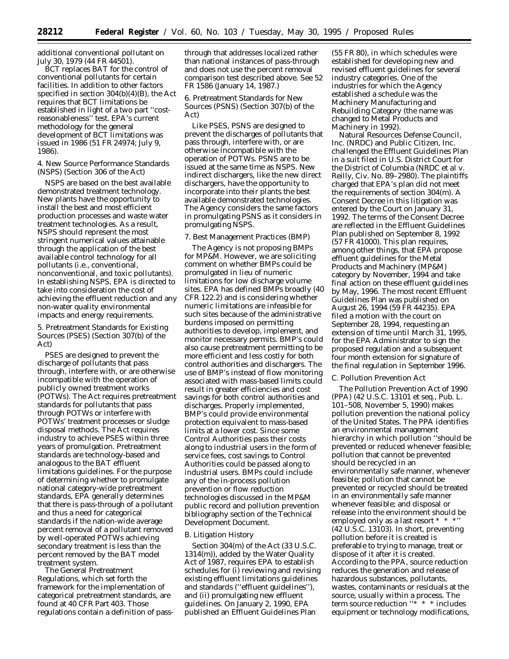additional conventional pollutant on July 30, 1979 (44 FR 44501).

BCT replaces BAT for the control of conventional pollutants for certain facilities. In addition to other factors specified in section 304(b)(4)(B), the Act requires that BCT limitations be established in light of a two part ''costreasonableness'' test. EPA's current methodology for the general development of BCT limitations was issued in 1986 (51 FR 24974; July 9, 1986).

4. New Source Performance Standards (NSPS) (Section 306 of the Act)

NSPS are based on the best available demonstrated treatment technology. New plants have the opportunity to install the best and most efficient production processes and waste water treatment technologies. As a result, NSPS should represent the most stringent numerical values attainable through the application of the best available control technology for all pollutants (i.e., conventional, nonconventional, and toxic pollutants). In establishing NSPS, EPA is directed to take into consideration the cost of achieving the effluent reduction and any non-water quality environmental impacts and energy requirements.

5. Pretreatment Standards for Existing Sources (PSES) (Section 307(b) of the Act)

PSES are designed to prevent the discharge of pollutants that pass through, interfere with, or are otherwise incompatible with the operation of publicly owned treatment works (POTWs). The Act requires pretreatment standards for pollutants that pass through POTWs or interfere with POTWs' treatment processes or sludge disposal methods. The Act requires industry to achieve PSES within three years of promulgation. Pretreatment standards are technology-based and analogous to the BAT effluent limitations guidelines. For the purpose of determining whether to promulgate national category-wide pretreatment standards, EPA generally determines that there is pass-through of a pollutant and thus a need for categorical standards if the nation-wide average percent removal of a pollutant removed by well-operated POTWs achieving secondary treatment is less than the percent removed by the BAT model treatment system.

The General Pretreatment Regulations, which set forth the framework for the implementation of categorical pretreatment standards, are found at 40 CFR Part 403. Those regulations contain a definition of passthrough that addresses localized rather than national instances of pass-through and does not use the percent removal comparison test described above. See 52 FR 1586 (January 14, 1987.)

6. Pretreatment Standards for New Sources (PSNS) (Section 307(b) of the Act)

Like PSES, PSNS are designed to prevent the discharges of pollutants that pass through, interfere with, or are otherwise incompatible with the operation of POTWs. PSNS are to be issued at the same time as NSPS. New indirect dischargers, like the new direct dischargers, have the opportunity to incorporate into their plants the best available demonstrated technologies. The Agency considers the same factors in promulgating PSNS as it considers in promulgating NSPS.

#### 7. Best Management Practices (BMP)

The Agency is not proposing BMPs for MP&M. However, we are soliciting comment on whether BMPs could be promulgated in lieu of numeric limitations for low discharge volume sites. EPA has defined BMPs broadly (40 CFR 122.2) and is considering whether numeric limitations are infeasible for such sites because of the administrative burdens imposed on permitting authorities to develop, implement, and monitor necessary permits. BMP's could also cause pretreatment permitting to be more efficient and less costly for both control authorities and dischargers. The use of BMP's instead of flow monitoring associated with mass-based limits could result in greater efficiencies and cost savings for both control authorities and discharges. Properly implemented, BMP's could provide environmental protection equivalent to mass-based limits at a lower cost. Since some Control Authorities pass their costs along to industrial users in the form of service fees, cost savings to Control Authorities could be passed along to industrial users. BMPs could include any of the in-process pollution prevention or flow reduction technologies discussed in the MP&M public record and pollution prevention bibliography section of the Technical Development Document.

#### *B. Litigation History*

Section 304(m) of the Act (33 U.S.C. 1314(m)), added by the Water Quality Act of 1987, requires EPA to establish schedules for (i) reviewing and revising existing effluent limitations guidelines and standards (''effluent guidelines''), and (ii) promulgating new effluent guidelines. On January 2, 1990, EPA published an Effluent Guidelines Plan

(55 FR 80), in which schedules were established for developing new and revised effluent guidelines for several industry categories. One of the industries for which the Agency established a schedule was the Machinery Manufacturing and Rebuilding Category (the name was changed to Metal Products and Machinery in 1992).

Natural Resources Defense Council, Inc. (NRDC) and Public Citizen, Inc. challenged the Effluent Guidelines Plan in a suit filed in U.S. District Court for the District of Columbia (*NRDC et al* v. *Reilly*, Civ. No. 89–2980). The plaintiffs charged that EPA's plan did not meet the requirements of section 304(m). A Consent Decree in this litigation was entered by the Court on January 31, 1992. The terms of the Consent Decree are reflected in the Effluent Guidelines Plan published on September 8, 1992 (57 FR 41000). This plan requires, among other things, that EPA propose effluent guidelines for the Metal Products and Machinery (MP&M) category by November, 1994 and take final action on these effluent guidelines by May, 1996. The most recent Effluent Guidelines Plan was published on August 26, 1994 (59 FR 44235). EPA filed a motion with the court on September 28, 1994, requesting an extension of time until March 31, 1995, for the EPA Administrator to sign the proposed regulation and a subsequent four month extension for signature of the final regulation in September 1996.

#### *C. Pollution Prevention Act*

The Pollution Prevention Act of 1990 (PPA) (42 U.S.C. 13101 et seq., Pub. L. 101–508, November 5, 1990) makes pollution prevention the national policy of the United States. The PPA identifies an environmental management hierarchy in which pollution ''should be prevented or reduced whenever feasible; pollution that cannot be prevented should be recycled in an environmentally safe manner, whenever feasible; pollution that cannot be prevented or recycled should be treated in an environmentally safe manner whenever feasible; and disposal or release into the environment should be employed only as a last resort \* \* \*'' (42 U.S.C. 13103). In short, preventing pollution before it is created is preferable to trying to manage, treat or dispose of it after it is created. According to the PPA, source reduction reduces the generation and release of hazardous substances, pollutants, wastes, contaminants or residuals at the source, usually within a process. The term source reduction ''\* \* \* includes equipment or technology modifications,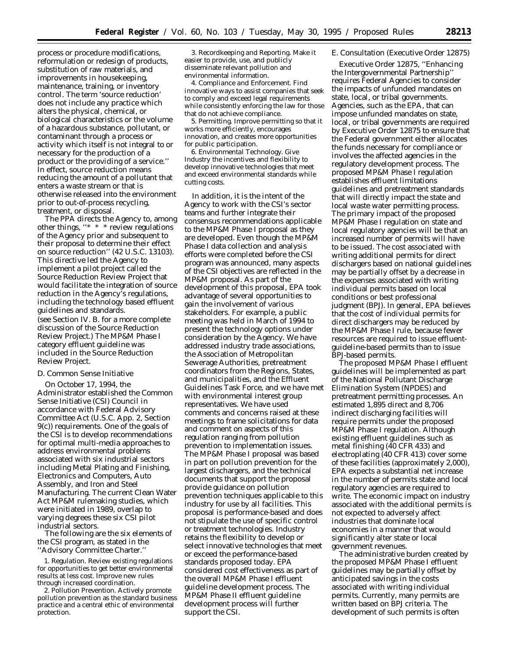process or procedure modifications, reformulation or redesign of products, substitution of raw materials, and improvements in housekeeping, maintenance, training, or inventory control. The term 'source reduction' does not include any practice which alters the physical, chemical, or biological characteristics or the volume of a hazardous substance, pollutant, or contaminant through a process or activity which itself is not integral to or necessary for the production of a product or the providing of a service.'' In effect, source reduction means reducing the amount of a pollutant that enters a waste stream or that is otherwise released into the environment prior to out-of-process recycling, treatment, or disposal.

The PPA directs the Agency to, among other things, ''\* \* \* review regulations of the Agency prior and subsequent to their proposal to determine their effect on source reduction'' (42 U.S.C. 13103). This directive led the Agency to implement a pilot project called the Source Reduction Review Project that would facilitate the integration of source reduction in the Agency's regulations, including the technology based effluent guidelines and standards. (see Section IV. B. for a more complete

discussion of the Source Reduction Review Project.) The MP&M Phase I category effluent guideline was included in the Source Reduction Review Project.

## *D. Common Sense Initiative*

On October 17, 1994, the Administrator established the Common Sense Initiative (CSI) Council in accordance with Federal Advisory Committee Act (U.S.C. App. 2, Section 9(c)) requirements. One of the goals of the CSI is to develop recommendations for optimal multi-media approaches to address environmental problems associated with six industrial sectors including Metal Plating and Finishing, Electronics and Computers, Auto Assembly, and Iron and Steel Manufacturing. The current Clean Water Act MP&M rulemaking studies, which were initiated in 1989, overlap to varying degrees these six CSI pilot industrial sectors.

The following are the six elements of the CSI program, as stated in the ''Advisory Committee Charter.''

1. *Regulation.* Review existing regulations for opportunities to get better environmental results at less cost. Improve new rules through increased coordination.

2. *Pollution Prevention.* Actively promote pollution prevention as the standard business practice and a central ethic of environmental protection.

3. *Recordkeeping and Reporting.* Make it easier to provide, use, and publicly disseminate relevant pollution and environmental information.

4. *Compliance and Enforcement.* Find innovative ways to assist companies that seek to comply and exceed legal requirements while consistently enforcing the law for those that do not achieve compliance.

5. *Permitting.* Improve permitting so that it works more efficiently, encourages innovation, and creates more opportunities for public participation.

6. *Environmental Technology.* Give Industry the incentives and flexibility to develop innovative technologies that meet and exceed environmental standards while cutting costs.

In addition, it is the intent of the Agency to work with the CSI's sector teams and further integrate their consensus recommendations applicable to the MP&M Phase I proposal as they are developed. Even though the MP&M Phase I data collection and analysis efforts were completed before the CSI program was announced, many aspects of the CSI objectives are reflected in the MP&M proposal. As part of the development of this proposal, EPA took advantage of several opportunities to gain the involvement of various stakeholders. For example, a public meeting was held in March of 1994 to present the technology options under consideration by the Agency. We have addressed industry trade associations, the Association of Metropolitan Sewerage Authorities, pretreatment coordinators from the Regions, States, and municipalities, and the Effluent Guidelines Task Force, and we have met with environmental interest group representatives. We have used comments and concerns raised at these meetings to frame solicitations for data and comment on aspects of this regulation ranging from pollution prevention to implementation issues. The MP&M Phase I proposal was based in part on pollution prevention for the largest dischargers, and the technical documents that support the proposal provide guidance on pollution prevention techniques applicable to this industry for use by all facilities. This proposal is performance-based and does not stipulate the use of specific control or treatment technologies. Industry retains the flexibility to develop or select innovative technologies that meet or exceed the performance-based standards proposed today. EPA considered cost effectiveness as part of the overall MP&M Phase I effluent guideline development process. The MP&M Phase II effluent guideline development process will further support the CSI.

#### *E. Consultation (Executive Order 12875)*

Executive Order 12875, ''Enhancing the Intergovernmental Partnership'' requires Federal Agencies to consider the impacts of unfunded mandates on state, local, or tribal governments. Agencies, such as the EPA, that can impose unfunded mandates on state, local, or tribal governments are required by Executive Order 12875 to ensure that the Federal government either allocates the funds necessary for compliance or involves the affected agencies in the regulatory development process. The proposed MP&M Phase I regulation establishes effluent limitations guidelines and pretreatment standards that will directly impact the state and local waste water permitting process. The primary impact of the proposed MP&M Phase I regulation on state and local regulatory agencies will be that an increased number of permits will have to be issued. The cost associated with writing additional permits for direct dischargers based on national guidelines may be partially offset by a decrease in the expenses associated with writing individual permits based on local conditions or best professional judgment (BPJ). In general, EPA believes that the cost of individual permits for direct dischargers may be reduced by the MP&M Phase I rule, because fewer resources are required to issue effluentguideline-based permits than to issue BPJ-based permits.

The proposed MP&M Phase I effluent guidelines will be implemented as part of the National Pollutant Discharge Elimination System (NPDES) and pretreatment permitting processes. An estimated 1,895 direct and 8,706 indirect discharging facilities will require permits under the proposed MP&M Phase I regulation. Although existing effluent guidelines such as metal finishing (40 CFR 433) and electroplating (40 CFR 413) cover some of these facilities (approximately 2,000), EPA expects a substantial net increase in the number of permits state and local regulatory agencies are required to write. The economic impact on industry associated with the additional permits is not expected to adversely affect industries that dominate local economies in a manner that would significantly alter state or local government revenues.

The administrative burden created by the proposed MP&M Phase I effluent guidelines may be partially offset by anticipated savings in the costs associated with writing individual permits. Currently, many permits are written based on BPJ criteria. The development of such permits is often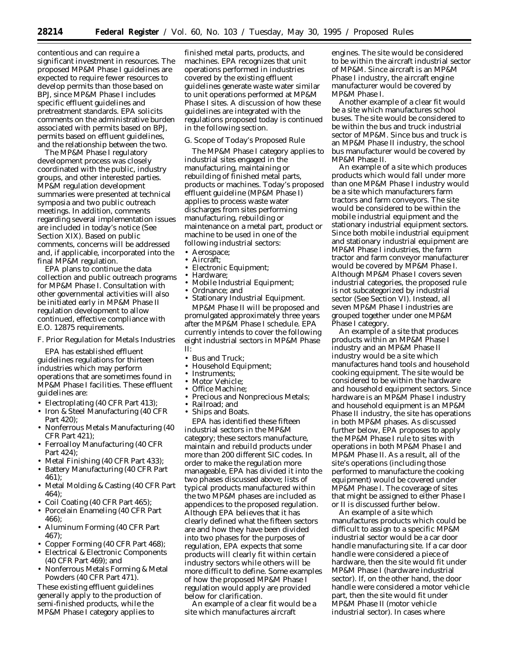contentious and can require a significant investment in resources. The proposed MP&M Phase I guidelines are expected to require fewer resources to develop permits than those based on BPJ, since MP&M Phase I includes specific effluent guidelines and pretreatment standards. EPA solicits comments on the administrative burden associated with permits based on BPJ, permits based on effluent guidelines, and the relationship between the two.

The MP&M Phase I regulatory development process was closely coordinated with the public, industry groups, and other interested parties. MP&M regulation development summaries were presented at technical symposia and two public outreach meetings. In addition, comments regarding several implementation issues are included in today's notice (See Section XIX). Based on public comments, concerns will be addressed and, if applicable, incorporated into the final MP&M regulation.

EPA plans to continue the data collection and public outreach programs for MP&M Phase I. Consultation with other governmental activities will also be initiated early in MP&M Phase II regulation development to allow continued, effective compliance with E.O. 12875 requirements.

#### *F. Prior Regulation for Metals Industries*

EPA has established effluent guidelines regulations for thirteen industries which may perform operations that are sometimes found in MP&M Phase I facilities. These effluent guidelines are:

- Electroplating (40 CFR Part 413);
- Iron & Steel Manufacturing (40 CFR Part 420);
- Nonferrous Metals Manufacturing (40 CFR Part 421);
- Ferroalloy Manufacturing (40 CFR Part 424);
- Metal Finishing (40 CFR Part 433);
- Battery Manufacturing (40 CFR Part 461);
- Metal Molding & Casting (40 CFR Part 464);
- Coil Coating (40 CFR Part 465);
- Porcelain Enameling (40 CFR Part 466);
- Aluminum Forming (40 CFR Part 467);
- Copper Forming (40 CFR Part 468);
- Electrical & Electronic Components (40 CFR Part 469); and
- Nonferrous Metals Forming & Metal Powders (40 CFR Part 471).

These existing effluent guidelines generally apply to the production of semi-finished products, while the MP&M Phase I category applies to

finished metal parts, products, and machines. EPA recognizes that unit operations performed in industries covered by the existing effluent guidelines generate waste water similar to unit operations performed at MP&M Phase I sites. A discussion of how these guidelines are integrated with the regulations proposed today is continued in the following section.

## *G. Scope of Today's Proposed Rule*

The MP&M Phase I category applies to industrial sites engaged in the manufacturing, maintaining or rebuilding of finished metal parts, products or machines. Today's proposed effluent guideline (MP&M Phase I) applies to process waste water discharges from sites performing manufacturing, rebuilding or maintenance on a metal part, product or machine to be used in one of the following industrial sectors:

- Aerospace;
- Aircraft;
- Electronic Equipment;
- Hardware;
- Mobile Industrial Equipment;
- Ordnance; and • Stationary Industrial Equipment.

MP&M Phase II will be proposed and promulgated approximately three years after the MP&M Phase I schedule. EPA currently intends to cover the following eight industrial sectors in MP&M Phase II:

- Bus and Truck:
- Household Equipment;
- Instruments:
- Motor Vehicle;
- Office Machine;
- Precious and Nonprecious Metals;
- Railroad; and
- Ships and Boats.

EPA has identified these fifteen industrial sectors in the MP&M category; these sectors manufacture, maintain and rebuild products under more than 200 different SIC codes. In order to make the regulation more manageable, EPA has divided it into the two phases discussed above; lists of typical products manufactured within the two MP&M phases are included as appendices to the proposed regulation. Although EPA believes that it has clearly defined what the fifteen sectors are and how they have been divided into two phases for the purposes of regulation, EPA expects that some products will clearly fit within certain industry sectors while others will be more difficult to define. Some examples of how the proposed MP&M Phase I regulation would apply are provided below for clarification.

An example of a clear fit would be a site which manufactures aircraft

engines. The site would be considered to be within the aircraft industrial sector of MP&M. Since aircraft is an MP&M Phase I industry, the aircraft engine manufacturer would be covered by MP&M Phase I.

Another example of a clear fit would be a site which manufactures school buses. The site would be considered to be within the bus and truck industrial sector of MP&M. Since bus and truck is an MP&M Phase II industry, the school bus manufacturer would be covered by MP&M Phase II.

An example of a site which produces products which would fall under more than one MP&M Phase I industry would be a site which manufacturers farm tractors and farm conveyors. The site would be considered to be within the mobile industrial equipment and the stationary industrial equipment sectors. Since both mobile industrial equipment and stationary industrial equipment are MP&M Phase I industries, the farm tractor and farm conveyor manufacturer would be covered by MP&M Phase I. Although MP&M Phase I covers seven industrial categories, the proposed rule is not subcategorized by industrial sector (See Section VI). Instead, all seven MP&M Phase I industries are grouped together under one MP&M Phase I category.

An example of a site that produces products within an MP&M Phase I industry and an MP&M Phase II industry would be a site which manufactures hand tools and household cooking equipment. The site would be considered to be within the hardware and household equipment sectors. Since hardware is an MP&M Phase I industry and household equipment is an MP&M Phase II industry, the site has operations in both MP&M phases. As discussed further below, EPA proposes to apply the MP&M Phase I rule to sites with operations in both MP&M Phase I and MP&M Phase II. As a result, all of the site's operations (including those performed to manufacture the cooking equipment) would be covered under MP&M Phase I. The coverage of sites that might be assigned to either Phase I or II is discussed further below.

An example of a site which manufactures products which could be difficult to assign to a specific MP&M industrial sector would be a car door handle manufacturing site. If a car door handle were considered a piece of hardware, then the site would fit under MP&M Phase I (hardware industrial sector). If, on the other hand, the door handle were considered a motor vehicle part, then the site would fit under MP&M Phase II (motor vehicle industrial sector). In cases where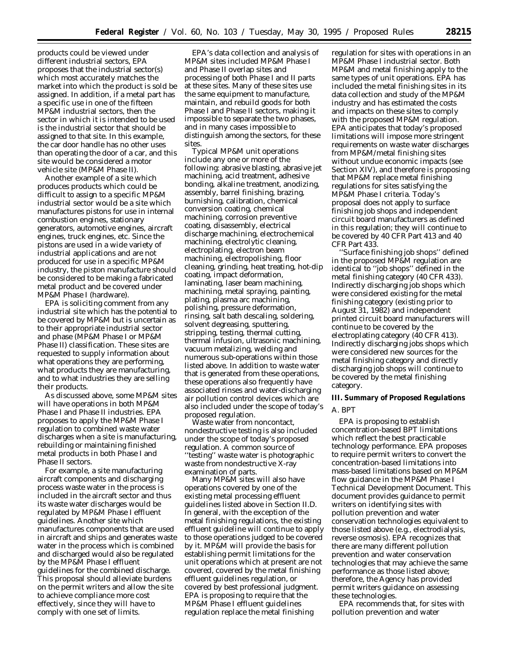products could be viewed under different industrial sectors, EPA proposes that the industrial sector(s) which most accurately matches the market into which the product is sold be assigned. In addition, if a metal part has a specific use in one of the fifteen MP&M industrial sectors, then the sector in which it is intended to be used is the industrial sector that should be assigned to that site. In this example, the car door handle has no other uses than operating the door of a car, and this site would be considered a motor vehicle site (MP&M Phase II).

Another example of a site which produces products which could be difficult to assign to a specific MP&M industrial sector would be a site which manufactures pistons for use in internal combustion engines, stationary generators, automotive engines, aircraft engines, truck engines, etc. Since the pistons are used in a wide variety of industrial applications and are not produced for use in a specific MP&M industry, the piston manufacture should be considered to be making a fabricated metal product and be covered under MP&M Phase I (hardware).

EPA is soliciting comment from any industrial site which has the potential to be covered by MP&M but is uncertain as to their appropriate industrial sector and phase (MP&M Phase I or MP&M Phase II) classification. These sites are requested to supply information about what operations they are performing, what products they are manufacturing, and to what industries they are selling their products.

As discussed above, some MP&M sites will have operations in both MP&M Phase I and Phase II industries. EPA proposes to apply the MP&M Phase I regulation to combined waste water discharges when a site is manufacturing, rebuilding or maintaining finished metal products in both Phase I and Phase II sectors.

For example, a site manufacturing aircraft components and discharging process waste water in the process is included in the aircraft sector and thus its waste water discharges would be regulated by MP&M Phase I effluent guidelines. Another site which manufactures components that are used in aircraft and ships and generates waste water in the process which is combined and discharged would also be regulated by the MP&M Phase I effluent guidelines for the combined discharge. This proposal should alleviate burdens on the permit writers and allow the site to achieve compliance more cost effectively, since they will have to comply with one set of limits.

EPA's data collection and analysis of MP&M sites included MP&M Phase I and Phase II overlap sites and processing of both Phase I and II parts at these sites. Many of these sites use the same equipment to manufacture, maintain, and rebuild goods for both Phase I and Phase II sectors, making it impossible to separate the two phases, and in many cases impossible to distinguish among the sectors, for these sites.

Typical MP&M unit operations include any one or more of the following: abrasive blasting, abrasive jet machining, acid treatment, adhesive bonding, alkaline treatment, anodizing, assembly, barrel finishing, brazing, burnishing, calibration, chemical conversion coating, chemical machining, corrosion preventive coating, disassembly, electrical discharge machining, electrochemical machining, electrolytic cleaning, electroplating, electron beam machining, electropolishing, floor cleaning, grinding, heat treating, hot-dip coating, impact deformation, laminating, laser beam machining, machining, metal spraying, painting, plating, plasma arc machining, polishing, pressure deformation, rinsing, salt bath descaling, soldering, solvent degreasing, sputtering, stripping, testing, thermal cutting, thermal infusion, ultrasonic machining, vacuum metalizing, welding and numerous sub-operations within those listed above. In addition to waste water that is generated from these operations, these operations also frequently have associated rinses and water-discharging air pollution control devices which are also included under the scope of today's proposed regulation.

Waste water from noncontact, nondestructive testing is also included under the scope of today's proposed regulation. A common source of ''testing'' waste water is photographic waste from nondestructive X-ray examination of parts.

Many MP&M sites will also have operations covered by one of the existing metal processing effluent guidelines listed above in Section II.D. In general, with the exception of the metal finishing regulations, the existing effluent guideline will continue to apply to those operations judged to be covered by it. MP&M will provide the basis for establishing permit limitations for the unit operations which at present are not covered, covered by the metal finishing effluent guidelines regulation, or covered by best professional judgment. EPA is proposing to require that the MP&M Phase I effluent guidelines regulation replace the metal finishing

regulation for sites with operations in an MP&M Phase I industrial sector. Both MP&M and metal finishing apply to the same types of unit operations. EPA has included the metal finishing sites in its data collection and study of the MP&M industry and has estimated the costs and impacts on these sites to comply with the proposed MP&M regulation. EPA anticipates that today's proposed limitations will impose more stringent requirements on waste water discharges from MP&M/metal finishing sites without undue economic impacts (see Section XIV), and therefore is proposing that MP&M replace metal finishing regulations for sites satisfying the MP&M Phase I criteria. Today's proposal does not apply to surface finishing job shops and independent circuit board manufacturers as defined in this regulation; they will continue to be covered by 40 CFR Part 413 and 40 CFR Part 433.

''Surface finishing job shops'' defined in the proposed MP&M regulation are identical to ''job shops'' defined in the metal finishing category (40 CFR 433). Indirectly discharging job shops which were considered existing for the metal finishing category (existing prior to August 31, 1982) and independent printed circuit board manufacturers will continue to be covered by the electroplating category (40 CFR 413). Indirectly discharging jobs shops which were considered new sources for the metal finishing category and directly discharging job shops will continue to be covered by the metal finishing category.

## **III. Summary of Proposed Regulations**

## *A. BPT*

EPA is proposing to establish concentration-based BPT limitations which reflect the best practicable technology performance. EPA proposes to require permit writers to convert the concentration-based limitations into mass-based limitations based on MP&M flow guidance in the MP&M Phase I Technical Development Document. This document provides guidance to permit writers on identifying sites with pollution prevention and water conservation technologies equivalent to those listed above (e.g., electrodialysis, reverse osmosis). EPA recognizes that there are many different pollution prevention and water conservation technologies that may achieve the same performance as those listed above; therefore, the Agency has provided permit writers guidance on assessing these technologies.

EPA recommends that, for sites with pollution prevention and water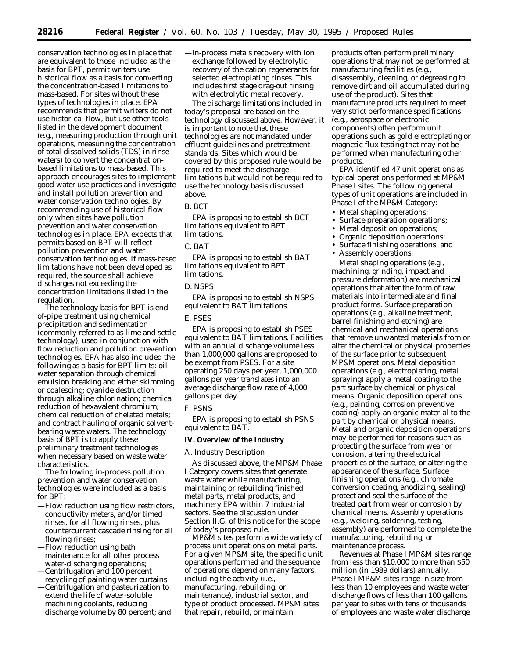conservation technologies in place that are equivalent to those included as the basis for BPT, permit writers use historical flow as a basis for converting the concentration-based limitations to mass-based. For sites without these types of technologies in place, EPA recommends that permit writers do not use historical flow, but use other tools listed in the development document (e.g., measuring production through unit operations, measuring the concentration of total dissolved solids (TDS) in rinse waters) to convert the concentrationbased limitations to mass-based. This approach encourages sites to implement good water use practices and investigate and install pollution prevention and water conservation technologies. By recommending use of historical flow only when sites have pollution prevention and water conservation technologies in place, EPA expects that permits based on BPT will reflect pollution prevention and water conservation technologies. If mass-based limitations have not been developed as required, the source shall achieve discharges not exceeding the concentration limitations listed in the regulation.

The technology basis for BPT is endof-pipe treatment using chemical precipitation and sedimentation (commonly referred to as lime and settle technology), used in conjunction with flow reduction and pollution prevention technologies. EPA has also included the following as a basis for BPT limits: oilwater separation through chemical emulsion breaking and either skimming or coalescing; cyanide destruction through alkaline chlorination; chemical reduction of hexavalent chromium; chemical reduction of chelated metals; and contract hauling of organic solventbearing waste waters. The technology basis of BPT is to apply these preliminary treatment technologies when necessary based on waste water characteristics.

The following in-process pollution prevention and water conservation technologies were included as a basis for BPT:

- —Flow reduction using flow restrictors, conductivity meters, and/or timed rinses, for all flowing rinses, plus countercurrent cascade rinsing for all flowing rinses;
- —Flow reduction using bath maintenance for all other process water-discharging operations;
- —Centrifugation and 100 percent recycling of painting water curtains;
- —Centrifugation and pasteurization to extend the life of water-soluble machining coolants, reducing discharge volume by 80 percent; and

—In-process metals recovery with ion exchange followed by electrolytic recovery of the cation regenerants for selected electroplating rinses. This includes first stage drag-out rinsing with electrolytic metal recovery.

The discharge limitations included in today's proposal are based on the technology discussed above. However, it is important to note that these technologies are not mandated under effluent guidelines and pretreatment standards. Sites which would be covered by this proposed rule would be required to meet the discharge limitations but would not be required to use the technology basis discussed above.

## *B. BCT*

EPA is proposing to establish BCT limitations equivalent to BPT limitations.

#### *C. BAT*

EPA is proposing to establish BAT limitations equivalent to BPT limitations.

## *D. NSPS*

EPA is proposing to establish NSPS equivalent to BAT limitations.

## *E. PSES*

EPA is proposing to establish PSES equivalent to BAT limitations. Facilities with an annual discharge volume less than 1,000,000 gallons are proposed to be exempt from PSES. For a site operating 250 days per year, 1,000,000 gallons per year translates into an average discharge flow rate of 4,000 gallons per day.

#### *F. PSNS*

EPA is proposing to establish PSNS equivalent to BAT.

## **IV. Overview of the Industry**

## *A. Industry Description*

As discussed above, the MP&M Phase I Category covers sites that generate waste water while manufacturing, maintaining or rebuilding finished metal parts, metal products, and machinery EPA within 7 industrial sectors. See the discussion under Section II.G. of this notice for the scope of today's proposed rule.

MP&M sites perform a wide variety of process unit operations on metal parts. For a given MP&M site, the specific unit operations performed and the sequence of operations depend on many factors, including the activity (i.e., manufacturing, rebuilding, or maintenance), industrial sector, and type of product processed. MP&M sites that repair, rebuild, or maintain

products often perform preliminary operations that may not be performed at manufacturing facilities (e.g., disassembly, cleaning, or degreasing to remove dirt and oil accumulated during use of the product). Sites that manufacture products required to meet very strict performance specifications (e.g., aerospace or electronic components) often perform unit operations such as gold electroplating or magnetic flux testing that may not be performed when manufacturing other products.

EPA identified 47 unit operations as typical operations performed at MP&M Phase I sites. The following general types of unit operations are included in Phase I of the MP&M Category:

- Metal shaping operations;
- Surface preparation operations;
- Metal deposition operations;
- Organic deposition operations;
- Surface finishing operations; and
- Assembly operations.

Metal shaping operations (e.g., machining, grinding, impact and pressure deformation) are mechanical operations that alter the form of raw materials into intermediate and final product forms. Surface preparation operations (e.g., alkaline treatment, barrel finishing and etching) are chemical and mechanical operations that remove unwanted materials from or alter the chemical or physical properties of the surface prior to subsequent MP&M operations. Metal deposition operations (e.g., electroplating, metal spraying) apply a metal coating to the part surface by chemical or physical means. Organic deposition operations (e.g., painting, corrosion preventive coating) apply an organic material to the part by chemical or physical means. Metal and organic deposition operations may be performed for reasons such as protecting the surface from wear or corrosion, altering the electrical properties of the surface, or altering the appearance of the surface. Surface finishing operations (e.g., chromate conversion coating, anodizing, sealing) protect and seal the surface of the treated part from wear or corrosion by chemical means. Assembly operations (e.g., welding, soldering, testing, assembly) are performed to complete the manufacturing, rebuilding, or maintenance process.

Revenues at Phase I MP&M sites range from less than \$10,000 to more than \$50 million (in 1989 dollars) annually. Phase I MP&M sites range in size from less than 10 employees and waste water discharge flows of less than 100 gallons per year to sites with tens of thousands of employees and waste water discharge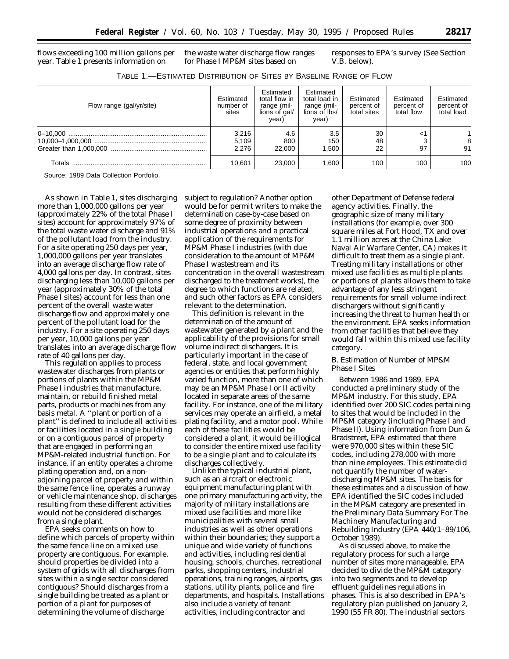flows exceeding 100 million gallons per year. Table 1 presents information on

the waste water discharge flow ranges for Phase I MP&M sites based on

responses to EPA's survey (See Section V.B. below).

| Table 1.—Estimated Distribution of Sites by Baseline Range of Flow |  |
|--------------------------------------------------------------------|--|
|--------------------------------------------------------------------|--|

| Flow range (gal/yr/site) | Estimated<br>number of<br>sites | Estimated<br>total flow in<br>range (mil-<br>lions of gal/<br>year) | Estimated<br>total load in<br>range (mil-<br>lions of lbs/<br>year) | Estimated<br>percent of<br>total sites | Estimated<br>percent of<br>total flow | Estimated<br>percent of<br>total load |
|--------------------------|---------------------------------|---------------------------------------------------------------------|---------------------------------------------------------------------|----------------------------------------|---------------------------------------|---------------------------------------|
|                          | 3,216<br>5,109<br>2.276         | 4.6<br>800<br>22,000                                                | 3.5<br>150<br>1.500                                                 | 30<br>48<br>22                         | <1<br>97                              | 91                                    |
|                          | 10.601                          | 23,000                                                              | 1.600                                                               | 100                                    | 100                                   | 100                                   |

Source: 1989 Data Collection Portfolio.

As shown in Table 1, sites discharging more than 1,000,000 gallons per year (approximately 22% of the total Phase I sites) account for approximately 97% of the total waste water discharge and 91% of the pollutant load from the industry. For a site operating 250 days per year, 1,000,000 gallons per year translates into an average discharge flow rate of 4,000 gallons per day. In contrast, sites discharging less than 10,000 gallons per year (approximately 30% of the total Phase I sites) account for less than one percent of the overall waste water discharge flow and approximately one percent of the pollutant load for the industry. For a site operating 250 days per year, 10,000 gallons per year translates into an average discharge flow rate of 40 gallons per day.

This regulation applies to process wastewater discharges from plants or portions of plants within the MP&M Phase I industries that manufacture, maintain, or rebuild finished metal parts, products or machines from any basis metal. A ''plant or portion of a plant'' is defined to include all activities or facilities located in a single building or on a contiguous parcel of property that are engaged in performing an MP&M-related industrial function. For instance, if an entity operates a chrome plating operation and, on a nonadjoining parcel of property and within the same fence line, operates a runway or vehicle maintenance shop, discharges resulting from these different activities would not be considered discharges from a single plant.

EPA seeks comments on how to define which parcels of property within the same fence line on a mixed use property are contiguous. For example, should properties be divided into a system of grids with all discharges from sites within a single sector considered contiguous? Should discharges from a single building be treated as a plant or portion of a plant for purposes of determining the volume of discharge

subject to regulation? Another option would be for permit writers to make the determination case-by-case based on some degree of proximity between industrial operations and a practical application of the requirements for MP&M Phase I industries (with due consideration to the amount of MP&M Phase I wastestream and its concentration in the overall wastestream discharged to the treatment works), the degree to which functions are related, and such other factors as EPA considers relevant to the determination.

This definition is relevant in the determination of the amount of wastewater generated by a plant and the applicability of the provisions for small volume indirect dischargers. It is particularly important in the case of federal, state, and local government agencies or entities that perform highly varied function, more than one of which may be an MP&M Phase I or II activity located in separate areas of the same facility. For instance, one of the military services may operate an airfield, a metal plating facility, and a motor pool. While each of these facilities would be considered a plant, it would be illogical to consider the entire mixed use facility to be a single plant and to calculate its discharges collectively.

Unlike the typical industrial plant, such as an aircraft or electronic equipment manufacturing plant with one primary manufacturing activity, the majority of military installations are mixed use facilities and more like municipalities with several small industries as well as other operations within their boundaries; they support a unique and wide variety of functions and activities, including residential housing, schools, churches, recreational parks, shopping centers, industrial operations, training ranges, airports, gas stations, utility plants, police and fire departments, and hospitals. Installations also include a variety of tenant activities, including contractor and

other Department of Defense federal agency activities. Finally, the geographic size of many military installations (for example, over 300 square miles at Fort Hood, TX and over 1.1 million acres at the China Lake Naval Air Warfare Center, CA) makes it difficult to treat them as a single plant. Treating military installations or other mixed use facilities as multiple plants or portions of plants allows them to take advantage of any less stringent requirements for small volume indirect dischargers without significantly increasing the threat to human health or the environment. EPA seeks information from other facilities that believe they would fall within this mixed use facility category.

## *B. Estimation of Number of MP&M Phase I Sites*

Between 1986 and 1989, EPA conducted a preliminary study of the MP&M industry. For this study, EPA identified over 200 SIC codes pertaining to sites that would be included in the MP&M category (including Phase I and Phase II). Using information from Dun & Bradstreet, EPA estimated that there were 970,000 sites within these SIC codes, including 278,000 with more than nine employees. This estimate did not quantify the number of waterdischarging MP&M sites. The basis for these estimates and a discussion of how EPA identified the SIC codes included in the MP&M category are presented in the *Preliminary Data Summary For The Machinery Manufacturing and Rebuilding Industry* (EPA 440/1–89/106, October 1989).

As discussed above, to make the regulatory process for such a large number of sites more manageable, EPA decided to divide the MP&M category into two segments and to develop effluent guidelines regulations in phases. This is also described in EPA's regulatory plan published on January 2, 1990 (55 FR 80). The industrial sectors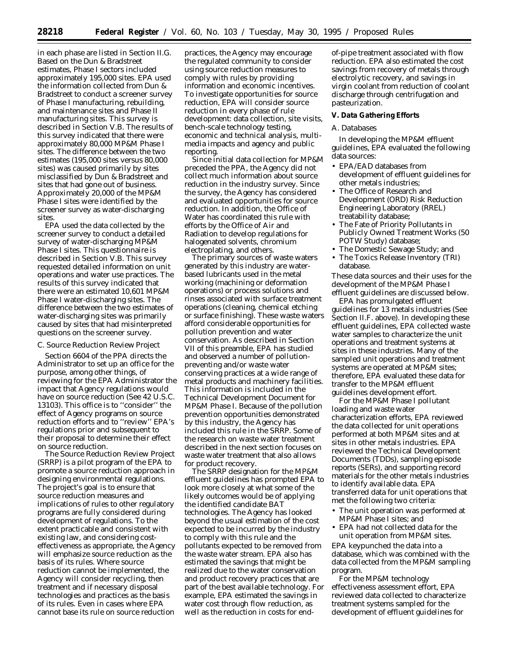in each phase are listed in Section II.G. Based on the Dun & Bradstreet estimates, Phase I sectors included approximately 195,000 sites. EPA used the information collected from Dun & Bradstreet to conduct a screener survey of Phase I manufacturing, rebuilding, and maintenance sites and Phase II manufacturing sites. This survey is described in Section V.B. The results of this survey indicated that there were approximately 80,000 MP&M Phase I sites. The difference between the two estimates (195,000 sites versus 80,000 sites) was caused primarily by sites misclassified by Dun & Bradstreet and sites that had gone out of business. Approximately 20,000 of the MP&M Phase I sites were identified by the screener survey as water-discharging sites.

EPA used the data collected by the screener survey to conduct a detailed survey of water-discharging MP&M Phase I sites. This questionnaire is described in Section V.B. This survey requested detailed information on unit operations and water use practices. The results of this survey indicated that there were an estimated 10,601 MP&M Phase I water-discharging sites. The difference between the two estimates of water-discharging sites was primarily caused by sites that had misinterpreted questions on the screener survey.

## *C. Source Reduction Review Project*

Section 6604 of the PPA directs the Administrator to set up an office for the purpose, among other things, of reviewing for the EPA Administrator the impact that Agency regulations would have on source reduction (See 42 U.S.C. 13103). This office is to ''consider'' the effect of Agency programs on source reduction efforts and to ''review'' EPA's regulations prior and subsequent to their proposal to determine their effect on source reduction.

The Source Reduction Review Project (SRRP) is a pilot program of the EPA to promote a source reduction approach in designing environmental regulations. The project's goal is to ensure that source reduction measures and implications of rules to other regulatory programs are fully considered during development of regulations. To the extent practicable and consistent with existing law, and considering costeffectiveness as appropriate, the Agency will emphasize source reduction as the basis of its rules. Where source reduction cannot be implemented, the Agency will consider recycling, then treatment and if necessary disposal technologies and practices as the basis of its rules. Even in cases where EPA cannot base its rule on source reduction

practices, the Agency may encourage the regulated community to consider using source reduction measures to comply with rules by providing information and economic incentives. To investigate opportunities for source reduction, EPA will consider source reduction in every phase of rule development: data collection, site visits, bench-scale technology testing, economic and technical analysis, multimedia impacts and agency and public reporting.

Since initial data collection for MP&M preceded the PPA, the Agency did not collect much information about source reduction in the industry survey. Since the survey, the Agency has considered and evaluated opportunities for source reduction. In addition, the Office of Water has coordinated this rule with efforts by the Office of Air and Radiation to develop regulations for halogenated solvents, chromium electroplating, and others.

The primary sources of waste waters generated by this industry are waterbased lubricants used in the metal working (machining or deformation operations) or process solutions and rinses associated with surface treatment operations (cleaning, chemical etching or surface finishing). These waste waters afford considerable opportunities for pollution prevention and water conservation. As described in Section VII of this preamble, EPA has studied and observed a number of pollutionpreventing and/or waste water conserving practices at a wide range of metal products and machinery facilities. This information is included in the Technical Development Document for MP&M Phase I. Because of the pollution prevention opportunities demonstrated by this industry, the Agency has included this rule in the SRRP. Some of the research on waste water treatment described in the next section focuses on waste water treatment that also allows for product recovery.

The SRRP designation for the MP&M effluent guidelines has prompted EPA to look more closely at what some of the likely outcomes would be of applying the identified candidate BAT technologies. The Agency has looked beyond the usual estimation of the cost expected to be incurred by the industry to comply with this rule and the pollutants expected to be removed from the waste water stream. EPA also has estimated the savings that might be realized due to the water conservation and product recovery practices that are part of the best available technology. For example, EPA estimated the savings in water cost through flow reduction, as well as the reduction in costs for endof-pipe treatment associated with flow reduction. EPA also estimated the cost savings from recovery of metals through electrolytic recovery, and savings in virgin coolant from reduction of coolant discharge through centrifugation and pasteurization.

#### **V. Data Gathering Efforts**

#### *A. Databases*

In developing the MP&M effluent guidelines, EPA evaluated the following data sources:

- EPA/EAD databases from development of effluent guidelines for other metals industries;
- The Office of Research and Development (ORD) Risk Reduction Engineering Laboratory (RREL) treatability database;
- The Fate of Priority Pollutants in Publicly Owned Treatment Works (50 POTW Study) database;
- The Domestic Sewage Study; and
- The Toxics Release Inventory (TRI) database.

These data sources and their uses for the development of the MP&M Phase I effluent guidelines are discussed below.

EPA has promulgated effluent guidelines for 13 metals industries (See Section II.F. above). In developing these effluent guidelines, EPA collected waste water samples to characterize the unit operations and treatment systems at sites in these industries. Many of the sampled unit operations and treatment systems are operated at MP&M sites; therefore, EPA evaluated these data for transfer to the MP&M effluent guidelines development effort.

For the MP&M Phase I pollutant loading and waste water characterization efforts, EPA reviewed the data collected for unit operations performed at both MP&M sites and at sites in other metals industries. EPA reviewed the Technical Development Documents (TDDs), sampling episode reports (SERs), and supporting record materials for the other metals industries to identify available data. EPA transferred data for unit operations that met the following two criteria:

- The unit operation was performed at MP&M Phase I sites; and
- EPA had not collected data for the unit operation from MP&M sites.

EPA keypunched the data into a database, which was combined with the data collected from the MP&M sampling program.

For the MP&M technology effectiveness assessment effort, EPA reviewed data collected to characterize treatment systems sampled for the development of effluent guidelines for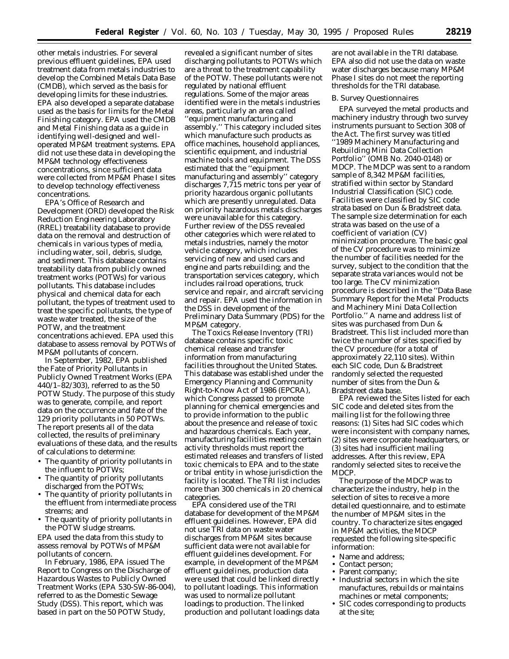other metals industries. For several previous effluent guidelines, EPA used treatment data from metals industries to develop the Combined Metals Data Base (CMDB), which served as the basis for developing limits for these industries. EPA also developed a separate database used as the basis for limits for the Metal Finishing category. EPA used the CMDB and Metal Finishing data as a guide in identifying well-designed and welloperated MP&M treatment systems. EPA did not use these data in developing the MP&M technology effectiveness concentrations, since sufficient data were collected from MP&M Phase I sites to develop technology effectiveness concentrations.

EPA's Office of Research and Development (ORD) developed the Risk Reduction Engineering Laboratory (RREL) treatability database to provide data on the removal and destruction of chemicals in various types of media, including water, soil, debris, sludge, and sediment. This database contains treatability data from publicly owned treatment works (POTWs) for various pollutants. This database includes physical and chemical data for each pollutant, the types of treatment used to treat the specific pollutants, the type of waste water treated, the size of the POTW, and the treatment concentrations achieved. EPA used this database to assess removal by POTWs of MP&M pollutants of concern.

In September, 1982, EPA published the *Fate of Priority Pollutants in Publicly Owned Treatment Works* (EPA 440/1–82/303), referred to as the 50 POTW Study. The purpose of this study was to generate, compile, and report data on the occurrence and fate of the 129 priority pollutants in 50 POTWs. The report presents all of the data collected, the results of preliminary evaluations of these data, and the results of calculations to determine:

- The quantity of priority pollutants in the influent to POTWs;
- The quantity of priority pollutants discharged from the POTWs;
- The quantity of priority pollutants in the effluent from intermediate process streams; and
- The quantity of priority pollutants in the POTW sludge streams.

EPA used the data from this study to assess removal by POTWs of MP&M pollutants of concern.

In February, 1986, EPA issued *The Report to Congress on the Discharge of Hazardous Wastes to Publicly Owned Treatment Works* (EPA 530-SW-86-004), referred to as the Domestic Sewage Study (DSS). This report, which was based in part on the 50 POTW Study,

revealed a significant number of sites discharging pollutants to POTWs which are a threat to the treatment capability of the POTW. These pollutants were not regulated by national effluent regulations. Some of the major areas identified were in the metals industries areas, particularly an area called ''equipment manufacturing and assembly.'' This category included sites which manufacture such products as office machines, household appliances, scientific equipment, and industrial machine tools and equipment. The DSS estimated that the ''equipment manufacturing and assembly'' category discharges 7,715 metric tons per year of priority hazardous organic pollutants which are presently unregulated. Data on priority hazardous metals discharges were unavailable for this category. Further review of the DSS revealed other categories which were related to metals industries, namely the motor vehicle category, which includes servicing of new and used cars and engine and parts rebuilding; and the transportation services category, which includes railroad operations, truck service and repair, and aircraft servicing and repair. EPA used the information in the DSS in development of the Preliminary Data Summary (PDS) for the MP&M category.

The Toxics Release Inventory (TRI) database contains specific toxic chemical release and transfer information from manufacturing facilities throughout the United States. This database was established under the Emergency Planning and Community Right-to-Know Act of 1986 (EPCRA), which Congress passed to promote planning for chemical emergencies and to provide information to the public about the presence and release of toxic and hazardous chemicals. Each year, manufacturing facilities meeting certain activity thresholds must report the estimated releases and transfers of listed toxic chemicals to EPA and to the state or tribal entity in whose jurisdiction the facility is located. The TRI list includes more than 300 chemicals in 20 chemical categories.

EPA considered use of the TRI database for development of the MP&M effluent guidelines. However, EPA did not use TRI data on waste water discharges from MP&M sites because sufficient data were not available for effluent guidelines development. For example, in development of the MP&M effluent guidelines, production data were used that could be linked directly to pollutant loadings. This information was used to normalize pollutant loadings to production. The linked production and pollutant loadings data

are not available in the TRI database. EPA also did not use the data on waste water discharges because many MP&M Phase I sites do not meet the reporting thresholds for the TRI database.

### *B. Survey Questionnaires*

EPA surveyed the metal products and machinery industry through two survey instruments pursuant to Section 308 of the Act. The first survey was titled ''1989 Machinery Manufacturing and Rebuilding Mini Data Collection Portfolio'' (OMB No. 2040-0148) or MDCP. The MDCP was sent to a random sample of 8,342 MP&M facilities, stratified within sector by Standard Industrial Classification (SIC) code. Facilities were classified by SIC code strata based on Dun & Bradstreet data. The sample size determination for each strata was based on the use of a coefficient of variation (CV) minimization procedure. The basic goal of the CV procedure was to minimize the number of facilities needed for the survey, subject to the condition that the separate strata variances would not be too large. The CV minimization procedure is described in the ''Data Base Summary Report for the Metal Products and Machinery Mini Data Collection Portfolio.'' A name and address list of sites was purchased from Dun & Bradstreet. This list included more than twice the number of sites specified by the CV procedure (for a total of approximately 22,110 sites). Within each SIC code, Dun & Bradstreet randomly selected the requested number of sites from the Dun & Bradstreet data base.

EPA reviewed the Sites listed for each SIC code and deleted sites from the mailing list for the following three reasons: (1) Sites had SIC codes which were inconsistent with company names, (2) sites were corporate headquarters, or (3) sites had insufficient mailing addresses. After this review, EPA randomly selected sites to receive the MDCP.

The purpose of the MDCP was to characterize the industry, help in the selection of sites to receive a more detailed questionnaire, and to estimate the number of MP&M sites in the country. To characterize sites engaged in MP&M activities, the MDCP requested the following site-specific information:

- Name and address;
- Contact person;
- Parent company;
- Industrial sectors in which the site manufactures, rebuilds or maintains machines or metal components;
- SIC codes corresponding to products at the site;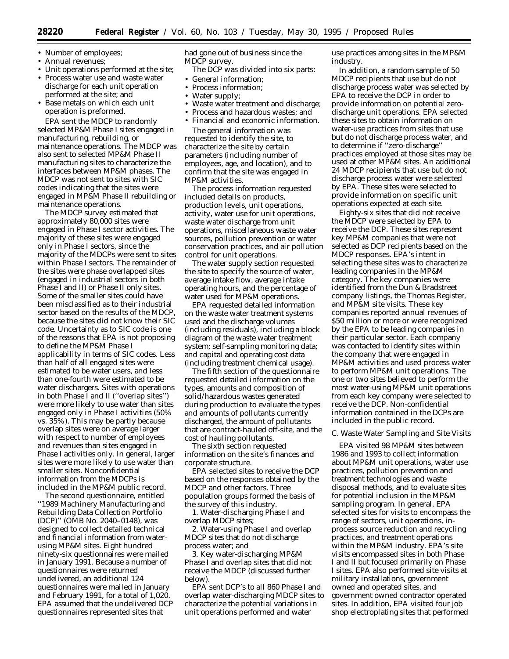- Number of employees;
- Annual revenues;
- Unit operations performed at the site;
- Process water use and waste water discharge for each unit operation performed at the site; and
- Base metals on which each unit operation is preformed.

EPA sent the MDCP to randomly selected MP&M Phase I sites engaged in manufacturing, rebuilding, or maintenance operations. The MDCP was also sent to selected MP&M Phase II manufacturing sites to characterize the interfaces between MP&M phases. The MDCP was not sent to sites with SIC codes indicating that the sites were engaged in MP&M Phase II rebuilding or maintenance operations.

The MDCP survey estimated that approximately 80,000 sites were engaged in Phase I sector activities. The majority of these sites were engaged only in Phase I sectors, since the majority of the MDCPs were sent to sites within Phase I sectors. The remainder of the sites were phase overlapped sites (engaged in industrial sectors in both Phase I and II) or Phase II only sites. Some of the smaller sites could have been misclassified as to their industrial sector based on the results of the MDCP, because the sites did not know their SIC code. Uncertainty as to SIC code is one of the reasons that EPA is not proposing to define the MP&M Phase I applicability in terms of SIC codes. Less than half of all engaged sites were estimated to be water users, and less than one-fourth were estimated to be water dischargers. Sites with operations in both Phase I and II (''overlap sites'') were more likely to use water than sites engaged only in Phase I activities (50% vs. 35%). This may be partly because overlap sites were on average larger with respect to number of employees and revenues than sites engaged in Phase I activities only. In general, larger sites were more likely to use water than smaller sites. Nonconfidential information from the MDCPs is included in the MP&M public record.

The second questionnaire, entitled ''1989 Machinery Manufacturing and Rebuilding Data Collection Portfolio (DCP)'' (OMB No. 2040–0148), was designed to collect detailed technical and financial information from waterusing MP&M sites. Eight hundred ninety-six questionnaires were mailed in January 1991. Because a number of questionnaires were returned undelivered, an additional 124 questionnaires were mailed in January and February 1991, for a total of 1,020. EPA assumed that the undelivered DCP questionnaires represented sites that

had gone out of business since the MDCP survey.

- The DCP was divided into six parts:
- General information;
- Process information;
- Water supply;
- Waste water treatment and discharge;
- Process and hazardous wastes; and
- Financial and economic information. The general information was

requested to identify the site, to characterize the site by certain parameters (including number of employees, age, and location), and to confirm that the site was engaged in MP&M activities.

The process information requested included details on products, production levels, unit operations, activity, water use for unit operations, waste water discharge from unit operations, miscellaneous waste water sources, pollution prevention or water conservation practices, and air pollution control for unit operations.

The water supply section requested the site to specify the source of water, average intake flow, average intake operating hours, and the percentage of water used for MP&M operations.

EPA requested detailed information on the waste water treatment systems used and the discharge volumes (including residuals), including a block diagram of the waste water treatment system; self-sampling monitoring data; and capital and operating cost data (including treatment chemical usage).

The fifth section of the questionnaire requested detailed information on the types, amounts and composition of solid/hazardous wastes generated during production to evaluate the types and amounts of pollutants currently discharged, the amount of pollutants that are contract-hauled off-site, and the cost of hauling pollutants.

The sixth section requested information on the site's finances and corporate structure.

EPA selected sites to receive the DCP based on the responses obtained by the MDCP and other factors. Three population groups formed the basis of the survey of this industry.

1. Water-discharging Phase I and overlap MDCP sites;

2. Water-using Phase I and overlap MDCP sites that do not discharge process water; and

3. Key water-discharging MP&M Phase I and overlap sites that did not receive the MDCP (discussed further below).

EPA sent DCP's to all 860 Phase I and overlap water-discharging MDCP sites to characterize the potential variations in unit operations performed and water

use practices among sites in the MP&M industry.

In addition, a random sample of 50 MDCP recipients that use but do not discharge process water was selected by EPA to receive the DCP in order to provide information on potential zerodischarge unit operations. EPA selected these sites to obtain information on water-use practices from sites that use but do not discharge process water, and to determine if ''zero-discharge'' practices employed at those sites may be used at other MP&M sites. An additional 24 MDCP recipients that use but do not discharge process water were selected by EPA. These sites were selected to provide information on specific unit operations expected at each site.

Eighty-six sites that did not receive the MDCP were selected by EPA to receive the DCP. These sites represent key MP&M companies that were not selected as DCP recipients based on the MDCP responses. EPA's intent in selecting these sites was to characterize leading companies in the MP&M category. The key companies were identified from the Dun & Bradstreet company listings, the Thomas Register, and MP&M site visits. These key companies reported annual revenues of \$50 million or more or were recognized by the EPA to be leading companies in their particular sector. Each company was contacted to identify sites within the company that were engaged in MP&M activities and used process water to perform MP&M unit operations. The one or two sites believed to perform the most water-using MP&M unit operations from each key company were selected to receive the DCP. Non-confidential information contained in the DCPs are included in the public record.

#### *C. Waste Water Sampling and Site Visits*

EPA visited 98 MP&M sites between 1986 and 1993 to collect information about MP&M unit operations, water use practices, pollution prevention and treatment technologies and waste disposal methods, and to evaluate sites for potential inclusion in the MP&M sampling program. In general, EPA selected sites for visits to encompass the range of sectors, unit operations, inprocess source reduction and recycling practices, and treatment operations within the MP&M industry. EPA's site visits encompassed sites in both Phase I and II but focused primarily on Phase I sites. EPA also performed site visits at military installations, government owned and operated sites, and government owned contractor operated sites. In addition, EPA visited four job shop electroplating sites that performed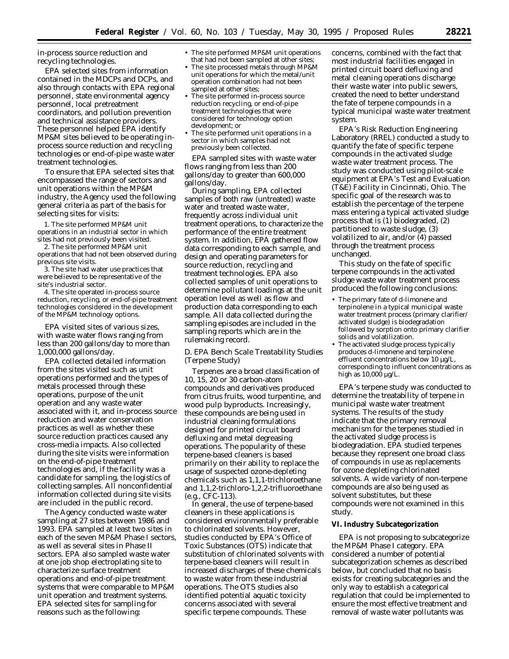in-process source reduction and recycling technologies.

EPA selected sites from information contained in the MDCPs and DCPs, and also through contacts with EPA regional personnel, state environmental agency personnel, local pretreatment coordinators, and pollution prevention and technical assistance providers. These personnel helped EPA identify MP&M sites believed to be operating inprocess source reduction and recycling technologies or end-of-pipe waste water treatment technologies.

To ensure that EPA selected sites that encompassed the range of sectors and unit operations within the MP&M industry, the Agency used the following general criteria as part of the basis for selecting sites for visits:

1. The site performed MP&M unit operations in an industrial sector in which sites had not previously been visited.

2. The site performed MP&M unit operations that had not been observed during previous site visits.

3. The site had water use practices that were believed to be representative of the site's industrial sector.

4. The site operated in-process source reduction, recycling, or end-of-pipe treatment technologies considered in the development of the MP&M technology options.

EPA visited sites of various sizes, with waste water flows ranging from less than 200 gallons/day to more than 1,000,000 gallons/day.

EPA collected detailed information from the sites visited such as unit operations performed and the types of metals processed through these operations, purpose of the unit operation and any waste water associated with it, and in-process source reduction and water conservation practices as well as whether these source reduction practices caused any cross-media impacts. Also collected during the site visits were information on the end-of-pipe treatment technologies and, if the facility was a candidate for sampling, the logistics of collecting samples. All nonconfidential information collected during site visits are included in the public record.

The Agency conducted waste water sampling at 27 sites between 1986 and 1993. EPA sampled at least two sites in each of the seven MP&M Phase I sectors, as well as several sites in Phase II sectors. EPA also sampled waste water at one job shop electroplating site to characterize surface treatment operations and end-of-pipe treatment systems that were comparable to MP&M unit operation and treatment systems. EPA selected sites for sampling for reasons such as the following:

- The site performed MP&M unit operations that had not been sampled at other sites;
- The site processed metals through MP&M unit operations for which the metal/unit operation combination had not been sampled at other sites;
- The site performed in-process source reduction recycling, or end-of-pipe treatment technologies that were considered for technology option development; or
- The site performed unit operations in a sector in which samples had not previously been collected.

EPA sampled sites with waste water flows ranging from less than 200 gallons/day to greater than 600,000 gallons/day.

During sampling, EPA collected samples of both raw (untreated) waste water and treated waste water, frequently across individual unit treatment operations, to characterize the performance of the entire treatment system. In addition, EPA gathered flow data corresponding to each sample, and design and operating parameters for source reduction, recycling and treatment technologies. EPA also collected samples of unit operations to determine pollutant loadings at the unit operation level as well as flow and production data corresponding to each sample. All data collected during the sampling episodes are included in the sampling reports which are in the rulemaking record.

## *D. EPA Bench Scale Treatability Studies (Terpene Study)*

Terpenes are a broad classification of 10, 15, 20 or 30 carbon-atom compounds and derivatives produced from citrus fruits, wood turpentine, and wood pulp byproducts. Increasingly, these compounds are being used in industrial cleaning formulations designed for printed circuit board defluxing and metal degreasing operations. The popularity of these terpene-based cleaners is based primarily on their ability to replace the usage of suspected ozone-depleting chemicals such as 1,1,1-trichloroethane and 1,1,2-trichloro-1,2,2-trifluoroethane (e.g., CFC-113).

In general, the use of terpene-based cleaners in these applications is considered environmentally preferable to chlorinated solvents. However, studies conducted by EPA's Office of Toxic Substances (OTS) indicate that substitution of chlorinated solvents with terpene-based cleaners will result in increased discharges of these chemicals to waste water from these industrial operations. The OTS studies also identified potential aquatic toxicity concerns associated with several specific terpene compounds. These

concerns, combined with the fact that most industrial facilities engaged in printed circuit board defluxing and metal cleaning operations discharge their waste water into public sewers, created the need to better understand the fate of terpene compounds in a typical municipal waste water treatment system.

EPA's Risk Reduction Engineering Laboratory (RREL) conducted a study to quantify the fate of specific terpene compounds in the activated sludge waste water treatment process. The study was conducted using pilot-scale equipment at EPA's Test and Evaluation (T&E) Facility in Cincinnati, Ohio. The specific goal of the research was to establish the percentage of the terpene mass entering a typical activated sludge process that is (1) biodegraded, (2) partitioned to waste sludge, (3) volatilized to air, and/or (4) passed through the treatment process unchanged.

This study on the fate of specific terpene compounds in the activated sludge waste water treatment process produced the following conclusions:

- The primary fate of d-limonene and terpinolene in a typical municipal waste water treatment process (primary clarifier/ activated sludge) is biodegradation followed by sorption onto primary clarifier solids and volatilization.
- The activated sludge process typically produces d-limonene and terpinolene effluent concentrations below 10 µg/L, corresponding to influent concentrations as high as 10,000 µg/L.

EPA's terpene study was conducted to determine the treatability of terpene in municipal waste water treatment systems. The results of the study indicate that the primary removal mechanism for the terpenes studied in the activated sludge process is biodegradation. EPA studied terpenes because they represent one broad class of compounds in use as replacements for ozone depleting chlorinated solvents. A wide variety of non-terpene compounds are also being used as solvent substitutes, but these compounds were not examined in this study.

#### **VI. Industry Subcategorization**

EPA is not proposing to subcategorize the MP&M Phase I category. EPA considered a number of potential subcategorization schemes as described below, but concluded that no basis exists for creating subcategories and the only way to establish a categorical regulation that could be implemented to ensure the most effective treatment and removal of waste water pollutants was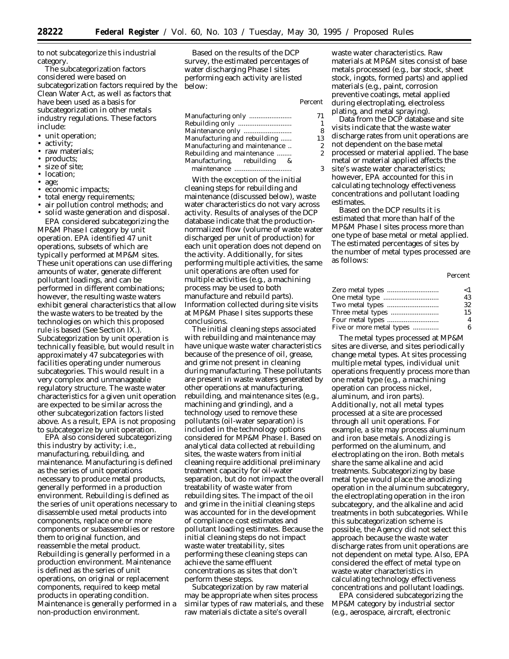to not subcategorize this industrial category.

The subcategorization factors considered were based on subcategorization factors required by the Clean Water Act, as well as factors that have been used as a basis for subcategorization in other metals industry regulations. These factors include:

- unit operation;
- activity;
- raw materials;
- products;
- size of site;
- location:
- age;
- economic impacts;
- total energy requirements;
- air pollution control methods; and

• solid waste generation and disposal. EPA considered subcategorizing the MP&M Phase I category by unit operation. EPA identified 47 unit operations, subsets of which are typically performed at MP&M sites. These unit operations can use differing amounts of water, generate different pollutant loadings, and can be performed in different combinations; however, the resulting waste waters exhibit general characteristics that allow the waste waters to be treated by the technologies on which this proposed rule is based (See Section IX.). Subcategorization by unit operation is technically feasible, but would result in approximately 47 subcategories with facilities operating under numerous subcategories. This would result in a very complex and unmanageable regulatory structure. The waste water characteristics for a given unit operation are expected to be similar across the other subcategorization factors listed

above. As a result, EPA is not proposing to subcategorize by unit operation. EPA also considered subcategorizing

this industry by activity; i.e., manufacturing, rebuilding, and maintenance. Manufacturing is defined as the series of unit operations necessary to produce metal products, generally performed in a production environment. Rebuilding is defined as the series of unit operations necessary to disassemble used metal products into components, replace one or more components or subassemblies or restore them to original function, and reassemble the metal product. Rebuilding is generally performed in a production environment. Maintenance is defined as the series of unit operations, on original or replacement components, required to keep metal products in operating condition. Maintenance is generally performed in a non-production environment.

Based on the results of the DCP survey, the estimated percentages of water discharging Phase I sites performing each activity are listed below:

| Manufacturing only            | 71 |
|-------------------------------|----|
| Rebuilding only               |    |
| Maintenance only              | 8  |
| Manufacturing and rebuilding  | 13 |
| Manufacturing and maintenance | 2  |
| Rebuilding and maintenance    | 2  |
| Manufacturing, rebuilding &   |    |
| maintenance                   |    |

*Percent*

With the exception of the initial cleaning steps for rebuilding and maintenance (discussed below), waste water characteristics do not vary across activity. Results of analyses of the DCP database indicate that the productionnormalized flow (volume of waste water discharged per unit of production) for each unit operation does not depend on the activity. Additionally, for sites performing multiple activities, the same unit operations are often used for multiple activities (e.g., a machining process may be used to both manufacture and rebuild parts). Information collected during site visits at MP&M Phase I sites supports these conclusions.

The initial cleaning steps associated with rebuilding and maintenance may have unique waste water characteristics because of the presence of oil, grease, and grime not present in cleaning during manufacturing. These pollutants are present in waste waters generated by other operations at manufacturing, rebuilding, and maintenance sites (e.g., machining and grinding), and a technology used to remove these pollutants (oil-water separation) is included in the technology options considered for MP&M Phase I. Based on analytical data collected at rebuilding sites, the waste waters from initial cleaning require additional preliminary treatment capacity for oil-water separation, but do not impact the overall treatability of waste water from rebuilding sites. The impact of the oil and grime in the initial cleaning steps was accounted for in the development of compliance cost estimates and pollutant loading estimates. Because the initial cleaning steps do not impact waste water treatability, sites performing these cleaning steps can achieve the same effluent concentrations as sites that don't perform these steps.

Subcategorization by raw material may be appropriate when sites process similar types of raw materials, and these raw materials dictate a site's overall

waste water characteristics. Raw materials at MP&M sites consist of base metals processed (e.g., bar stock, sheet stock, ingots, formed parts) and applied materials (e.g., paint, corrosion preventive coatings, metal applied during electroplating, electroless plating, and metal spraying).

Data from the DCP database and site visits indicate that the waste water discharge rates from unit operations are not dependent on the base metal processed or material applied. The base metal or material applied affects the site's waste water characteristics; however, EPA accounted for this in

calculating technology effectiveness concentrations and pollutant loading estimates.

Based on the DCP results it is estimated that more than half of the MP&M Phase I sites process more than one type of base metal or metal applied. The estimated percentages of sites by the number of metal types processed are as follows:

#### *Percent*

| Zero metal types         | ${<}1$ |
|--------------------------|--------|
|                          | 43     |
|                          | 32     |
| Three metal types        | 15     |
|                          | 4      |
| Four metal types         | 6      |
| Five or more metal types |        |

The metal types processed at MP&M sites are diverse, and sites periodically change metal types. At sites processing multiple metal types, individual unit operations frequently process more than one metal type (e.g., a machining operation can process nickel, aluminum, and iron parts). Additionally, not all metal types processed at a site are processed through all unit operations. For example, a site may process aluminum and iron base metals. Anodizing is performed on the aluminum, and electroplating on the iron. Both metals share the same alkaline and acid treatments. Subcategorizing by base metal type would place the anodizing operation in the aluminum subcategory, the electroplating operation in the iron subcategory, and the alkaline and acid treatments in both subcategories. While this subcategorization scheme is possible, the Agency did not select this approach because the waste water discharge rates from unit operations are not dependent on metal type. Also, EPA considered the effect of metal type on waste water characteristics in calculating technology effectiveness concentrations and pollutant loadings.

EPA considered subcategorizing the MP&M category by industrial sector (e.g., aerospace, aircraft, electronic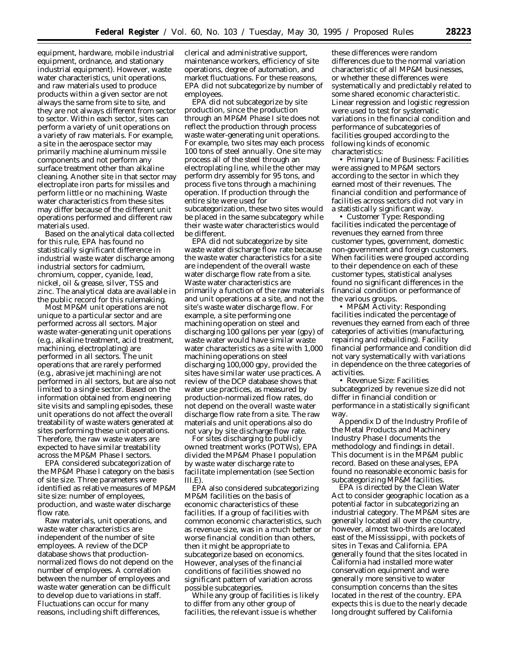equipment, hardware, mobile industrial equipment, ordnance, and stationary industrial equipment). However, waste water characteristics, unit operations, and raw materials used to produce products within a given sector are not always the same from site to site, and they are not always different from sector to sector. Within each sector, sites can perform a variety of unit operations on a variety of raw materials. For example, a site in the aerospace sector may primarily machine aluminum missile components and not perform any surface treatment other than alkaline cleaning. Another site in that sector may electroplate iron parts for missiles and perform little or no machining. Waste water characteristics from these sites may differ because of the different unit operations performed and different raw materials used.

Based on the analytical data collected for this rule, EPA has found no statistically significant difference in industrial waste water discharge among industrial sectors for cadmium, chromium, copper, cyanide, lead, nickel, oil & grease, silver, TSS and zinc. The analytical data are available in the public record for this rulemaking.

Most MP&M unit operations are not unique to a particular sector and are performed across all sectors. Major waste water-generating unit operations (e.g., alkaline treatment, acid treatment, machining, electroplating) are performed in all sectors. The unit operations that are rarely performed (e.g., abrasive jet machining) are not performed in all sectors, but are also not limited to a single sector. Based on the information obtained from engineering site visits and sampling episodes, these unit operations do not affect the overall treatability of waste waters generated at sites performing these unit operations. Therefore, the raw waste waters are expected to have similar treatability across the MP&M Phase I sectors.

EPA considered subcategorization of the MP&M Phase I category on the basis of site size. Three parameters were identified as relative measures of MP&M site size: number of employees, production, and waste water discharge flow rate.

Raw materials, unit operations, and waste water characteristics are independent of the number of site employees. A review of the DCP database shows that productionnormalized flows do not depend on the number of employees. A correlation between the number of employees and waste water generation can be difficult to develop due to variations in staff. Fluctuations can occur for many reasons, including shift differences,

clerical and administrative support, maintenance workers, efficiency of site operations, degree of automation, and market fluctuations. For these reasons, EPA did not subcategorize by number of employees.

EPA did not subcategorize by site production, since the production through an MP&M Phase I site does not reflect the production through process waste water-generating unit operations. For example, two sites may each process 100 tons of steel annually. One site may process all of the steel through an electroplating line, while the other may perform dry assembly for 95 tons, and process five tons through a machining operation. If production through the entire site were used for subcategorization, these two sites would be placed in the same subcategory while their waste water characteristics would be different.

EPA did not subcategorize by site waste water discharge flow rate because the waste water characteristics for a site are independent of the overall waste water discharge flow rate from a site. Waste water characteristics are primarily a function of the raw materials and unit operations at a site, and not the site's waste water discharge flow. For example, a site performing one machining operation on steel and discharging 100 gallons per year (gpy) of waste water would have similar waste water characteristics as a site with 1,000 machining operations on steel discharging 100,000 gpy, provided the sites have similar water use practices. A review of the DCP database shows that water use practices, as measured by production-normalized flow rates, do not depend on the overall waste water discharge flow rate from a site. The raw materials and unit operations also do not vary by site discharge flow rate.

For sites discharging to publicly owned treatment works (POTWs), EPA divided the MP&M Phase I population by waste water discharge rate to facilitate implementation (see Section III.E).

EPA also considered subcategorizing MP&M facilities on the basis of economic characteristics of these facilities. If a group of facilities with common economic characteristics, such as revenue size, was in a much better or worse financial condition than others, then it might be appropriate to subcategorize based on economics. However, analyses of the financial conditions of facilities showed no significant pattern of variation across possible subcategories.

While any group of facilities is likely to differ from any other group of facilities, the relevant issue is whether

these differences were random differences due to the normal variation characteristic of all MP&M businesses, or whether these differences were systematically and predictably related to some shared economic characteristic. Linear regression and logistic regression were used to test for systematic variations in the financial condition and performance of subcategories of facilities grouped according to the following kinds of economic characteristics:

• Primary Line of Business: Facilities were assigned to MP&M sectors according to the sector in which they earned most of their revenues. The financial condition and performance of facilities across sectors did not vary in a statistically significant way.

• Customer Type: Responding facilities indicated the percentage of revenues they earned from three customer types, government, domestic non-government and foreign customers. When facilities were grouped according to their dependence on each of these customer types, statistical analyses found no significant differences in the financial condition or performance of the various groups.

• MP&M Activity: Responding facilities indicated the percentage of revenues they earned from each of three categories of activities (manufacturing, repairing and rebuilding). Facility financial performance and condition did not vary systematically with variations in dependence on the three categories of activities.

• Revenue Size: Facilities subcategorized by revenue size did not differ in financial condition or performance in a statistically significant way.

Appendix D of the Industry Profile of the Metal Products and Machinery Industry Phase I documents the methodology and findings in detail. This document is in the MP&M public record. Based on these analyses, EPA found no reasonable economic basis for subcategorizing MP&M facilities.

EPA is directed by the Clean Water Act to consider geographic location as a potential factor in subcategorizing an industrial category. The MP&M sites are generally located all over the country, however, almost two-thirds are located east of the Mississippi, with pockets of sites in Texas and California. EPA generally found that the sites located in California had installed more water conservation equipment and were generally more sensitive to water consumption concerns than the sites located in the rest of the country. EPA expects this is due to the nearly decade long drought suffered by California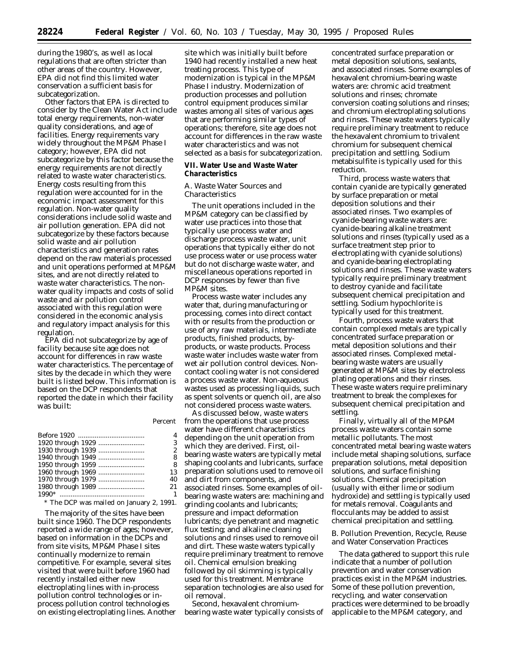during the 1980's, as well as local regulations that are often stricter than other areas of the country. However, EPA did not find this limited water conservation a sufficient basis for subcategorization.

Other factors that EPA is directed to consider by the Clean Water Act include total energy requirements, non-water quality considerations, and age of facilities. Energy requirements vary widely throughout the MP&M Phase I category; however, EPA did not subcategorize by this factor because the energy requirements are not directly related to waste water characteristics. Energy costs resulting from this regulation were accounted for in the economic impact assessment for this regulation. Non-water quality considerations include solid waste and air pollution generation. EPA did not subcategorize by these factors because solid waste and air pollution characteristics and generation rates depend on the raw materials processed and unit operations performed at MP&M sites, and are not directly related to waste water characteristics. The nonwater quality impacts and costs of solid waste and air pollution control associated with this regulation were considered in the economic analysis and regulatory impact analysis for this regulation.

EPA did not subcategorize by age of facility because site age does not account for differences in raw waste water characteristics. The percentage of sites by the decade in which they were built is listed below. This information is based on the DCP respondents that reported the date in which their facility was built:

|                   | 4              |
|-------------------|----------------|
|                   | 3              |
|                   | $\overline{2}$ |
|                   | 8              |
| 1950 through 1959 | 8              |
|                   | 13             |
|                   | 40             |
|                   | 21             |
|                   | $\mathbf{1}$   |
|                   |                |

\* The DCP was mailed on January 2, 1991.

The majority of the sites have been built since 1960. The DCP respondents reported a wide range of ages; however, based on information in the DCPs and from site visits, MP&M Phase I sites continually modernize to remain competitive. For example, several sites visited that were built before 1960 had recently installed either new electroplating lines with in-process pollution control technologies or inprocess pollution control technologies on existing electroplating lines. Another site which was initially built before 1940 had recently installed a new heat treating process. This type of modernization is typical in the MP&M Phase I industry. Modernization of production processes and pollution control equipment produces similar wastes among all sites of various ages that are performing similar types of operations; therefore, site age does not account for differences in the raw waste water characteristics and was not selected as a basis for subcategorization.

## **VII. Water Use and Waste Water Characteristics**

## *A. Waste Water Sources and Characteristics*

The unit operations included in the MP&M category can be classified by water use practices into those that typically use process water and discharge process waste water, unit operations that typically either do not use process water or use process water but do not discharge waste water, and miscellaneous operations reported in DCP responses by fewer than five MP&M sites.

Process waste water includes any water that, during manufacturing or processing, comes into direct contact with or results from the production or use of any raw materials, intermediate products, finished products, byproducts, or waste products. Process waste water includes waste water from wet air pollution control devices. Noncontact cooling water is not considered a process waste water. Non-aqueous wastes used as processing liquids, such as spent solvents or quench oil, are also not considered process waste waters.

As discussed below, waste waters from the operations that use process water have different characteristics depending on the unit operation from which they are derived. First, oilbearing waste waters are typically metal shaping coolants and lubricants, surface preparation solutions used to remove oil and dirt from components, and associated rinses. Some examples of oilbearing waste waters are: machining and grinding coolants and lubricants; pressure and impact deformation lubricants; dye penetrant and magnetic flux testing; and alkaline cleaning solutions and rinses used to remove oil and dirt. These waste waters typically require preliminary treatment to remove oil. Chemical emulsion breaking followed by oil skimming is typically used for this treatment. Membrane separation technologies are also used for oil removal.

Second, hexavalent chromiumbearing waste water typically consists of concentrated surface preparation or metal deposition solutions, sealants, and associated rinses. Some examples of hexavalent chromium-bearing waste waters are: chromic acid treatment solutions and rinses; chromate conversion coating solutions and rinses; and chromium electroplating solutions and rinses. These waste waters typically require preliminary treatment to reduce the hexavalent chromium to trivalent chromium for subsequent chemical precipitation and settling. Sodium metabisulfite is typically used for this reduction.

Third, process waste waters that contain cyanide are typically generated by surface preparation or metal deposition solutions and their associated rinses. Two examples of cyanide-bearing waste waters are: cyanide-bearing alkaline treatment solutions and rinses (typically used as a surface treatment step prior to electroplating with cyanide solutions) and cyanide-bearing electroplating solutions and rinses. These waste waters typically require preliminary treatment to destroy cyanide and facilitate subsequent chemical precipitation and settling. Sodium hypochlorite is typically used for this treatment.

Fourth, process waste waters that contain complexed metals are typically concentrated surface preparation or metal deposition solutions and their associated rinses. Complexed metalbearing waste waters are usually generated at MP&M sites by electroless plating operations and their rinses. These waste waters require preliminary treatment to break the complexes for subsequent chemical precipitation and settling.

Finally, virtually all of the MP&M process waste waters contain some metallic pollutants. The most concentrated metal bearing waste waters include metal shaping solutions, surface preparation solutions, metal deposition solutions, and surface finishing solutions. Chemical precipitation (usually with either lime or sodium hydroxide) and settling is typically used for metals removal. Coagulants and flocculants may be added to assist chemical precipitation and settling.

## *B. Pollution Prevention, Recycle, Reuse and Water Conservation Practices*

The data gathered to support this rule indicate that a number of pollution prevention and water conservation practices exist in the MP&M industries. Some of these pollution prevention, recycling, and water conservation practices were determined to be broadly applicable to the MP&M category, and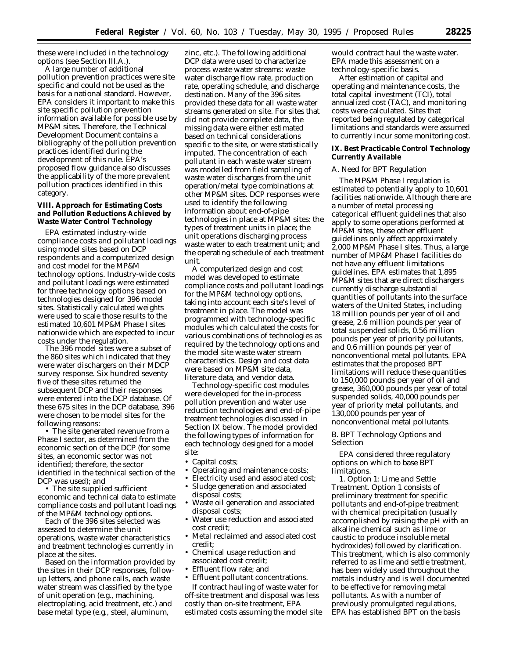these were included in the technology options (see Section III.A.).

A large number of additional pollution prevention practices were site specific and could not be used as the basis for a national standard. However, EPA considers it important to make this site specific pollution prevention information available for possible use by MP&M sites. Therefore, the Technical Development Document contains a bibliography of the pollution prevention practices identified during the development of this rule. EPA's proposed flow guidance also discusses the applicability of the more prevalent pollution practices identified in this category.

## **VIII. Approach for Estimating Costs and Pollution Reductions Achieved by Waste Water Control Technology**

EPA estimated industry-wide compliance costs and pollutant loadings using model sites based on DCP respondents and a computerized design and cost model for the MP&M technology options. Industry-wide costs and pollutant loadings were estimated for three technology options based on technologies designed for 396 model sites. Statistically calculated weights were used to scale those results to the estimated 10,601 MP&M Phase I sites nationwide which are expected to incur costs under the regulation.

The 396 model sites were a subset of the 860 sites which indicated that they were water dischargers on their MDCP survey response. Six hundred seventy five of these sites returned the subsequent DCP and their responses were entered into the DCP database. Of these 675 sites in the DCP database, 396 were chosen to be model sites for the following reasons:

• The site generated revenue from a Phase I sector, as determined from the economic section of the DCP (for some sites, an economic sector was not identified; therefore, the sector identified in the technical section of the DCP was used); and

• The site supplied sufficient economic and technical data to estimate compliance costs and pollutant loadings of the MP&M technology options.

Each of the 396 sites selected was assessed to determine the unit operations, waste water characteristics and treatment technologies currently in place at the sites.

Based on the information provided by the sites in their DCP responses, followup letters, and phone calls, each waste water stream was classified by the type of unit operation (e.g., machining, electroplating, acid treatment, etc.) and base metal type (e.g., steel, aluminum,

zinc, etc.). The following additional DCP data were used to characterize process waste water streams: waste water discharge flow rate, production rate, operating schedule, and discharge destination. Many of the 396 sites provided these data for all waste water streams generated on site. For sites that did not provide complete data, the missing data were either estimated based on technical considerations specific to the site, or were statistically imputed. The concentration of each pollutant in each waste water stream was modelled from field sampling of waste water discharges from the unit operation/metal type combinations at other MP&M sites. DCP responses were used to identify the following information about end-of-pipe technologies in place at MP&M sites: the types of treatment units in place; the unit operations discharging process waste water to each treatment unit; and the operating schedule of each treatment unit.

A computerized design and cost model was developed to estimate compliance costs and pollutant loadings for the MP&M technology options, taking into account each site's level of treatment in place. The model was programmed with technology-specific modules which calculated the costs for various combinations of technologies as required by the technology options and the model site waste water stream characteristics. Design and cost data were based on MP&M site data, literature data, and vendor data.

Technology-specific cost modules were developed for the in-process pollution prevention and water use reduction technologies and end-of-pipe treatment technologies discussed in Section IX below. The model provided the following types of information for each technology designed for a model site:

- Capital costs;
- Operating and maintenance costs;
- Electricity used and associated cost; • Sludge generation and associated
- disposal costs;
- Waste oil generation and associated disposal costs;
- Water use reduction and associated cost credit;
- Metal reclaimed and associated cost credit;
- Chemical usage reduction and associated cost credit;
- Effluent flow rate; and
- Effluent pollutant concentrations.

If contract hauling of waste water for off-site treatment and disposal was less costly than on-site treatment, EPA estimated costs assuming the model site would contract haul the waste water. EPA made this assessment on a technology-specific basis.

After estimation of capital and operating and maintenance costs, the total capital investment (TCI), total annualized cost (TAC), and monitoring costs were calculated. Sites that reported being regulated by categorical limitations and standards were assumed to currently incur some monitoring cost.

## **IX. Best Practicable Control Technology Currently Available**

## *A. Need for BPT Regulation*

The MP&M Phase I regulation is estimated to potentially apply to 10,601 facilities nationwide. Although there are a number of metal processing categorical effluent guidelines that also apply to some operations performed at MP&M sites, these other effluent guidelines only affect approximately 2,000 MP&M Phase I sites. Thus, a large number of MP&M Phase I facilities do not have any effluent limitations guidelines. EPA estimates that 1,895 MP&M sites that are direct dischargers currently discharge substantial quantities of pollutants into the surface waters of the United States, including 18 million pounds per year of oil and grease, 2.6 million pounds per year of total suspended solids, 0.56 million pounds per year of priority pollutants, and 0.6 million pounds per year of nonconventional metal pollutants. EPA estimates that the proposed BPT limitations will reduce these quantities to 150,000 pounds per year of oil and grease, 360,000 pounds per year of total suspended solids, 40,000 pounds per year of priority metal pollutants, and 130,000 pounds per year of nonconventional metal pollutants.

## *B. BPT Technology Options and Selection*

EPA considered three regulatory options on which to base BPT limitations.

1. *Option 1: Lime and Settle Treatment.* Option 1 consists of preliminary treatment for specific pollutants and end-of-pipe treatment with chemical precipitation (usually accomplished by raising the pH with an alkaline chemical such as lime or caustic to produce insoluble metal hydroxides) followed by clarification. This treatment, which is also commonly referred to as lime and settle treatment, has been widely used throughout the metals industry and is well documented to be effective for removing metal pollutants. As with a number of previously promulgated regulations, EPA has established BPT on the basis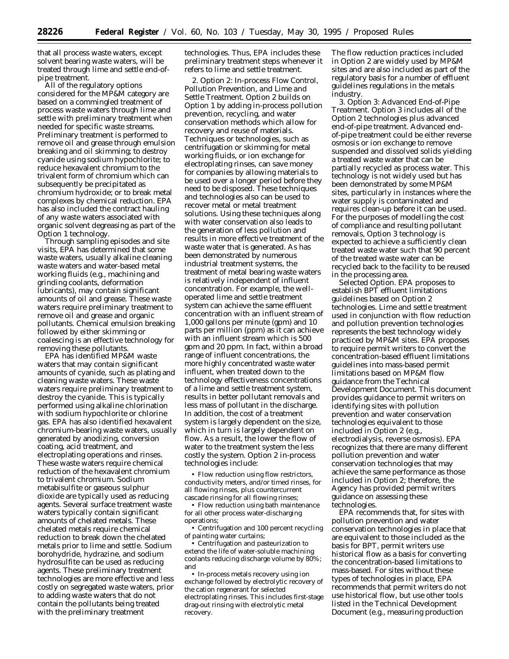that all process waste waters, except solvent bearing waste waters, will be treated through lime and settle end-ofpipe treatment.

All of the regulatory options considered for the MP&M category are based on a commingled treatment of process waste waters through lime and settle with preliminary treatment when needed for specific waste streams. Preliminary treatment is performed to remove oil and grease through emulsion breaking and oil skimming; to destroy cyanide using sodium hypochlorite; to reduce hexavalent chromium to the trivalent form of chromium which can subsequently be precipitated as chromium hydroxide; or to break metal complexes by chemical reduction. EPA has also included the contract hauling of any waste waters associated with organic solvent degreasing as part of the Option 1 technology.

Through sampling episodes and site visits, EPA has determined that some waste waters, usually alkaline cleaning waste waters and water-based metal working fluids (e.g., machining and grinding coolants, deformation lubricants), may contain significant amounts of oil and grease. These waste waters require preliminary treatment to remove oil and grease and organic pollutants. Chemical emulsion breaking followed by either skimming or coalescing is an effective technology for removing these pollutants.

EPA has identified MP&M waste waters that may contain significant amounts of cyanide, such as plating and cleaning waste waters. These waste waters require preliminary treatment to destroy the cyanide. This is typically performed using alkaline chlorination with sodium hypochlorite or chlorine gas. EPA has also identified hexavalent chromium-bearing waste waters, usually generated by anodizing, conversion coating, acid treatment, and electroplating operations and rinses. These waste waters require chemical reduction of the hexavalent chromium to trivalent chromium. Sodium metabisulfite or gaseous sulphur dioxide are typically used as reducing agents. Several surface treatment waste waters typically contain significant amounts of chelated metals. These chelated metals require chemical reduction to break down the chelated metals prior to lime and settle. Sodium borohydride, hydrazine, and sodium hydrosulfite can be used as reducing agents. These preliminary treatment technologies are more effective and less costly on segregated waste waters, prior to adding waste waters that do not contain the pollutants being treated with the preliminary treatment

technologies. Thus, EPA includes these preliminary treatment steps whenever it refers to lime and settle treatment.

2. *Option 2: In-process Flow Control, Pollution Prevention, and Lime and Settle Treatment.* Option 2 builds on Option 1 by adding in-process pollution prevention, recycling, and water conservation methods which allow for recovery and reuse of materials. Techniques or technologies, such as centrifugation or skimming for metal working fluids, or ion exchange for electroplating rinses, can save money for companies by allowing materials to be used over a longer period before they need to be disposed. These techniques and technologies also can be used to recover metal or metal treatment solutions. Using these techniques along with water conservation also leads to the generation of less pollution and results in more effective treatment of the waste water that is generated. As has been demonstrated by numerous industrial treatment systems, the treatment of metal bearing waste waters is relatively independent of influent concentration. For example, the welloperated lime and settle treatment system can achieve the same effluent concentration with an influent stream of 1,000 gallons per minute (gpm) and 10 parts per million (ppm) as it can achieve with an influent stream which is 500 gpm and 20 ppm. In fact, within a broad range of influent concentrations, the more highly concentrated waste water influent, when treated down to the technology effectiveness concentrations of a lime and settle treatment system, results in better pollutant removals and less mass of pollutant in the discharge. In addition, the cost of a treatment system is largely dependent on the size, which in turn is largely dependent on flow. As a result, the lower the flow of water to the treatment system the less costly the system. Option 2 in-process technologies include:

• Flow reduction using flow restrictors, conductivity meters, and/or timed rinses, for all flowing rinses, plus countercurrent cascade rinsing for all flowing rinses;

• Flow reduction using bath maintenance for all other process water-discharging operations;

• Centrifugation and 100 percent recycling of painting water curtains;

• Centrifugation and pasteurization to extend the life of water-soluble machining coolants reducing discharge volume by 80%; and

• In-process metals recovery using ion exchange followed by electrolytic recovery of the cation regenerant for selected electroplating rinses. This includes first-stage drag-out rinsing with electrolytic metal recovery.

The flow reduction practices included in Option 2 are widely used by MP&M sites and are also included as part of the regulatory basis for a number of effluent guidelines regulations in the metals industry.

3. *Option 3: Advanced End-of-Pipe Treatment.* Option 3 includes all of the Option 2 technologies plus advanced end-of-pipe treatment. Advanced endof-pipe treatment could be either reverse osmosis or ion exchange to remove suspended and dissolved solids yielding a treated waste water that can be partially recycled as process water. This technology is not widely used but has been demonstrated by some MP&M sites, particularly in instances where the water supply is contaminated and requires clean-up before it can be used. For the purposes of modelling the cost of compliance and resulting pollutant removals, Option 3 technology is expected to achieve a sufficiently clean treated waste water such that 90 percent of the treated waste water can be recycled back to the facility to be reused in the processing area.

*Selected Option.* EPA proposes to establish BPT effluent limitations guidelines based on Option 2 technologies. Lime and settle treatment used in conjunction with flow reduction and pollution prevention technologies represents the best technology widely practiced by MP&M sites. EPA proposes to require permit writers to convert the concentration-based effluent limitations guidelines into mass-based permit limitations based on MP&M flow guidance from the Technical Development Document. This document provides guidance to permit writers on identifying sites with pollution prevention and water conservation technologies equivalent to those included in Option 2 (e.g., electrodialysis, reverse osmosis). EPA recognizes that there are many different pollution prevention and water conservation technologies that may achieve the same performance as those included in Option 2; therefore, the Agency has provided permit writers guidance on assessing these technologies.

EPA recommends that, for sites with pollution prevention and water conservation technologies in place that are equivalent to those included as the basis for BPT, permit writers use historical flow as a basis for converting the concentration-based limitations to mass-based. For sites without these types of technologies in place, EPA recommends that permit writers do not use historical flow, but use other tools listed in the Technical Development Document (e.g., measuring production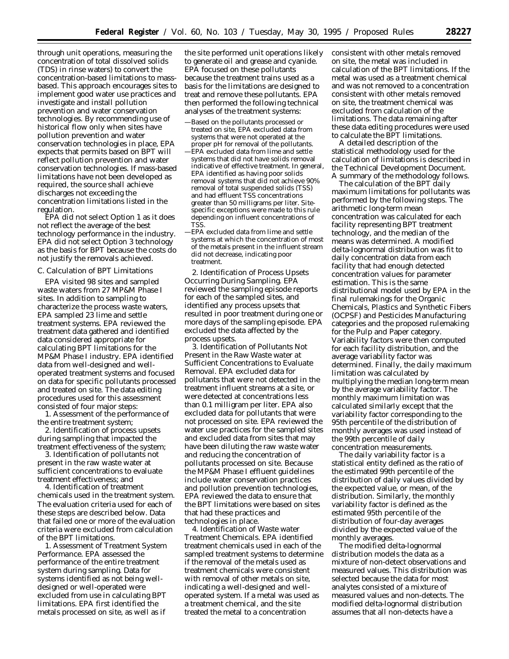through unit operations, measuring the concentration of total dissolved solids (TDS) in rinse waters) to convert the concentration-based limitations to massbased. This approach encourages sites to implement good water use practices and investigate and install pollution prevention and water conservation technologies. By recommending use of historical flow only when sites have pollution prevention and water conservation technologies in place, EPA expects that permits based on BPT will reflect pollution prevention and water conservation technologies. If mass-based limitations have not been developed as required, the source shall achieve discharges not exceeding the concentration limitations listed in the regulation.

EPA did not select Option 1 as it does not reflect the average of the best technology performance in the industry. EPA did not select Option 3 technology as the basis for BPT because the costs do not justify the removals achieved.

### *C. Calculation of BPT Limitations*

EPA visited 98 sites and sampled waste waters from 27 MP&M Phase I sites. In addition to sampling to characterize the process waste waters, EPA sampled 23 lime and settle treatment systems. EPA reviewed the treatment data gathered and identified data considered appropriate for calculating BPT limitations for the MP&M Phase I industry. EPA identified data from well-designed and welloperated treatment systems and focused on data for specific pollutants processed and treated on site. The data editing procedures used for this assessment consisted of four major steps:

1. Assessment of the performance of the entire treatment system;

2. Identification of process upsets during sampling that impacted the treatment effectiveness of the system;

3. Identification of pollutants not present in the raw waste water at sufficient concentrations to evaluate treatment effectiveness; and

4. Identification of treatment chemicals used in the treatment system. The evaluation criteria used for each of these steps are described below. Data that failed one or more of the evaluation criteria were excluded from calculation of the BPT limitations.

1. *Assessment of Treatment System Performance.* EPA assessed the performance of the entire treatment system during sampling. Data for systems identified as not being welldesigned or well-operated were excluded from use in calculating BPT limitations. EPA first identified the metals processed on site, as well as if

the site performed unit operations likely to generate oil and grease and cyanide. EPA focused on these pollutants because the treatment trains used as a basis for the limitations are designed to treat and remove these pollutants. EPA then performed the following technical analyses of the treatment systems:

—Based on the pollutants processed or treated on site, EPA excluded data from systems that were not operated at the proper pH for removal of the pollutants. —EPA excluded data from lime and settle systems that did not have solids removal indicative of effective treatment. In general, EPA identified as having poor solids removal systems that did not achieve 90% removal of total suspended solids (TSS) and had effluent TSS concentrations greater than 50 milligrams per liter. Sitespecific exceptions were made to this rule depending on influent concentrations of TSS.

—EPA excluded data from lime and settle systems at which the concentration of most of the metals present in the influent stream did not decrease, indicating poor treatment.

2. *Identification of Process Upsets Occurring During Sampling.* EPA reviewed the sampling episode reports for each of the sampled sites, and identified any process upsets that resulted in poor treatment during one or more days of the sampling episode. EPA excluded the data affected by the process upsets.

3. *Identification of Pollutants Not Present in the Raw Waste water at Sufficient Concentrations to Evaluate Removal.* EPA excluded data for pollutants that were not detected in the treatment influent streams at a site, or were detected at concentrations less than 0.1 milligram per liter. EPA also excluded data for pollutants that were not processed on site. EPA reviewed the water use practices for the sampled sites and excluded data from sites that may have been diluting the raw waste water and reducing the concentration of pollutants processed on site. Because the MP&M Phase I effluent guidelines include water conservation practices and pollution prevention technologies, EPA reviewed the data to ensure that the BPT limitations were based on sites that had these practices and technologies in place.

4. *Identification of Waste water Treatment Chemicals.* EPA identified treatment chemicals used in each of the sampled treatment systems to determine if the removal of the metals used as treatment chemicals were consistent with removal of other metals on site, indicating a well-designed and welloperated system. If a metal was used as a treatment chemical, and the site treated the metal to a concentration

consistent with other metals removed on site, the metal was included in calculation of the BPT limitations. If the metal was used as a treatment chemical and was not removed to a concentration consistent with other metals removed on site, the treatment chemical was excluded from calculation of the limitations. The data remaining after these data editing procedures were used to calculate the BPT limitations.

A detailed description of the statistical methodology used for the calculation of limitations is described in the Technical Development Document. A summary of the methodology follows.

The calculation of the BPT daily maximum limitations for pollutants was performed by the following steps. The arithmetic long-term mean concentration was calculated for each facility representing BPT treatment technology, and the median of the means was determined. A modified delta-lognormal distribution was fit to daily concentration data from each facility that had enough detected concentration values for parameter estimation. This is the same distributional model used by EPA in the final rulemakings for the Organic Chemicals, Plastics and Synthetic Fibers (OCPSF) and Pesticides Manufacturing categories and the proposed rulemaking for the Pulp and Paper category. Variability factors were then computed for each facility distribution, and the average variability factor was determined. Finally, the daily maximum limitation was calculated by multiplying the median long-term mean by the average variability factor. The monthly maximum limitation was calculated similarly except that the variability factor corresponding to the 95th percentile of the distribution of monthly averages was used instead of the 99th percentile of daily concentration measurements.

The daily variability factor is a statistical entity defined as the ratio of the estimated 99th percentile of the distribution of daily values divided by the expected value, or mean, of the distribution. Similarly, the monthly variability factor is defined as the estimated 95th percentile of the distribution of four-day averages divided by the expected value of the monthly averages.

The modified delta-lognormal distribution models the data as a mixture of non-detect observations and measured values. This distribution was selected because the data for most analytes consisted of a mixture of measured values and non-detects. The modified delta-lognormal distribution assumes that all non-detects have a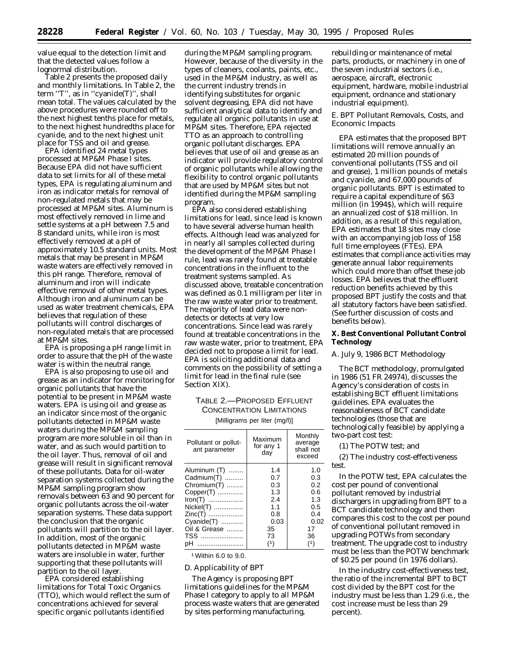value equal to the detection limit and that the detected values follow a lognormal distribution.

Table 2 presents the proposed daily and monthly limitations. In Table 2, the term ''T'', as in ''cyanide(T)'', shall mean total. The values calculated by the above procedures were rounded off to the next highest tenths place for metals, to the next highest hundredths place for cyanide, and to the next highest unit place for TSS and oil and grease.

EPA identified 24 metal types processed at MP&M Phase I sites. Because EPA did not have sufficient data to set limits for all of these metal types, EPA is regulating aluminum and iron as indicator metals for removal of non-regulated metals that may be processed at MP&M sites. Aluminum is most effectively removed in lime and settle systems at a pH between 7.5 and 8 standard units, while iron is most effectively removed at a pH of approximately 10.5 standard units. Most metals that may be present in MP&M waste waters are effectively removed in this pH range. Therefore, removal of aluminum and iron will indicate effective removal of other metal types. Although iron and aluminum can be used as water treatment chemicals, EPA believes that regulation of these pollutants will control discharges of non-regulated metals that are processed at MP&M sites.

EPA is proposing a pH range limit in order to assure that the pH of the waste water is within the neutral range.

EPA is also proposing to use oil and grease as an indicator for monitoring for organic pollutants that have the potential to be present in MP&M waste waters. EPA is using oil and grease as an indicator since most of the organic pollutants detected in MP&M waste waters during the MP&M sampling program are more soluble in oil than in water, and as such would partition to the oil layer. Thus, removal of oil and grease will result in significant removal of these pollutants. Data for oil-water separation systems collected during the MP&M sampling program show removals between 63 and 90 percent for organic pollutants across the oil-water separation systems. These data support the conclusion that the organic pollutants will partition to the oil layer. In addition, most of the organic pollutants detected in MP&M waste waters are insoluble in water, further supporting that these pollutants will partition to the oil layer.

EPA considered establishing limitations for Total Toxic Organics (TTO), which would reflect the sum of concentrations achieved for several specific organic pollutants identified

during the MP&M sampling program. However, because of the diversity in the types of cleaners, coolants, paints, etc., used in the MP&M industry, as well as the current industry trends in identifying substitutes for organic solvent degreasing, EPA did not have sufficient analytical data to identify and regulate all organic pollutants in use at MP&M sites. Therefore, EPA rejected TTO as an approach to controlling organic pollutant discharges. EPA believes that use of oil and grease as an indicator will provide regulatory control of organic pollutants while allowing the flexibility to control organic pollutants that are used by MP&M sites but not identified during the MP&M sampling program.

EPA also considered establishing limitations for lead, since lead is known to have several adverse human health effects. Although lead was analyzed for in nearly all samples collected during the development of the MP&M Phase I rule, lead was rarely found at treatable concentrations in the influent to the treatment systems sampled. As discussed above, treatable concentration was defined as 0.1 milligram per liter in the raw waste water prior to treatment. The majority of lead data were nondetects or detects at very low concentrations. Since lead was rarely found at treatable concentrations in the raw waste water, prior to treatment, EPA decided not to propose a limit for lead. EPA is soliciting additional data and comments on the possibility of setting a limit for lead in the final rule (see Section XIX).

## TABLE 2.—PROPOSED EFFLUENT CONCENTRATION LIMITATIONS

[Milligrams per liter (mg/l)]

| Pollutant or pollut-<br>ant parameter | Maximum<br>for any 1<br>day | Monthly<br>average<br>shall not<br>exceed |
|---------------------------------------|-----------------------------|-------------------------------------------|
| Aluminum (T)                          | 1.4                         | 1.0                                       |
| Cadmium(T)                            | 0.7                         | 0.3                                       |
| Chromium(T)                           | 0.3                         | 0.2                                       |
| Copper(T)                             | 1.3                         | 0.6                                       |
| Iron(T)                               | 2.4                         | 1.3                                       |
| Nickel(T)                             | 1.1                         | 0.5                                       |
| Zinc(T)                               | 0.8                         | 0.4                                       |
| Cyanide(T)                            | 0.03                        | 0.02                                      |
| Oil & Grease                          | 35                          | 17                                        |
| <b>TSS</b>                            | 73                          | 36                                        |
| рH<br>                                | (1)                         | (1)                                       |

1Within 6.0 to 9.0.

## *D. Applicability of BPT*

The Agency is proposing BPT limitations guidelines for the MP&M Phase I category to apply to all MP&M process waste waters that are generated by sites performing manufacturing,

rebuilding or maintenance of metal parts, products, or machinery in one of the seven industrial sectors (i.e., aerospace, aircraft, electronic equipment, hardware, mobile industrial equipment, ordnance and stationary industrial equipment).

## *E. BPT Pollutant Removals, Costs, and Economic Impacts*

EPA estimates that the proposed BPT limitations will remove annually an estimated 20 million pounds of conventional pollutants (TSS and oil and grease), 1 million pounds of metals and cyanide, and 67,000 pounds of organic pollutants. BPT is estimated to require a capital expenditure of \$63 million (in 1994\$), which will require an annualized cost of \$18 million. In addition, as a result of this regulation, EPA estimates that 18 sites may close with an accompanying job loss of 158 full time employees (FTEs). EPA estimates that compliance activities may generate annual labor requirements which could more than offset these job losses. EPA believes that the effluent reduction benefits achieved by this proposed BPT justify the costs and that all statutory factors have been satisfied. (See further discussion of costs and benefits below).

## **X. Best Conventional Pollutant Control Technology**

## *A. July 9, 1986 BCT Methodology*

The BCT methodology, promulgated in 1986 (51 FR 24974), discusses the Agency's consideration of costs in establishing BCT effluent limitations guidelines. EPA evaluates the reasonableness of BCT candidate technologies (those that are technologically feasible) by applying a two-part cost test:

(1) The POTW test; and

(2) The industry cost-effectiveness test.

In the POTW test, EPA calculates the cost per pound of conventional pollutant removed by industrial dischargers in upgrading from BPT to a BCT candidate technology and then compares this cost to the cost per pound of conventional pollutant removed in upgrading POTWs from secondary treatment. The upgrade cost to industry must be less than the POTW benchmark of \$0.25 per pound (in 1976 dollars).

In the industry cost-effectiveness test, the ratio of the incremental BPT to BCT cost divided by the BPT cost for the industry must be less than 1.29 (i.e., the cost increase must be less than 29 percent).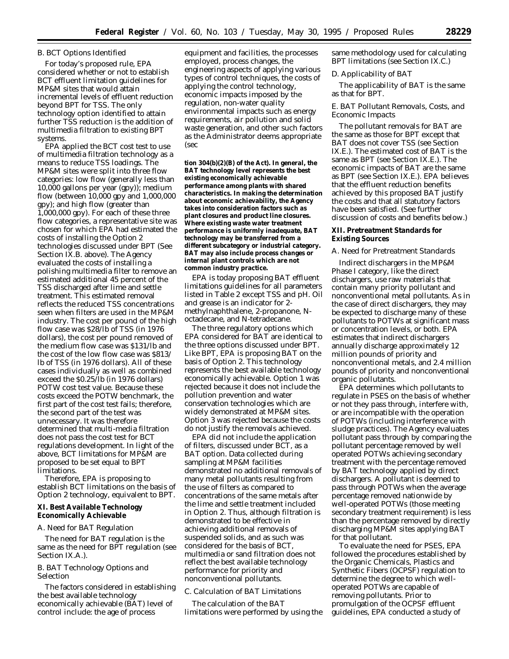## *B. BCT Options Identified*

For today's proposed rule, EPA considered whether or not to establish BCT effluent limitation guidelines for MP&M sites that would attain incremental levels of effluent reduction beyond BPT for TSS. The only technology option identified to attain further TSS reduction is the addition of multimedia filtration to existing BPT systems.

EPA applied the BCT cost test to use of multimedia filtration technology as a means to reduce TSS loadings. The MP&M sites were split into three flow categories: low flow (generally less than 10,000 gallons per year (gpy)); medium flow (between 10,000 gpy and 1,000,000 gpy); and high flow (greater than 1,000,000 gpy). For each of these three flow categories, a representative site was chosen for which EPA had estimated the costs of installing the Option 2 technologies discussed under BPT (See Section IX.B. above). The Agency evaluated the costs of installing a polishing multimedia filter to remove an estimated additional 45 percent of the TSS discharged after lime and settle treatment. This estimated removal reflects the reduced TSS concentrations seen when filters are used in the MP&M industry. The cost per pound of the high flow case was \$28/lb of TSS (in 1976 dollars), the cost per pound removed of the medium flow case was \$131/lb and the cost of the low flow case was \$813/ lb of TSS (in 1976 dollars). All of these cases individually as well as combined exceed the \$0.25/lb (in 1976 dollars) POTW cost test value. Because these costs exceed the POTW benchmark, the first part of the cost test fails; therefore, the second part of the test was unnecessary. It was therefore determined that multi-media filtration does not pass the cost test for BCT regulations development. In light of the above, BCT limitations for MP&M are proposed to be set equal to BPT limitations.

Therefore, EPA is proposing to establish BCT limitations on the basis of Option 2 technology, equivalent to BPT.

## **XI. Best Available Technology Economically Achievable**

#### *A. Need for BAT Regulation*

The need for BAT regulation is the same as the need for BPT regulation (see Section IX.A.).

## *B. BAT Technology Options and Selection*

The factors considered in establishing the best available technology economically achievable (BAT) level of control include: the age of process

equipment and facilities, the processes employed, process changes, the engineering aspects of applying various types of control techniques, the costs of applying the control technology, economic impacts imposed by the regulation, non-water quality environmental impacts such as energy requirements, air pollution and solid waste generation, and other such factors as the Administrator deems appropriate (sec

**tion 304(b)(2)(B) of the Act). In general, the BAT technology level represents the best existing economically achievable performance among plants with shared characteristics. In making the determination about economic achievability, the Agency takes into consideration factors such as plant closures and product line closures. Where existing waste water treatment performance is uniformly inadequate, BAT technology may be transferred from a different subcategory or industrial category. BAT may also include process changes or internal plant controls which are not common industry practice.**

EPA is today proposing BAT effluent limitations guidelines for all parameters listed in Table 2 except TSS and pH. Oil and grease is an indicator for 2 methylnaphthalene, 2-propanone, Noctadecane, and N-tetradecane.

The three regulatory options which EPA considered for BAT are identical to the three options discussed under BPT. Like BPT, EPA is proposing BAT on the basis of Option 2. This technology represents the best available technology economically achievable. Option 1 was rejected because it does not include the pollution prevention and water conservation technologies which are widely demonstrated at MP&M sites. Option 3 was rejected because the costs do not justify the removals achieved.

EPA did not include the application of filters, discussed under BCT, as a BAT option. Data collected during sampling at MP&M facilities demonstrated no additional removals of many metal pollutants resulting from the use of filters as compared to concentrations of the same metals after the lime and settle treatment included in Option 2. Thus, although filtration is demonstrated to be effective in achieving additional removals of suspended solids, and as such was considered for the basis of BCT, multimedia or sand filtration does not reflect the best available technology performance for priority and nonconventional pollutants.

## *C. Calculation of BAT Limitations*

The calculation of the BAT limitations were performed by using the same methodology used for calculating BPT limitations (see Section IX.C.)

#### *D. Applicability of BAT*

The applicability of BAT is the same as that for BPT.

## *E. BAT Pollutant Removals, Costs, and Economic Impacts*

The pollutant removals for BAT are the same as those for BPT except that BAT does not cover TSS (see Section IX.E.). The estimated cost of BAT is the same as BPT (see Section IX.E.). The economic impacts of BAT are the same as BPT (see Section IX.E.). EPA believes that the effluent reduction benefits achieved by this proposed BAT justify the costs and that all statutory factors have been satisfied. (See further discussion of costs and benefits below.)

## **XII. Pretreatment Standards for Existing Sources**

#### *A. Need for Pretreatment Standards*

Indirect dischargers in the MP&M Phase I category, like the direct dischargers, use raw materials that contain many priority pollutant and nonconventional metal pollutants. As in the case of direct dischargers, they may be expected to discharge many of these pollutants to POTWs at significant mass or concentration levels, or both. EPA estimates that indirect dischargers annually discharge approximately 12 million pounds of priority and nonconventional metals, and 2.4 million pounds of priority and nonconventional organic pollutants.

EPA determines which pollutants to regulate in PSES on the basis of whether or not they pass through, interfere with, or are incompatible with the operation of POTWs (including interference with sludge practices). The Agency evaluates pollutant pass through by comparing the pollutant percentage removed by well operated POTWs achieving secondary treatment with the percentage removed by BAT technology applied by direct dischargers. A pollutant is deemed to pass through POTWs when the average percentage removed nationwide by well-operated POTWs (those meeting secondary treatment requirement) is less than the percentage removed by directly discharging MP&M sites applying BAT for that pollutant.

To evaluate the need for PSES, EPA followed the procedures established by the Organic Chemicals, Plastics and Synthetic Fibers (OCPSF) regulation to determine the degree to which welloperated POTWs are capable of removing pollutants. Prior to promulgation of the OCPSF effluent guidelines, EPA conducted a study of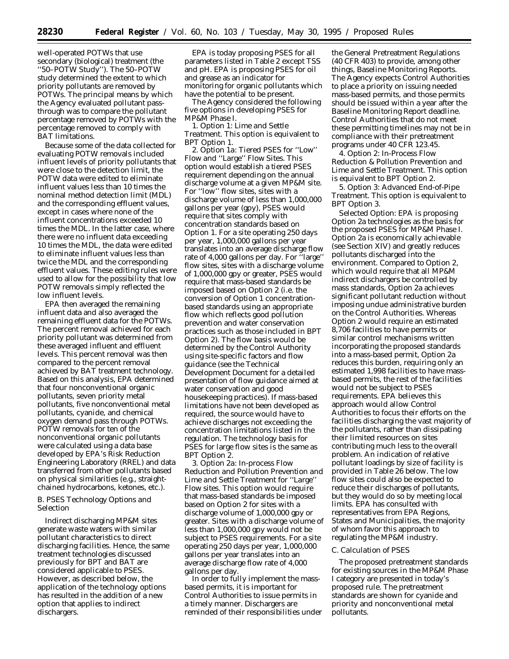well-operated POTWs that use secondary (biological) treatment (the ''50–POTW Study''). The 50–POTW study determined the extent to which priority pollutants are removed by POTWs. The principal means by which the Agency evaluated pollutant passthrough was to compare the pollutant percentage removed by POTWs with the percentage removed to comply with BAT limitations.

Because some of the data collected for evaluating POTW removals included influent levels of priority pollutants that were close to the detection limit, the POTW data were edited to eliminate influent values less than 10 times the nominal method detection limit (MDL) and the corresponding effluent values, except in cases where none of the influent concentrations exceeded 10 times the MDL. In the latter case, where there were no influent data exceeding 10 times the MDL, the data were edited to eliminate influent values less than twice the MDL and the corresponding effluent values. These editing rules were used to allow for the possibility that low POTW removals simply reflected the low influent levels.

EPA then averaged the remaining influent data and also averaged the remaining effluent data for the POTWs. The percent removal achieved for each priority pollutant was determined from these averaged influent and effluent levels. This percent removal was then compared to the percent removal achieved by BAT treatment technology. Based on this analysis, EPA determined that four nonconventional organic pollutants, seven priority metal pollutants, five nonconventional metal pollutants, cyanide, and chemical oxygen demand pass through POTWs. POTW removals for ten of the nonconventional organic pollutants were calculated using a data base developed by EPA's Risk Reduction Engineering Laboratory (RREL) and data transferred from other pollutants based on physical similarities (e.g., straightchained hydrocarbons, ketones, etc.).

## *B. PSES Technology Options and Selection*

Indirect discharging MP&M sites generate waste waters with similar pollutant characteristics to direct discharging facilities. Hence, the same treatment technologies discussed previously for BPT and BAT are considered applicable to PSES. However, as described below, the application of the technology options has resulted in the addition of a new option that applies to indirect dischargers.

EPA is today proposing PSES for all parameters listed in Table 2 except TSS and pH. EPA is proposing PSES for oil and grease as an indicator for monitoring for organic pollutants which have the potential to be present.

The Agency considered the following five options in developing PSES for MP&M Phase I.

1. *Option 1: Lime and Settle Treatment.* This option is equivalent to BPT Option 1.

2. *Option 1a: Tiered PSES for ''Low'' Flow and ''Large'' Flow Sites.* This option would establish a tiered PSES requirement depending on the annual discharge volume at a given MP&M site. For "low" flow sites, sites with a discharge volume of less than 1,000,000 gallons per year (gpy), PSES would require that sites comply with concentration standards based on Option 1. For a site operating 250 days per year, 1,000,000 gallons per year translates into an average discharge flow rate of 4,000 gallons per day. For ''large'' flow sites, sites with a discharge volume of 1,000,000 gpy or greater, PSES would require that mass-based standards be imposed based on Option 2 (i.e. the conversion of Option 1 concentrationbased standards using an appropriate flow which reflects good pollution prevention and water conservation practices such as those included in BPT Option 2). The flow basis would be determined by the Control Authority using site-specific factors and flow guidance (see the Technical Development Document for a detailed presentation of flow guidance aimed at water conservation and good housekeeping practices). If mass-based limitations have not been developed as required, the source would have to achieve discharges not exceeding the concentration limitations listed in the regulation. The technology basis for PSES for large flow sites is the same as BPT Option 2.

3. *Option 2a: In-process Flow Reduction and Pollution Prevention and Lime and Settle Treatment for ''Large'' Flow sites.* This option would require that mass-based standards be imposed based on Option 2 for sites with a discharge volume of 1,000,000 gpy or greater. Sites with a discharge volume of less than 1,000,000 gpy would not be subject to PSES requirements. For a site operating 250 days per year, 1,000,000 gallons per year translates into an average discharge flow rate of 4,000 gallons per day.

In order to fully implement the massbased permits, it is important for Control Authorities to issue permits in a timely manner. Dischargers are reminded of their responsibilities under

the General Pretreatment Regulations (40 CFR 403) to provide, among other things, Baseline Monitoring Reports. The Agency expects Control Authorities to place a priority on issuing needed mass-based permits, and those permits should be issued within a year after the Baseline Monitoring Report deadline. Control Authorities that do not meet these permitting timelines may not be in compliance with their pretreatment programs under 40 CFR 123.45.

4. *Option 2: In-Process Flow Reduction & Pollution Prevention and Lime and Settle Treatment.* This option is equivalent to BPT Option 2.

5. *Option 3: Advanced End-of-Pipe Treatment.* This option is equivalent to BPT Option 3.

*Selected Option:* EPA is proposing Option 2a technologies as the basis for the proposed PSES for MP&M Phase I. Option 2a is economically achievable (see Section XIV) and greatly reduces pollutants discharged into the environment. Compared to Option 2, which would require that all MP&M indirect dischargers be controlled by mass standards, Option 2a achieves significant pollutant reduction without imposing undue administrative burden on the Control Authorities. Whereas Option 2 would require an estimated 8,706 facilities to have permits or similar control mechanisms written incorporating the proposed standards into a mass-based permit, Option 2a reduces this burden, requiring only an estimated 1,998 facilities to have massbased permits, the rest of the facilities would not be subject to PSES requirements. EPA believes this approach would allow Control Authorities to focus their efforts on the facilities discharging the vast majority of the pollutants, rather than dissipating their limited resources on sites contributing much less to the overall problem. An indication of relative pollutant loadings by size of facility is provided in Table 26 below. The low flow sites could also be expected to reduce their discharges of pollutants, but they would do so by meeting local limits. EPA has consulted with representatives from EPA Regions, States and Municipalities, the majority of whom favor this approach to regulating the MP&M industry.

## *C. Calculation of PSES*

The proposed pretreatment standards for existing sources in the MP&M Phase I category are presented in today's proposed rule. The pretreatment standards are shown for cyanide and priority and nonconventional metal pollutants.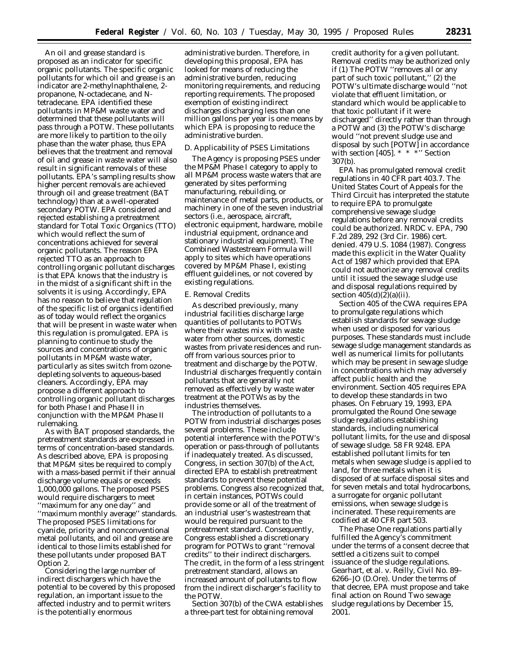An oil and grease standard is proposed as an indicator for specific organic pollutants. The specific organic pollutants for which oil and grease is an indicator are 2-methylnaphthalene, 2 propanone, N-octadecane, and Ntetradecane. EPA identified these pollutants in MP&M waste water and determined that these pollutants will pass through a POTW. These pollutants are more likely to partition to the oily phase than the water phase, thus EPA believes that the treatment and removal of oil and grease in waste water will also result in significant removals of these pollutants. EPA's sampling results show higher percent removals are achieved through oil and grease treatment (BAT technology) than at a well-operated secondary POTW. EPA considered and rejected establishing a pretreatment standard for Total Toxic Organics (TTO) which would reflect the sum of concentrations achieved for several organic pollutants. The reason EPA rejected TTO as an approach to controlling organic pollutant discharges is that EPA knows that the industry is in the midst of a significant shift in the solvents it is using. Accordingly, EPA has no reason to believe that regulation of the specific list of organics identified as of today would reflect the organics that will be present in waste water when this regulation is promulgated. EPA is planning to continue to study the sources and concentrations of organic pollutants in MP&M waste water, particularly as sites switch from ozonedepleting solvents to aqueous-based cleaners. Accordingly, EPA may propose a different approach to controlling organic pollutant discharges for both Phase I and Phase II in conjunction with the MP&M Phase II rulemaking.

As with BAT proposed standards, the pretreatment standards are expressed in terms of concentration-based standards. As described above, EPA is proposing that MP&M sites be required to comply with a mass-based permit if their annual discharge volume equals or exceeds 1,000,000 gallons. The proposed PSES would require dischargers to meet ''maximum for any one day'' and ''maximum monthly average'' standards. The proposed PSES limitations for cyanide, priority and nonconventional metal pollutants, and oil and grease are identical to those limits established for these pollutants under proposed BAT Option 2.

Considering the large number of indirect dischargers which have the potential to be covered by this proposed regulation, an important issue to the affected industry and to permit writers is the potentially enormous

administrative burden. Therefore, in developing this proposal, EPA has looked for means of reducing the administrative burden, reducing monitoring requirements, and reducing reporting requirements. The proposed exemption of existing indirect discharges discharging less than one million gallons per year is one means by which EPA is proposing to reduce the administrative burden.

## *D. Applicability of PSES Limitations*

The Agency is proposing PSES under the MP&M Phase I category to apply to all MP&M process waste waters that are generated by sites performing manufacturing, rebuilding, or maintenance of metal parts, products, or machinery in one of the seven industrial sectors (i.e., aerospace, aircraft, electronic equipment, hardware, mobile industrial equipment, ordnance and stationary industrial equipment). The Combined Wastestream Formula will apply to sites which have operations covered by MP&M Phase I, existing effluent guidelines, or not covered by existing regulations.

#### *E. Removal Credits*

As described previously, many industrial facilities discharge large quantities of pollutants to POTWs where their wastes mix with waste water from other sources, domestic wastes from private residences and runoff from various sources prior to treatment and discharge by the POTW. Industrial discharges frequently contain pollutants that are generally not removed as effectively by waste water treatment at the POTWs as by the industries themselves.

The introduction of pollutants to a POTW from industrial discharges poses several problems. These include potential interference with the POTW's operation or pass-through of pollutants if inadequately treated. As discussed, Congress, in section 307(b) of the Act, directed EPA to establish pretreatment standards to prevent these potential problems. Congress also recognized that, in certain instances, POTWs could provide some or all of the treatment of an industrial user's wastestream that would be required pursuant to the pretreatment standard. Consequently, Congress established a discretionary program for POTWs to grant ''removal credits'' to their indirect dischargers. The credit, in the form of a less stringent pretreatment standard, allows an increased amount of pollutants to flow from the indirect discharger's facility to the POTW.

Section 307(b) of the CWA establishes a three-part test for obtaining removal

credit authority for a given pollutant. Removal credits may be authorized only if (1) The POTW ''removes all or any part of such toxic pollutant,'' (2) the POTW's ultimate discharge would ''not violate that effluent limitation, or standard which would be applicable to that toxic pollutant if it were discharged'' directly rather than through a POTW and (3) the POTW's discharge would ''not prevent sludge use and disposal by such [POTW] in accordance with section [405]. \* \* \* "Section 307(b).

EPA has promulgated removal credit regulations in 40 CFR part 403.7. The United States Court of Appeals for the Third Circuit has interpreted the statute to require EPA to promulgate comprehensive sewage sludge regulations before any removal credits could be authorized. *NRDC* v. *EPA,* 790 F.2d 289, 292 (3rd Cir. 1986) *cert. denied.* 479 U.S. 1084 (1987). Congress made this explicit in the Water Quality Act of 1987 which provided that EPA could not authorize any removal credits until it issued the sewage sludge use and disposal regulations required by section  $405(d)(2)(a)(ii)$ .

Section 405 of the CWA requires EPA to promulgate regulations which establish standards for sewage sludge when used or disposed for various purposes. These standards must include sewage sludge management standards as well as numerical limits for pollutants which may be present in sewage sludge in concentrations which may adversely affect public health and the environment. Section 405 requires EPA to develop these standards in two phases. On February 19, 1993, EPA promulgated the Round One sewage sludge regulations establishing standards, including numerical pollutant limits, for the use and disposal of sewage sludge. 58 FR 9248. EPA established pollutant limits for ten metals when sewage sludge is applied to land, for three metals when it is disposed of at surface disposal sites and for seven metals and total hydrocarbons, a surrogate for organic pollutant emissions, when sewage sludge is incinerated. These requirements are codified at 40 CFR part 503.

The Phase One regulations partially fulfilled the Agency's commitment under the terms of a consent decree that settled a citizens suit to compel issuance of the sludge regulations. *Gearhart, et al.* v. *Reilly,* Civil No. 89– 6266–JO (D.Ore). Under the terms of that decree, EPA must propose and take final action on Round Two sewage sludge regulations by December 15, 2001.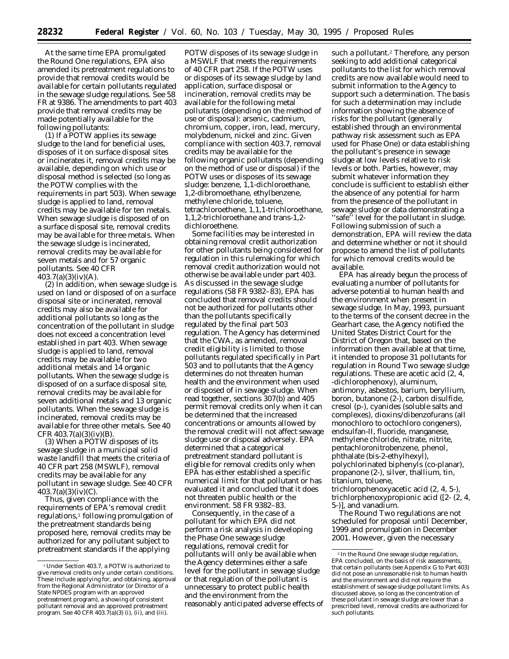At the same time EPA promulgated the Round One regulations, EPA also amended its pretreatment regulations to provide that removal credits would be available for certain pollutants regulated in the sewage sludge regulations. *See* 58 FR at 9386. The amendments to part 403 provide that removal credits may be made potentially available for the following pollutants:

(1) If a POTW applies its sewage sludge to the land for beneficial uses, disposes of it on surface disposal sites or incinerates it, removal credits may be available, depending on which use or disposal method is selected (so long as the POTW complies with the requirements in part 503). When sewage sludge is applied to land, removal credits may be available for ten metals. When sewage sludge is disposed of on a surface disposal site, removal credits may be available for three metals. When the sewage sludge is incinerated, removal credits may be available for seven metals and for 57 organic pollutants. *See* 40 CFR 403.7(a)(3)(iv)(A).

(2) In addition, when sewage sludge is used on land or disposed of on a surface disposal site or incinerated, removal credits may also be available for additional pollutants so long as the concentration of the pollutant in sludge does not exceed a concentration level established in part 403. When sewage sludge is applied to land, removal credits may be available for two additional metals and 14 organic pollutants. When the sewage sludge is disposed of on a surface disposal site, removal credits may be available for seven additional metals and 13 organic pollutants. When the sewage sludge is incinerated, removal credits may be available for three other metals. *See* 40 CFR  $403.7(a)(3)(iv)(B)$ 

(3) When a POTW disposes of its sewage sludge in a municipal solid waste landfill that meets the criteria of 40 CFR part 258 (MSWLF), removal credits may be available for any pollutant in sewage sludge. *See* 40 CFR  $403.7(a)(3)(iv)(C)$ .

Thus, given compliance with the requirements of EPA's removal credit regulations,<sup>1</sup> following promulgation of the pretreatment standards being proposed here, removal credits may be authorized for any pollutant subject to pretreatment standards if the applying

POTW disposes of its sewage sludge in a MSWLF that meets the requirements of 40 CFR part 258. If the POTW uses or disposes of its sewage sludge by land application, surface disposal or incineration, removal credits may be available for the following metal pollutants (depending on the method of use or disposal): arsenic, cadmium, chromium, copper, iron, lead, mercury, molybdenum, nickel and zinc. Given compliance with section 403.7, removal credits may be available for the following organic pollutants (depending on the method of use or disposal) if the POTW uses or disposes of its sewage sludge: benzene, 1,1-dichloroethane, 1,2-dibromoethane, ethylbenzene, methylene chloride, toluene, tetrachloroethene, 1,1,1-trichloroethane, 1,1,2-trichloroethane and trans-1,2 dichloroethene.

Some facilities may be interested in obtaining removal credit authorization for other pollutants being considered for regulation in this rulemaking for which removal credit authorization would not otherwise be available under part 403. As discussed in the sewage sludge regulations (58 FR 9382–83), EPA has concluded that removal credits should *not* be authorized for pollutants other than the pollutants specifically regulated by the final part 503 regulation. The Agency has determined that the CWA, as amended, removal credit eligibility is limited to those pollutants regulated specifically in Part 503 and to pollutants that the Agency determines do not threaten human health and the environment when used or disposed of in sewage sludge. When read together, sections 307(b) and 405 permit removal credits only when it can be determined that the increased concentrations or amounts allowed by the removal credit will not affect sewage sludge use or disposal adversely. EPA determined that a categorical pretreatment standard pollutant is eligible for removal credits only when EPA has either established a specific numerical limit for that pollutant or has evaluated it and concluded that it does not threaten public health or the environment. 58 FR 9382–83.

Consequently, in the case of a pollutant for which EPA did not perform a risk analysis in developing the Phase One sewage sludge regulations, removal credit for pollutants will only be available when the Agency determines either a safe level for the pollutant in sewage sludge or that regulation of the pollutant is unnecessary to protect public health and the environment from the reasonably anticipated adverse effects of

such a pollutant.2 Therefore, any person seeking to add additional categorical pollutants to the list for which removal credits are now available would need to submit information to the Agency to support such a determination. The basis for such a determination may include information showing the absence of risks for the pollutant (generally established through an environmental pathway risk assessment such as EPA used for Phase One) or data establishing the pollutant's presence in sewage sludge at low levels relative to risk levels or both. Parties, however, may submit whatever information they conclude is sufficient to establish either the absence of any potential for harm from the presence of the pollutant in sewage sludge or data demonstrating a "safe" level for the pollutant in sludge. Following submission of such a demonstration, EPA will review the data and determine whether or not it should propose to amend the list of pollutants for which removal credits would be available.

EPA has already begun the process of evaluating a number of pollutants for adverse potential to human health and the environment when present in sewage sludge. In May, 1993, pursuant to the terms of the consent decree in the *Gearhart* case, the Agency notified the United States District Court for the District of Oregon that, based on the information then available at that time, it intended to propose 31 pollutants for regulation in Round Two sewage sludge regulations. These are acetic acid (2, 4, -dichlorophenoxy), aluminum, antimony, asbestos, barium, beryllium, boron, butanone (2-), carbon disulfide, cresol (p-), cyanides (soluble salts and complexes), dioxins/dibenzofurans (all monochloro to octochloro congeners), endsulfan-II, fluoride, manganese, methylene chloride, nitrate, nitrite, pentachloronitrobenzene, phenol, phthalate (bis-2-ethylhexyl), polychlorinated biphenyls (co-planar), propanone (2-), silver, thallium, tin, titanium, toluene, trichlorophenoxyacetic acid (2, 4, 5-),

trichlorphenoxypropionic acid ([2- (2, 4, 5-)], and vanadium.

The Round Two regulations are not scheduled for proposal until December, 1999 and promulgation in December 2001. However, given the necessary

<sup>1</sup>Under Section 403.7, a POTW is authorized to give removal credits only under certain conditions. These include applying for, and obtaining, approval from the Regional Administrator (or Director of a State NPDES program with an approved pretreatment program), a showing of consistent pollutant removal and an approved pretreatment program. *See* 40 CFR 403.7(a)(3) (i), (ii), and (iii).

<sup>2</sup> In the Round One sewage sludge regulation, EPA concluded, on the basis of risk assessments, that certain pollutants (*see* Appendix G to Part 403) did not pose an unreasonable risk to human health and the environment and did not require the establishment of sewage sludge pollutant limits. As discussed above, so long as the concentration of these pollutant in sewage sludge are lower than a prescribed level, removal credits are authorized for such pollutants.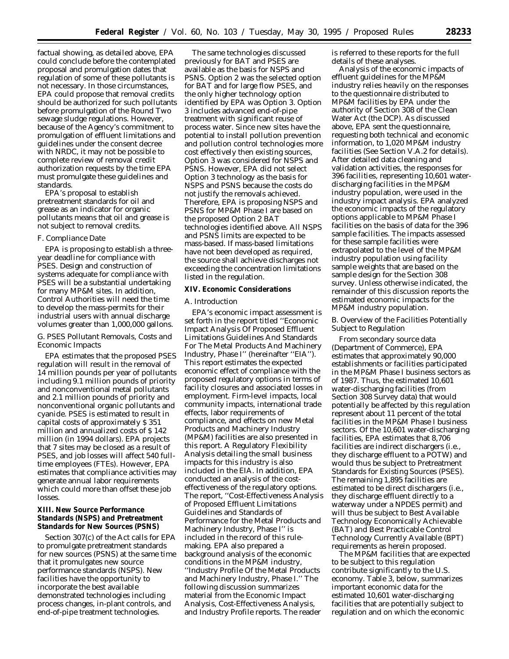factual showing, as detailed above, EPA could conclude before the contemplated proposal and promulgation dates that regulation of some of these pollutants is not necessary. In those circumstances, EPA could propose that removal credits should be authorized for such pollutants before promulgation of the Round Two sewage sludge regulations. However, because of the Agency's commitment to promulgation of effluent limitations and guidelines under the consent decree with NRDC, it may not be possible to complete review of removal credit authorization requests by the time EPA must promulgate these guidelines and standards.

EPA's proposal to establish pretreatment standards for oil and grease as an indicator for organic pollutants means that oil and grease is not subject to removal credits.

#### *F. Compliance Date*

EPA is proposing to establish a threeyear deadline for compliance with PSES. Design and construction of systems adequate for compliance with PSES will be a substantial undertaking for many MP&M sites. In addition, Control Authorities will need the time to develop the mass-permits for their industrial users with annual discharge volumes greater than 1,000,000 gallons.

## *G. PSES Pollutant Removals, Costs and Economic Impacts*

EPA estimates that the proposed PSES regulation will result in the removal of 14 million pounds per year of pollutants including 9.1 million pounds of priority and nonconventional metal pollutants and 2.1 million pounds of priority and nonconventional organic pollutants and cyanide. PSES is estimated to result in capital costs of approximately \$ 351 million and annualized costs of \$ 142 million (in 1994 dollars). EPA projects that 7 sites may be closed as a result of PSES, and job losses will affect 540 fulltime employees (FTEs). However, EPA estimates that compliance activities may generate annual labor requirements which could more than offset these job losses.

## **XIII. New Source Performance Standards (NSPS) and Pretreatment Standards for New Sources (PSNS)**

Section 307(c) of the Act calls for EPA to promulgate pretreatment standards for new sources (PSNS) at the same time that it promulgates new source performance standards (NSPS). New facilities have the opportunity to incorporate the best available demonstrated technologies including process changes, in-plant controls, and end-of-pipe treatment technologies.

The same technologies discussed previously for BAT and PSES are available as the basis for NSPS and PSNS. Option 2 was the selected option for BAT and for large flow PSES, and the only higher technology option identified by EPA was Option 3. Option 3 includes advanced end-of-pipe treatment with significant reuse of process water. Since new sites have the potential to install pollution prevention and pollution control technologies more cost effectively then existing sources, Option 3 was considered for NSPS and PSNS. However, EPA did not select Option 3 technology as the basis for NSPS and PSNS because the costs do not justify the removals achieved. Therefore, EPA is proposing NSPS and PSNS for MP&M Phase I are based on the proposed Option 2 BAT technologies identified above. All NSPS and PSNS limits are expected to be mass-based. If mass-based limitations have not been developed as required, the source shall achieve discharges not exceeding the concentration limitations listed in the regulation.

## **XIV. Economic Considerations**

#### *A. Introduction*

EPA's economic impact assessment is set forth in the report titled ''Economic Impact Analysis Of Proposed Effluent Limitations Guidelines And Standards For The Metal Products And Machinery Industry, Phase I'' (hereinafter ''EIA''). This report estimates the expected economic effect of compliance with the proposed regulatory options in terms of facility closures and associated losses in employment. Firm-level impacts, local community impacts, international trade effects, labor requirements of compliance, and effects on new Metal Products and Machinery Industry (MP&M) facilities are also presented in this report. A Regulatory Flexibility Analysis detailing the small business impacts for this industry is also included in the EIA. In addition, EPA conducted an analysis of the costeffectiveness of the regulatory options. The report, ''Cost-Effectiveness Analysis of Proposed Effluent Limitations Guidelines and Standards of Performance for the Metal Products and Machinery Industry, Phase I'' is included in the record of this rulemaking. EPA also prepared a background analysis of the economic conditions in the MP&M industry, ''Industry Profile Of the Metal Products and Machinery Industry, Phase I.'' The following discussion summarizes material from the Economic Impact Analysis, Cost-Effectiveness Analysis, and Industry Profile reports. The reader

is referred to these reports for the full details of these analyses.

Analysis of the economic impacts of effluent guidelines for the MP&M industry relies heavily on the responses to the questionnaire distributed to MP&M facilities by EPA under the authority of Section 308 of the Clean Water Act (the DCP). As discussed above, EPA sent the questionnaire, requesting both technical and economic information, to 1,020 MP&M industry facilities (See Section V.A.2 for details). After detailed data cleaning and validation activities, the responses for 396 facilities, representing 10,601 waterdischarging facilities in the MP&M industry population, were used in the industry impact analysis. EPA analyzed the economic impacts of the regulatory options applicable to MP&M Phase I facilities on the basis of data for the 396 sample facilities. The impacts assessed for these sample facilities were extrapolated to the level of the MP&M industry population using facility sample weights that are based on the sample design for the Section 308 survey. Unless otherwise indicated, the remainder of this discussion reports the estimated economic impacts for the MP&M industry population.

## *B. Overview of the Facilities Potentially Subject to Regulation*

From secondary source data (Department of Commerce), EPA estimates that approximately 90,000 establishments or facilities participated in the MP&M Phase I business sectors as of 1987. Thus, the estimated 10,601 water-discharging facilities (from Section 308 Survey data) that would potentially be affected by this regulation represent about 11 percent of the total facilities in the MP&M Phase I business sectors. Of the 10,601 water-discharging facilities, EPA estimates that 8,706 facilities are indirect dischargers (i.e., they discharge effluent to a POTW) and would thus be subject to Pretreatment Standards for Existing Sources (PSES). The remaining 1,895 facilities are estimated to be direct dischargers (i.e., they discharge effluent directly to a waterway under a NPDES permit) and will thus be subject to Best Available Technology Economically Achievable (BAT) and Best Practicable Control Technology Currently Available (BPT) requirements as herein proposed.

The MP&M facilities that are expected to be subject to this regulation contribute significantly to the U.S. economy. Table 3, below, summarizes important economic data for the estimated 10,601 water-discharging facilities that are potentially subject to regulation and on which the economic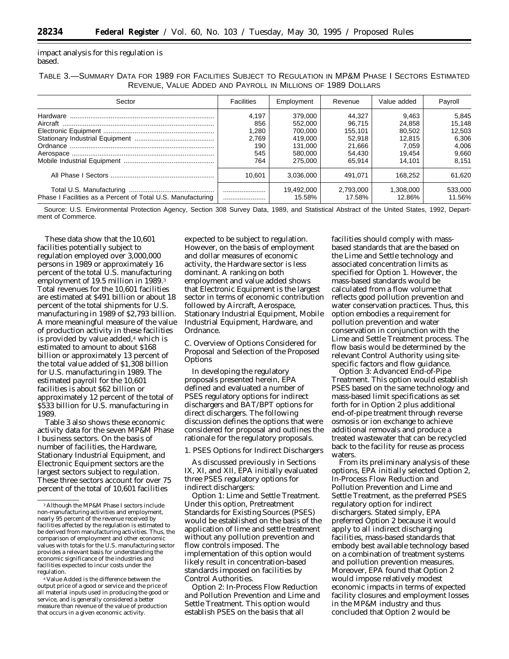impact analysis for this regulation is based.

TABLE 3.—SUMMARY DATA FOR 1989 FOR FACILITIES SUBJECT TO REGULATION IN MP&M PHASE I SECTORS ESTIMATED REVENUE, VALUE ADDED AND PAYROLL IN MILLIONS OF 1989 DOLLARS

| Sector                                                      | <b>Facilities</b>                            | Employment                                                     | Revenue                                                   | Value added                                            | Payroll                                              |
|-------------------------------------------------------------|----------------------------------------------|----------------------------------------------------------------|-----------------------------------------------------------|--------------------------------------------------------|------------------------------------------------------|
|                                                             | 4,197<br>856<br>1,280<br>2,769<br>190<br>545 | 379,000<br>552,000<br>700.000<br>419.000<br>131.000<br>580,000 | 44.327<br>96.715<br>155.101<br>52.918<br>21.666<br>54.430 | 9.463<br>24,858<br>80,502<br>12.815<br>7.059<br>19.454 | 5,845<br>15,148<br>12,503<br>6,306<br>4.006<br>9,660 |
|                                                             | 764                                          | 275,000                                                        | 65.914                                                    | 14.101                                                 | 8.151                                                |
|                                                             | 10.601                                       | 3.036.000                                                      | 491.071                                                   | 168.252                                                | 61.620                                               |
| Phase I Facilities as a Percent of Total U.S. Manufacturing | <br>                                         | 19.492.000<br>15.58%                                           | 2.793.000<br>17.58%                                       | 1.308.000<br>12.86%                                    | 533,000<br>11.56%                                    |

Source: U.S. Environmental Protection Agency, Section 308 Survey Data, 1989, and Statistical Abstract of the United States, 1992, Department of Commerce.

These data show that the 10,601 facilities potentially subject to regulation employed over 3,000,000 persons in 1989 or approximately 16 percent of the total U.S. manufacturing employment of 19.5 million in 1989.3 Total revenues for the 10,601 facilities are estimated at \$491 billion or about 18 percent of the total shipments for U.S. manufacturing in 1989 of \$2,793 billion. A more meaningful measure of the value of production activity in these facilities is provided by value added,<sup>4</sup> which is estimated to amount to about \$168 billion or approximately 13 percent of the total value added of \$1,308 billion for U.S. manufacturing in 1989. The estimated payroll for the 10,601 facilities is about \$62 billion or approximately 12 percent of the total of \$533 billion for U.S. manufacturing in 1989.

Table 3 also shows these economic activity data for the seven MP&M Phase I business sectors. On the basis of number of facilities, the Hardware, Stationary Industrial Equipment, and Electronic Equipment sectors are the largest sectors subject to regulation. These three sectors account for over 75 percent of the total of 10,601 facilities

expected to be subject to regulation. However, on the basis of employment and dollar measures of economic activity, the Hardware sector is less dominant. A ranking on both employment and value added shows that Electronic Equipment is the largest sector in terms of economic contribution followed by Aircraft, Aerospace, Stationary Industrial Equipment, Mobile Industrial Equipment, Hardware, and Ordnance.

*C. Overview of Options Considered for Proposal and Selection of the Proposed Options*

In developing the regulatory proposals presented herein, EPA defined and evaluated a number of PSES regulatory options for indirect dischargers and BAT/BPT options for direct dischargers. The following discussion defines the options that were considered for proposal and outlines the rationale for the regulatory proposals.

1. PSES Options for Indirect Dischargers

As discussed previously in Sections IX, XI, and XII, EPA initially evaluated three PSES regulatory options for indirect dischargers:

*Option 1: Lime and Settle Treatment.* Under this option, Pretreatment Standards for Existing Sources (PSES) would be established on the basis of the application of lime and settle treatment without any pollution prevention and flow controls imposed. The implementation of this option would likely result in concentration-based standards imposed on facilities by Control Authorities.

*Option 2: In-Process Flow Reduction and Pollution Prevention and Lime and Settle Treatment.* This option would establish PSES on the basis that all

facilities should comply with massbased standards that are the based on the Lime and Settle technology and associated concentration limits as specified for Option 1. However, the mass-based standards would be calculated from a flow volume that reflects good pollution prevention and water conservation practices. Thus, this option embodies a requirement for pollution prevention and water conservation in conjunction with the Lime and Settle Treatment process. The flow basis would be determined by the relevant Control Authority using sitespecific factors and flow guidance.

*Option 3: Advanced End-of-Pipe Treatment.* This option would establish PSES based on the same technology and mass-based limit specifications as set forth for in Option 2 *plus* additional end-of-pipe treatment through reverse osmosis or ion exchange to achieve additional removals and produce a treated wastewater that can be recycled back to the facility for reuse as process waters.

From its preliminary analysis of these options, EPA initially selected Option 2, In-Process Flow Reduction and Pollution Prevention and Lime and Settle Treatment, as the preferred PSES regulatory option for indirect dischargers. Stated simply, EPA preferred Option 2 because it would apply to all indirect discharging facilities, mass-based standards that embody best available technology based on a combination of treatment systems and pollution prevention measures. Moreover, EPA found that Option 2 would impose relatively modest economic impacts in terms of expected facility closures and employment losses in the MP&M industry and thus concluded that Option 2 would be

<sup>3</sup>Although the MP&M Phase I sectors include non-manufacturing activities and employment, nearly 95 percent of the revenue received by facilities affected by the regulation is estimated to be derived from manufacturing activities. Thus, the comparison of employment and other economic values with totals for the U.S. manufacturing sector provides a relevant basis for understanding the economic significance of the industries and facilities expected to incur costs under the regulation.

<sup>4</sup> Value Added is the difference between the output price of a good or service and the price of all material inputs used in producing the good or service, and is generally considered a better measure than revenue of the value of production that occurs in a given economic activity.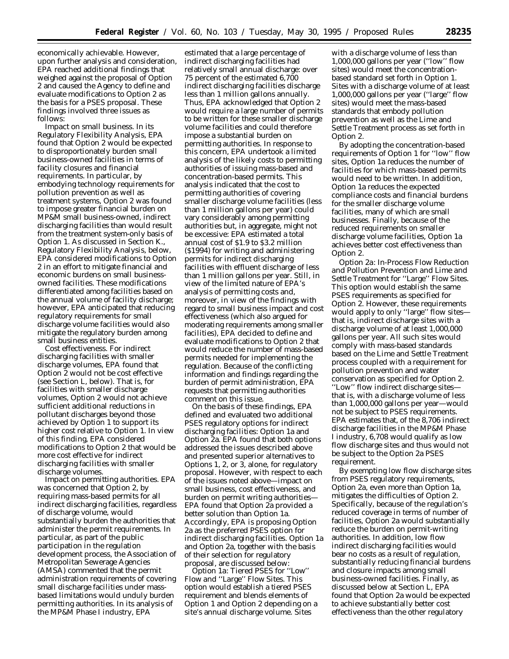economically achievable. However, upon further analysis and consideration, EPA reached additional findings that weighed against the proposal of Option 2 and caused the Agency to define and evaluate modifications to Option 2 as the basis for a PSES proposal. These findings involved three issues as follows:

*Impact on small business.* In its Regulatory Flexibility Analysis, EPA found that Option 2 would be expected to disproportionately burden small business-owned facilities in terms of facility closures and financial requirements. In particular, by embodying technology requirements for pollution prevention as well as treatment systems, Option 2 was found to impose greater financial burden on MP&M small business-owned, indirect discharging facilities than would result from the treatment system-only basis of Option 1. As discussed in Section K., Regulatory Flexibility Analysis, below, EPA considered modifications to Option 2 in an effort to mitigate financial and economic burdens on small businessowned facilities. These modifications differentiated among facilities based on the annual volume of facility discharge; however, EPA anticipated that reducing regulatory requirements for small discharge volume facilities would also mitigate the regulatory burden among small business entities.

*Cost effectiveness.* For indirect discharging facilities with smaller discharge volumes, EPA found that Option 2 would not be cost effective (see Section L, below). That is, for facilities with smaller discharge volumes, Option 2 would not achieve sufficient additional reductions in pollutant discharges beyond those achieved by Option 1 to support its higher cost relative to Option 1. In view of this finding, EPA considered modifications to Option 2 that would be more cost effective for indirect discharging facilities with smaller discharge volumes.

*Impact on permitting authorities.* EPA was concerned that Option 2, by requiring mass-based permits for all indirect discharging facilities, regardless of discharge volume, would substantially burden the authorities that administer the permit requirements. In particular, as part of the public participation in the regulation development process, the Association of Metropolitan Sewerage Agencies (AMSA) commented that the permit administration requirements of covering small discharge facilities under massbased limitations would unduly burden permitting authorities. In its analysis of the MP&M Phase I industry, EPA

estimated that a large percentage of indirect discharging facilities had relatively small annual discharge: over 75 percent of the estimated 6,700 indirect discharging facilities discharge less than 1 million gallons annually. Thus, EPA acknowledged that Option 2 would require a large number of permits to be written for these smaller discharge volume facilities and could therefore impose a substantial burden on permitting authorities. In response to this concern, EPA undertook a limited analysis of the likely costs to permitting authorities of issuing mass-based and concentration-based permits. This analysis indicated that the cost to permitting authorities of covering smaller discharge volume facilities (less than 1 million gallons per year) could vary considerably among permitting authorities but, in aggregate, might not be excessive: EPA estimated a total annual cost of \$1.9 to \$3.2 million (\$1994) for writing and administering permits for indirect discharging facilities with effluent discharge of less than 1 million gallons per year. Still, in view of the limited nature of EPA's analysis of permitting costs and, moreover, in view of the findings with regard to small business impact and cost effectiveness (which also argued for moderating requirements among smaller facilities), EPA decided to define and evaluate modifications to Option 2 that would reduce the number of mass-based permits needed for implementing the regulation. Because of the conflicting information and findings regarding the burden of permit administration, EPA requests that permitting authorities comment on this issue.

On the basis of these findings, EPA defined and evaluated two additional PSES regulatory options for indirect discharging facilities: Option 1a and Option 2a. EPA found that both options addressed the issues described above and presented superior alternatives to Options 1, 2, or 3, alone, for regulatory proposal. However, with respect to each of the issues noted above—impact on small business, cost effectiveness, and burden on permit writing authorities— EPA found that Option 2a provided a better solution than Option 1a. Accordingly, EPA is proposing Option 2a as the preferred PSES option for indirect discharging facilities. Option 1a and Option 2a, together with the basis of their selection for regulatory proposal, are discussed below:

*Option 1a: Tiered PSES for ''Low'' Flow and ''Large'' Flow Sites.* This option would establish a tiered PSES requirement and blends elements of Option 1 and Option 2 depending on a site's annual discharge volume. Sites

with a discharge volume of less than 1,000,000 gallons per year (''low'' flow sites) would meet the concentrationbased standard set forth in Option 1. Sites with a discharge volume of at least 1,000,000 gallons per year (''large'' flow sites) would meet the mass-based standards that embody pollution prevention as well as the Lime and Settle Treatment process as set forth in Option 2.

By adopting the concentration-based requirements of Option 1 for ''low'' flow sites, Option 1a reduces the number of facilities for which mass-based permits would need to be written. In addition, Option 1a reduces the expected compliance costs and financial burdens for the smaller discharge volume facilities, many of which are small businesses. Finally, because of the reduced requirements on smaller discharge volume facilities, Option 1a achieves better cost effectiveness than Option 2.

*Option 2a: In-Process Flow Reduction and Pollution Prevention and Lime and Settle Treatment for ''Large'' Flow Sites.* This option would establish the same PSES requirements as specified for Option 2. However, these requirements would apply to only ''large'' flow sites that is, indirect discharge sites with a discharge volume of at least 1,000,000 gallons per year. All such sites would comply with mass-based standards based on the Lime and Settle Treatment process coupled with a requirement for pollution prevention and water conservation as specified for Option 2. ''Low'' flow indirect discharge sites that is, with a discharge volume of less than 1,000,000 gallons per year—would not be subject to PSES requirements. EPA estimates that, of the 8,706 indirect discharge facilities in the MP&M Phase I industry, 6,708 would qualify as low flow discharge sites and thus would not be subject to the Option 2a PSES requirement.

By exempting low flow discharge sites from PSES regulatory requirements, Option 2a, even more than Option 1a, mitigates the difficulties of Option 2. Specifically, because of the regulation's reduced coverage in terms of number of facilities, Option 2a would substantially reduce the burden on permit-writing authorities. In addition, low flow indirect discharging facilities would bear no costs as a result of regulation, substantially reducing financial burdens and closure impacts among small business-owned facilities. Finally, as discussed below at Section L, EPA found that Option 2a would be expected to achieve substantially better cost effectiveness than the other regulatory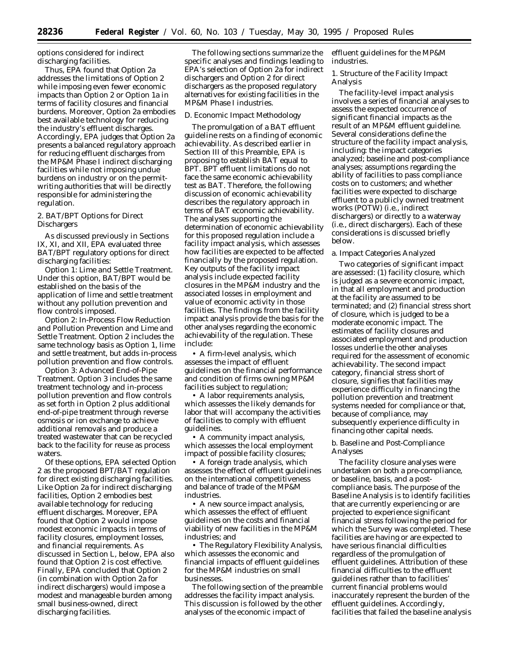options considered for indirect discharging facilities.

Thus, EPA found that Option 2a addresses the limitations of Option 2 while imposing even fewer economic impacts than Option 2 or Option 1a in terms of facility closures and financial burdens. Moreover, Option 2a embodies best available technology for reducing the industry's effluent discharges. Accordingly, EPA judges that Option 2a presents a balanced regulatory approach for reducing effluent discharges from the MP&M Phase I indirect discharging facilities while not imposing undue burdens on industry or on the permitwriting authorities that will be directly responsible for administering the regulation.

2. BAT/BPT Options for Direct **Dischargers** 

As discussed previously in Sections IX, XI, and XII, EPA evaluated three BAT/BPT regulatory options for direct discharging facilities:

*Option 1: Lime and Settle Treatment.* Under this option, BAT/BPT would be established on the basis of the application of lime and settle treatment without any pollution prevention and flow controls imposed.

*Option 2: In-Process Flow Reduction and Pollution Prevention and Lime and Settle Treatment.* Option 2 includes the same technology basis as Option 1, lime and settle treatment, but adds in-process pollution prevention and flow controls.

*Option 3: Advanced End-of-Pipe Treatment.* Option 3 includes the same treatment technology and in-process pollution prevention and flow controls as set forth in Option 2 *plus* additional end-of-pipe treatment through reverse osmosis or ion exchange to achieve additional removals and produce a treated wastewater that can be recycled back to the facility for reuse as process waters.

Of these options, EPA selected Option 2 as the proposed BPT/BAT regulation for direct existing discharging facilities. Like Option 2a for indirect discharging facilities, Option 2 embodies best available technology for reducing effluent discharges. Moreover, EPA found that Option 2 would impose modest economic impacts in terms of facility closures, employment losses, and financial requirements. As discussed in Section L, below, EPA also found that Option 2 is cost effective. Finally, EPA concluded that Option 2 (in combination with Option 2a for indirect dischargers) would impose a modest and manageable burden among small business-owned, direct discharging facilities.

The following sections summarize the specific analyses and findings leading to EPA's selection of Option 2a for indirect dischargers and Option 2 for direct dischargers as the proposed regulatory alternatives for existing facilities in the MP&M Phase I industries.

#### *D. Economic Impact Methodology*

The promulgation of a BAT effluent guideline rests on a finding of economic achievability. As described earlier in Section III of this Preamble, EPA is proposing to establish BAT equal to BPT. BPT effluent limitations do not face the same economic achievability test as BAT. Therefore, the following discussion of economic achievability describes the regulatory approach in terms of BAT economic achievability. The analyses supporting the determination of economic achievability for this proposed regulation include a facility impact analysis, which assesses how facilities are expected to be affected financially by the proposed regulation. Key outputs of the facility impact analysis include expected facility closures in the MP&M industry and the associated losses in employment and value of economic activity in those facilities. The findings from the facility impact analysis provide the basis for the other analyses regarding the economic achievability of the regulation. These include:

• A *firm-level analysis*, which assesses the impact of effluent guidelines on the financial performance and condition of firms owning MP&M facilities subject to regulation;

• A *labor requirements analysis*, which assesses the likely demands for labor that will accompany the activities of facilities to comply with effluent guidelines.

• A *community impact analysis*, which assesses the local employment impact of possible facility closures;

• A *foreign trade analysis*, which assesses the effect of effluent guidelines on the international competitiveness and balance of trade of the MP&M industries.

• A *new source impact analysis,* which assesses the effect of effluent guidelines on the costs and financial viability of new facilities in the MP&M industries; and

• The *Regulatory Flexibility Analysis,* which assesses the economic and financial impacts of effluent guidelines for the MP&M industries on small businesses.

The following section of the preamble addresses the facility impact analysis. This discussion is followed by the other analyses of the economic impact of

effluent guidelines for the MP&M industries.

1. Structure of the Facility Impact Analysis

The facility-level impact analysis involves a series of financial analyses to assess the expected occurrence of significant financial impacts as the result of an MP&M effluent guideline. Several considerations define the structure of the facility impact analysis, including: the impact categories analyzed; baseline and post-compliance analyses; assumptions regarding the ability of facilities to pass compliance costs on to customers; and whether facilities were expected to discharge effluent to a publicly owned treatment works (POTW) (i.e., indirect dischargers) or directly to a waterway (i.e., direct dischargers). Each of these considerations is discussed briefly below.

#### a. Impact Categories Analyzed

Two categories of significant impact are assessed: (1) *facility closure*, which is judged as a severe economic impact, in that all employment and production at the facility are assumed to be terminated; and (2) *financial stress short of closure*, which is judged to be a moderate economic impact. The estimates of facility closures and associated employment and production losses underlie the other analyses required for the assessment of economic achievability. The second impact category, financial stress short of closure, signifies that facilities may experience difficulty in financing the pollution prevention and treatment systems needed for compliance or that, because of compliance, may subsequently experience difficulty in financing other capital needs.

## b. Baseline and Post-Compliance Analyses

The facility closure analyses were undertaken on both a pre-compliance, or baseline, basis, and a postcompliance basis. The purpose of the Baseline Analysis is to identify facilities that are currently experiencing or are projected to experience significant financial stress following the period for which the Survey was completed. These facilities are having or are expected to have serious financial difficulties *regardless of the promulgation of effluent guidelines*. Attribution of these financial difficulties to the effluent guidelines rather than to facilities' current financial problems would inaccurately represent the burden of the effluent guidelines. Accordingly, facilities that failed the baseline analysis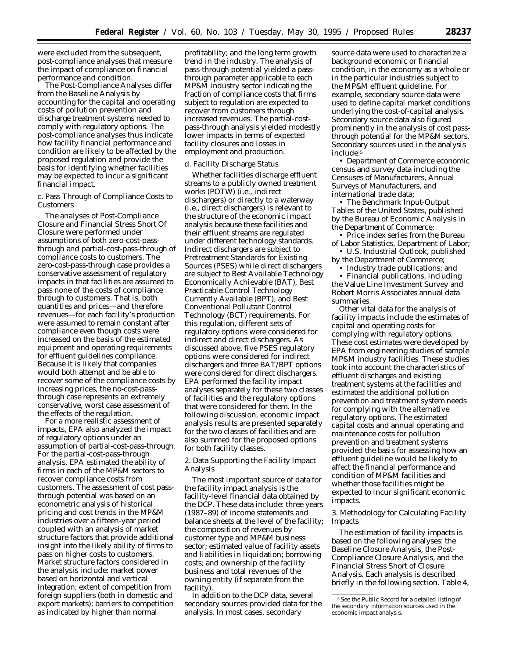were excluded from the subsequent, post-compliance analyses that measure the impact of compliance on financial performance and condition.

The Post-Compliance Analyses differ from the Baseline Analysis by accounting for the capital and operating costs of pollution prevention and discharge treatment systems needed to comply with regulatory options. The post-compliance analyses thus indicate how facility financial performance and condition are likely to be affected by the proposed regulation and provide the basis for identifying whether facilities may be expected to incur a significant financial impact.

c. Pass Through of Compliance Costs to Customers

The analyses of Post-Compliance Closure and Financial Stress Short Of Closure were performed under assumptions of both zero-cost-passthrough and partial-cost-pass-through of compliance costs to customers. The zero-cost-pass-through case provides a conservative assessment of regulatory impacts in that facilities are assumed to pass none of the costs of compliance through to customers. That is, both quantities and prices—and therefore revenues—for each facility's production were assumed to remain constant after compliance *even though costs were increased on the basis of the estimated equipment and operating requirements for effluent guidelines compliance*. Because it is likely that companies would both attempt and be able to recover some of the compliance costs by increasing prices, the no-cost-passthrough case represents an extremely conservative, worst case assessment of the effects of the regulation.

For a more realistic assessment of impacts, EPA also analyzed the impact of regulatory options under an assumption of partial-cost-pass-through. For the partial-cost-pass-through analysis, EPA estimated the ability of firms in each of the MP&M sectors to recover compliance costs from customers. The assessment of cost passthrough potential was based on an econometric analysis of historical pricing and cost trends in the MP&M industries over a fifteen-year period coupled with an analysis of market structure factors that provide additional insight into the likely ability of firms to pass on higher costs to customers. Market structure factors considered in the analysis include: market power based on horizontal and vertical integration; extent of competition from foreign suppliers (both in domestic and export markets); barriers to competition as indicated by higher than normal

profitability; and the long term growth trend in the industry. The analysis of pass-through potential yielded a passthrough parameter applicable to each MP&M industry sector indicating the fraction of compliance costs that firms subject to regulation are expected to recover from customers through increased revenues. The partial-costpass-through analysis yielded modestly lower impacts in terms of expected facility closures and losses in employment and production.

#### d. Facility Discharge Status

Whether facilities discharge effluent streams to a publicly owned treatment works (POTW) (i.e., indirect dischargers) or directly to a waterway (i.e., direct dischargers) is relevant to the structure of the economic impact analysis because these facilities and their effluent streams are regulated under different technology standards. Indirect dischargers are subject to Pretreatment Standards for Existing Sources (PSES) while direct dischargers are subject to Best Available Technology Economically Achievable (BAT), Best Practicable Control Technology Currently Available (BPT), and Best Conventional Pollutant Control Technology (BCT) requirements. For this regulation, different sets of regulatory options were considered for indirect and direct dischargers. As discussed above, five PSES regulatory options were considered for indirect dischargers and three BAT/BPT options were considered for direct dischargers. EPA performed the facility impact analyses separately for these two classes of facilities and the regulatory options that were considered for them. In the following discussion, economic impact analysis results are presented separately for the two classes of facilities and are also summed for the proposed options for both facility classes.

2. Data Supporting the Facility Impact Analysis

The most important source of data for the facility impact analysis is the facility-level financial data obtained by the DCP. These data include: three years (1987–89) of income statements and balance sheets at the level of the facility; the composition of revenues by customer type and MP&M business sector; estimated value of facility assets and liabilities in liquidation; borrowing costs; and ownership of the facility business and total revenues of the owning entity (if separate from the facility).

In addition to the DCP data, several secondary sources provided data for the analysis. In most cases, secondary

source data were used to characterize a background economic or financial condition, in the economy as a whole or in the particular industries subject to the MP&M effluent guideline. For example, secondary source data were used to define capital market conditions underlying the cost-of-capital analysis. Secondary source data also figured prominently in the analysis of cost passthrough potential for the MP&M sectors. Secondary sources used in the analysis include:5

• Department of Commerce economic census and survey data including the *Censuses of Manufacturers, Annual Surveys of Manufacturers*, and international trade data;

• The *Benchmark Input-Output Tables of the United States*, published by the Bureau of Economic Analysis in the Department of Commerce;

• Price index series from the Bureau of Labor Statistics, Department of Labor;

• *U.S. Industrial Outlook*, published by the Department of Commerce;

• Industry trade publications; and

• Financial publications, including the Value Line Investment Survey and Robert Morris Associates annual data summaries.

Other vital data for the analysis of facility impacts include the estimates of capital and operating costs for complying with regulatory options. These cost estimates were developed by EPA from engineering studies of sample MP&M industry facilities. These studies took into account the characteristics of effluent discharges and existing treatment systems at the facilities and estimated the additional pollution prevention and treatment system needs for complying with the alternative regulatory options. The estimated capital costs and annual operating and maintenance costs for pollution prevention and treatment systems provided the basis for assessing how an effluent guideline would be likely to affect the financial performance and condition of MP&M facilities and whether those facilities might be expected to incur significant economic impacts.

3. Methodology for Calculating Facility Impacts

The estimation of facility impacts is based on the following analyses: the Baseline Closure Analysis, the Post-Compliance Closure Analysis, and the Financial Stress Short of Closure Analysis. Each analysis is described briefly in the following section. Table 4,

<sup>5</sup>See the Public Record for a detailed listing of the secondary information sources used in the economic impact analysis.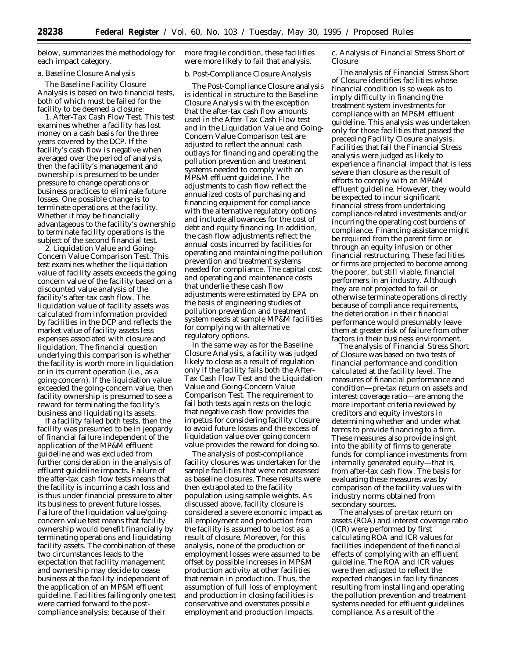below, summarizes the methodology for each impact category.

#### a. Baseline Closure Analysis

The Baseline Facility Closure Analysis is based on two financial tests, both of which must be failed for the facility to be deemed a closure:

1. *After-Tax Cash Flow Test.* This test examines whether a facility has lost money on a cash basis for the three years covered by the DCP. If the facility's cash flow is negative when averaged over the period of analysis, then the facility's management and ownership is presumed to be under pressure to change operations or business practices to eliminate future losses. One possible change is to terminate operations at the facility. Whether it may be financially advantageous to the facility's ownership to terminate facility operations is the subject of the second financial test.

2. *Liquidation Value and Going-Concern Value Comparison Test.* This test examines whether the liquidation value of facility assets exceeds the going concern value of the facility based on a discounted value analysis of the facility's after-tax cash flow. The liquidation value of facility assets was calculated from information provided by facilities in the DCP and reflects the market value of facility assets less expenses associated with closure and liquidation. The financial question underlying this comparison is whether the facility is worth more in liquidation or in its current operation (i.e., as a going concern). If the liquidation value exceeded the going-concern value, then facility ownership is presumed to see a reward for terminating the facility's business and liquidating its assets.

If a facility failed both tests, then the facility was presumed to be in jeopardy of financial failure independent of the application of the MP&M effluent guideline and was excluded from further consideration in the analysis of effluent guideline impacts. Failure of the after-tax cash flow tests means that the facility is incurring a cash loss and is thus under financial pressure to alter its business to prevent future losses. Failure of the liquidation value/goingconcern value test means that facility ownership would benefit financially by terminating operations and liquidating facility assets. The combination of these two circumstances leads to the expectation that facility management and ownership may decide to cease business at the facility independent of the application of an MP&M effluent guideline. Facilities failing only one test were carried forward to the postcompliance analysis; because of their

more fragile condition, these facilities were more likely to fail that analysis.

## b. Post-Compliance Closure Analysis

The Post-Compliance Closure analysis is identical in structure to the Baseline Closure Analysis with the exception that the after-tax cash flow amounts used in the After-Tax Cash Flow test and in the Liquidation Value and Going-Concern Value Comparison test are adjusted to reflect the annual cash outlays for financing and operating the pollution prevention and treatment systems needed to comply with an MP&M effluent guideline. The adjustments to cash flow reflect the annualized costs of purchasing and financing equipment for compliance with the alternative regulatory options and include allowances for the cost of debt and equity financing. In addition, the cash flow adjustments reflect the annual costs incurred by facilities for operating and maintaining the pollution prevention and treatment systems needed for compliance. The capital cost and operating and maintenance costs that underlie these cash flow adjustments were estimated by EPA on the basis of engineering studies of pollution prevention and treatment system needs at sample MP&M facilities for complying with alternative regulatory options.

In the same way as for the Baseline Closure Analysis, a facility was judged likely to close as a result of regulation only if the facility fails both the After-Tax Cash Flow Test and the Liquidation Value and Going-Concern Value Comparison Test. The requirement to fail both tests again rests on the logic that negative cash flow provides the impetus for considering facility closure to avoid future losses and the excess of liquidation value over going concern value provides the reward for doing so.

The analysis of post-compliance facility closures was undertaken for the sample facilities that were not assessed as baseline closures. These results were then extrapolated to the facility population using sample weights. As discussed above, facility closure is considered a severe economic impact as all employment and production from the facility is assumed to be lost as a result of closure. Moreover, for this analysis, none of the production or employment losses were assumed to be offset by possible increases in MP&M production activity at other facilities that remain in production. Thus, the assumption of full loss of employment and production in closing facilities is conservative and overstates possible employment and production impacts.

c. Analysis of Financial Stress Short of Closure

The analysis of Financial Stress Short of Closure identifies facilities whose financial condition is so weak as to imply difficulty in financing the treatment system investments for compliance with an MP&M effluent guideline. This analysis was undertaken only for those facilities that passed the preceding Facility Closure analysis. Facilities that fail the Financial Stress analysis were judged as likely to experience a financial impact that is less severe than closure as the result of efforts to comply with an MP&M effluent guideline. However, they would be expected to incur significant financial stress from undertaking compliance-related investments and/or incurring the operating cost burdens of compliance. Financing assistance might be required from the parent firm or through an equity infusion or other financial restructuring. These facilities or firms are projected to become among the poorer, but still viable, financial performers in an industry. Although they are not projected to fail or otherwise terminate operations directly because of compliance requirements, the deterioration in their financial performance would presumably leave them at greater risk of failure from other factors in their business environment.

The analysis of Financial Stress Short of Closure was based on two tests of financial performance and condition calculated at the facility level. The measures of financial performance and condition—pre-tax return on assets and interest coverage ratio—are among the more important criteria reviewed by creditors and equity investors in determining whether and under what terms to provide financing to a firm. These measures also provide insight into the ability of firms to generate funds for compliance investments from internally generated equity—that is, from after-tax cash flow. The basis for evaluating these measures was by comparison of the facility values with industry norms obtained from secondary sources.

The analyses of pre-tax return on assets (ROA) and interest coverage ratio (ICR) were performed by first calculating ROA and ICR values for facilities independent of the financial effects of complying with an effluent guideline. The ROA and ICR values were then adjusted to reflect the expected changes in facility finances resulting from installing and operating the pollution prevention and treatment systems needed for effluent guidelines compliance. As a result of the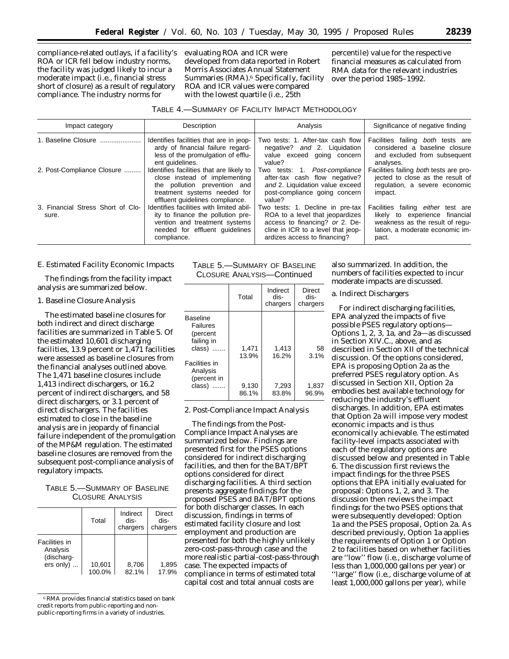compliance-related outlays, if a facility's ROA *or* ICR fell below industry norms, the facility was judged likely to incur a moderate impact (i.e., financial stress short of closure) as a result of regulatory compliance. The industry norms for

evaluating ROA and ICR were developed from data reported in Robert Morris Associates Annual Statement Summaries (RMA).<sup>6</sup> Specifically, facility ROA and ICR values were compared with the lowest quartile (i.e., 25th

percentile) value for the respective financial measures as calculated from RMA data for the relevant industries over the period 1985–1992.

| TABLE 4.-SUMMARY OF FACILITY IMPACT METHODOLOGY |  |  |  |
|-------------------------------------------------|--|--|--|
|-------------------------------------------------|--|--|--|

| Impact category                            | Description                                                                                                                                                                  | Analysis                                                                                                                                                                    | Significance of negative finding                                                                                                                    |
|--------------------------------------------|------------------------------------------------------------------------------------------------------------------------------------------------------------------------------|-----------------------------------------------------------------------------------------------------------------------------------------------------------------------------|-----------------------------------------------------------------------------------------------------------------------------------------------------|
| 1. Baseline Closure                        | Identifies facilities that are in jeop-<br>ardy of financial failure regard-<br>less of the promulgation of efflu-<br>ent quidelines.                                        | Two tests: 1. After-tax cash flow<br>negative? and 2. Liquidation<br>value exceed going concern<br>value?                                                                   | Facilities failing both tests are<br>considered a baseline closure<br>and excluded from subsequent<br>analyses.                                     |
| 2. Post-Compliance Closure                 | Identifies facilities that are likely to<br>close instead of implementing<br>the pollution prevention and<br>treatment systems needed for<br>effluent quidelines compliance. | Two tests: 1. Post-compliance<br>after-tax cash flow negative?<br>and 2. Liquidation value exceed<br>post-compliance going concern<br>value?                                | Facilities failing both tests are pro-<br>jected to close as the result of<br>regulation, a severe economic<br>impact.                              |
| 3. Financial Stress Short of Clo-<br>sure. | Identifies facilities with limited abil-<br>ity to finance the pollution pre-<br>vention and treatment systems<br>needed for effluent quidelines<br>compliance.              | Two tests: 1. Decline in pre-tax<br>ROA to a level that jeopardizes<br>access to financing? or 2. De-<br>cline in ICR to a level that jeop-<br>ardizes access to financing? | Facilities failing either test are<br>likely to experience financial<br>weakness as the result of regu-<br>lation, a moderate economic im-<br>pact. |

## *E. Estimated Facility Economic Impacts*

The findings from the facility impact analysis are summarized below.

#### 1. Baseline Closure Analysis

The estimated baseline closures for both indirect and direct discharge facilities are summarized in Table 5. Of the estimated 10,601 discharging facilities, 13.9 percent or 1,471 facilities were assessed as baseline closures from the financial analyses outlined above. The 1,471 baseline closures include 1,413 indirect dischargers, or 16.2 percent of indirect dischargers, and 58 direct dischargers, or 3.1 percent of direct dischargers. The facilities estimated to close in the baseline analysis are in jeopardy of financial failure independent of the promulgation of the MP&M regulation. The estimated baseline closures are removed from the subsequent post-compliance analysis of regulatory impacts.

## TABLE 5.—SUMMARY OF BASELINE CLOSURE ANALYSIS

|                                                      | Total            | Indirect<br>dis-<br>chargers | <b>Direct</b><br>dis-<br>chargers |
|------------------------------------------------------|------------------|------------------------------|-----------------------------------|
| Facilities in<br>Analysis<br>(discharg-<br>ers only) | 10,601<br>100.0% | 8,706<br>82.1%               | 1,895<br>17.9%                    |

6RMA provides financial statistics based on bank credit reports from public-reporting and nonpublic-reporting firms in a variety of industries.

TABLE 5.—SUMMARY OF BASELINE CLOSURE ANALYSIS—Continued

|                                                                      | Total          | Indirect<br>dis-<br>chargers | Direct<br>dis-<br>chargers |
|----------------------------------------------------------------------|----------------|------------------------------|----------------------------|
| <b>Baseline</b><br>Failures<br>(percent<br>failing in<br>class)<br>. | 1,471          | 1,413                        | 58                         |
| Facilities in<br>Analysis<br>(percent in                             | 13.9%          | 16.2%                        | 3.1%                       |
| class)<br>.                                                          | 9,130<br>86.1% | 7,293<br>83.8%               | 1,837<br>96.9%             |

2. Post-Compliance Impact Analysis

The findings from the Post-Compliance Impact Analyses are summarized below. Findings are presented first for the PSES options considered for indirect discharging facilities, and then for the BAT/BPT options considered for direct discharging facilities. A third section presents aggregate findings for the proposed PSES and BAT/BPT options for both discharger classes. In each discussion, findings in terms of estimated facility closure and lost employment and production are presented for both the highly unlikely zero-cost-pass-through case and the more realistic partial-cost-pass-through case. The expected impacts of compliance in terms of estimated total capital cost and total annual costs are

also summarized. In addition, the numbers of facilities expected to incur moderate impacts are discussed.

#### a. Indirect Dischargers

For indirect discharging facilities, EPA analyzed the impacts of five possible PSES regulatory options— Options 1, 2, 3, 1a, and 2a—as discussed in Section XIV.C., above, and as described in Section XII of the technical discussion. Of the options considered, EPA is proposing Option 2a as the preferred PSES regulatory option. As discussed in Section XII, Option 2a embodies best available technology for reducing the industry's effluent discharges. In addition, EPA estimates that Option 2a will impose very modest economic impacts and is thus economically achievable. The estimated facility-level impacts associated with each of the regulatory options are discussed below and presented in Table 6. The discussion first reviews the impact findings for the three PSES options that EPA initially evaluated for proposal: Options 1, 2, and 3. The discussion then reviews the impact findings for the two PSES options that were subsequently developed: Option 1a and the PSES proposal, Option 2a. As described previously, Option 1a applies the requirements of Option 1 *or* Option 2 to facilities based on whether facilities are ''low'' flow (i.e., discharge volume of less than 1,000,000 gallons per year) or ''large'' flow (i.e., discharge volume of at least 1,000,000 gallons per year), while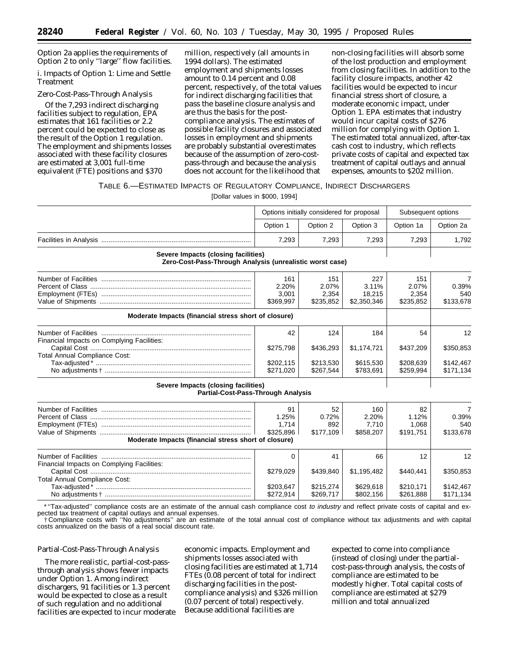Option 2a applies the requirements of Option 2 to only ''large'' flow facilities.

## *i. Impacts of Option 1: Lime and Settle Treatment*

#### Zero-Cost-Pass-Through Analysis

Of the 7,293 indirect discharging facilities subject to regulation, EPA estimates that 161 facilities or 2.2 percent could be expected to close as the result of the Option 1 regulation. The employment and shipments losses associated with these facility closures are estimated at 3,001 full-time equivalent (FTE) positions and \$370

million, respectively (all amounts in 1994 dollars). The estimated employment and shipments losses amount to 0.14 percent and 0.08 percent, respectively, of the total values for indirect discharging facilities *that pass the baseline closure analysis* and are thus the basis for the postcompliance analysis. The estimates of possible facility closures and associated losses in employment and shipments are probably substantial overestimates because of the assumption of zero-costpass-through and because the analysis does not account for the likelihood that

non-closing facilities will absorb some of the lost production and employment from closing facilities. In addition to the facility closure impacts, another 42 facilities would be expected to incur financial stress short of closure, a moderate economic impact, under Option 1. EPA estimates that industry would incur capital costs of \$276 million for complying with Option 1. The estimated total annualized, after-tax cash cost to industry, which reflects private costs of capital and expected tax treatment of capital outlays and annual expenses, amounts to \$202 million.

## TABLE 6.—ESTIMATED IMPACTS OF REGULATORY COMPLIANCE, INDIRECT DISCHARGERS

[Dollar values in \$000, 1994]

|                                     |          | Options initially considered for proposal | Subsequent options |           |           |
|-------------------------------------|----------|-------------------------------------------|--------------------|-----------|-----------|
|                                     | Option 1 | Option 2                                  | Option 3           | Option 1a | Option 2a |
|                                     | 7.293    | 7.293                                     | 7.293              | 7.293     | 1.792     |
| Severe Imnacts (closing facilities) |          |                                           |                    |           |           |

#### **Severe Impacts (closing facilities) Zero-Cost-Pass-Through Analysis (unrealistic worst case)**

|                                                      | 161<br>2.20%<br>3.001<br>\$369.997 | 151<br>2.07%<br>2.354<br>\$235.852 | 227<br>$3.11\%$<br>18.215<br>\$2,350,346 | 151<br>2.07%<br>2.354<br>\$235.852 | 0.39%<br>540<br>\$133,678 |
|------------------------------------------------------|------------------------------------|------------------------------------|------------------------------------------|------------------------------------|---------------------------|
| Moderate Impacts (financial stress short of closure) |                                    |                                    |                                          |                                    |                           |
| Financial Impacts on Complying Facilities:           | 42<br>\$275,798                    | 124<br>\$436.293                   | 184<br>\$1,174,721                       | 54<br>\$437,209                    | 12<br>\$350,853           |
| <b>Total Annual Compliance Cost:</b>                 | \$202.115<br>\$271.020             | \$213.530<br>\$267.544             | \$615,530<br>\$783.691                   | \$208,639<br>\$259.994             | \$142.467<br>\$171.134    |
| Severe Impacts (closing facilities)                  |                                    |                                    |                                          |                                    |                           |

## **Partial-Cost-Pass-Through Analysis**

|                                                      | 91<br>1.25% | 52<br>0.72% | 160<br>2.20% | 82<br>1.12% | 0.39%     |
|------------------------------------------------------|-------------|-------------|--------------|-------------|-----------|
|                                                      | 1.714       | 892         | 7.710        | 1.068       | 540       |
|                                                      | \$325.896   | \$177.109   | \$858,207    | \$191.751   | \$133,678 |
| Moderate Impacts (financial stress short of closure) |             |             |              |             |           |
|                                                      |             | 41          | 66           | 12          | 12        |
| Financial Impacts on Complying Facilities:           |             |             |              |             |           |
|                                                      | \$279.029   | \$439.840   | \$1,195,482  | \$440,441   | \$350,853 |
| <b>Total Annual Compliance Cost:</b>                 |             |             |              |             |           |
|                                                      | \$203.647   | \$215.274   | \$629.618    | \$210,171   | \$142,467 |
| No adiustments +                                     | \$272.914   | \$269.717   | \$802.156    | \$261.888   | \$171.134 |

\*"Tax-adjusted" compliance costs are an estimate of the annual cash compliance cost to industry and reflect private costs of capital and expected tax treatment of capital outlays and annual expenses.

† Compliance costs with ''No adjustments'' are an estimate of the total annual cost of compliance without tax adjustments and with capital costs annualized on the basis of a real social discount rate.

## Partial-Cost-Pass-Through Analysis

The more realistic, partial-cost-passthrough analysis shows fewer impacts under Option 1. Among indirect dischargers, 91 facilities or 1.3 percent would be expected to close as a result of such regulation and no additional facilities are expected to incur moderate

economic impacts. Employment and shipments losses associated with closing facilities are estimated at 1,714 FTEs (0.08 percent of total for indirect discharging facilities in the postcompliance analysis) and \$326 million (0.07 percent of total) respectively. Because additional facilities are

expected to come into compliance (instead of closing) under the partialcost-pass-through analysis, the costs of compliance are estimated to be modestly higher. Total capital costs of compliance are estimated at \$279 million and total annualized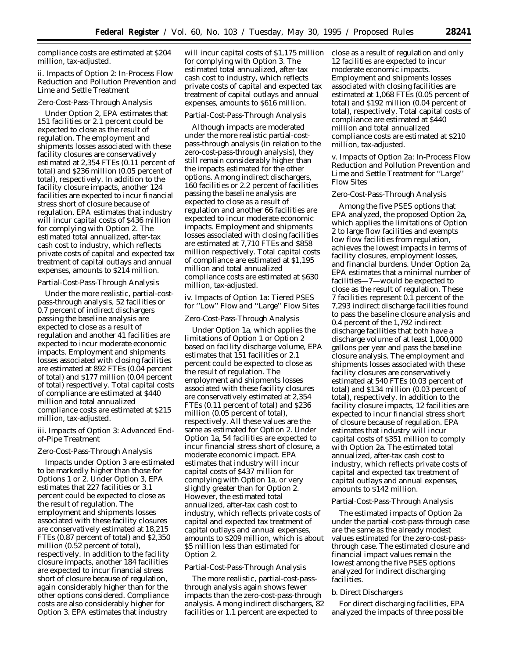compliance costs are estimated at \$204 million, tax-adjusted.

## *ii. Impacts of Option 2: In-Process Flow Reduction and Pollution Prevention and Lime and Settle Treatment*

#### Zero-Cost-Pass-Through Analysis

Under Option 2, EPA estimates that 151 facilities or 2.1 percent could be expected to close as the result of regulation. The employment and shipments losses associated with these facility closures are conservatively estimated at 2,354 FTEs (0.11 percent of total) and \$236 million (0.05 percent of total), respectively. In addition to the facility closure impacts, another 124 facilities are expected to incur financial stress short of closure because of regulation. EPA estimates that industry will incur capital costs of \$436 million for complying with Option 2. The estimated total annualized, after-tax cash cost to industry, which reflects private costs of capital and expected tax treatment of capital outlays and annual expenses, amounts to \$214 million.

#### Partial-Cost-Pass-Through Analysis

Under the more realistic, partial-costpass-through analysis, 52 facilities or 0.7 percent of indirect dischargers passing the baseline analysis are expected to close as a result of regulation and another 41 facilities are expected to incur moderate economic impacts. Employment and shipments losses associated with closing facilities are estimated at 892 FTEs (0.04 percent of total) and \$177 million (0.04 percent of total) respectively. Total capital costs of compliance are estimated at \$440 million and total annualized compliance costs are estimated at \$215 million, tax-adjusted.

## *iii. Impacts of Option 3: Advanced Endof-Pipe Treatment*

## Zero-Cost-Pass-Through Analysis

Impacts under Option 3 are estimated to be markedly higher than those for Options 1 or 2. Under Option 3, EPA estimates that 227 facilities or 3.1 percent could be expected to close as the result of regulation. The employment and shipments losses associated with these facility closures are conservatively estimated at 18,215 FTEs (0.87 percent of total) and \$2,350 million (0.52 percent of total), respectively. In addition to the facility closure impacts, another 184 facilities are expected to incur financial stress short of closure because of regulation, again considerably higher than for the other options considered. Compliance costs are also considerably higher for Option 3. EPA estimates that industry

will incur capital costs of \$1,175 million for complying with Option 3. The estimated total annualized, after-tax cash cost to industry, which reflects private costs of capital and expected tax treatment of capital outlays and annual expenses, amounts to \$616 million.

#### Partial-Cost-Pass-Through Analysis

Although impacts are moderated under the more realistic partial-costpass-through analysis (in relation to the zero-cost-pass-through analysis), they still remain considerably higher than the impacts estimated for the other options. Among indirect dischargers, 160 facilities or 2.2 percent of facilities passing the baseline analysis are expected to close as a result of regulation and another 66 facilities are expected to incur moderate economic impacts. Employment and shipments losses associated with closing facilities are estimated at 7,710 FTEs and \$858 million respectively. Total capital costs of compliance are estimated at \$1,195 million and total annualized compliance costs are estimated at \$630 million, tax-adjusted.

## *iv. Impacts of Option 1a: Tiered PSES for ''Low'' Flow and ''Large'' Flow Sites*

#### Zero-Cost-Pass-Through Analysis

Under Option 1a, which applies the limitations of Option 1 or Option 2 based on facility discharge volume, EPA estimates that 151 facilities or 2.1 percent could be expected to close as the result of regulation. The employment and shipments losses associated with these facility closures are conservatively estimated at 2,354 FTEs (0.11 percent of total) and \$236 million (0.05 percent of total), respectively. All these values are the same as estimated for Option 2. Under Option 1a, 54 facilities are expected to incur financial stress short of closure, a moderate economic impact. EPA estimates that industry will incur capital costs of \$437 million for complying with Option 1a, or very slightly greater than for Option 2. However, the estimated total annualized, after-tax cash cost to industry, which reflects private costs of capital and expected tax treatment of capital outlays and annual expenses, amounts to \$209 million, which is about \$5 million less than estimated for Option 2.

#### Partial-Cost-Pass-Through Analysis

The more realistic, partial-cost-passthrough analysis again shows fewer impacts than the zero-cost-pass-through analysis. Among indirect dischargers, 82 facilities or 1.1 percent are expected to

close as a result of regulation and only 12 facilities are expected to incur moderate economic impacts. Employment and shipments losses associated with closing facilities are estimated at 1,068 FTEs (0.05 percent of total) and \$192 million (0.04 percent of total), respectively. Total capital costs of compliance are estimated at \$440 million and total annualized compliance costs are estimated at \$210 million, tax-adjusted.

## *v. Impacts of Option 2a: In-Process Flow Reduction and Pollution Prevention and Lime and Settle Treatment for ''Large'' Flow Sites*

#### Zero-Cost-Pass-Through Analysis

Among the five PSES options that EPA analyzed, the proposed Option 2a, which applies the limitations of Option 2 to large flow facilities and exempts low flow facilities from regulation, achieves the lowest impacts in terms of facility closures, employment losses, and financial burdens. Under Option 2a, EPA estimates that a minimal number of facilities—7—would be expected to close as the result of regulation. These 7 facilities represent 0.1 percent of the 7,293 indirect discharge facilities found to pass the baseline closure analysis and 0.4 percent of the 1,792 indirect discharge facilities that both have a discharge volume of at least 1,000,000 gallons per year and pass the baseline closure analysis. The employment and shipments losses associated with these facility closures are conservatively estimated at 540 FTEs (0.03 percent of total) and \$134 million (0.03 percent of total), respectively. In addition to the facility closure impacts, 12 facilities are expected to incur financial stress short of closure because of regulation. EPA estimates that industry will incur capital costs of \$351 million to comply with Option 2a. The estimated total annualized, after-tax cash cost to industry, which reflects private costs of capital and expected tax treatment of capital outlays and annual expenses, amounts to \$142 million.

## Partial-Cost-Pass-Through Analysis

The estimated impacts of Option 2a under the partial-cost-pass-through case are the same as the already modest values estimated for the zero-cost-passthrough case. The estimated closure and financial impact values remain the lowest among the five PSES options analyzed for indirect discharging facilities.

#### b. Direct Dischargers

For direct discharging facilities, EPA analyzed the impacts of three possible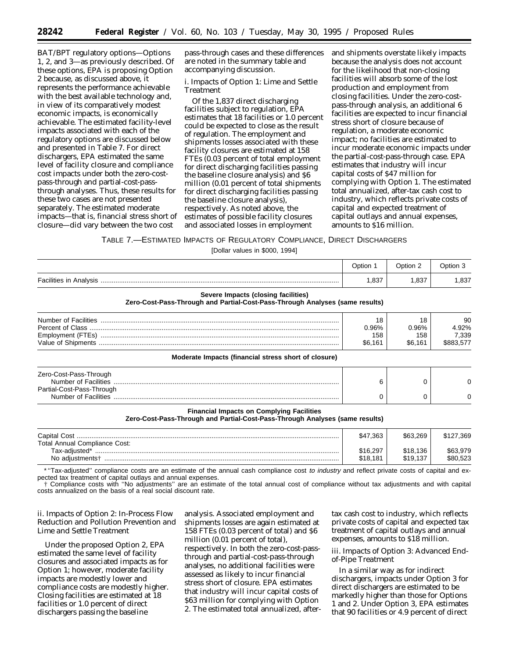BAT/BPT regulatory options—Options 1, 2, and 3—as previously described. Of these options, EPA is proposing Option 2 because, as discussed above, it represents the performance achievable with the best available technology and, in view of its comparatively modest economic impacts, is economically achievable. The estimated facility-level impacts associated with each of the regulatory options are discussed below and presented in Table 7. For direct dischargers, EPA estimated the same level of facility closure and compliance cost impacts under both the zero-costpass-through and partial-cost-passthrough analyses. Thus, these results for these two cases are not presented separately. The estimated moderate impacts—that is, financial stress short of closure—did vary between the two cost

pass-through cases and these differences are noted in the summary table and accompanying discussion.

## *i. Impacts of Option 1: Lime and Settle Treatment*

Of the 1,837 direct discharging facilities subject to regulation, EPA estimates that 18 facilities or 1.0 percent could be expected to close as the result of regulation. The employment and shipments losses associated with these facility closures are estimated at 158 FTEs (0.03 percent of total employment for direct discharging facilities passing the baseline closure analysis) and \$6 million (0.01 percent of total shipments for direct discharging facilities passing the baseline closure analysis), respectively. As noted above, the estimates of possible facility closures and associated losses in employment

and shipments overstate likely impacts because the analysis does not account for the likelihood that non-closing facilities will absorb some of the lost production and employment from closing facilities. Under the zero-costpass-through analysis, an additional 6 facilities are expected to incur financial stress short of closure because of regulation, a moderate economic impact; no facilities are estimated to incur moderate economic impacts under the partial-cost-pass-through case. EPA estimates that industry will incur capital costs of \$47 million for complying with Option 1. The estimated total annualized, after-tax cash cost to industry, which reflects private costs of capital and expected treatment of capital outlays and annual expenses, amounts to \$16 million.

## TABLE 7.—ESTIMATED IMPACTS OF REGULATORY COMPLIANCE, DIRECT DISCHARGERS

[Dollar values in \$000, 1994]

|                                                                                                                     | Option 1                      | Option 2                      | Option 3                          |
|---------------------------------------------------------------------------------------------------------------------|-------------------------------|-------------------------------|-----------------------------------|
|                                                                                                                     | 1,837                         | 1,837                         | 1.837                             |
| Severe Impacts (closing facilities)<br>Zero-Cost-Pass-Through and Partial-Cost-Pass-Through Analyses (same results) |                               |                               |                                   |
|                                                                                                                     | 18<br>0.96%<br>158<br>\$6.161 | 18<br>0.96%<br>158<br>\$6.161 | 90<br>4.92%<br>7,339<br>\$883,577 |
| Moderate Impacts (financial stress short of closure)                                                                |                               |                               |                                   |
| Zero-Cost-Pass-Through<br>Partial-Cost-Pass-Through                                                                 | 6                             | O                             |                                   |
|                                                                                                                     |                               |                               |                                   |
| <b>Financial Impacts on Complying Facilities</b>                                                                    |                               |                               |                                   |

#### **Zero-Cost-Pass-Through and Partial-Cost-Pass-Through Analyses (same results)**

| <b>Capital Cost</b>           | \$47.363 | \$63.269 | \$127.369 |
|-------------------------------|----------|----------|-----------|
| Total Annual Compliance Cost: |          |          |           |
| Tax-adiusted*                 | \$16,297 | \$18,136 | \$63,979  |
| No adjustments†               | \$18.181 | \$19.137 | \$80.523  |

\*"Tax-adjusted" compliance costs are an estimate of the annual cash compliance cost to industry and reflect private costs of capital and expected tax treatment of capital outlays and annual expenses.

† Compliance costs with ''No adjustments'' are an estimate of the total annual cost of compliance without tax adjustments and with capital costs annualized on the basis of a real social discount rate.

## *ii. Impacts of Option 2: In-Process Flow Reduction and Pollution Prevention and Lime and Settle Treatment*

Under the proposed Option 2, EPA estimated the same level of facility closures and associated impacts as for Option 1; however, moderate facility impacts are modestly lower and compliance costs are modestly higher. Closing facilities are estimated at 18 facilities or 1.0 percent of direct dischargers passing the baseline

analysis. Associated employment and shipments losses are again estimated at 158 FTEs (0.03 percent of total) and \$6 million (0.01 percent of total), respectively. In both the zero-cost-passthrough and partial-cost-pass-through analyses, no additional facilities were assessed as likely to incur financial stress short of closure. EPA estimates that industry will incur capital costs of \$63 million for complying with Option 2. The estimated total annualized, after-

tax cash cost to industry, which reflects private costs of capital and expected tax treatment of capital outlays and annual expenses, amounts to \$18 million.

## *iii. Impacts of Option 3: Advanced Endof-Pipe Treatment*

In a similar way as for indirect dischargers, impacts under Option 3 for direct dischargers are estimated to be markedly higher than those for Options 1 and 2. Under Option 3, EPA estimates that 90 facilities or 4.9 percent of direct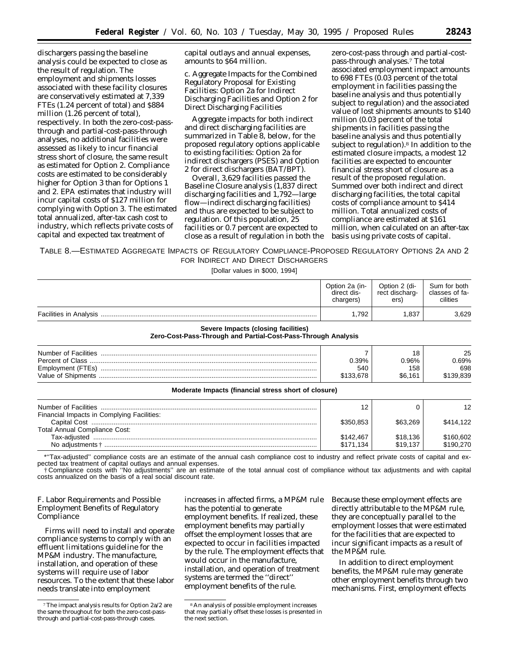dischargers passing the baseline analysis could be expected to close as the result of regulation. The employment and shipments losses associated with these facility closures are conservatively estimated at 7,339 FTEs (1.24 percent of total) and \$884 million (1.26 percent of total), respectively. In both the zero-cost-passthrough and partial-cost-pass-through analyses, no additional facilities were assessed as likely to incur financial stress short of closure, the same result as estimated for Option 2. Compliance costs are estimated to be considerably higher for Option 3 than for Options 1 and 2. EPA estimates that industry will incur capital costs of \$127 million for complying with Option 3. The estimated total annualized, after-tax cash cost to industry, which reflects private costs of capital and expected tax treatment of

capital outlays and annual expenses, amounts to \$64 million.

c. Aggregate Impacts for the Combined Regulatory Proposal for Existing Facilities: Option 2a for Indirect Discharging Facilities and Option 2 for Direct Discharging Facilities

Aggregate impacts for both indirect and direct discharging facilities are summarized in Table 8, below, for the proposed regulatory options applicable to existing facilities: Option 2a for indirect dischargers (PSES) and Option 2 for direct dischargers (BAT/BPT).

Overall, 3,629 facilities passed the Baseline Closure analysis (1,837 direct discharging facilities and 1,792—large flow—indirect discharging facilities) and thus are expected to be subject to regulation. Of this population, 25 facilities or 0.7 percent are expected to close as a result of regulation in both the

zero-cost-pass through and partial-costpass-through analyses.7 The total associated employment impact amounts to 698 FTEs (0.03 percent of the total employment in facilities passing the baseline analysis and thus potentially subject to regulation) and the associated value of lost shipments amounts to \$140 million (0.03 percent of the total shipments in facilities passing the baseline analysis and thus potentially subject to regulation).8 In addition to the estimated closure impacts, a modest 12 facilities are expected to encounter financial stress short of closure as a result of the proposed regulation. Summed over both indirect and direct discharging facilities, the total capital costs of compliance amount to \$414 million. Total annualized costs of compliance are estimated at \$161 million, when calculated on an after-tax basis using private costs of capital.

TABLE 8.—ESTIMATED AGGREGATE IMPACTS OF REGULATORY COMPLIANCE-PROPOSED REGULATORY OPTIONS 2A AND 2 FOR INDIRECT AND DIRECT DISCHARGERS

[Dollar values in \$000, 1994]

| Option 2a (in- | Option 2 (di-  | Sum for both   |
|----------------|----------------|----------------|
| direct dis-    | rect discharg- | classes of fa- |
| chargers)      | ers)           | cilities       |
| .792           | 837ء           |                |

#### **Severe Impacts (closing facilities)**

**Zero-Cost-Pass-Through and Partial-Cost-Pass-Through Analysis**

| Number of Facilities                    |                  | 1 Ջ            | 25            |
|-----------------------------------------|------------------|----------------|---------------|
| Percent of Class                        | 0.39%            | ).96%          | .69%          |
| Employment (FTEs)<br>Value of Shipments | 540<br>\$133.678 | 158<br>\$6.161 | 698<br>39.839 |
|                                         |                  |                |               |

**Moderate Impacts (financial stress short of closure)**

|                                            | 12        |          | 12        |
|--------------------------------------------|-----------|----------|-----------|
| Financial Impacts in Complying Facilities: |           |          |           |
|                                            | \$350.853 | \$63,269 | \$414.122 |
| <b>Total Annual Compliance Cost:</b>       |           |          |           |
|                                            | \$142,467 | \$18,136 | \$160,602 |
| No adiustments +                           | \$171.134 | \$19.137 | \$190.270 |

\*''Tax-adjusted'' compliance costs are an estimate of the annual cash compliance cost to industry and reflect private costs of capital and expected tax treatment of capital outlays and annual expenses.

† Compliance costs with ''No adjustments'' are an estimate of the total annual cost of compliance without tax adjustments and with capital costs annualized on the basis of a real social discount rate.

## *F. Labor Requirements and Possible Employment Benefits of Regulatory Compliance*

Firms will need to install and operate compliance systems to comply with an effluent limitations guideline for the MP&M industry. The manufacture, installation, and operation of these systems will require use of labor resources. To the extent that these labor needs translate into employment

increases in affected firms, a MP&M rule has the potential to generate employment benefits. If realized, these employment benefits may partially offset the employment losses that are expected to occur in facilities impacted by the rule. The employment effects that would occur in the manufacture, installation, and operation of treatment systems are termed the ''direct'' employment benefits of the rule.

Because these employment effects are directly attributable to the MP&M rule, they are conceptually parallel to the employment losses that were estimated for the facilities that are expected to incur significant impacts as a result of the MP&M rule.

In addition to direct employment benefits, the MP&M rule may generate other employment benefits through two mechanisms. First, employment effects

<sup>7</sup>The impact analysis results for Option 2a/2 are the same throughout for both the zero-cost-passthrough and partial-cost-pass-through cases.

<sup>8</sup>An analysis of possible employment increases that may partially offset these losses is presented in the next section.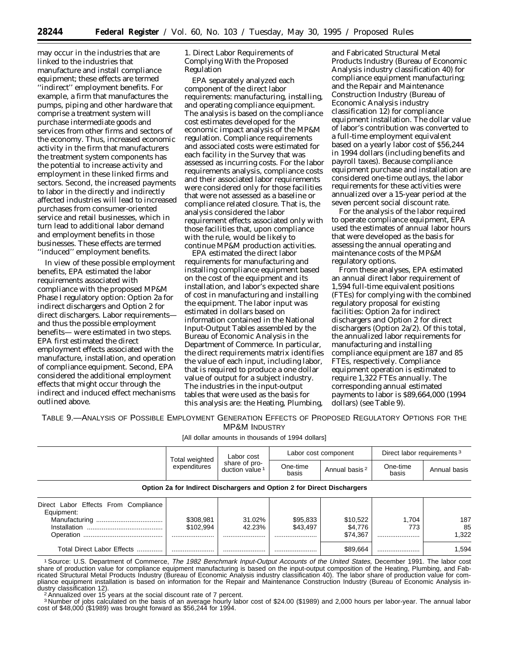may occur in the industries that are linked to the industries that manufacture and install compliance equipment; these effects are termed ''indirect'' employment benefits. For example, a firm that manufactures the pumps, piping and other hardware that comprise a treatment system will purchase intermediate goods and services from other firms and sectors of the economy. Thus, increased economic activity in the firm that manufacturers the treatment system components has the potential to increase activity and employment in these linked firms and sectors. Second, the increased payments to labor in the directly and indirectly affected industries will lead to increased purchases from consumer-oriented service and retail businesses, which in turn lead to additional labor demand and employment benefits in those businesses. These effects are termed ''induced'' employment benefits.

In view of these possible employment benefits, EPA estimated the labor requirements associated with compliance with the proposed MP&M Phase I regulatory option: Option 2a for indirect dischargers and Option 2 for direct dischargers. Labor requirements and thus the possible employment benefits— were estimated in two steps. EPA first estimated the direct employment effects associated with the manufacture, installation, and operation of compliance equipment. Second, EPA considered the additional employment effects that might occur through the indirect and induced effect mechanisms outlined above.

1. Direct Labor Requirements of Complying With the Proposed Regulation

EPA separately analyzed each component of the direct labor requirements: manufacturing, installing, and operating compliance equipment. The analysis is based on the compliance cost estimates developed for the economic impact analysis of the MP&M regulation. Compliance requirements and associated costs were estimated for each facility in the Survey that was assessed as incurring costs. For the labor requirements analysis, compliance costs and their associated labor requirements were considered only for those facilities that were not assessed as a baseline or compliance related closure. That is, the analysis considered the labor requirement effects associated only with those facilities that, upon compliance with the rule, would be likely to continue MP&M production activities.

EPA estimated the direct labor requirements for manufacturing and installing compliance equipment based on the cost of the equipment and its installation, and labor's expected share of cost in manufacturing and installing the equipment. The labor input was estimated in dollars based on information contained in the National Input-Output Tables assembled by the Bureau of Economic Analysis in the Department of Commerce. In particular, the direct requirements matrix identifies the value of each input, including labor, that is required to produce a one dollar value of output for a subject industry. The industries in the input-output tables that were used as the basis for this analysis are: the Heating, Plumbing,

and Fabricated Structural Metal Products Industry (Bureau of Economic Analysis industry classification 40) for compliance equipment manufacturing; and the Repair and Maintenance Construction Industry (Bureau of Economic Analysis industry classification 12) for compliance equipment installation. The dollar value of labor's contribution was converted to a full-time employment equivalent based on a yearly labor cost of \$56,244 in 1994 dollars (including benefits and payroll taxes). Because compliance equipment purchase and installation are considered one-time outlays, the labor requirements for these activities were annualized over a 15-year period at the seven percent social discount rate.

For the analysis of the labor required to operate compliance equipment, EPA used the estimates of annual labor hours that were developed as the basis for assessing the annual operating and maintenance costs of the MP&M regulatory options.

From these analyses, EPA estimated an annual direct labor requirement of 1,594 full-time equivalent positions (FTEs) for complying with the combined regulatory proposal for existing facilities: Option 2a for indirect dischargers and Option 2 for direct dischargers (Option 2a/2). Of this total, the annualized labor requirements for manufacturing and installing compliance equipment are 187 and 85 FTEs, respectively. Compliance equipment operation is estimated to require 1,322 FTEs annually. The corresponding annual estimated payments to labor is \$89,664,000 (1994 dollars) (see Table 9).

TABLE 9.—ANALYSIS OF POSSIBLE EMPLOYMENT GENERATION EFFECTS OF PROPOSED REGULATORY OPTIONS FOR THE MP&M INDUSTRY

[All dollar amounts in thousands of 1994 dollars]

|                                                    | Total weighted<br>expenditures                                         | Labor cost<br>share of pro-<br>duction value <sup>1</sup> |                   | Labor cost component      | Direct labor requirements <sup>3</sup> |              |  |
|----------------------------------------------------|------------------------------------------------------------------------|-----------------------------------------------------------|-------------------|---------------------------|----------------------------------------|--------------|--|
|                                                    |                                                                        |                                                           | One-time<br>basis | Annual basis <sup>2</sup> | One-time<br>basis                      | Annual basis |  |
|                                                    | Option 2a for Indirect Dischargers and Option 2 for Direct Dischargers |                                                           |                   |                           |                                        |              |  |
| Direct Labor Effects From Compliance<br>Equipment: |                                                                        |                                                           |                   |                           |                                        |              |  |

|                                                                                                                                                                                                                                                                                                | \$308.981 | 31.02% | \$95.833 | \$10.522 | .704 | 187  |
|------------------------------------------------------------------------------------------------------------------------------------------------------------------------------------------------------------------------------------------------------------------------------------------------|-----------|--------|----------|----------|------|------|
| Installation                                                                                                                                                                                                                                                                                   | \$102.994 | 42.23% | \$43.497 | \$4.776  | 773  | 85   |
| Operation                                                                                                                                                                                                                                                                                      |           |        |          | \$74.367 |      | .322 |
| Total Direct Labor Effects                                                                                                                                                                                                                                                                     |           |        |          | \$89.664 |      | .594 |
| <sup>1</sup> Source: U.S. Department of Commerce, The 1982 Benchmark Input-Output Accounts of the United States, December 1991. The labor cost<br>chare of production value for compliance equipment manufacturing is based on the input-output composition of the Heating. Plumbing, and Eab- |           |        |          |          |      |      |

share of production value for compliance equipment manufacturing is based on the input-output composition of the Heating, Plumbing, and Fabricated Structural Metal Products Industry (Bureau of Economic Analysis industry classification 40). The labor share of production value for compliance equipment installation is based on information for the Repair and Maintenance Construction Industry (Bureau of Economic Analysis in-<br>dustry classification 12).

<sup>2</sup> Annualized over 15 years at the social discount rate of 7 percent.

3 Number of jobs calculated on the basis of an average hourly labor cost of \$24.00 (\$1989) and 2,000 hours per labor-year. The annual labor cost of \$48,000 (\$1989) was brought forward as \$56,244 for 1994.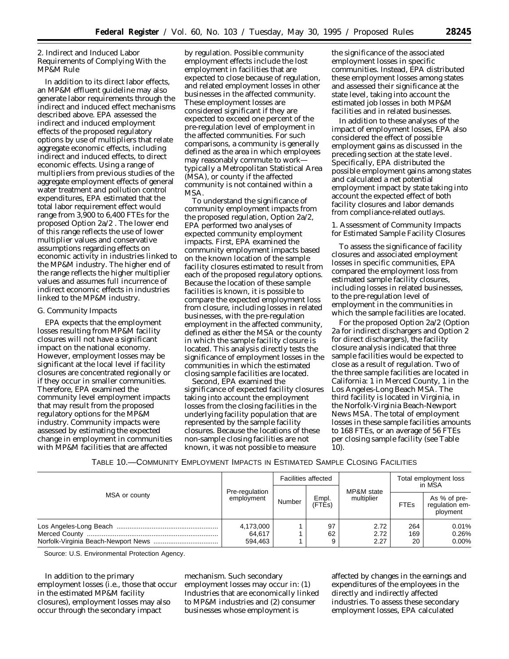2. Indirect and Induced Labor Requirements of Complying With the MP&M Rule

In addition to its direct labor effects, an MP&M effluent guideline may also generate labor requirements through the indirect and induced effect mechanisms described above. EPA assessed the indirect and induced employment effects of the proposed regulatory options by use of multipliers that relate aggregate economic effects, including indirect and induced effects, to direct economic effects. Using a range of multipliers from previous studies of the aggregate employment effects of general water treatment and pollution control expenditures, EPA estimated that the total labor requirement effect would range from 3,900 to 6,400 FTEs for the proposed Option 2a/2 . The lower end of this range reflects the use of lower multiplier values and conservative assumptions regarding effects on economic activity in industries linked to the MP&M industry. The higher end of the range reflects the higher multiplier values and assumes full incurrence of indirect economic effects in industries linked to the MP&M industry.

#### *G. Community Impacts*

EPA expects that the employment losses resulting from MP&M facility closures will not have a significant impact on the national economy. However, employment losses may be significant at the local level if facility closures are concentrated regionally or if they occur in smaller communities. Therefore, EPA examined the community level employment impacts that may result from the proposed regulatory options for the MP&M industry. Community impacts were assessed by estimating the expected change in employment in communities with MP&M facilities that are affected

by regulation. Possible community employment effects include the lost employment in facilities that are expected to close because of regulation, and related employment losses in other businesses in the affected community. These employment losses are considered significant if they are expected to exceed one percent of the pre-regulation level of employment in the affected communities. For such comparisons, a community is generally defined as the area in which employees may reasonably commute to work typically a Metropolitan Statistical Area (MSA), or county if the affected community is not contained within a MSA.

To understand the significance of community employment impacts from the proposed regulation, Option 2a/2, EPA performed two analyses of expected community employment impacts. First, EPA examined the community employment impacts based on the known location of the sample facility closures estimated to result from each of the proposed regulatory options. Because the location of these sample facilities is known, it is possible to compare the expected employment loss from closure, including losses in related businesses, with the pre-regulation employment in the affected community, defined as either the MSA or the county in which the sample facility closure is located. This analysis directly tests the significance of employment losses in the communities in which the estimated closing sample facilities are located.

Second, EPA examined the significance of expected facility closures taking into account the employment losses from the closing facilities in the underlying facility population that are represented by the sample facility closures. Because the locations of these non-sample closing facilities are not known, it was not possible to measure

the significance of the associated employment losses in specific communities. Instead, EPA distributed these employment losses among states and assessed their significance at the state level, taking into account the estimated job losses in both MP&M facilities and in related businesses.

In addition to these analyses of the impact of employment losses, EPA also considered the effect of possible employment gains as discussed in the preceding section at the state level. Specifically, EPA distributed the possible employment gains among states and calculated a net potential employment impact by state taking into account the expected effect of both facility closures and labor demands from compliance-related outlays.

1. Assessment of Community Impacts for Estimated Sample Facility Closures

To assess the significance of facility closures and associated employment losses in specific communities, EPA compared the employment loss from estimated sample facility closures, including losses in related businesses, to the pre-regulation level of employment in the communities in which the sample facilities are located.

For the proposed Option 2a/2 (Option 2a for indirect dischargers and Option 2 for direct dischargers), the facility closure analysis indicated that three sample facilities would be expected to close as a result of regulation. Two of the three sample facilities are located in California: 1 in Merced County, 1 in the Los Angeles-Long Beach MSA. The third facility is located in Virginia, in the Norfolk-Virginia Beach-Newport News MSA. The total of employment losses in these sample facilities amounts to 168 FTEs, or an average of 56 FTEs per closing sample facility (see Table 10).

| TABLE 10.—COMMUNITY EMPLOYMENT IMPACTS IN ESTIMATED SAMPLE CLOSING FACILITIES |  |  |
|-------------------------------------------------------------------------------|--|--|
|-------------------------------------------------------------------------------|--|--|

| MSA or county |                                | <b>Facilities affected</b> |                 |                          | Total employment loss<br>in MSA |                                            |
|---------------|--------------------------------|----------------------------|-----------------|--------------------------|---------------------------------|--------------------------------------------|
|               | Pre-regulation<br>employment   | Number                     | Empl.<br>(FTÉs) | MP&M state<br>multiplier | <b>FTEs</b>                     | As % of pre-<br>regulation em-<br>ployment |
|               | 4,173,000<br>64,617<br>594,463 |                            | 97<br>62        | 2.72<br>2.72<br>2.27     | 264<br>169<br>20                | 0.01%<br>0.26%<br>0.00%                    |

Source: U.S. Environmental Protection Agency.

In addition to the primary employment losses (i.e., those that occur in the estimated MP&M facility closures), employment losses may also occur through the secondary impact

mechanism. Such secondary employment losses may occur in: (1) Industries that are economically linked to MP&M industries and (2) consumer businesses whose employment is

affected by changes in the earnings and expenditures of the employees in the directly and indirectly affected industries. To assess these secondary employment losses, EPA calculated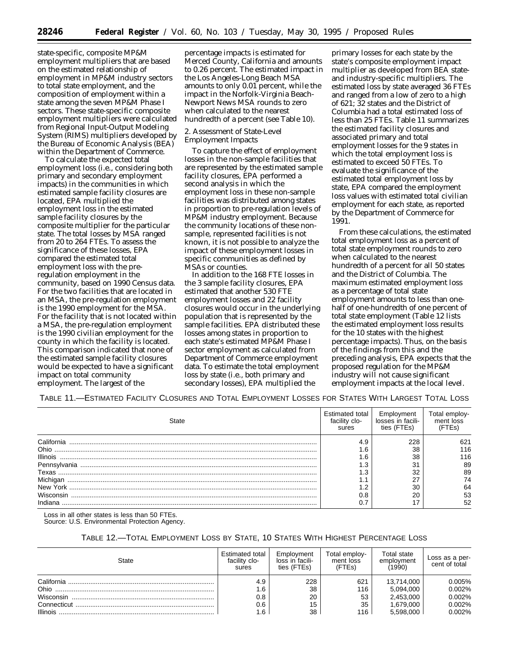state-specific, composite MP&M employment multipliers that are based on the estimated relationship of employment in MP&M industry sectors to total state employment, and the composition of employment within a state among the seven MP&M Phase I sectors. These state-specific composite employment multipliers were calculated from Regional Input-Output Modeling System (RIMS) multipliers developed by the Bureau of Economic Analysis (BEA) within the Department of Commerce.

To calculate the expected total employment loss (i.e., considering both primary and secondary employment impacts) in the communities in which estimated sample facility closures are located, EPA multiplied the employment loss in the estimated sample facility closures by the composite multiplier for the particular state. The total losses by MSA ranged from 20 to 264 FTEs. To assess the significance of these losses, EPA compared the estimated total employment loss with the preregulation employment in the community, based on 1990 Census data. For the two facilities that are located in an MSA, the pre-regulation employment is the 1990 employment for the MSA. For the facility that is not located within a MSA, the pre-regulation employment is the 1990 civilian employment for the county in which the facility is located. This comparison indicated that none of the estimated sample facility closures would be expected to have a significant impact on total community employment. The largest of the

percentage impacts is estimated for Merced County, California and amounts to 0.26 percent. The estimated impact in the Los Angeles-Long Beach MSA amounts to only 0.01 percent, while the impact in the Norfolk-Virginia Beach-Newport News MSA rounds to zero when calculated to the nearest hundredth of a percent (see Table 10).

2. Assessment of State-Level Employment Impacts

To capture the effect of employment losses in the non-sample facilities that are represented by the estimated sample facility closures, EPA performed a second analysis in which the employment loss in these non-sample facilities was distributed among states in proportion to pre-regulation levels of MP&M industry employment. Because the community locations of these nonsample, represented facilities is not known, it is not possible to analyze the impact of these employment losses in specific communities as defined by MSAs or counties.

In addition to the 168 FTE losses in the 3 sample facility closures, EPA estimated that another 530 FTE employment losses and 22 facility closures would occur in the underlying population that is represented by the sample facilities. EPA distributed these losses among states in proportion to each state's estimated MP&M Phase I sector employment as calculated from Department of Commerce employment data. To estimate the total employment loss by state (i.e., both primary and secondary losses), EPA multiplied the

primary losses for each state by the state's composite employment impact multiplier as developed from BEA stateand industry-specific multipliers. The estimated loss by state averaged 36 FTEs and ranged from a low of zero to a high of 621; 32 states and the District of Columbia had a total estimated loss of less than 25 FTEs. Table 11 summarizes the estimated facility closures and associated primary and total employment losses for the 9 states in which the total employment loss is estimated to exceed 50 FTEs. To evaluate the significance of the estimated total employment loss by state, EPA compared the employment loss values with estimated total civilian employment for each state, as reported by the Department of Commerce for 1991.

From these calculations, the estimated total employment loss as a percent of total state employment rounds to zero when calculated to the nearest hundredth of a percent for all 50 states and the District of Columbia. The maximum estimated employment loss as a percentage of total state employment amounts to less than onehalf of one-hundredth of one percent of total state employment (Table 12 lists the estimated employment loss results for the 10 states with the highest percentage impacts). Thus, on the basis of the findings from this and the preceding analysis, EPA expects that the proposed regulation for the MP&M industry will not cause significant employment impacts at the local level.

TABLE 11.—ESTIMATED FACILITY CLOSURES AND TOTAL EMPLOYMENT LOSSES FOR STATES WITH LARGEST TOTAL LOSS

| State           | Estimated total<br>facility clo-<br>sures | Employment<br>losses in facili-<br>ties (FTFs) | Fotal employ<br>ment loss |
|-----------------|-------------------------------------------|------------------------------------------------|---------------------------|
| California      | 4.9                                       | 228                                            | 621                       |
| Ohio            | . 6                                       | 38                                             | 116                       |
| <b>Illinois</b> | . 6                                       | 38                                             | 116                       |
| Pennsylvania    | د.                                        | 31                                             | 89                        |
| Texas           | د.                                        | 32                                             | 89                        |
| Michigan        | . .                                       | ົ                                              | 74                        |
| New York        | ົ                                         | 30                                             | 64                        |
| Wisconsin       | 0.8                                       | 20                                             | -53                       |
|                 |                                           |                                                | 52                        |

Loss in all other states is less than 50 FTEs.

Source: U.S. Environmental Protection Agency.

## TABLE 12.—TOTAL EMPLOYMENT LOSS BY STATE, 10 STATES WITH HIGHEST PERCENTAGE LOSS

| State           | Estimated total<br>facility clo-<br>sures | Employment<br>loss in facili-<br>ties (FTEs) | Total employ-<br>ment loss<br>(FTEs) | Total state<br>employment<br>(1990) | Loss as a per-<br>cent of total |
|-----------------|-------------------------------------------|----------------------------------------------|--------------------------------------|-------------------------------------|---------------------------------|
| California      | 4.9                                       | 228                                          | 621                                  | 13.714.000                          | 0.005%                          |
|                 | 1.6                                       | 38                                           | 116                                  | 5.094.000                           | 0.002%                          |
| Wisconsin       | 0.8                                       | 20                                           | 53                                   | 2.453.000                           | 0.002%                          |
| Connecticut     | 0.6                                       | 15                                           | 35                                   | 1.679.000                           | 0.002%                          |
| <b>Illinois</b> | 1.6                                       | 38                                           | 116                                  | 5.598.000                           | 0.002%                          |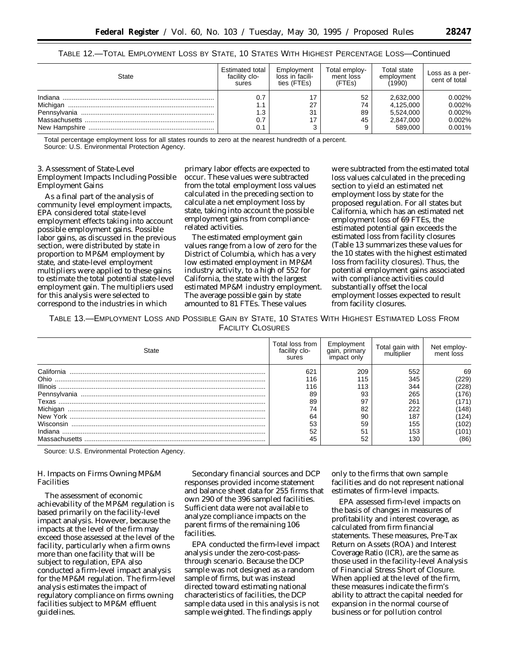| TABLE 12.—TOTAL EMPLOYMENT LOSS BY STATE, 10 STATES WITH HIGHEST PERCENTAGE LOSS—Continued |  |  |
|--------------------------------------------------------------------------------------------|--|--|
|--------------------------------------------------------------------------------------------|--|--|

Massachusetts ...................................................................... 0.7 17 45 2,847,000 0.002%

Total percentage employment loss for all states rounds to zero at the nearest hundredth of a percent. Source: U.S. Environmental Protection Agency.

## 3. Assessment of State-Level Employment Impacts Including Possible Employment Gains

New Hampshire .................................................................... 0.1 3 9 589,000 0.001%

As a final part of the analysis of community level employment impacts, EPA considered total state-level employment effects taking into account possible employment gains. Possible labor gains, as discussed in the previous section, were distributed by state in proportion to MP&M employment by state, and state-level employment multipliers were applied to these gains to estimate the total potential state-level employment gain. The multipliers used for this analysis were selected to correspond to the industries in which

primary labor effects are expected to occur. These values were subtracted from the total employment loss values calculated in the preceding section to calculate a net employment loss by state, taking into account the possible employment gains from compliancerelated activities.

The estimated employment gain values range from a low of zero for the District of Columbia, which has a very low estimated employment in MP&M industry activity, to a high of 552 for California, the state with the largest estimated MP&M industry employment. The average possible gain by state amounted to 81 FTEs. These values

were subtracted from the estimated total loss values calculated in the preceding section to yield an estimated net employment loss by state for the proposed regulation. For all states but California, which has an estimated net employment loss of 69 FTEs, the estimated potential gain exceeds the estimated loss from facility closures (Table 13 summarizes these values for the 10 states with the highest estimated loss from facility closures). Thus, the potential employment gains associated with compliance activities could substantially offset the local employment losses expected to result from facility closures.

TABLE 13.—EMPLOYMENT LOSS AND POSSIBLE GAIN BY STATE, 10 STATES WITH HIGHEST ESTIMATED LOSS FROM FACILITY CLOSURES

| State           | Total loss from<br>facility clo-<br>sures | Employment<br>qaın, prımary<br>impact only | Total gain with<br>multiplier | Net employ-<br>ment loss |
|-----------------|-------------------------------------------|--------------------------------------------|-------------------------------|--------------------------|
| California      | 621                                       | 209                                        | 552                           | 69                       |
| Ohio            | 16                                        | 115                                        | 345                           | 229)                     |
| <b>Illinois</b> | 16                                        | 113                                        | 344                           | 228)                     |
|                 | 89                                        | 93                                         | 265                           | 176)                     |
| Texas           | 89                                        | 97                                         | 261                           | 171)                     |
| Michigan        | 74                                        | 82                                         | 222                           | 148)                     |
|                 | 64                                        | 90                                         | 187                           | 124)                     |
| Wisconsin       | 53                                        | 59                                         | 155                           | 102                      |
| Indiana         | 52                                        | 51                                         | 153                           | (101                     |
|                 |                                           | 52                                         | 130                           | (86)                     |

Source: U.S. Environmental Protection Agency.

## *H. Impacts on Firms Owning MP&M Facilities*

The assessment of economic achievability of the MP&M regulation is based primarily on the facility-level impact analysis. However, because the impacts at the level of the firm may exceed those assessed at the level of the facility, particularly when a firm owns more than one facility that will be subject to regulation, EPA also conducted a firm-level impact analysis for the MP&M regulation. The firm-level analysis estimates the impact of regulatory compliance on firms owning facilities subject to MP&M effluent guidelines.

Secondary financial sources and DCP responses provided income statement and balance sheet data for 255 firms that own 290 of the 396 sampled facilities. Sufficient data were not available to analyze compliance impacts on the parent firms of the remaining 106 facilities.

EPA conducted the firm-level impact analysis under the zero-cost-passthrough scenario. Because the DCP sample was not designed as a random sample of firms, but was instead directed toward estimating national characteristics of facilities, the DCP sample data used in this analysis is not sample weighted. The findings apply

only to the firms that own sample facilities and do not represent national estimates of firm-level impacts.

EPA assessed firm-level impacts on the basis of changes in measures of profitability and interest coverage, as calculated from firm financial statements. These measures, Pre-Tax Return on Assets (ROA) and Interest Coverage Ratio (ICR), are the same as those used in the facility-level Analysis of Financial Stress Short of Closure. When applied at the level of the firm, these measures indicate the firm's ability to attract the capital needed for expansion in the normal course of business or for pollution control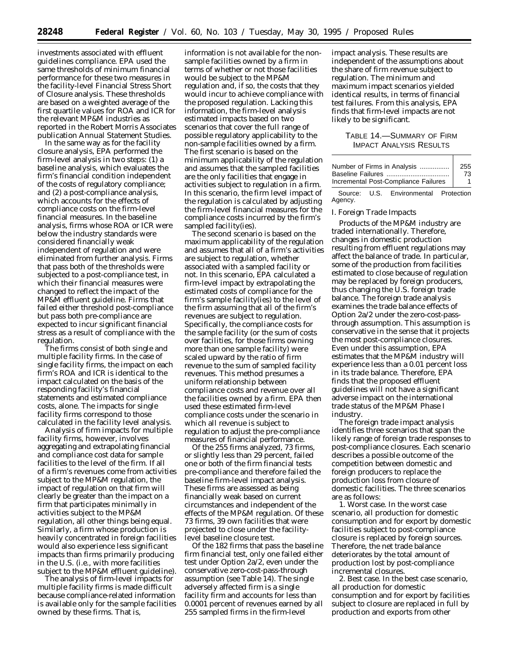investments associated with effluent guidelines compliance. EPA used the same thresholds of minimum financial performance for these two measures in the facility-level Financial Stress Short of Closure analysis. These thresholds are based on a weighted average of the first quartile values for ROA and ICR for the relevant MP&M industries as reported in the Robert Morris Associates publication *Annual Statement Studies.*

In the same way as for the facility closure analysis, EPA performed the firm-level analysis in two steps: (1) a baseline analysis, which evaluates the firm's financial condition independent of the costs of regulatory compliance; and (2) a post-compliance analysis, which accounts for the effects of compliance costs on the firm-level financial measures. In the baseline analysis, firms whose ROA or ICR were below the industry standards were considered financially weak independent of regulation and were eliminated from further analysis. Firms that pass both of the thresholds were subjected to a post-compliance test, in which their financial measures were changed to reflect the impact of the MP&M effluent guideline. Firms that failed either threshold post-compliance but pass both pre-compliance are expected to incur significant financial stress as a result of compliance with the regulation.

The firms consist of both single and multiple facility firms. In the case of single facility firms, the impact on each firm's ROA and ICR is identical to the impact calculated on the basis of the responding facility's financial statements and estimated compliance costs, alone. The impacts for single facility firms correspond to those calculated in the facility level analysis.

Analysis of firm impacts for multiple facility firms, however, involves aggregating and extrapolating financial and compliance cost data for sample facilities to the level of the firm. If all of a firm's revenues come from activities subject to the MP&M regulation, the impact of regulation on that firm will clearly be greater than the impact on a firm that participates minimally in activities subject to the MP&M regulation, all other things being equal. Similarly, a firm whose production is heavily concentrated in foreign facilities would also experience less significant impacts than firms primarily producing in the U.S. (i.e., with more facilities subject to the MP&M effluent guideline).

The analysis of firm-level impacts for multiple facility firms is made difficult because compliance-related information is available only for the sample facilities owned by these firms. That is,

information is not available for the nonsample facilities owned by a firm in terms of whether or not those facilities would be subject to the MP&M regulation and, if so, the costs that they would incur to achieve compliance with the proposed regulation. Lacking this information, the firm-level analysis estimated impacts based on two scenarios that cover the full range of possible regulatory applicability to the non-sample facilities owned by a firm. The first scenario is based on the minimum applicability of the regulation and assumes that the sampled facilities are the only facilities that engage in activities subject to regulation in a firm. In this scenario, the firm level impact of the regulation is calculated by adjusting the firm-level financial measures for the compliance costs incurred by the firm's sampled facility(ies).

The second scenario is based on the maximum applicability of the regulation and assumes that all of a firm's activities are subject to regulation, whether associated with a sampled facility or not. In this scenario, EPA calculated a firm-level impact by extrapolating the estimated costs of compliance for the firm's sample facility(ies) to the level of the firm assuming that all of the firm's revenues are subject to regulation. Specifically, the compliance costs for the sample facility (or the sum of costs over facilities, for those firms owning more than one sample facility) were scaled upward by the ratio of firm revenue to the sum of sampled facility revenues. This method presumes a uniform relationship between compliance costs and revenue over all the facilities owned by a firm. EPA then used these estimated firm-level compliance costs under the scenario in which all revenue is subject to regulation to adjust the pre-compliance measures of financial performance.

Of the 255 firms analyzed, 73 firms, or slightly less than 29 percent, failed one or both of the firm financial tests pre-compliance and therefore failed the baseline firm-level impact analysis. These firms are assessed as being financially weak based on current circumstances and independent of the effects of the MP&M regulation. Of these 73 firms, 39 own facilities that were projected to close under the facilitylevel baseline closure test.

Of the 182 firms that pass the baseline firm financial test, only one failed either test under Option 2a/2, even under the conservative zero-cost-pass-through assumption (see Table 14). The single adversely affected firm is a single facility firm and accounts for less than 0.0001 percent of revenues earned by all 255 sampled firms in the firm-level

impact analysis. These results are independent of the assumptions about the share of firm revenue subject to regulation. The minimum and maximum impact scenarios yielded identical results, in terms of financial test failures. From this analysis, EPA finds that firm-level impacts are not likely to be significant.

## TABLE 14.—SUMMARY OF FIRM IMPACT ANALYSIS RESULTS

| Number of Firms in Analysis          | 255 |
|--------------------------------------|-----|
| Baseline Failures                    | 73  |
| Incremental Post-Compliance Failures |     |
|                                      |     |

Source: U.S. Environmental Protection Agency.

#### *I. Foreign Trade Impacts*

Products of the MP&M industry are traded internationally. Therefore, changes in domestic production resulting from effluent regulations may affect the balance of trade. In particular, some of the production from facilities estimated to close because of regulation may be replaced by foreign producers, thus changing the U.S. foreign trade balance. The foreign trade analysis examines the trade balance effects of Option 2a/2 under the zero-cost-passthrough assumption. This assumption is conservative in the sense that it projects the most post-compliance closures. Even under this assumption, EPA estimates that the MP&M industry will experience less than a 0.01 percent loss in its trade balance. Therefore, EPA finds that the proposed effluent guidelines will not have a significant adverse impact on the international trade status of the MP&M Phase I industry.

The foreign trade impact analysis identifies three scenarios that span the likely range of foreign trade responses to post-compliance closures. Each scenario describes a possible outcome of the competition between domestic and foreign producers to replace the production loss from closure of domestic facilities. The three scenarios are as follows:

1. Worst case. In the worst case scenario, all production for domestic consumption and for export by domestic facilities subject to post-compliance closure is replaced by foreign sources. Therefore, the net trade balance deteriorates by the total amount of production lost by post-compliance incremental closures.

2. Best case. In the best case scenario, all production for domestic consumption and for export by facilities subject to closure are replaced in full by production and exports from other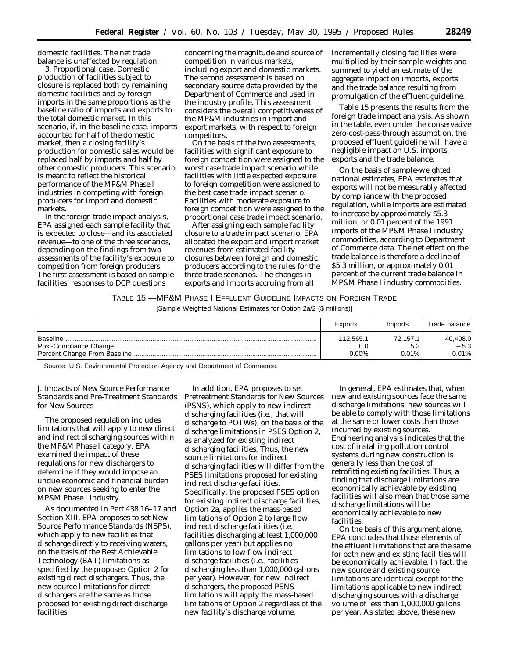domestic facilities. The net trade balance is unaffected by regulation.

3. Proportional case. Domestic production of facilities subject to closure is replaced both by remaining domestic facilities and by foreign imports in the same proportions as the baseline ratio of imports and exports to the total domestic market. In this scenario, if, in the baseline case, imports accounted for half of the domestic market, then a closing facility's production for domestic sales would be replaced half by imports and half by other domestic producers. This scenario is meant to reflect the historical performance of the MP&M Phase I industries in competing with foreign producers for import and domestic markets.

In the foreign trade impact analysis, EPA assigned each sample facility that is expected to close—and its associated revenue—to one of the three scenarios, depending on the findings from two assessments of the facility's exposure to competition from foreign producers. The first assessment is based on sample facilities' responses to DCP questions

concerning the magnitude and source of competition in various markets, including export and domestic markets. The second assessment is based on secondary source data provided by the Department of Commerce and used in the industry profile. This assessment considers the overall competitiveness of the MP&M industries in import and export markets, with respect to foreign competitors.

On the basis of the two assessments, facilities with significant exposure to foreign competition were assigned to the worst case trade impact scenario while facilities with little expected exposure to foreign competition were assigned to the best case trade impact scenario. Facilities with moderate exposure to foreign competition were assigned to the proportional case trade impact scenario.

After assigning each sample facility closure to a trade impact scenario, EPA allocated the export and import market revenues from estimated facility closures between foreign and domestic producers according to the rules for the three trade scenarios. The changes in exports and imports accruing from all

incrementally closing facilities were multiplied by their sample weights and summed to yield an estimate of the aggregate impact on imports, exports and the trade balance resulting from promulgation of the effluent guideline.

Table 15 presents the results from the foreign trade impact analysis. As shown in the table, even under the conservative zero-cost-pass-through assumption, the proposed effluent guideline will have a negligible impact on U.S. imports, exports and the trade balance.

On the basis of sample-weighted national estimates, EPA estimates that exports will not be measurably affected by compliance with the proposed regulation, while imports are estimated to increase by approximately \$5.3 million, or 0.01 percent of the 1991 imports of the MP&M Phase I industry commodities, according to Department of Commerce data. The net effect on the trade balance is therefore a decline of \$5.3 million, or approximately 0.01 percent of the current trade balance in MP&M Phase I industry commodities.

## TABLE 15.—MP&M PHASE I EFFLUENT GUIDELINE IMPACTS ON FOREIGN TRADE

[Sample Weighted National Estimates for Option 2a/2 (\$ millions)]

|          | Exports                      | Imports                 | Trade balance                  |
|----------|------------------------------|-------------------------|--------------------------------|
| Baseline | 112,565.1<br>0.0<br>$0.00\%$ | 72,157.<br>5.3<br>0.01% | 40,408.0<br>$-5.3$<br>$-0.01%$ |

Source: U.S. Environmental Protection Agency and Department of Commerce.

## *J. Impacts of New Source Performance Standards and Pre-Treatment Standards for New Sources*

The proposed regulation includes limitations that will apply to new direct and indirect discharging sources within the MP&M Phase I category. EPA examined the impact of these regulations for new dischargers to determine if they would impose an undue economic and financial burden on new sources seeking to enter the MP&M Phase I industry.

As documented in Part 438.16–17 and Section XIII, EPA proposes to set New Source Performance Standards (NSPS), which apply to new facilities that discharge directly to receiving waters, on the basis of the Best Achievable Technology (BAT) limitations as specified by the proposed Option 2 for existing direct dischargers. Thus, the new source limitations for direct dischargers are the same as those proposed for existing direct discharge facilities.

In addition, EPA proposes to set Pretreatment Standards for New Sources (PSNS), which apply to new indirect discharging facilities (i.e., that will discharge to POTWs), on the basis of the discharge limitations in PSES Option 2, as analyzed for existing indirect discharging facilities. Thus, the new source limitations for indirect discharging facilities will differ from the PSES limitations proposed for existing indirect discharge facilities. Specifically, the proposed PSES option for existing indirect discharge facilities, Option 2a, applies the mass-based limitations of Option 2 to large flow indirect discharge facilities (i.e., facilities discharging at least 1,000,000 gallons per year) but applies no limitations to low flow indirect discharge facilities (i.e., facilities discharging less than 1,000,000 gallons per year). However, for new indirect dischargers, the proposed PSNS limitations will apply the mass-based limitations of Option 2 regardless of the new facility's discharge volume.

In general, EPA estimates that, when new and existing sources face the same discharge limitations, new sources will be able to comply with those limitations at the same or lower costs than those incurred by existing sources. Engineering analysis indicates that the cost of installing pollution control systems during new construction is generally less than the cost of retrofitting existing facilities. Thus, a finding that discharge limitations are economically achievable by existing facilities will also mean that those same discharge limitations will be economically achievable to new facilities.

On the basis of this argument alone, EPA concludes that those elements of the effluent limitations that are the same for both new and existing facilities will be economically achievable. In fact, the new source and existing source limitations are identical except for the limitations applicable to new indirect discharging sources with a discharge volume of less than 1,000,000 gallons per year. As stated above, these new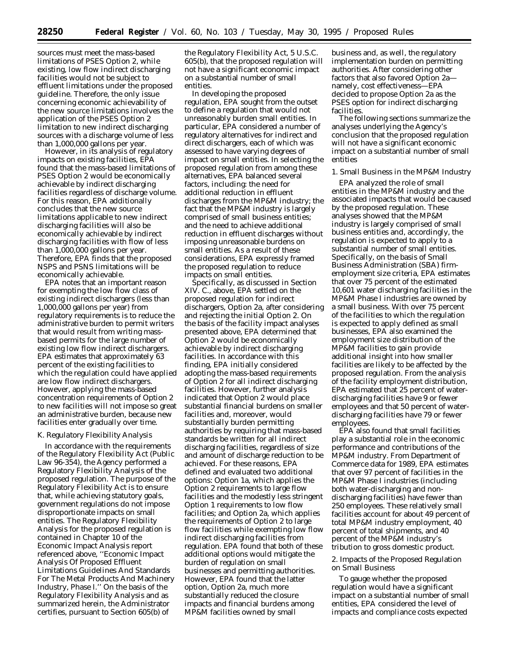sources must meet the mass-based limitations of PSES Option 2, while existing, low flow indirect discharging facilities would not be subject to effluent limitations under the proposed guideline. Therefore, the only issue concerning economic achievability of the new source limitations involves the application of the PSES Option 2 limitation to new indirect discharging sources with a discharge volume of less than 1,000,000 gallons per year.

However, in its analysis of regulatory impacts on existing facilities, EPA found that the mass-based limitations of PSES Option 2 would be economically achievable by indirect discharging facilities regardless of discharge volume. For this reason, EPA additionally concludes that the new source limitations applicable to new indirect discharging facilities will also be economically achievable by indirect discharging facilities with flow of less than 1,000,000 gallons per year. Therefore, EPA finds that the proposed NSPS and PSNS limitations will be economically achievable.

EPA notes that an important reason for exempting the low flow class of existing indirect dischargers (less than 1,000,000 gallons per year) from regulatory requirements is to reduce the administrative burden to permit writers that would result from writing massbased permits for the large number of existing low flow indirect dischargers. EPA estimates that approximately 63 percent of the existing facilities to which the regulation could have applied are low flow indirect dischargers. However, applying the mass-based concentration requirements of Option 2 to new facilities will not impose so great an administrative burden, because new facilities enter gradually over time.

#### *K. Regulatory Flexibility Analysis*

In accordance with the requirements of the Regulatory Flexibility Act (Public Law 96-354), the Agency performed a Regulatory Flexibility Analysis of the proposed regulation. The purpose of the Regulatory Flexibility Act is to ensure that, while achieving statutory goals, government regulations do not impose disproportionate impacts on small entities. The Regulatory Flexibility Analysis for the proposed regulation is contained in Chapter 10 of the Economic Impact Analysis report referenced above, ''Economic Impact Analysis Of Proposed Effluent Limitations Guidelines And Standards For The Metal Products And Machinery Industry, Phase I.'' On the basis of the Regulatory Flexibility Analysis and as summarized herein, the Administrator certifies, pursuant to Section 605(b) of

the Regulatory Flexibility Act, 5 U.S.C. 605(b), that the proposed regulation will not have a significant economic impact on a substantial number of small entities.

In developing the proposed regulation, EPA sought from the outset to define a regulation that would not unreasonably burden small entities. In particular, EPA considered a number of regulatory alternatives for indirect and direct dischargers, each of which was assessed to have varying degrees of impact on small entities. In selecting the proposed regulation from among these alternatives, EPA balanced several factors, including: the need for additional reduction in effluent discharges from the MP&M industry; the fact that the MP&M industry is largely comprised of small business entities; and the need to achieve additional reduction in effluent discharges without imposing unreasonable burdens on small entities. As a result of these considerations, EPA expressly framed the proposed regulation to reduce impacts on small entities.

Specifically, as discussed in Section XIV. C., above, EPA settled on the proposed regulation for indirect dischargers, Option 2a, after considering and rejecting the initial Option 2. On the basis of the facility impact analyses presented above, EPA determined that Option 2 would be economically achievable by indirect discharging facilities. In accordance with this finding, EPA initially considered adopting the mass-based requirements of Option 2 for all indirect discharging facilities. However, further analysis indicated that Option 2 would place substantial financial burdens on smaller facilities and, moreover, would substantially burden permitting authorities by requiring that mass-based standards be written for all indirect discharging facilities, regardless of size and amount of discharge reduction to be achieved. For these reasons, EPA defined and evaluated two additional options: Option 1a, which applies the Option 2 requirements to large flow facilities and the modestly less stringent Option 1 requirements to low flow facilities; and Option 2a, which applies the requirements of Option 2 to large flow facilities while exempting low flow indirect discharging facilities from regulation. EPA found that both of these additional options would mitigate the burden of regulation on small businesses and permitting authorities. However, EPA found that the latter option, Option 2a, much more substantially reduced the closure impacts and financial burdens among MP&M facilities owned by small

business and, as well, the regulatory implementation burden on permitting authorities. After considering other factors that also favored Option 2a namely, cost effectiveness—EPA decided to propose Option 2a as the PSES option for indirect discharging facilities.

The following sections summarize the analyses underlying the Agency's conclusion that the proposed regulation will not have a significant economic impact on a substantial number of small entities

1. Small Business in the MP&M Industry

EPA analyzed the role of small entities in the MP&M industry and the associated impacts that would be caused by the proposed regulation. These analyses showed that the MP&M industry is largely comprised of small business entities and, accordingly, the regulation is expected to apply to a substantial number of small entities. Specifically, on the basis of Small Business Administration (SBA) firmemployment size criteria, EPA estimates that over 75 percent of the estimated 10,601 water discharging facilities in the MP&M Phase I industries are owned by a small business. With over 75 percent of the facilities to which the regulation is expected to apply defined as small businesses, EPA also examined the employment size distribution of the MP&M facilities to gain provide additional insight into how smaller facilities are likely to be affected by the proposed regulation. From the analysis of the facility employment distribution, EPA estimated that 25 percent of waterdischarging facilities have 9 or fewer employees and that 50 percent of waterdischarging facilities have 79 or fewer employees.

EPA also found that small facilities play a substantial role in the economic performance and contributions of the MP&M industry. From Department of Commerce data for 1989, EPA estimates that over 97 percent of facilities in the MP&M Phase I industries (including both water-discharging and nondischarging facilities) have fewer than 250 employees. These relatively small facilities account for about 49 percent of total MP&M industry employment, 40 percent of total shipments, and 40 percent of the MP&M industry's tribution to gross domestic product.

## 2. Impacts of the Proposed Regulation on Small Business

To gauge whether the proposed regulation would have a significant impact on a substantial number of small entities, EPA considered the level of impacts and compliance costs expected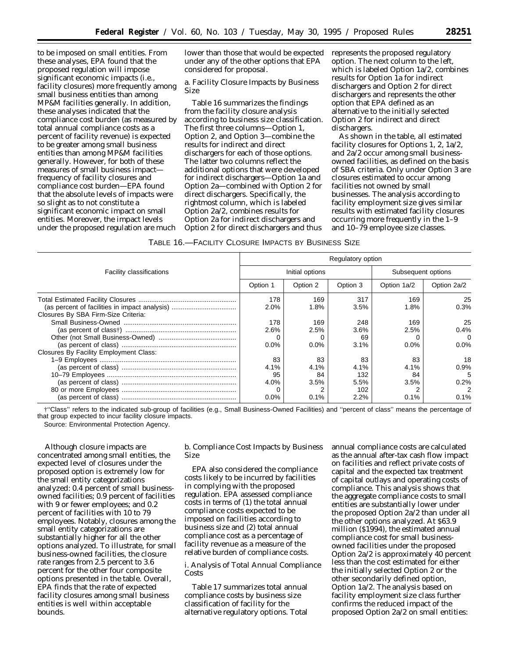to be imposed on small entities. From these analyses, EPA found that the proposed regulation will impose significant economic impacts (i.e., facility closures) more frequently among small business entities than among MP&M facilities generally. In addition, these analyses indicated that the compliance cost burden (as measured by total annual compliance costs as a percent of facility revenue) is expected to be greater among small business entities than among MP&M facilities generally. However, for both of these measures of small business impact frequency of facility closures and compliance cost burden—EPA found that the absolute levels of impacts were so slight as to not constitute a significant economic impact on small entities. Moreover, the impact levels under the proposed regulation are much

lower than those that would be expected under any of the other options that EPA considered for proposal.

a. Facility Closure Impacts by Business Size

Table 16 summarizes the findings from the facility closure analysis according to business size classification. The first three columns—Option 1, Option 2, and Option 3—combine the results for indirect and direct dischargers for each of those options. The latter two columns reflect the additional options that were developed for indirect dischargers—Option 1a and Option 2a—combined with Option 2 for direct dischargers. Specifically, the rightmost column, which is labeled Option 2a/2, combines results for Option 2a for indirect dischargers and Option 2 for direct dischargers and thus

represents the proposed regulatory option. The next column to the left, which is labeled Option 1a/2, combines results for Option 1a for indirect dischargers and Option 2 for direct dischargers and represents the other option that EPA defined as an alternative to the initially selected Option 2 for indirect and direct dischargers.

As shown in the table, all estimated facility closures for Options 1, 2, 1a/2, and 2a/2 occur among small businessowned facilities, as defined on the basis of SBA criteria. Only under Option 3 are closures estimated to occur among facilities not owned by small businesses. The analysis according to facility employment size gives similar results with estimated facility closures occurring more frequently in the 1–9 and 10–79 employee size classes.

## TABLE 16.—FACILITY CLOSURE IMPACTS BY BUSINESS SIZE

|                                        | Regulatory option |                 |          |                    |             |  |  |
|----------------------------------------|-------------------|-----------------|----------|--------------------|-------------|--|--|
| <b>Facility classifications</b>        |                   | Initial options |          | Subsequent options |             |  |  |
|                                        | Option 1          | Option 2        | Option 3 | Option 1a/2        | Option 2a/2 |  |  |
|                                        | 178               | 169             | 317      | 169                | 25          |  |  |
|                                        | 2.0%              | 1.8%            | 3.5%     | 1.8%               | 0.3%        |  |  |
| Closures By SBA Firm-Size Criteria:    |                   |                 |          |                    |             |  |  |
|                                        | 178               | 169             | 248      | 169                | 25          |  |  |
|                                        | 2.6%              | 2.5%            | 3.6%     | 2.5%               | 0.4%        |  |  |
|                                        |                   |                 | 69       |                    | 0           |  |  |
|                                        | 0.0%              | 0.0%            | 3.1%     | $0.0\%$            | $0.0\%$     |  |  |
| Closures By Facility Employment Class: |                   |                 |          |                    |             |  |  |
|                                        | 83                | 83              | 83       | 83                 | 18          |  |  |
|                                        | 4.1%              | 4.1%            | $4.1\%$  | $4.1\%$            | 0.9%        |  |  |
|                                        | 95                | 84              | 132      | 84                 | 5           |  |  |
|                                        | 4.0%              | 3.5%            | 5.5%     | 3.5%               | 0.2%        |  |  |
|                                        |                   |                 | 102      |                    |             |  |  |
|                                        | 0.0%              | 0.1%            | 2.2%     | 0.1%               | 0.1%        |  |  |

†''Class'' refers to the indicated sub-group of facilities (e.g., Small Business-Owned Facilities) and ''percent of class'' means the percentage of that group expected to incur facility closure impacts.

Source: Environmental Protection Agency.

Although closure impacts are concentrated among small entities, the expected level of closures under the proposed option is extremely low for the small entity categorizations analyzed: 0.4 percent of small businessowned facilities; 0.9 percent of facilities with 9 or fewer employees; and 0.2 percent of facilities with 10 to 79 employees. Notably, closures among the small entity categorizations are substantially higher for all the other options analyzed. To illustrate, for small business-owned facilities, the closure rate ranges from 2.5 percent to 3.6 percent for the other four composite options presented in the table. Overall, EPA finds that the rate of expected facility closures among small business entities is well within acceptable bounds.

b. Compliance Cost Impacts by Business Size

EPA also considered the compliance costs likely to be incurred by facilities in complying with the proposed regulation. EPA assessed compliance costs in terms of (1) the total annual compliance costs expected to be imposed on facilities according to business size and (2) total annual compliance cost as a percentage of facility revenue as a measure of the relative burden of compliance costs.

*i. Analysis of Total Annual Compliance Costs*

Table 17 summarizes total annual compliance costs by business size classification of facility for the alternative regulatory options. Total annual compliance costs are calculated as the annual after-tax cash flow impact on facilities and reflect private costs of capital and the expected tax treatment of capital outlays and operating costs of compliance. This analysis shows that the aggregate compliance costs to small entities are substantially lower under the proposed Option 2a/2 than under all the other options analyzed. At \$63.9 million (\$1994), the estimated annual compliance cost for small businessowned facilities under the proposed Option 2a/2 is approximately 40 percent less than the cost estimated for either the initially selected Option 2 or the other secondarily defined option, Option 1a/2. The analysis based on facility employment size class further confirms the reduced impact of the proposed Option 2a/2 on small entities: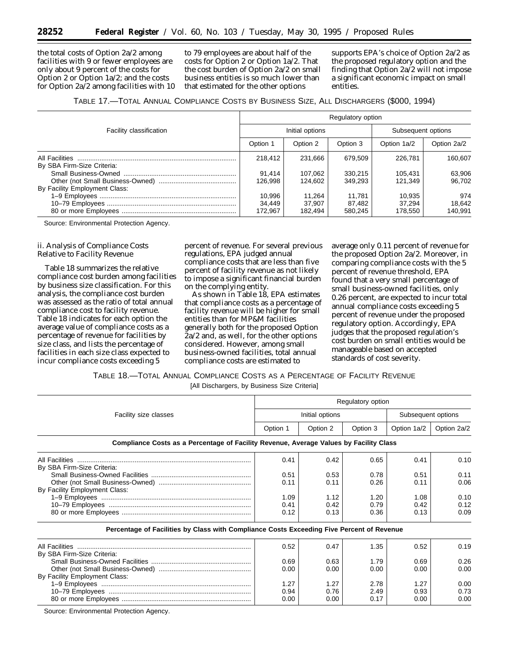the total costs of Option 2a/2 among facilities with 9 or fewer employees are only about 9 percent of the costs for Option 2 or Option 1a/2; and the costs for Option 2a/2 among facilities with 10

to 79 employees are about half of the costs for Option 2 or Option 1a/2. That the cost burden of Option 2a/2 on small business entities is so much lower than that estimated for the other options

supports EPA's choice of Option 2a/2 as the proposed regulatory option and the finding that Option 2a/2 will not impose a significant economic impact on small entities.

TABLE 17.—TOTAL ANNUAL COMPLIANCE COSTS BY BUSINESS SIZE, ALL DISCHARGERS (\$000, 1994)

|                                | Regulatory option           |                             |                             |                             |                          |  |
|--------------------------------|-----------------------------|-----------------------------|-----------------------------|-----------------------------|--------------------------|--|
| <b>Facility classification</b> |                             | Initial options             | Subsequent options          |                             |                          |  |
|                                | Option 1                    | Option 2                    | Option 3                    | Option 1a/2                 | Option 2a/2              |  |
| By SBA Firm-Size Criteria:     | 218.412                     | 231.666                     | 679.509                     | 226,781                     | 160.607                  |  |
|                                | 91,414<br>126.998           | 107.062<br>124.602          | 330.215<br>349.293          | 105.431<br>121.349          | 63,906<br>96.702         |  |
| By Facility Employment Class:  | 10.996<br>34,449<br>172.967 | 11.264<br>37.907<br>182.494 | 11.781<br>87.482<br>580.245 | 10.935<br>37.294<br>178.550 | 974<br>18,642<br>140.991 |  |

Source: Environmental Protection Agency.

## *ii. Analysis of Compliance Costs Relative to Facility Revenue*

Table 18 summarizes the relative compliance cost burden among facilities by business size classification. For this analysis, the compliance cost burden was assessed as the ratio of total annual compliance cost to facility revenue. Table 18 indicates for each option the average value of compliance costs as a percentage of revenue for facilities by size class, and lists the percentage of facilities in each size class expected to incur compliance costs exceeding 5

percent of revenue. For several previous regulations, EPA judged annual compliance costs that are less than five percent of facility revenue as not likely to impose a significant financial burden on the complying entity.

As shown in Table 18, EPA estimates that compliance costs as a percentage of facility revenue will be higher for small entities than for MP&M facilities generally both for the proposed Option 2a/2 and, as well, for the other options considered. However, among small business-owned facilities, total annual compliance costs are estimated to

average only 0.11 percent of revenue for the proposed Option 2a/2. Moreover, in comparing compliance costs with the 5 percent of revenue threshold, EPA found that a very small percentage of small business-owned facilities, only 0.26 percent, are expected to incur total annual compliance costs exceeding 5 percent of revenue under the proposed regulatory option. Accordingly, EPA judges that the proposed regulation's cost burden on small entities would be manageable based on accepted standards of cost severity.

TABLE 18.—TOTAL ANNUAL COMPLIANCE COSTS AS A PERCENTAGE OF FACILITY REVENUE

[All Dischargers, by Business Size Criteria]

| Regulatory option                                                                         |          |                 |          |                    |             |
|-------------------------------------------------------------------------------------------|----------|-----------------|----------|--------------------|-------------|
| Facility size classes                                                                     |          | Initial options |          | Subsequent options |             |
|                                                                                           | Option 1 | Option 2        | Option 3 | Option 1a/2        | Option 2a/2 |
| Compliance Costs as a Percentage of Facility Revenue, Average Values by Facility Class    |          |                 |          |                    |             |
|                                                                                           | 0.41     | 0.42            | 0.65     | 0.41               | 0.10        |
| By SBA Firm-Size Criteria:                                                                |          |                 |          |                    |             |
|                                                                                           | 0.51     | 0.53            | 0.78     | 0.51               | 0.11        |
|                                                                                           | 0.11     | 0.11            | 0.26     | 0.11               | 0.06        |
| By Facility Employment Class:                                                             |          |                 |          |                    |             |
|                                                                                           | 1.09     | 1.12            | 1.20     | 1.08               | 0.10        |
|                                                                                           | 0.41     | 0.42            | 0.79     | 0.42               | 0.12        |
|                                                                                           | 0.12     | 0.13            | 0.36     | 0.13               | 0.09        |
| Percentage of Facilities by Class with Compliance Costs Exceeding Five Percent of Revenue |          |                 |          |                    |             |
|                                                                                           | 0.52     | 0.47            | 1.35     | 0.52               | 0.19        |
| By SBA Firm-Size Criteria:                                                                |          |                 |          |                    |             |
|                                                                                           | 0.69     | 0.63            | 1.79     | 0.69               | 0.26        |
|                                                                                           | 0.00     | 0.00            | 0.00     | 0.00               | 0.00        |
| By Facility Employment Class:                                                             |          |                 |          |                    |             |
|                                                                                           | 1.27     | 1.27            | 2.78     | 1.27               | 0.00        |
|                                                                                           | 0.94     | 0.76            | 2.49     | 0.93               | 0.73        |
|                                                                                           | 0.00     | 0.00            | 0.17     | 0.00               | 0.00        |

Source: Environmental Protection Agency.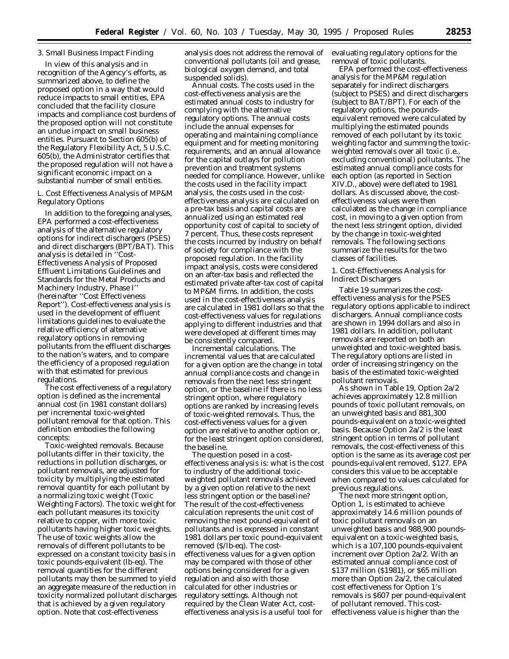## 3. Small Business Impact Finding

In view of this analysis and in recognition of the Agency's efforts, as summarized above, to define the proposed option in a way that would reduce impacts to small entities, EPA concluded that the facility closure impacts and compliance cost burdens of the proposed option will not constitute an undue impact on small business entities. Pursuant to Section 605(b) of the Regulatory Flexibility Act, 5 U.S.C. 605(b), the Administrator certifies that the proposed regulation will not have a significant economic impact on a substantial number of small entities.

## *L. Cost Effectiveness Analysis of MP&M Regulatory Options*

In addition to the foregoing analyses, EPA performed a cost-effectiveness analysis of the alternative regulatory options for indirect dischargers (PSES) and direct dischargers (BPT/BAT). This analysis is detailed in ''Cost-Effectiveness Analysis of Proposed Effluent Limitations Guidelines and Standards for the Metal Products and Machinery Industry, Phase I'' (hereinafter ''Cost Effectiveness Report''). Cost-effectiveness analysis is used in the development of effluent limitations guidelines to evaluate the relative efficiency of alternative regulatory options in removing pollutants from the effluent discharges to the nation's waters, and to compare the efficiency of a proposed regulation with that estimated for previous regulations.

The cost effectiveness of a regulatory option is defined as the incremental annual cost (in 1981 constant dollars) per incremental toxic-weighted pollutant removal for that option. This definition embodies the following concepts:

*Toxic-weighted removals.* Because pollutants differ in their toxicity, the reductions in pollution discharges, or pollutant removals, are adjusted for toxicity by multiplying the estimated removal quantity for each pollutant by a normalizing toxic weight (Toxic Weighting Factors). The toxic weight for each pollutant measures its toxicity relative to copper, with more toxic pollutants having higher toxic weights. The use of toxic weights allow the removals of different pollutants to be expressed on a constant toxicity basis in toxic pounds-equivalent (lb-eq). The removal quantities for the different pollutants may then be summed to yield an aggregate measure of the reduction in toxicity normalized pollutant discharges that is achieved by a given regulatory option. Note that cost-effectiveness

analysis does not address the removal of conventional pollutants (oil and grease, biological oxygen demand, and total suspended solids).

*Annual costs.* The costs used in the cost-effectiveness analysis are the estimated annual costs to industry for complying with the alternative regulatory options. The annual costs include the annual expenses for operating and maintaining compliance equipment and for meeting monitoring requirements, and an annual allowance for the capital outlays for pollution prevention and treatment systems needed for compliance. However, unlike the costs used in the facility impact analysis, the costs used in the costeffectiveness analysis are calculated on a pre-tax basis and capital costs are annualized using an estimated real opportunity cost of capital to society of 7 percent. Thus, these costs represent the costs incurred by industry on behalf of society for compliance with the proposed regulation. In the facility impact analysis, costs were considered on an after-tax basis and reflected the estimated private after-tax cost of capital to MP&M firms. In addition, the costs used in the cost-effectiveness analysis are calculated in 1981 dollars so that the cost-effectiveness values for regulations applying to different industries and that were developed at different times may be consistently compared.

*Incremental calculations.* The incremental values that are calculated for a given option are the change in total annual compliance costs and change in removals from the next less stringent option, or the baseline if there is no less stringent option, where regulatory options are ranked by increasing levels of toxic-weighted removals. Thus, the cost-effectiveness values for a given option are relative to another option or, for the least stringent option considered, the baseline.

The question posed in a costeffectiveness analysis is: what is the cost to industry of the additional toxicweighted pollutant removals achieved by a given option relative to the next less stringent option or the baseline? The result of the cost-effectiveness calculation represents the unit cost of removing the next pound-equivalent of pollutants and is expressed in constant 1981 dollars per toxic pound-equivalent removed (\$/lb-eq). The costeffectiveness values for a given option may be compared with those of other options being considered for a given regulation and also with those calculated for other industries or regulatory settings. Although not required by the Clean Water Act, costeffectiveness analysis is a useful tool for

evaluating regulatory options for the removal of toxic pollutants.

EPA performed the cost-effectiveness analysis for the MP&M regulation separately for indirect dischargers (subject to PSES) and direct dischargers (subject to BAT/BPT). For each of the regulatory options, the poundsequivalent removed were calculated by multiplying the estimated pounds removed of each pollutant by its toxic weighting factor and summing the toxicweighted removals over all toxic (i.e., excluding conventional) pollutants. The estimated annual compliance costs for each option (as reported in Section XIV.D., above) were deflated to 1981 dollars. As discussed above, the costeffectiveness values were then calculated as the change in compliance cost, in moving to a given option from the next less stringent option, divided by the change in toxic-weighted removals. The following sections summarize the results for the two classes of facilities.

1. Cost-Effectiveness Analysis for Indirect Dischargers

Table 19 summarizes the costeffectiveness analysis for the PSES regulatory options applicable to indirect dischargers. Annual compliance costs are shown in 1994 dollars and also in 1981 dollars. In addition, pollutant removals are reported on both an unweighted and toxic-weighted basis. The regulatory options are listed in order of increasing stringency on the basis of the estimated toxic-weighted pollutant removals.

As shown in Table 19, Option 2a/2 achieves approximately 12.8 million pounds of toxic pollutant removals, on an unweighted basis and 881,300 pounds-equivalent on a toxic-weighted basis. Because Option 2a/2 is the least stringent option in terms of pollutant removals, the cost-effectiveness of this option is the same as its average cost per pounds-equivalent removed, \$127. EPA considers this value to be acceptable when compared to values calculated for previous regulations.

The next more stringent option, Option 1, is estimated to achieve approximately 14.6 million pounds of toxic pollutant removals on an unweighted basis and 988,900 poundsequivalent on a toxic-weighted basis, which is a 107,100 pounds-equivalent increment over Option 2a/2. With an estimated annual compliance cost of \$137 million (\$1981), or \$65 million more than Option 2a/2, the calculated cost effectiveness for Option 1's removals is \$607 per pound-equivalent of pollutant removed. This costeffectiveness value is higher than the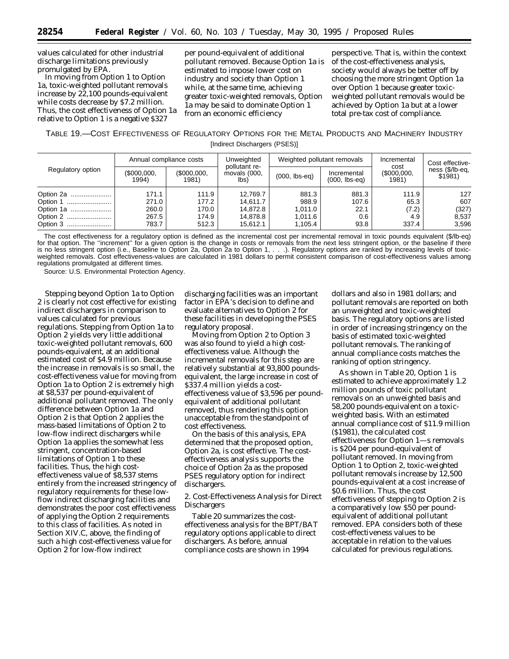values calculated for other industrial discharge limitations previously promulgated by EPA.

In moving from Option 1 to Option 1a, toxic-weighted pollutant removals increase by 22,100 pounds-equivalent while costs decrease by \$7.2 million. Thus, the cost effectiveness of Option 1a relative to Option 1 is a negative \$327

per pound-equivalent of additional pollutant removed. Because Option 1a is estimated to impose lower cost on industry and society than Option 1 while, at the same time, achieving greater toxic-weighted removals, Option 1a may be said to dominate Option 1 from an economic efficiency

perspective. That is, within the context of the cost-effectiveness analysis, society would always be better off by choosing the more stringent Option 1a over Option 1 because greater toxicweighted pollutant removals would be achieved by Option 1a but at a lower total pre-tax cost of compliance.

TABLE 19.—COST EFFECTIVENESS OF REGULATORY OPTIONS FOR THE METAL PRODUCTS AND MACHINERY INDUSTRY [Indirect Dischargers (PSES)]

| Regulatory option | Annual compliance costs |                     | Unweighted                                      | Weighted pollutant removals |                                | Incremental                     | Cost effective-            |
|-------------------|-------------------------|---------------------|-------------------------------------------------|-----------------------------|--------------------------------|---------------------------------|----------------------------|
|                   | \$000,000,<br>1994)     | \$000,000,<br>1981) | pollutant re-<br>movals (000,<br>$\mathsf{lbs}$ | $(000,$ lbs-eq)             | Incremental<br>$(000,$ lbs-eq) | cost<br>$($ \$000,000,<br>1981) | ness (\$/lb-eq.<br>\$1981) |
| Option 2a         | 171.1                   | 111.9               | 12.769.7                                        | 881.3                       | 881.3                          | 111.9                           | 127                        |
| Option 1          | 271.0                   | 177.2               | 14.611.7                                        | 988.9                       | 107.6                          | 65.3                            | 607                        |
| Option 1a         | 260.0                   | 170.0               | 14.872.8                                        | 1.011.0                     | 22.1                           | (7.2)                           | (327)                      |
| Option 2          | 267.5                   | 174.9               | 14.878.8                                        | 1.011.6                     | 0.6                            | 4.9                             | 8,537                      |
|                   | 783.7                   | 512.3               | 15.612.1                                        | 1.105.4                     | 93.8                           | 337.4                           | 3,596                      |

The cost effectiveness for a regulatory option is defined as the incremental cost per incremental removal in toxic pounds equivalent (\$/lb-eq) for that option. The "increment" for a given option is the change in costs or removals from the next less stringent option, or the baseline if there is no less stringent option (i.e., Baseline to Option 2a, Option 2a to Option 1, . . .). Regulatory options are ranked by increasing levels of toxicweighted removals. Cost effectiveness-values are calculated in 1981 dollars to permit consistent comparison of cost-effectiveness values among regulations promulgated at different times.

Source: U.S. Environmental Protection Agency.

Stepping beyond Option 1a to Option 2 is clearly not cost effective for existing indirect dischargers in comparison to values calculated for previous regulations. Stepping from Option 1a to Option 2 yields very little additional toxic-weighted pollutant removals, 600 pounds-equivalent, at an additional estimated cost of \$4.9 million. Because the increase in removals is so small, the cost-effectiveness value for moving from Option 1a to Option 2 is extremely high at \$8,537 per pound-equivalent of additional pollutant removed. The only difference between Option 1a and Option 2 is that Option 2 applies the mass-based limitations of Option 2 to low-flow indirect dischargers while Option 1a applies the somewhat less stringent, concentration-based limitations of Option 1 to these facilities. Thus, the high costeffectiveness value of \$8,537 stems entirely from the increased stringency of regulatory requirements for these lowflow indirect discharging facilities and demonstrates the poor cost effectiveness of applying the Option 2 requirements to this class of facilities. As noted in Section XIV.C, above, the finding of such a high cost-effectiveness value for Option 2 for low-flow indirect

discharging facilities was an important factor in EPA's decision to define and evaluate alternatives to Option 2 for these facilities in developing the PSES regulatory proposal.

Moving from Option 2 to Option 3 was also found to yield a high costeffectiveness value. Although the incremental removals for this step are relatively substantial at 93,800 poundsequivalent, the large increase in cost of \$337.4 million yields a costeffectiveness value of \$3,596 per poundequivalent of additional pollutant removed, thus rendering this option unacceptable from the standpoint of cost effectiveness.

On the basis of this analysis, EPA determined that the proposed option, Option 2a, is cost effective. The costeffectiveness analysis supports the choice of Option 2a as the proposed PSES regulatory option for indirect dischargers.

2. Cost-Effectiveness Analysis for Direct Dischargers

Table 20 summarizes the costeffectiveness analysis for the BPT/BAT regulatory options applicable to direct dischargers. As before, annual compliance costs are shown in 1994

dollars and also in 1981 dollars; and pollutant removals are reported on both an unweighted and toxic-weighted basis. The regulatory options are listed in order of increasing stringency on the basis of estimated toxic-weighted pollutant removals. The ranking of annual compliance costs matches the ranking of option stringency.

As shown in Table 20, Option 1 is estimated to achieve approximately 1.2 million pounds of toxic pollutant removals on an unweighted basis and 58,200 pounds-equivalent on a toxicweighted basis. With an estimated annual compliance cost of \$11.9 million (\$1981), the calculated cost effectiveness for Option 1—s removals is \$204 per pound-equivalent of pollutant removed. In moving from Option 1 to Option 2, toxic-weighted pollutant removals increase by 12,500 pounds-equivalent at a cost increase of \$0.6 million. Thus, the cost effectiveness of stepping to Option 2 is a comparatively low \$50 per poundequivalent of additional pollutant removed. EPA considers both of these cost-effectiveness values to be acceptable in relation to the values calculated for previous regulations.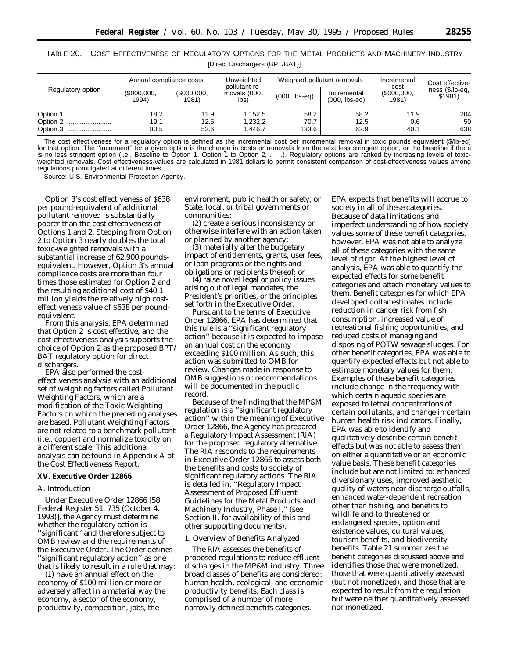TABLE 20.—COST EFFECTIVENESS OF REGULATORY OPTIONS FOR THE METAL PRODUCTS AND MACHINERY INDUSTRY [Direct Dischargers (BPT/BAT)]

| Regulatory option                | Annual compliance costs |                         | Unweighted                                      | Weighted pollutant removals |                                | Incremental                 | Cost effective-            |
|----------------------------------|-------------------------|-------------------------|-------------------------------------------------|-----------------------------|--------------------------------|-----------------------------|----------------------------|
|                                  | \$000,000,<br>1994)     | $($ \$000,000,<br>1981) | pollutant re-<br>movals (000,<br>$\mathsf{lbs}$ | $(000,$ lbs-eq)             | Incremental<br>$(000,$ lbs-eq) | cost<br>\$000,000.<br>1981) | ness (\$/lb-eq,<br>\$1981) |
| Option 1<br>Option 2<br>Option 3 | 18.2<br>19.1<br>80.5    | 11.9<br>12.5<br>52.6    | 1.152.5<br>1.232.2<br>1.446.7                   | 58.2<br>70.7<br>133.6       | 58.2<br>12.5<br>62.9           | 11.9<br>0.6<br>40.1         | 204<br>50<br>638           |

The cost effectiveness for a regulatory option is defined as the incremental cost per incremental removal in toxic pounds equivalent (\$/lb-eq) for that option. The ''increment'' for a given option is the change in costs or removals from the next less stringent option, or the baseline if there is no less stringent option (i.e., Baseline to Option 1, Option 1 to Option 2, . . .). Regulatory options are ranked by increasing levels of toxicweighted removals. Cost effectiveness-values are calculated in 1981 dollars to permit consistent comparison of cost-effectiveness values among regulations promulgated at different times.

Source: U.S. Environmental Protection Agency.

Option 3's cost effectiveness of \$638 per pound-equivalent of additional pollutant removed is substantially poorer than the cost effectiveness of Options 1 and 2. Stepping from Option 2 to Option 3 nearly doubles the total toxic-weighted removals with a substantial increase of 62,900 poundsequivalent. However, Option 3's annual compliance costs are more than four times those estimated for Option 2 and the resulting additional cost of \$40.1 million yields the relatively high costeffectiveness value of \$638 per poundequivalent.

From this analysis, EPA determined that Option 2 is cost effective, and the cost-effectiveness analysis supports the choice of Option 2 as the proposed BPT/ BAT regulatory option for direct dischargers.

EPA also performed the costeffectiveness analysis with an additional set of weighting factors called Pollutant Weighting Factors, which are a modification of the Toxic Weighting Factors on which the preceding analyses are based. Pollutant Weighting Factors are not related to a benchmark pollutant (i.e., copper) and normalize toxicity on a different scale. This additional analysis can be found in Appendix A of the Cost Effectiveness Report.

### **XV. Executive Order 12866**

## *A. Introduction*

Under Executive Order 12866 [58 Federal Register 51, 735 (October 4, 1993)], the Agency must determine whether the regulatory action is ''significant'' and therefore subject to OMB review and the requirements of the Executive Order. The Order defines ''significant regulatory action'' as one that is likely to result in a rule that may:

(1) have an annual effect on the economy of \$100 million or more or adversely affect in a material way the economy, a sector of the economy, productivity, competition, jobs, the

environment, public health or safety, or State, local, or tribal governments or communities;

(2) create a serious inconsistency or otherwise interfere with an action taken or planned by another agency;

(3) materially alter the budgetary impact of entitlements, grants, user fees, or loan programs or the rights and obligations or recipients thereof; or

(4) raise novel legal or policy issues arising out of legal mandates, the President's priorities, or the principles set forth in the Executive Order.

Pursuant to the terms of Executive Order 12866, EPA has determined that this rule is a ''significant regulatory action'' because it is expected to impose an annual cost on the economy exceeding \$100 million. As such, this action was submitted to OMB for review. Changes made in response to OMB suggestions or recommendations will be documented in the public record.

Because of the finding that the MP&M regulation is a ''significant regulatory action'' within the meaning of Executive Order 12866, the Agency has prepared a Regulatory Impact Assessment (RIA) for the proposed regulatory alternative. The RIA responds to the requirements in Executive Order 12866 to assess both the benefits and costs to society of significant regulatory actions. The RIA is detailed in, ''Regulatory Impact Assessment of Proposed Effluent Guidelines for the Metal Products and Machinery Industry, Phase I,'' (see Section II. for availability of this and other supporting documents).

## 1. Overview of Benefits Analyzed

The RIA assesses the benefits of proposed regulations to reduce effluent discharges in the MP&M industry. Three broad classes of benefits are considered: human health, ecological, and economic productivity benefits. Each class is comprised of a number of more narrowly defined benefits categories.

EPA expects that benefits will accrue to society in all of these categories. Because of data limitations and imperfect understanding of how society values some of these benefit categories, however, EPA was not able to analyze all of these categories with the same level of rigor. At the highest level of analysis, EPA was able to quantify the expected effects for some benefit categories and attach monetary values to them. Benefit categories for which EPA developed dollar estimates include reduction in cancer risk from fish consumption, increased value of recreational fishing opportunities, and reduced costs of managing and disposing of POTW sewage sludges. For other benefit categories, EPA was able to quantify expected effects but not able to estimate monetary values for them. Examples of these benefit categories include change in the frequency with which certain aquatic species are exposed to lethal concentrations of certain pollutants, and change in certain human health risk indicators. Finally, EPA was able to identify and qualitatively describe certain benefit effects but was not able to assess them on either a quantitative or an economic value basis. These benefit categories include but are not limited to: enhanced diversionary uses, improved aesthetic quality of waters near discharge outfalls, enhanced water-dependent recreation other than fishing, and benefits to wildlife and to threatened or endangered species, option and existence values, cultural values, tourism benefits, and biodiversity benefits. Table 21 summarizes the benefit categories discussed above and identifies those that were monetized, those that were quantitatively assessed (but not monetized), and those that are expected to result from the regulation but were neither quantitatively assessed nor monetized.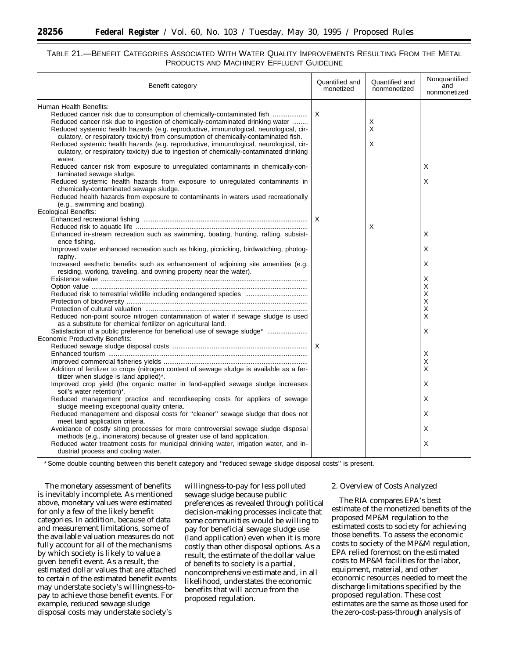## TABLE 21.—BENEFIT CATEGORIES ASSOCIATED WITH WATER QUALITY IMPROVEMENTS RESULTING FROM THE METAL PRODUCTS AND MACHINERY EFFLUENT GUIDELINE

| Benefit category                                                                                                                                                                                                                                                                                                                                                                                                                                                                                                                                                  | Quantified and<br>monetized | Quantified and<br>nonmonetized | Nonquantified<br>and<br>nonmonetized |
|-------------------------------------------------------------------------------------------------------------------------------------------------------------------------------------------------------------------------------------------------------------------------------------------------------------------------------------------------------------------------------------------------------------------------------------------------------------------------------------------------------------------------------------------------------------------|-----------------------------|--------------------------------|--------------------------------------|
| Human Health Benefits:<br>Reduced cancer risk due to consumption of chemically-contaminated fish<br>Reduced cancer risk due to ingestion of chemically-contaminated drinking water<br>Reduced systemic health hazards (e.g. reproductive, immunological, neurological, cir-<br>culatory, or respiratory toxicity) from consumption of chemically-contaminated fish.<br>Reduced systemic health hazards (e.g. reproductive, immunological, neurological, cir-<br>culatory, or respiratory toxicity) due to ingestion of chemically-contaminated drinking<br>water. | $\times$                    | X<br>X<br>X                    |                                      |
| Reduced cancer risk from exposure to unregulated contaminants in chemically-con-<br>taminated sewage sludge.<br>Reduced systemic health hazards from exposure to unregulated contaminants in<br>chemically-contaminated sewage sludge.<br>Reduced health hazards from exposure to contaminants in waters used recreationally<br>(e.g., swimming and boating).                                                                                                                                                                                                     |                             |                                | Χ<br>Х                               |
| Ecological Benefits:<br>Enhanced in-stream recreation such as swimming, boating, hunting, rafting, subsist-<br>ence fishing.                                                                                                                                                                                                                                                                                                                                                                                                                                      |                             | Х                              | Χ                                    |
| Improved water enhanced recreation such as hiking, picnicking, birdwatching, photog-<br>raphy.<br>Increased aesthetic benefits such as enhancement of adjoining site amenities (e.g.<br>residing, working, traveling, and owning property near the water).                                                                                                                                                                                                                                                                                                        |                             |                                | Х<br>Х                               |
| Reduced risk to terrestrial wildlife including endangered species<br>Reduced non-point source nitrogen contamination of water if sewage sludge is used                                                                                                                                                                                                                                                                                                                                                                                                            |                             |                                | х<br>X<br>X<br>X<br>X<br>X           |
| as a substitute for chemical fertilizer on agricultural land.<br>Satisfaction of a public preference for beneficial use of sewage sludge*<br>Economic Productivity Benefits:                                                                                                                                                                                                                                                                                                                                                                                      |                             |                                | Х                                    |
| Addition of fertilizer to crops (nitrogen content of sewage sludge is available as a fer-<br>tilizer when sludge is land applied)*.<br>Improved crop yield (the organic matter in land-applied sewage sludge increases                                                                                                                                                                                                                                                                                                                                            |                             |                                | Х<br>X<br>X<br>Х                     |
| soil's water retention)*.<br>Reduced management practice and recordkeeping costs for appliers of sewage<br>sludge meeting exceptional quality criteria.<br>Reduced management and disposal costs for "cleaner" sewage sludge that does not                                                                                                                                                                                                                                                                                                                        |                             |                                | Х<br>X                               |
| meet land application criteria.<br>Avoidance of costly siting processes for more controversial sewage sludge disposal<br>methods (e.g., incinerators) because of greater use of land application.<br>Reduced water treatment costs for municipal drinking water, irrigation water, and in-                                                                                                                                                                                                                                                                        |                             |                                | Х<br>X                               |
| dustrial process and cooling water.                                                                                                                                                                                                                                                                                                                                                                                                                                                                                                                               |                             |                                |                                      |

\*Some double counting between this benefit category and ''reduced sewage sludge disposal costs'' is present.

The monetary assessment of benefits is inevitably incomplete. As mentioned above, monetary values were estimated for only a few of the likely benefit categories. In addition, because of data and measurement limitations, some of the available valuation measures do not fully account for all of the mechanisms by which society is likely to value a given benefit event. As a result, the estimated dollar values that are attached to certain of the estimated benefit events may understate society's willingness-topay to achieve those benefit events. For example, reduced sewage sludge disposal costs may understate society's

willingness-to-pay for less polluted sewage sludge because public preferences as revealed through political decision-making processes indicate that some communities would be willing to pay for beneficial sewage sludge use (land application) even when it is more costly than other disposal options. As a result, the estimate of the dollar value of benefits to society is a partial, noncomprehensive estimate and, in all likelihood, understates the economic benefits that will accrue from the proposed regulation.

## 2. Overview of Costs Analyzed

The RIA compares EPA's best estimate of the monetized benefits of the proposed MP&M regulation to the estimated costs to society for achieving those benefits. To assess the economic costs to society of the MP&M regulation, EPA relied foremost on the estimated costs to MP&M facilities for the labor, equipment, material, and other economic resources needed to meet the discharge limitations specified by the proposed regulation. These cost estimates are the same as those used for the zero-cost-pass-through analysis of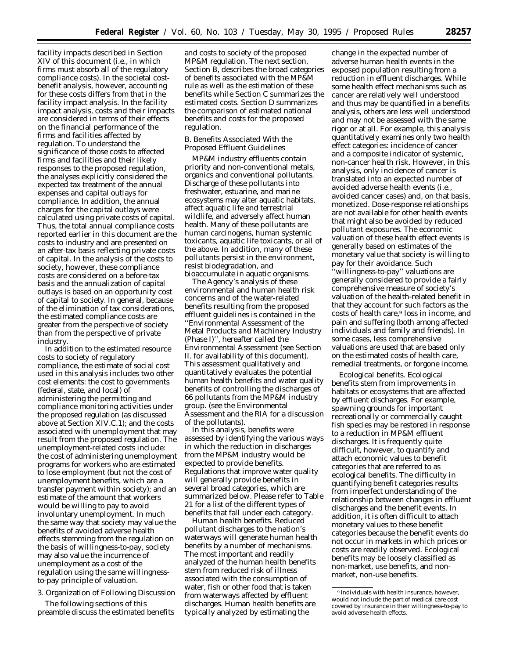facility impacts described in Section XIV of this document (i.e., in which firms must absorb all of the regulatory compliance costs). In the societal costbenefit analysis, however, accounting for these costs differs from that in the facility impact analysis. In the facility impact analysis, costs and their impacts are considered in terms of their effects on the financial performance of the firms and facilities affected by regulation. To understand the significance of those costs to affected firms and facilities and their likely responses to the proposed regulation, the analyses explicitly considered the expected tax treatment of the annual expenses and capital outlays for compliance. In addition, the annual charges for the capital outlays were calculated using private costs of capital. Thus, the total annual compliance costs reported earlier in this document are the costs *to industry* and are presented on an after-tax basis reflecting private costs of capital. In the analysis of the costs to society, however, these compliance costs are considered on a before-tax basis and the annualization of capital outlays is based on an opportunity cost of capital *to society.* In general, because of the elimination of tax considerations, the estimated compliance costs are greater from the perspective of society than from the perspective of private industry.

In addition to the estimated resource costs to society of regulatory compliance, the estimate of social cost used in this analysis includes two other cost elements: the cost to governments (federal, state, and local) of administering the permitting and compliance monitoring activities under the proposed regulation (as discussed above at Section XIV.C.1); and the costs associated with unemployment that may result from the proposed regulation. The unemployment-related costs include: the cost of administering unemployment programs for workers who are estimated to lose employment (but not the cost of unemployment benefits, which are a transfer payment within society); and an estimate of the amount that workers would be willing to pay to avoid involuntary unemployment. In much the same way that society may value the benefits of avoided adverse health effects stemming from the regulation on the basis of willingness-to-pay, society may also value the incurrence of unemployment as a cost of the regulation using the same willingnessto-pay principle of valuation.

3. Organization of Following Discussion

The following sections of this preamble discuss the estimated benefits

and costs to society of the proposed MP&M regulation. The next section, Section B, describes the broad categories of benefits associated with the MP&M rule as well as the estimation of these benefits while Section C summarizes the estimated costs. Section D summarizes the comparison of estimated national benefits and costs for the proposed regulation.

## *B. Benefits Associated With the Proposed Effluent Guidelines*

MP&M industry effluents contain priority and non-conventional metals, organics and conventional pollutants. Discharge of these pollutants into freshwater, estuarine, and marine ecosystems may alter aquatic habitats, affect aquatic life and terrestrial wildlife, and adversely affect human health. Many of these pollutants are human carcinogens, human systemic toxicants, aquatic life toxicants, or all of the above. In addition, many of these pollutants persist in the environment, resist biodegradation, and bioaccumulate in aquatic organisms.

The Agency's analysis of these environmental and human health risk concerns and of the water-related benefits resulting from the proposed effluent guidelines is contained in the ''Environmental Assessment of the Metal Products and Machinery Industry (Phase I)'', hereafter called the Environmental Assessment (see Section II. for availability of this document). This assessment qualitatively and quantitatively evaluates the potential human health benefits and water quality benefits of controlling the discharges of 66 pollutants from the MP&M industry group. (see the Environmental Assessment and the RIA for a discussion of the pollutants).

In this analysis, benefits were assessed by identifying the various ways in which the reduction in discharges from the MP&M industry would be expected to provide benefits. Regulations that improve water quality will generally provide benefits in several broad categories, which are summarized below. Please refer to Table 21 for a list of the different types of benefits that fall under each category.

*Human health benefits.* Reduced pollutant discharges to the nation's waterways will generate human health benefits by a number of mechanisms. The most important and readily analyzed of the human health benefits stem from reduced risk of illness associated with the consumption of water, fish or other food that is taken from waterways affected by effluent discharges. Human health benefits are typically analyzed by estimating the

change in the expected number of adverse human health events in the exposed population resulting from a reduction in effluent discharges. While some health effect mechanisms such as cancer are relatively well understood and thus may be quantified in a benefits analysis, others are less well understood and may not be assessed with the same rigor or at all. For example, this analysis quantitatively examines only two health effect categories: incidence of cancer and a composite indicator of systemic, non-cancer health risk. However, in this analysis, only incidence of cancer is translated into an expected number of avoided adverse health events (i.e., avoided cancer cases) and, on that basis, monetized. Dose-response relationships are not available for other health events that might also be avoided by reduced pollutant exposures. The economic valuation of these health effect events is generally based on estimates of the monetary value that society is willing to pay for their avoidance. Such

'willingness-to-pay'' valuations are generally considered to provide a fairly comprehensive measure of society's valuation of the health-related benefit in that they account for such factors as the costs of health care,9 loss in income, and pain and suffering (both among affected individuals and family and friends). In some cases, less comprehensive valuations are used that are based only on the estimated costs of health care, remedial treatments, or forgone income.

*Ecological benefits.* Ecological benefits stem from improvements in habitats or ecosystems that are affected by effluent discharges. For example, spawning grounds for important recreationally or commercially caught fish species may be restored in response to a reduction in MP&M effluent discharges. It is frequently quite difficult, however, to quantify and attach economic values to benefit categories that are referred to as ecological benefits. The difficulty in quantifying benefit categories results from imperfect understanding of the relationship between changes in effluent discharges and the benefit events. In addition, it is often difficult to attach monetary values to these benefit categories because the benefit events do not occur in markets in which prices or costs are readily observed. Ecological benefits may be loosely classified as non-market, use benefits, and nonmarket, non-use benefits.

<sup>9</sup> Individuals with health insurance, however, would not include the part of medical care cost covered by insurance in their willingness-to-pay to avoid adverse health effects.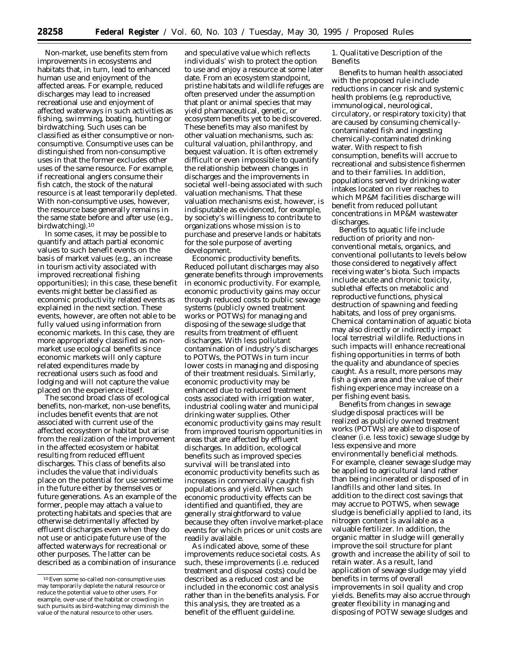*Non-market,* use *benefits* stem from improvements in ecosystems and habitats that, in turn, lead to enhanced human use and enjoyment of the affected areas. For example, reduced discharges may lead to increased recreational use and enjoyment of affected waterways in such activities as fishing, swimming, boating, hunting or birdwatching. Such uses can be classified as either consumptive or nonconsumptive. Consumptive uses can be distinguished from non-consumptive uses in that the former excludes other uses of the same resource. For example, if recreational anglers consume their fish catch, the stock of the natural resource is at least temporarily depleted. With non-consumptive uses, however, the resource base generally remains in the same state before and after use (e.g., birdwatching).10

In some cases, it may be possible to quantify and attach partial economic values to such benefit events on the basis of market values (e.g., an increase in tourism activity associated with improved recreational fishing opportunities); in this case, these benefit events might better be classified as economic productivity related events as explained in the next section. These events, however, are often not able to be fully valued using information from economic markets. In this case, they are more appropriately classified as nonmarket use ecological benefits since economic markets will only capture related expenditures made by recreational users such as food and lodging and will not capture the value placed on the experience itself.

The second broad class of ecological benefits, non-market, non-use benefits, includes benefit events that are not associated with current use of the affected ecosystem or habitat but arise from the realization of the improvement in the affected ecosystem or habitat resulting from reduced effluent discharges. This class of benefits also includes the value that individuals place on the potential for use sometime in the future either by themselves or future generations. As an example of the former, people may attach a value to protecting habitats and species that are otherwise detrimentally affected by effluent discharges even when they do not use or anticipate future use of the affected waterways for recreational or other purposes. The latter can be described as a combination of insurance

and speculative value which reflects individuals' wish to protect the option to use and enjoy a resource at some later date. From an ecosystem standpoint, pristine habitats and wildlife refuges are often preserved under the assumption that plant or animal species that may yield pharmaceutical, genetic, or ecosystem benefits yet to be discovered. These benefits may also manifest by other valuation mechanisms, such as: cultural valuation, philanthropy, and bequest valuation. It is often extremely difficult or even impossible to quantify the relationship between changes in discharges and the improvements in societal well-being associated with such valuation mechanisms. That these valuation mechanisms exist, however, is indisputable as evidenced, for example, by society's willingness to contribute to organizations whose mission is to purchase and preserve lands or habitats for the sole purpose of averting development.

*Economic productivity benefits.* Reduced pollutant discharges may also generate benefits through improvements in economic productivity. For example, economic productivity gains may occur through reduced costs to public sewage systems (publicly owned treatment works or POTWs) for managing and disposing of the sewage sludge that results from treatment of effluent discharges. With less pollutant contamination of industry's discharges to POTWs, the POTWs in turn incur lower costs in managing and disposing of their treatment residuals. Similarly, economic productivity may be enhanced due to reduced treatment costs associated with irrigation water, industrial cooling water and municipal drinking water supplies. Other economic productivity gains may result from improved tourism opportunities in areas that are affected by effluent discharges. In addition, ecological benefits such as improved species survival will be translated into economic productivity benefits such as increases in commercially caught fish populations and yield. When such economic productivity effects can be identified and quantified, they are generally straightforward to value because they often involve market-place events for which prices or unit costs are readily available.

As indicated above, some of these improvements reduce societal costs. As such, these improvements (i.e. reduced treatment and disposal costs) could be described as a reduced cost and be included in the economic cost analysis rather than in the benefits analysis. For this analysis, they are treated as a benefit of the effluent guideline.

1. Qualitative Description of the Benefits

Benefits to human health associated with the proposed rule include reductions in cancer risk and systemic health problems (e.g. reproductive, immunological, neurological, circulatory, or respiratory toxicity) that are caused by consuming chemicallycontaminated fish and ingesting chemically-contaminated drinking water. With respect to fish consumption, benefits will accrue to recreational and subsistence fishermen and to their families. In addition, populations served by drinking water intakes located on river reaches to which MP&M facilities discharge will benefit from reduced pollutant concentrations in MP&M wastewater discharges.

Benefits to aquatic life include reduction of priority and nonconventional metals, organics, and conventional pollutants to levels below those considered to negatively affect receiving water's biota. Such impacts include acute and chronic toxicity, sublethal effects on metabolic and reproductive functions, physical destruction of spawning and feeding habitats, and loss of prey organisms. Chemical contamination of aquatic biota may also directly or indirectly impact local terrestrial wildlife. Reductions in such impacts will enhance recreational fishing opportunities in terms of both the quality and abundance of species caught. As a result, more persons may fish a given area and the value of their fishing experience may increase on a per fishing event basis.

Benefits from changes in sewage sludge disposal practices will be realized as publicly owned treatment works (POTWs) are able to dispose of cleaner (i.e. less toxic) sewage sludge by less expensive and more environmentally beneficial methods. For example, cleaner sewage sludge may be applied to agricultural land rather than being incinerated or disposed of in landfills and other land sites. In addition to the direct cost savings that may accrue to POTWS, when sewage sludge is beneficially applied to land, its nitrogen content is available as a valuable fertilizer. In addition, the organic matter in sludge will generally improve the soil structure for plant growth and increase the ability of soil to retain water. As a result, land application of sewage sludge may yield benefits in terms of overall improvements in soil quality and crop yields. Benefits may also accrue through greater flexibility in managing and disposing of POTW sewage sludges and

<sup>10</sup>Even some so-called non-consumptive uses may temporarily deplete the natural resource or reduce the potential value to other users. For example, over-use of the habitat or crowding in such pursuits as bird-watching may diminish the value of the natural resource to other users.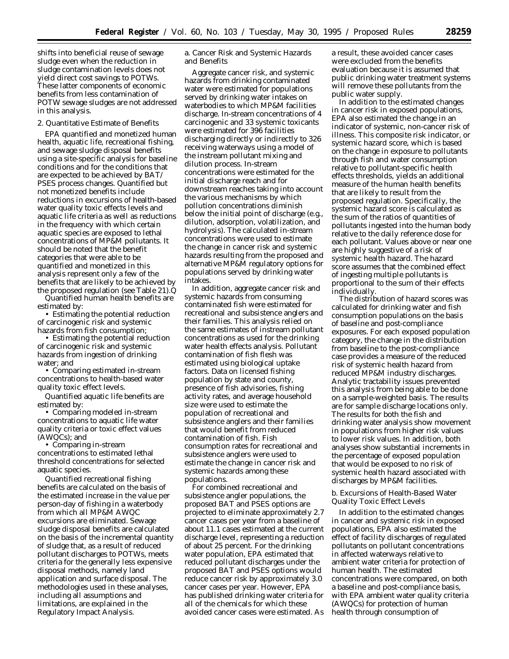shifts into beneficial reuse of sewage sludge even when the reduction in sludge contamination levels does not yield direct cost savings to POTWs. These latter components of economic benefits from less contamination of POTW sewage sludges are not addressed in this analysis.

#### 2. Quantitative Estimate of Benefits

EPA quantified and monetized human health, aquatic life, recreational fishing, and sewage sludge disposal benefits using a site-specific analysis for baseline conditions and for the conditions that are expected to be achieved by BAT/ PSES process changes. Quantified but not monetized benefits include reductions in excursions of health-based water quality toxic effects levels and aquatic life criteria as well as reductions in the frequency with which certain aquatic species are exposed to lethal concentrations of MP&M pollutants. It should be noted that the benefit categories that were able to be quantified and monetized in this analysis represent only a few of the benefits that are likely to be achieved by the proposed regulation (see Table 21).Q

Quantified human health benefits are estimated by:

• Estimating the potential reduction of carcinogenic risk and systemic hazards from fish consumption;

• Estimating the potential reduction of carcinogenic risk and systemic hazards from ingestion of drinking water; and

• Comparing estimated in-stream concentrations to health-based water quality toxic effect levels.

Quantified aquatic life benefits are estimated by:

• Comparing modeled in-stream concentrations to aquatic life water quality criteria or toxic effect values (AWQCs); and

• Comparing in-stream concentrations to estimated lethal threshold concentrations for selected aquatic species.

Quantified recreational fishing benefits are calculated on the basis of the estimated increase in the value per person-day of fishing in a waterbody from which all MP&M AWQC excursions are eliminated. Sewage sludge disposal benefits are calculated on the basis of the incremental quantity of sludge that, as a result of reduced pollutant discharges to POTWs, meets criteria for the generally less expensive disposal methods, namely land application and surface disposal. The methodologies used in these analyses, including all assumptions and limitations, are explained in the Regulatory Impact Analysis.

a. Cancer Risk and Systemic Hazards and Benefits

Aggregate cancer risk, and systemic hazards from drinking contaminated water were estimated for populations served by drinking water intakes on waterbodies to which MP&M facilities discharge. In-stream concentrations of 4 carcinogenic and 33 systemic toxicants were estimated for 396 facilities discharging directly or indirectly to 326 receiving waterways using a model of the instream pollutant mixing and dilution process. In-stream concentrations were estimated for the initial discharge reach and for downstream reaches taking into account the various mechanisms by which pollution concentrations diminish below the initial point of discharge (e.g., dilution, adsorption, volatilization, and hydrolysis). The calculated in-stream concentrations were used to estimate the change in cancer risk and systemic hazards resulting from the proposed and alternative MP&M regulatory options for populations served by drinking water intakes.

In addition, aggregate cancer risk and systemic hazards from consuming contaminated fish were estimated for recreational and subsistence anglers and their families. This analysis relied on the same estimates of instream pollutant concentrations as used for the drinking water health effects analysis. Pollutant contamination of fish flesh was estimated using biological uptake factors. Data on licensed fishing population by state and county, presence of fish advisories, fishing activity rates, and average household size were used to estimate the population of recreational and subsistence anglers and their families that would benefit from reduced contamination of fish. Fish consumption rates for recreational and subsistence anglers were used to estimate the change in cancer risk and systemic hazards among these populations.

For combined recreational and subsistence angler populations, the proposed BAT and PSES options are projected to eliminate approximately 2.7 cancer cases per year from a baseline of about 11.1 cases estimated at the current discharge level, representing a reduction of about 25 percent. For the drinking water population, EPA estimated that reduced pollutant discharges under the proposed BAT and PSES options would reduce cancer risk by approximately 3.0 cancer cases per year. However, EPA has published drinking water criteria for all of the chemicals for which these avoided cancer cases were estimated. As

a result, these avoided cancer cases were excluded from the benefits evaluation because it is assumed that public drinking water treatment systems will remove these pollutants from the public water supply.

In addition to the estimated changes in cancer risk in exposed populations, EPA also estimated the change in an indicator of systemic, non-cancer risk of illness. This composite risk indicator, or systemic hazard score, which is based on the change in exposure to pollutants through fish and water consumption relative to pollutant-specific health effects thresholds, yields an additional measure of the human health benefits that are likely to result from the proposed regulation. Specifically, the systemic hazard score is calculated as the sum of the ratios of quantities of pollutants ingested into the human body relative to the daily reference dose for each pollutant. Values above or near one are highly suggestive of a risk of systemic health hazard. The hazard score assumes that the combined effect of ingesting multiple pollutants is proportional to the sum of their effects individually.

The distribution of hazard scores was calculated for drinking water and fish consumption populations on the basis of baseline and post-compliance exposures. For each exposed population category, the change in the distribution from baseline to the post-compliance case provides a measure of the reduced risk of systemic health hazard from reduced MP&M industry discharges. Analytic tractability issues prevented this analysis from being able to be done on a sample-weighted basis. The results are for sample discharge locations only. The results for both the fish and drinking water analysis show movement in populations from higher risk values to lower risk values. In addition, both analyses show substantial increments in the percentage of exposed population that would be exposed to no risk of systemic health hazard associated with discharges by MP&M facilities.

b. Excursions of Health-Based Water Quality Toxic Effect Levels

In addition to the estimated changes in cancer and systemic risk in exposed populations, EPA also estimated the effect of facility discharges of regulated pollutants on pollutant concentrations in affected waterways relative to ambient water criteria for protection of human health. The estimated concentrations were compared, on both a baseline and post-compliance basis, with EPA ambient water quality criteria (AWQCs) for protection of human health through consumption of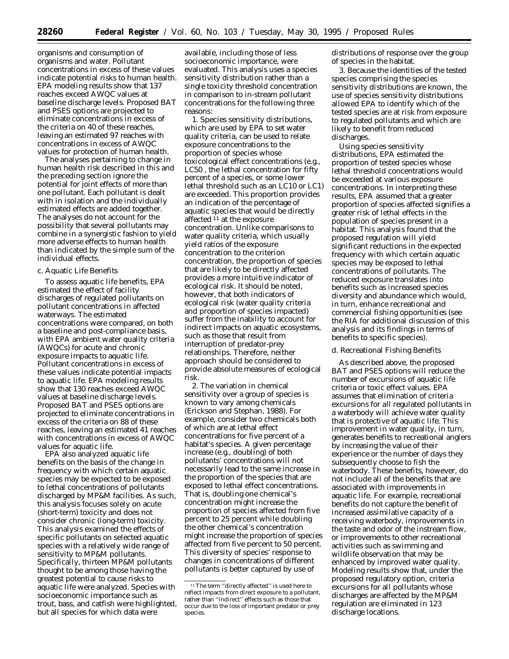organisms and consumption of organisms and water. Pollutant concentrations in excess of these values indicate potential risks to human health. EPA modeling results show that 137 reaches exceed AWQC values at baseline discharge levels. Proposed BAT and PSES options are projected to eliminate concentrations in excess of the criteria on 40 of these reaches, leaving an estimated 97 reaches with concentrations in excess of AWQC values for protection of human health.

The analyses pertaining to change in human health risk described in this and the preceding section ignore the potential for joint effects of more than one pollutant. Each pollutant is dealt with in isolation and the individually estimated effects are added together. The analyses do not account for the possibility that several pollutants may combine in a synergistic fashion to yield more adverse effects to human health than indicated by the simple sum of the individual effects.

## c. Aquatic Life Benefits

To assess aquatic life benefits, EPA estimated the effect of facility discharges of regulated pollutants on pollutant concentrations in affected waterways. The estimated concentrations were compared, on both a baseline and post-compliance basis, with EPA ambient water quality criteria (AWQCs) for acute and chronic exposure impacts to aquatic life. Pollutant concentrations in excess of these values indicate potential impacts to aquatic life. EPA modeling results show that 130 reaches exceed AWQC values at baseline discharge levels. Proposed BAT and PSES options are projected to eliminate concentrations in excess of the criteria on 88 of these reaches, leaving an estimated 41 reaches with concentrations in excess of AWQC values for aquatic life.

EPA also analyzed aquatic life benefits on the basis of the change in frequency with which certain aquatic species may be expected to be exposed to lethal concentrations of pollutants discharged by MP&M facilities. As such, this analysis focuses solely on acute (short-term) toxicity and does not consider chronic (long-term) toxicity. This analysis examined the effects of specific pollutants on selected aquatic species with a relatively wide range of sensitivity to MP&M pollutants. Specifically, thirteen MP&M pollutants thought to be among those having the greatest potential to cause risks to aquatic life were analyzed. Species with socioeconomic importance such as trout, bass, and catfish were highlighted, but all species for which data were

available, including those of less socioeconomic importance, were evaluated. This analysis uses a species sensitivity distribution rather than a single toxicity threshold concentration in comparison to in-stream pollutant concentrations for the following three reasons:

1. Species sensitivity distributions, which are used by EPA to set water quality criteria, can be used to relate exposure concentrations to the proportion of species whose toxicological effect concentrations (e.g., LC50 , the lethal concentration for fifty percent of a species, or some lower lethal threshold such as an LC10 or LC1) are exceeded. This proportion provides an indication of the percentage of aquatic species that would be directly affected 11 at the exposure concentration. Unlike comparisons to water quality criteria, which usually yield ratios of the exposure concentration to the criterion concentration, the proportion of species that are likely to be directly affected provides a more intuitive indicator of ecological risk. It should be noted, however, that both indicators of ecological risk (water quality criteria and proportion of species impacted) suffer from the inability to account for indirect impacts on aquatic ecosystems, such as those that result from interruption of predator-prey relationships. Therefore, neither approach should be considered to provide absolute measures of ecological risk.

2. The variation in chemical sensitivity over a group of species is known to vary among chemicals (Erickson and Stephan, 1988). For example, consider two chemicals both of which are at lethal effect concentrations for five percent of a habitat's species. A given percentage increase (e.g., doubling) of both pollutants' concentrations will not necessarily lead to the same increase in the proportion of the species that are exposed to lethal effect concentrations. That is, doubling one chemical's concentration might increase the proportion of species affected from five percent to 25 percent while doubling the other chemical's concentration might increase the proportion of species affected from five percent to 50 percent. This diversity of species' response to changes in concentrations of different pollutants is better captured by use of

distributions of response over the group of species in the habitat.

3. Because the identities of the tested species comprising the species sensitivity distributions are known, the use of species sensitivity distributions allowed EPA to identify which of the tested species are at risk from exposure to regulated pollutants and which are likely to benefit from reduced discharges.

Using species sensitivity distributions, EPA estimated the proportion of tested species whose lethal threshold concentrations would be exceeded at various exposure concentrations. In interpreting these results, EPA assumed that a greater proportion of species affected signifies a greater risk of lethal effects in the population of species present in a habitat. This analysis found that the proposed regulation will yield significant reductions in the expected frequency with which certain aquatic species may be exposed to lethal concentrations of pollutants. The reduced exposure translates into benefits such as increased species diversity and abundance which would, in turn, enhance recreational and commercial fishing opportunities (see the RIA for additional discussion of this analysis and its findings in terms of benefits to specific species).

#### d. Recreational Fishing Benefits

As described above, the proposed BAT and PSES options will reduce the number of excursions of aquatic life criteria or toxic effect values. EPA assumes that elimination of criteria excursions for *all* regulated pollutants in a waterbody will achieve water quality that is protective of aquatic life. This improvement in water quality, in turn, generates benefits to recreational anglers by increasing the value of their experience or the number of days they subsequently choose to fish the waterbody. These benefits, however, do not include all of the benefits that are associated with improvements in aquatic life. For example, recreational benefits do not capture the benefit of increased assimilative capacity of a receiving waterbody, improvements in the taste and odor of the instream flow, or improvements to other recreational activities such as swimming and wildlife observation that may be enhanced by improved water quality. Modeling results show that, under the proposed regulatory option, criteria excursions for all pollutants whose discharges are affected by the MP&M regulation are eliminated in 123 discharge locations.

<sup>11</sup>The term ''directly affected'' is used here to reflect impacts from direct exposure to a pollutant, rather than ''indirect'' effects such as those that occur due to the loss of important predator or prey species.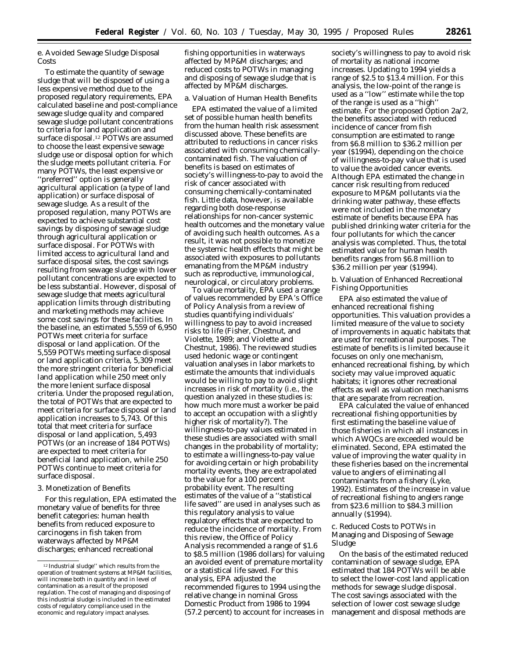e. Avoided Sewage Sludge Disposal Costs

To estimate the quantity of sewage sludge that will be disposed of using a less expensive method due to the proposed regulatory requirements, EPA calculated baseline and post-compliance sewage sludge quality and compared sewage sludge pollutant concentrations to criteria for land application and surface disposal.12 POTWs are assumed to choose the least expensive sewage sludge use or disposal option for which the sludge meets pollutant criteria. For many POTWs, the least expensive or ''preferred'' option is generally agricultural application (a type of land application) or surface disposal of sewage sludge. As a result of the proposed regulation, many POTWs are expected to achieve substantial cost savings by disposing of sewage sludge through agricultural application or surface disposal. For POTWs with limited access to agricultural land and surface disposal sites, the cost savings resulting from sewage sludge with lower pollutant concentrations are expected to be less substantial. However, disposal of sewage sludge that meets agricultural application limits through distributing and marketing methods may achieve some cost savings for these facilities. In the baseline, an estimated 5,559 of 6,950 POTWs meet criteria for surface disposal or land application. Of the 5,559 POTWs meeting surface disposal or land application criteria, 5,309 meet the more stringent criteria for beneficial land application while 250 meet only the more lenient surface disposal criteria. Under the proposed regulation, the total of POTWs that are expected to meet criteria for surface disposal or land application increases to 5,743. Of this total that meet criteria for surface disposal or land application, 5,493 POTWs (or an increase of 184 POTWs) are expected to meet criteria for beneficial land application, while 250 POTWs continue to meet criteria for surface disposal.

## 3. Monetization of Benefits

For this regulation, EPA estimated the monetary value of benefits for three benefit categories: human health benefits from reduced exposure to carcinogens in fish taken from waterways affected by MP&M discharges; enhanced recreational

fishing opportunities in waterways affected by MP&M discharges; and reduced costs to POTWs in managing and disposing of sewage sludge that is affected by MP&M discharges.

## a. Valuation of Human Health Benefits

EPA estimated the value of a limited set of possible human health benefits from the human health risk assessment discussed above. These benefits are attributed to reductions in cancer risks associated with consuming chemicallycontaminated fish. The valuation of benefits is based on estimates of society's willingness-to-pay to avoid the risk of cancer associated with consuming chemically-contaminated fish. Little data, however, is available regarding both dose-response relationships for non-cancer systemic health outcomes and the monetary value of avoiding such health outcomes. As a result, it was not possible to monetize the systemic health effects that might be associated with exposures to pollutants emanating from the MP&M industry such as reproductive, immunological, neurological, or circulatory problems.

To value mortality, EPA used a range of values recommended by EPA's Office of Policy Analysis from a review of studies quantifying individuals' willingness to pay to avoid increased risks to life (Fisher, Chestnut, and Violette, 1989; and Violette and Chestnut, 1986). The reviewed studies used hedonic wage or contingent valuation analyses in labor markets to estimate the amounts that individuals would be willing to pay to avoid slight increases in risk of mortality (i.e., the question analyzed in these studies is: how much more must a worker be paid to accept an occupation with a slightly higher risk of mortality?). The willingness-to-pay values estimated in these studies are associated with small changes in the probability of mortality; to estimate a willingness-to-pay value for avoiding certain or high probability mortality events, they are extrapolated to the value for a 100 percent probability event. The resulting estimates of the value of a ''statistical life saved'' are used in analyses such as this regulatory analysis to value regulatory effects that are expected to reduce the incidence of mortality. From this review, the Office of Policy Analysis recommended a range of \$1.6 to \$8.5 million (1986 dollars) for valuing an avoided event of premature mortality or a statistical life saved. For this analysis, EPA adjusted the recommended figures to 1994 using the relative change in nominal Gross Domestic Product from 1986 to 1994 (57.2 percent) to account for increases in

society's willingness to pay to avoid risk of mortality as national income increases. Updating to 1994 yields a range of \$2.5 to \$13.4 million. For this analysis, the low-point of the range is used as a ''low'' estimate while the top of the range is used as a ''high'' estimate. For the proposed Option 2a/2, the benefits associated with reduced incidence of cancer from fish consumption are estimated to range from \$6.8 million to \$36.2 million per year (\$1994), depending on the choice of willingness-to-pay value that is used to value the avoided cancer events. Although EPA estimated the change in cancer risk resulting from reduced exposure to MP&M pollutants via the drinking water pathway, these effects were not included in the monetary estimate of benefits because EPA has published drinking water criteria for the four pollutants for which the cancer analysis was completed. Thus, the total estimated value for human health benefits ranges from \$6.8 million to \$36.2 million per year (\$1994).

b. Valuation of Enhanced Recreational Fishing Opportunities

EPA also estimated the value of enhanced recreational fishing opportunities. This valuation provides a limited measure of the value to society of improvements in aquatic habitats that are used for recreational purposes. The estimate of benefits is limited because it focuses on only one mechanism, enhanced recreational fishing, by which society may value improved aquatic habitats; it ignores other recreational effects as well as valuation mechanisms that are separate from recreation.

EPA calculated the value of enhanced recreational fishing opportunities by first estimating the baseline value of those fisheries in which all instances in which AWQCs are exceeded would be eliminated. Second, EPA estimated the value of improving the water quality in these fisheries based on the incremental value to anglers of eliminating all contaminants from a fishery (Lyke, 1992). Estimates of the increase in value of recreational fishing to anglers range from \$23.6 million to \$84.3 million annually (\$1994).

## c. Reduced Costs to POTWs in Managing and Disposing of Sewage Sludge

On the basis of the estimated reduced contamination of sewage sludge, EPA estimated that 184 POTWs will be able to select the lower-cost land application methods for sewage sludge disposal. The cost savings associated with the selection of lower cost sewage sludge management and disposal methods are

<sup>12</sup> Industrial sludge'' which results from the operation of treatment systems at MP&M facilities, will increase both in quantity and in level of contamination as a result of the proposed regulation. The cost of managing and disposing of this industrial sludge is included in the estimated costs of regulatory compliance used in the economic and regulatory impact analyses.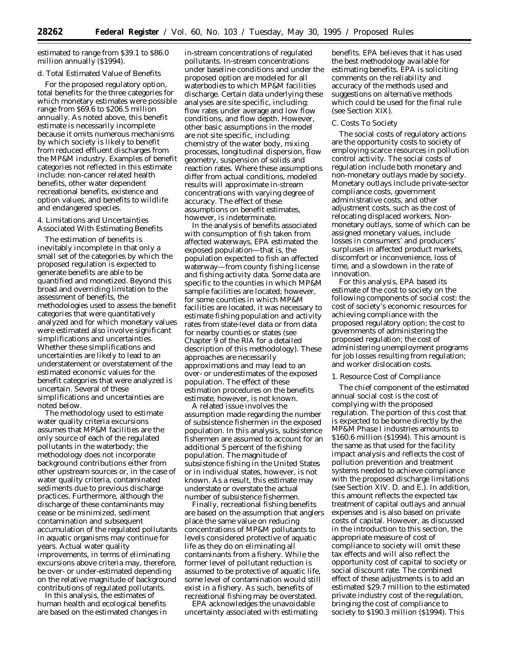estimated to range from \$39.1 to \$86.0 million annually (\$1994).

#### d. Total Estimated Value of Benefits

For the proposed regulatory option, total benefits for the three categories for which monetary estimates were possible range from \$69.6 to \$206.5 million annually. As noted above, this benefit estimate is necessarily incomplete because it omits numerous mechanisms by which society is likely to benefit from reduced effluent discharges from the MP&M industry. Examples of benefit categories not reflected in this estimate include: non-cancer related health benefits, other water dependent recreational benefits, existence and option values, and benefits to wildlife and endangered species.

4. Limitations and Uncertainties Associated With Estimating Benefits

The estimation of benefits is inevitably incomplete in that only a small set of the categories by which the proposed regulation is expected to generate benefits are able to be quantified and monetized. Beyond this broad and overriding limitation to the assessment of benefits, the methodologies used to assess the benefit categories that were quantitatively analyzed and for which monetary values were estimated also involve significant simplifications and uncertainties. Whether these simplifications and uncertainties are likely to lead to an understatement or overstatement of the estimated economic values for the benefit categories that were analyzed is uncertain. Several of these simplifications and uncertainties are noted below.

The methodology used to estimate water quality criteria excursions assumes that MP&M facilities are the only source of each of the regulated pollutants in the waterbody; the methodology does not incorporate background contributions either from other upstream sources or, in the case of water quality criteria, contaminated sediments due to previous discharge practices. Furthermore, although the discharge of these contaminants may cease or be minimized, sediment contamination and subsequent accumulation of the regulated pollutants in aquatic organisms may continue for years. Actual water quality improvements, in terms of eliminating excursions above criteria may, therefore, be over- or under-estimated depending on the relative magnitude of background contributions of regulated pollutants.

In this analysis, the estimates of human health and ecological benefits are based on the estimated changes in

in-stream concentrations of regulated pollutants. In-stream concentrations under baseline conditions and under the proposed option are modeled for all waterbodies to which MP&M facilities discharge. Certain data underlying these analyses are site specific, including: flow rates under average and low flow conditions, and flow depth. However, other basic assumptions in the model are not site specific, including: chemistry of the water body, mixing processes, longitudinal dispersion, flow geometry, suspension of solids and reaction rates. Where these assumptions differ from actual conditions, modeled results will approximate in-stream concentrations with varying degree of accuracy. The effect of these assumptions on benefit estimates, however, is indeterminate.

In the analysis of benefits associated with consumption of fish taken from affected waterways, EPA estimated the exposed population—that is, the population expected to fish an affected waterway—from county fishing license and fishing activity data. Some data are specific to the counties in which MP&M sample facilities are located; however, for some counties in which MP&M facilities are located, it was necessary to estimate fishing population and activity rates from state-level data or from data for nearby counties or states (see Chapter 9 of the RIA for a detailed description of this methodology). These approaches are necessarily approximations and may lead to an over- or underestimates of the exposed population. The effect of these estimation procedures on the benefits estimate, however, is not known.

A related issue involves the assumption made regarding the number of subsistence fishermen in the exposed population. In this analysis, subsistence fishermen are assumed to account for an additional 5 percent of the fishing population. The magnitude of subsistence fishing in the United States or in individual states, however, is not known. As a result, this estimate may understate or overstate the actual number of subsistence fishermen.

Finally, recreational fishing benefits are based on the assumption that anglers place the same value on reducing concentrations of MP&M pollutants to levels considered protective of aquatic life as they do on eliminating all contaminants from a fishery. While the former level of pollutant reduction is assumed to be protective of aquatic life, some level of contamination would still exist in a fishery. As such, benefits of recreational fishing may be overstated.

EPA acknowledges the unavoidable uncertainty associated with estimating

benefits. EPA believes that it has used the best methodology available for estimating benefits. EPA is soliciting comments on the reliability and accuracy of the methods used and suggestions on alternative methods which could be used for the final rule (see Section XIX).

## *C. Costs To Society*

The social costs of regulatory actions are the opportunity costs to society of employing scarce resources in pollution control activity. The social costs of regulation include both monetary and non-monetary outlays made by society. Monetary outlays include private-sector compliance costs, government administrative costs, and other adjustment costs, such as the cost of relocating displaced workers. Nonmonetary outlays, some of which can be assigned monetary values, include losses in consumers' and producers' surpluses in affected product markets, discomfort or inconvenience, loss of time, and a slowdown in the rate of innovation.

For this analysis, EPA based its estimate of the cost to society on the following components of social cost: the cost of society's economic resources for achieving compliance with the proposed regulatory option; the cost to governments of administering the proposed regulation; the cost of administering unemployment programs for job losses resulting from regulation; and worker dislocation costs.

#### 1. Resource Cost of Compliance

The chief component of the estimated annual social cost is the cost of complying with the proposed regulation. The portion of this cost that is expected *to be borne directly by the MP&M Phase I industries* amounts to \$160.6 million (\$1994). This amount is the same as that used for the facility impact analysis and reflects the cost of pollution prevention and treatment systems needed to achieve compliance with the proposed discharge limitations (see Section XIV. D. and E.). In addition, this amount reflects the expected tax treatment of capital outlays and annual expenses and is also based on private costs of capital. However, as discussed in the introduction to this section, the appropriate measure of cost of compliance to society will omit these tax effects and will also reflect the opportunity cost of capital to society or social discount rate. The combined effect of these adjustments is to add an estimated \$29.7 million to the estimated private industry cost of the regulation, bringing the cost of compliance to society to \$190.3 million (\$1994). This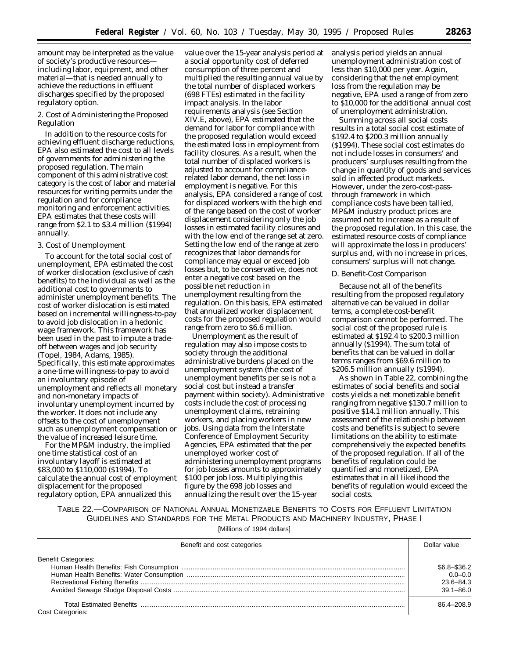amount may be interpreted as the value of society's productive resources including labor, equipment, and other material—that is needed annually to achieve the reductions in effluent discharges specified by the proposed regulatory option.

2. Cost of Administering the Proposed Regulation

In addition to the resource costs for achieving effluent discharge reductions, EPA also estimated the cost to all levels of governments for administering the proposed regulation. The main component of this administrative cost category is the cost of labor and material resources for writing permits under the regulation and for compliance monitoring and enforcement activities. EPA estimates that these costs will range from \$2.1 to \$3.4 million (\$1994) annually.

## 3. Cost of Unemployment

To account for the total social cost of unemployment, EPA estimated the cost of worker dislocation (exclusive of cash benefits) to the individual as well as the additional cost to governments to administer unemployment benefits. The cost of worker dislocation is estimated based on incremental willingness-to-pay to avoid job dislocation in a hedonic wage framework. This framework has been used in the past to impute a tradeoff between wages and job security (Topel, 1984, Adams, 1985). Specifically, this estimate approximates a one-time willingness-to-pay to avoid an involuntary episode of unemployment and reflects all monetary and non-monetary impacts of involuntary unemployment incurred by the worker. It does not include any offsets to the cost of unemployment such as unemployment compensation or the value of increased leisure time.

For the MP&M industry, the implied one time statistical cost of an involuntary layoff is estimated at \$83,000 to \$110,000 (\$1994). To calculate the annual cost of employment displacement for the proposed regulatory option, EPA annualized this

value over the 15-year analysis period at a social opportunity cost of deferred consumption of three percent and multiplied the resulting annual value by the total number of displaced workers (698 FTEs) estimated in the facility impact analysis. In the labor requirements analysis (see Section XIV.E, above), EPA estimated that the demand for labor for compliance with the proposed regulation would exceed the estimated loss in employment from facility closures. As a result, when the total number of displaced workers is adjusted to account for compliancerelated labor demand, the net loss in employment is negative. For this analysis, EPA considered a range of cost for displaced workers with the high end of the range based on the cost of worker displacement considering only the job losses in estimated facility closures and with the low end of the range set at zero. Setting the low end of the range at zero recognizes that labor demands for compliance may equal or exceed job losses but, to be conservative, does not enter a negative cost based on the possible net reduction in unemployment resulting from the regulation. On this basis, EPA estimated that annualized worker displacement costs for the proposed regulation would range from zero to \$6.6 million.

Unemployment as the result of regulation may also impose costs to society through the additional administrative burdens placed on the unemployment system (the cost of unemployment benefits per se is not a social cost but instead a transfer payment within society). Administrative costs include the cost of processing unemployment claims, retraining workers, and placing workers in new jobs. Using data from the Interstate Conference of Employment Security Agencies, EPA estimated that the per unemployed worker cost of administering unemployment programs for job losses amounts to approximately \$100 per job loss. Multiplying this figure by the 698 job losses and annualizing the result over the 15-year

analysis period yields an annual unemployment administration cost of less than \$10,000 per year. Again, considering that the net employment loss from the regulation may be negative, EPA used a range of from zero to \$10,000 for the additional annual cost of unemployment administration.

Summing across all social costs results in a total social cost estimate of \$192.4 to \$200.3 million annually (\$1994). These social cost estimates do not include losses in consumers' and producers' surpluses resulting from the change in quantity of goods and services sold in affected product markets. However, under the zero-cost-passthrough framework in which compliance costs have been tallied, MP&M industry product prices are assumed not to increase as a result of the proposed regulation. In this case, the estimated resource costs of compliance will approximate the loss in producers' surplus and, with no increase in prices, consumers' surplus will not change.

## *D. Benefit-Cost Comparison*

Because not all of the benefits resulting from the proposed regulatory alternative can be valued in dollar terms, a complete cost-benefit comparison cannot be performed. The social cost of the proposed rule is estimated at \$192.4 to \$200.3 million annually (\$1994). The sum total of benefits that can be valued in dollar terms ranges from \$69.6 million to \$206.5 million annually (\$1994).

As shown in Table 22, combining the estimates of social benefits and social costs yields a net monetizable benefit ranging from negative \$130.7 million to positive \$14.1 million annually. This assessment of the relationship between costs and benefits is subject to severe limitations on the ability to estimate comprehensively the expected benefits of the proposed regulation. If all of the benefits of regulation could be quantified and monetized, EPA estimates that in all likelihood the benefits of regulation would exceed the social costs.

TABLE 22.—COMPARISON OF NATIONAL ANNUAL MONETIZABLE BENEFITS TO COSTS FOR EFFLUENT LIMITATION GUIDELINES AND STANDARDS FOR THE METAL PRODUCTS AND MACHINERY INDUSTRY, PHASE I

[Millions of 1994 dollars]

| Benefit and cost categories | Dollar value                                                    |
|-----------------------------|-----------------------------------------------------------------|
| <b>Benefit Categories:</b>  | $$6.8 - $36.2$<br>$0.0 - 0.0$<br>$23.6 - 84.3$<br>$39.1 - 86.0$ |
| Cost Categories:            | 86.4-208.9                                                      |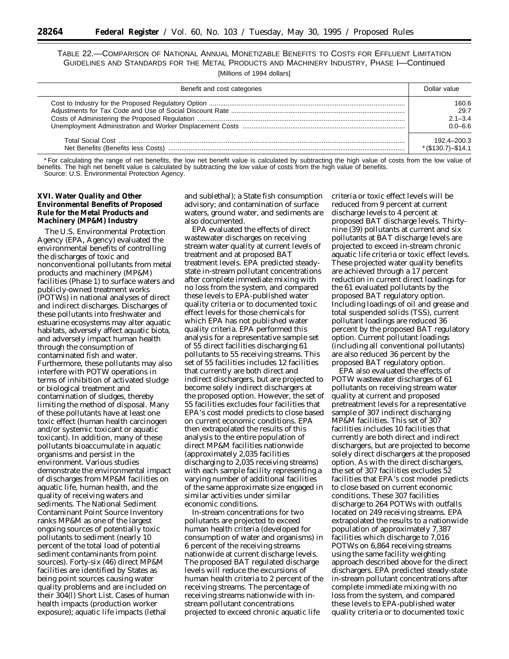TABLE 22.—COMPARISON OF NATIONAL ANNUAL MONETIZABLE BENEFITS TO COSTS FOR EFFLUENT LIMITATION GUIDELINES AND STANDARDS FOR THE METAL PRODUCTS AND MACHINERY INDUSTRY, PHASE I—Continued [Millions of 1994 dollars]

| Benefit and cost categories | Dollar value          |
|-----------------------------|-----------------------|
|                             | 160.6                 |
|                             | 29.7                  |
|                             | $2.1 - 3.4$           |
|                             | $0.0 - 6.6$           |
|                             | 192.4-200.3           |
|                             | $*(\$130.7) - \$14.1$ |

\* For calculating the range of net benefits, the low net benefit value is calculated by subtracting the high value of costs from the low value of benefits. The high net benefit value is calculated by subtracting the low value of costs from the high value of benefits. Source: U.S. Environmental Protection Agency.

## **XVI. Water Quality and Other Environmental Benefits of Proposed Rule for the Metal Products and Machinery (MP&M) Industry**

The U.S. Environmental Protection Agency (EPA, Agency) evaluated the environmental benefits of controlling the discharges of toxic and nonconventional pollutants from metal products and machinery (MP&M) facilities (Phase 1) to surface waters and publicly-owned treatment works (POTWs) in national analyses of direct and indirect discharges. Discharges of these pollutants into freshwater and estuarine ecosystems may alter aquatic habitats, adversely affect aquatic biota, and adversely impact human health through the consumption of contaminated fish and water. Furthermore, these pollutants may also interfere with POTW operations in terms of inhibition of activated sludge or biological treatment and contamination of sludges, thereby limiting the method of disposal. Many of these pollutants have at least one toxic effect (human health carcinogen and/or systemic toxicant or aquatic toxicant). In addition, many of these pollutants bioaccumulate in aquatic organisms and persist in the environment. Various studies demonstrate the environmental impact of discharges from MP&M facilities on aquatic life, human health, and the quality of receiving waters and sediments. The National Sediment Contaminant Point Source Inventory ranks MP&M as one of the largest ongoing sources of potentially toxic pollutants to sediment (nearly 10 percent of the total load of potential sediment contaminants from point sources). Forty-six (46) direct MP&M facilities are identified by States as being point sources causing water quality problems and are included on their 304(l) Short List. Cases of human health impacts (production worker exposure); aquatic life impacts (lethal

and sublethal); a State fish consumption advisory; and contamination of surface waters, ground water, and sediments are also documented.

EPA evaluated the effects of direct wastewater discharges on receiving stream water quality at current levels of treatment and at proposed BAT treatment levels. EPA predicted steadystate in-stream pollutant concentrations after complete immediate mixing with no loss from the system, and compared these levels to EPA-published water quality criteria or to documented toxic effect levels for those chemicals for which EPA has not published water quality criteria. EPA performed this analysis for a representative sample set of 55 direct facilities discharging 61 pollutants to 55 receiving streams. This set of 55 facilities includes 12 facilities that currently are both direct and indirect dischargers, but are projected to become solely indirect dischargers at the proposed option. However, the set of 55 facilities excludes four facilities that EPA's cost model predicts to close based on current economic conditions. EPA then extrapolated the results of this analysis to the entire population of direct MP&M facilities nationwide (approximately 2,035 facilities discharging to 2,035 receiving streams) with each sample facility representing a varying number of additional facilities of the same approximate size engaged in similar activities under similar economic conditions.

In-stream concentrations for two pollutants are projected to exceed human health criteria (developed for consumption of water and organisms) in 6 percent of the receiving streams nationwide at current discharge levels. The proposed BAT regulated discharge levels will reduce the excursions of human health criteria to 2 percent of the receiving streams. The percentage of receiving streams nationwide with instream pollutant concentrations projected to exceed chronic aquatic life

criteria or toxic effect levels will be reduced from 9 percent at current discharge levels to 4 percent at proposed BAT discharge levels. Thirtynine (39) pollutants at current and six pollutants at BAT discharge levels are projected to exceed in-stream chronic aquatic life criteria or toxic effect levels. These projected water quality benefits are achieved through a 17 percent reduction in current direct loadings for the 61 evaluated pollutants by the proposed BAT regulatory option. Including loadings of oil and grease and total suspended solids (TSS), current pollutant loadings are reduced 36 percent by the proposed BAT regulatory option. Current pollutant loadings (including all conventional pollutants) are also reduced 36 percent by the proposed BAT regulatory option.

EPA also evaluated the effects of POTW wastewater discharges of 61 pollutants on receiving stream water quality at current and proposed pretreatment levels for a representative sample of 307 indirect discharging MP&M facilities. This set of 307 facilities includes 10 facilities that currently are both direct and indirect dischargers, but are projected to become solely direct dischargers at the proposed option. As with the direct dischargers, the set of 307 facilities excludes 52 facilities that EPA's cost model predicts to close based on current economic conditions. These 307 facilities discharge to 264 POTWs with outfalls located on 249 receiving streams. EPA extrapolated the results to a nationwide population of approximately 7,387 facilities which discharge to 7,016 POTWs on 6,864 receiving streams using the same facility weighting approach described above for the direct dischargers. EPA predicted steady-state in-stream pollutant concentrations after complete immediate mixing with no loss from the system, and compared these levels to EPA-published water quality criteria or to documented toxic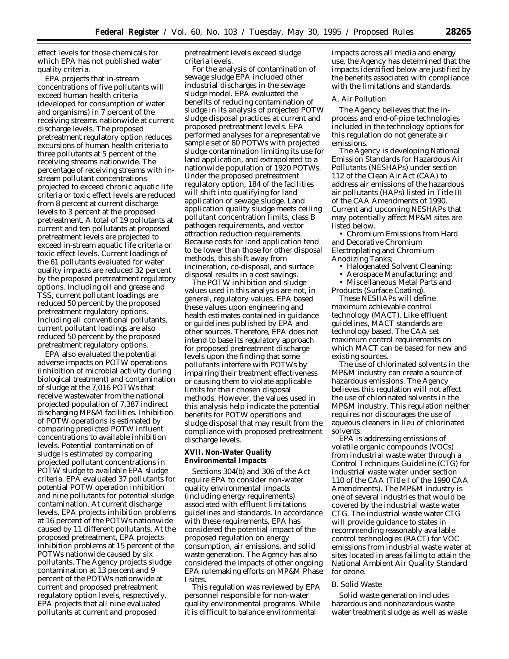effect levels for those chemicals for which EPA has not published water quality criteria.

EPA projects that in-stream concentrations of five pollutants will exceed human health criteria (developed for consumption of water and organisms) in 7 percent of the receiving streams nationwide at current discharge levels. The proposed pretreatment regulatory option reduces excursions of human health criteria to three pollutants at 5 percent of the receiving streams nationwide. The percentage of receiving streams with instream pollutant concentrations projected to exceed chronic aquatic life criteria or toxic effect levels are reduced from 8 percent at current discharge levels to 3 percent at the proposed pretreatment. A total of 19 pollutants at current and ten pollutants at proposed pretreatment levels are projected to exceed in-stream aquatic life criteria or toxic effect levels. Current loadings of the 61 pollutants evaluated for water quality impacts are reduced 32 percent by the proposed pretreatment regulatory options. Including oil and grease and TSS, current pollutant loadings are reduced 50 percent by the proposed pretreatment regulatory options. Including all conventional pollutants, current pollutant loadings are also reduced 50 percent by the proposed pretreatment regulatory options.

EPA also evaluated the potential adverse impacts on POTW operations (inhibition of microbial activity during biological treatment) and contamination of sludge at the 7,016 POTWs that receive wastewater from the national projected population of 7,387 indirect discharging MP&M facilities. Inhibition of POTW operations is estimated by comparing predicted POTW influent concentrations to available inhibition levels. Potential contamination of sludge is estimated by comparing projected pollutant concentrations in POTW sludge to available EPA sludge criteria. EPA evaluated 37 pollutants for potential POTW operation inhibition and nine pollutants for potential sludge contamination. At current discharge levels, EPA projects inhibition problems at 16 percent of the POTWs nationwide caused by 11 different pollutants. At the proposed pretreatment, EPA projects inhibition problems at 15 percent of the POTWs nationwide caused by six pollutants. The Agency projects sludge contamination at 13 percent and 9 percent of the POTWs nationwide at current and proposed pretreatment regulatory option levels, respectively. EPA projects that all nine evaluated pollutants at current and proposed

pretreatment levels exceed sludge criteria levels.

For the analysis of contamination of sewage sludge EPA included other industrial discharges in the sewage sludge model. EPA evaluated the benefits of reducing contamination of sludge in its analysis of projected POTW sludge disposal practices at current and proposed pretreatment levels. EPA performed analyses for a representative sample set of 80 POTWs with projected sludge contamination limiting its use for land application, and extrapolated to a nationwide population of 1920 POTWs. Under the proposed pretreatment regulatory option, 184 of the facilities will shift into qualifying for land application of sewage sludge. Land application quality sludge meets ceiling pollutant concentration limits, class B pathogen requirements, and vector attraction reduction requirements. Because costs for land application tend to be lower than those for other disposal methods, this shift away from incineration, co-disposal, and surface disposal results in a cost savings.

The POTW inhibition and sludge values used in this analysis are not, in general, regulatory values. EPA based these values upon engineering and health estimates contained in guidance or guidelines published by EPA and other sources. Therefore, EPA does not intend to base its regulatory approach for proposed pretreatment discharge levels upon the finding that some pollutants interfere with POTWs by impairing their treatment effectiveness or causing them to violate applicable limits for their chosen disposal methods. However, the values used in this analysis help indicate the potential benefits for POTW operations and sludge disposal that may result from the compliance with proposed pretreatment discharge levels.

## **XVII. Non-Water Quality Environmental Impacts**

Sections 304(b) and 306 of the Act require EPA to consider non-water quality environmental impacts (including energy requirements) associated with effluent limitations guidelines and standards. In accordance with these requirements, EPA has considered the potential impact of the proposed regulation on energy consumption, air emissions, and solid waste generation. The Agency has also considered the impacts of other ongoing EPA rulemaking efforts on MP&M Phase I sites.

This regulation was reviewed by EPA personnel responsible for non-water quality environmental programs. While it is difficult to balance environmental

impacts across all media and energy use, the Agency has determined that the impacts identified below are justified by the benefits associated with compliance with the limitations and standards.

## *A. Air Pollution*

The Agency believes that the inprocess and end-of-pipe technologies included in the technology options for this regulation do not generate air emissions.

The Agency is developing National Emission Standards for Hazardous Air Pollutants (NESHAPs) under section 112 of the Clean Air Act (CAA) to address air emissions of the hazardous air pollutants (HAPs) listed in Title III of the CAA Amendments of 1990. Current and upcoming NESHAPs that may potentially affect MP&M sites are listed below.

• Chromium Emissions from Hard and Decorative Chromium Electroplating and Chromium Anodizing Tanks;

- Halogenated Solvent Cleaning;
- Aerospace Manufacturing; and
- Miscellaneous Metal Parts and Products (Surface Coating).

These NESHAPs will define maximum achievable control technology (MACT). Like effluent guidelines, MACT standards are technology based. The CAA set maximum control requirements on which MACT can be based for new and existing sources.

The use of chlorinated solvents in the MP&M industry can create a source of hazardous emissions. The Agency believes this regulation will not affect the use of chlorinated solvents in the MP&M industry. This regulation neither requires nor discourages the use of aqueous cleaners in lieu of chlorinated solvents.

EPA is addressing emissions of volatile organic compounds (VOCs) from industrial waste water through a Control Techniques Guideline (CTG) for industrial waste water under section 110 of the CAA (Title I of the 1990 CAA Amendments). The MP&M industry is one of several industries that would be covered by the industrial waste water CTG. The industrial waste water CTG will provide guidance to states in recommending reasonably available control technologies (RACT) for VOC emissions from industrial waste water at sites located in areas failing to attain the National Ambient Air Quality Standard for ozone.

## *B. Solid Waste*

Solid waste generation includes hazardous and nonhazardous waste water treatment sludge as well as waste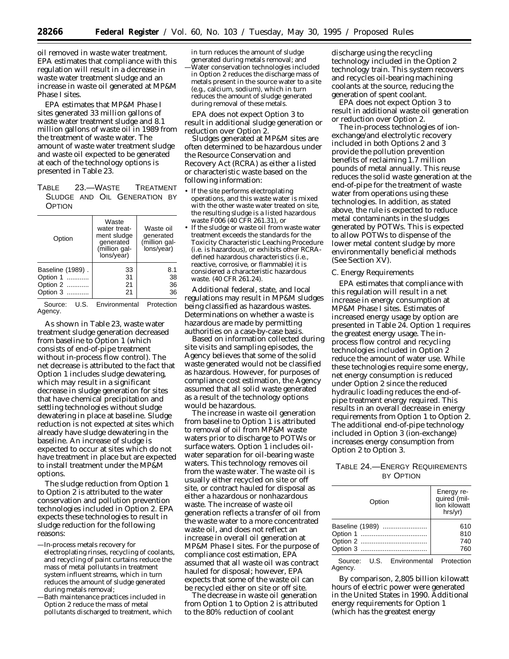oil removed in waste water treatment. EPA estimates that compliance with this regulation will result in a decrease in waste water treatment sludge and an increase in waste oil generated at MP&M Phase I sites.

EPA estimates that MP&M Phase I sites generated 33 million gallons of waste water treatment sludge and 8.1 million gallons of waste oil in 1989 from the treatment of waste water. The amount of waste water treatment sludge and waste oil expected to be generated at each of the technology options is presented in Table 23.

TABLE 23.—WASTE TREATMENT SLUDGE AND OIL GENERATION BY **OPTION** 

| Option           | Waste<br>water treat-<br>ment sludge<br>generated<br>(million gal-<br>lons/year) | Waste oil<br>generated<br>(million gal-<br>lons/year) |
|------------------|----------------------------------------------------------------------------------|-------------------------------------------------------|
| Baseline (1989). | 33                                                                               | 8.1                                                   |
| Option 1         | 31                                                                               | 38                                                    |
| Option 2         | 21                                                                               | 36                                                    |
| Option 3         | 21                                                                               | 36                                                    |

Source: U.S. Environmental Protection Agency.

As shown in Table 23, waste water treatment sludge generation decreased from baseline to Option 1 (which consists of end-of-pipe treatment without in-process flow control). The net decrease is attributed to the fact that Option 1 includes sludge dewatering, which may result in a significant decrease in sludge generation for sites that have chemical precipitation and settling technologies without sludge dewatering in place at baseline. Sludge reduction is not expected at sites which already have sludge dewatering in the baseline. An increase of sludge is expected to occur at sites which do not have treatment in place but are expected to install treatment under the MP&M options.

The sludge reduction from Option 1 to Option 2 is attributed to the water conservation and pollution prevention technologies included in Option 2. EPA expects these technologies to result in sludge reduction for the following reasons:

- —In-process metals recovery for electroplating rinses, recycling of coolants, and recycling of paint curtains reduce the mass of metal pollutants in treatment system influent streams, which in turn reduces the amount of sludge generated during metals removal;
- —Bath maintenance practices included in Option 2 reduce the mass of metal pollutants discharged to treatment, which

in turn reduces the amount of sludge generated during metals removal; and —Water conservation technologies included in Option 2 reduces the discharge mass of metals present in the source water to a site (e.g., calcium, sodium), which in turn reduces the amount of sludge generated during removal of these metals.

EPA does not expect Option 3 to result in additional sludge generation or reduction over Option 2.

Sludges generated at MP&M sites are often determined to be hazardous under the Resource Conservation and Recovery Act (RCRA) as either a listed or characteristic waste based on the following information:

- If the site performs electroplating operations, and this waste water is mixed with the other waste water treated on site, the resulting sludge is a listed hazardous waste F006 (40 CFR 261.31), or
- If the sludge or waste oil from waste water treatment exceeds the standards for the Toxicity Characteristic Leaching Procedure (i.e. is hazardous), or exhibits other RCRAdefined hazardous characteristics (i.e., reactive, corrosive, or flammable) it is considered a characteristic hazardous waste. (40 CFR 261.24).

Additional federal, state, and local regulations may result in MP&M sludges being classified as hazardous wastes. Determinations on whether a waste is hazardous are made by permitting authorities on a case-by-case basis.

Based on information collected during site visits and sampling episodes, the Agency believes that some of the solid waste generated would not be classified as hazardous. However, for purposes of compliance cost estimation, the Agency assumed that all solid waste generated as a result of the technology options would be hazardous.

The increase in waste oil generation from baseline to Option 1 is attributed to removal of oil from MP&M waste waters prior to discharge to POTWs or surface waters. Option 1 includes oilwater separation for oil-bearing waste waters. This technology removes oil from the waste water. The waste oil is usually either recycled on site or off site, or contract hauled for disposal as either a hazardous or nonhazardous waste. The increase of waste oil generation reflects a transfer of oil from the waste water to a more concentrated waste oil, and does not reflect an increase in overall oil generation at MP&M Phase I sites. For the purpose of compliance cost estimation, EPA assumed that all waste oil was contract hauled for disposal; however, EPA expects that some of the waste oil can be recycled either on site or off site.

The decrease in waste oil generation from Option 1 to Option 2 is attributed to the 80% reduction of coolant

discharge using the recycling technology included in the Option 2 technology train. This system recovers and recycles oil-bearing machining coolants at the source, reducing the generation of spent coolant.

EPA does not expect Option 3 to result in additional waste oil generation or reduction over Option 2.

The in-process technologies of ionexchange/and electrolytic recovery included in both Options 2 and 3 provide the pollution prevention benefits of reclaiming 1.7 million pounds of metal annually. This reuse reduces the solid waste generation at the end-of-pipe for the treatment of waste water from operations using these technologies. In addition, as stated above, the rule is expected to reduce metal contaminants in the sludges generated by POTWs. This is expected to allow POTWs to dispense of the lower metal content sludge by more environmentally beneficial methods (See Section XV).

## *C. Energy Requirements*

EPA estimates that compliance with this regulation will result in a net increase in energy consumption at MP&M Phase I sites. Estimates of increased energy usage by option are presented in Table 24. Option 1 requires the greatest energy usage. The inprocess flow control and recycling technologies included in Option 2 reduce the amount of water use. While these technologies require some energy, net energy consumption is reduced under Option 2 since the reduced hydraulic loading reduces the end-ofpipe treatment energy required. This results in an overall decrease in energy requirements from Option 1 to Option 2. The additional end-of-pipe technology included in Option 3 (ion-exchange) increases energy consumption from Option 2 to Option 3.

## TABLE 24.—ENERGY REQUIREMENTS BY OPTION

| Option          | Energy re-<br>quired (mil-<br>lion kilowatt<br>hrs/vr) |
|-----------------|--------------------------------------------------------|
| Baseline (1989) | 610                                                    |
|                 | 810                                                    |
|                 | 740                                                    |
|                 | 760                                                    |
|                 |                                                        |

Source: U.S. Environmental Protection Agency.

By comparison, 2,805 billion kilowatt hours of electric power were generated in the United States in 1990. Additional energy requirements for Option 1 (which has the greatest energy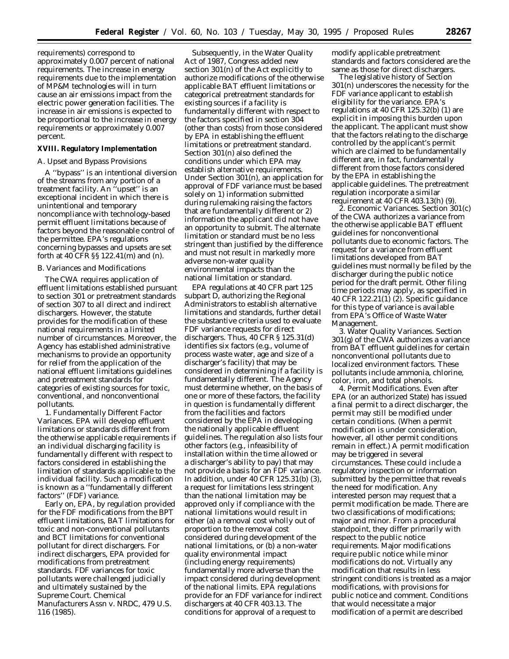requirements) correspond to approximately 0.007 percent of national requirements. The increase in energy requirements due to the implementation of MP&M technologies will in turn cause an air emissions impact from the electric power generation facilities. The increase in air emissions is expected to be proportional to the increase in energy requirements or approximately 0.007 percent.

#### **XVIII. Regulatory Implementation**

#### *A. Upset and Bypass Provisions*

A ''bypass'' is an intentional diversion of the streams from any portion of a treatment facility. An ''upset'' is an exceptional incident in which there is unintentional and temporary noncompliance with technology-based permit effluent limitations because of factors beyond the reasonable control of the permittee. EPA's regulations concerning bypasses and upsets are set forth at 40 CFR §§ 122.41(m) and (n).

#### *B. Variances and Modifications*

The CWA requires application of effluent limitations established pursuant to section 301 or pretreatment standards of section 307 to all direct and indirect dischargers. However, the statute provides for the modification of these national requirements in a limited number of circumstances. Moreover, the Agency has established administrative mechanisms to provide an opportunity for relief from the application of the national effluent limitations guidelines and pretreatment standards for categories of existing sources for toxic, conventional, and nonconventional pollutants.

1. *Fundamentally Different Factor Variances.* EPA will develop effluent limitations or standards different from the otherwise applicable requirements if an individual discharging facility is fundamentally different with respect to factors considered in establishing the limitation of standards applicable to the individual facility. Such a modification is known as a ''fundamentally different factors'' (FDF) variance.

Early on, EPA, by regulation provided for the FDF modifications from the BPT effluent limitations, BAT limitations for toxic and non-conventional pollutants and BCT limitations for conventional pollutant for direct dischargers. For indirect dischargers, EPA provided for modifications from pretreatment standards. FDF variances for toxic pollutants were challenged judicially and ultimately sustained by the Supreme Court. *Chemical Manufacturers Assn* v. *NRDC,* 479 U.S. 116 (1985).

Subsequently, in the Water Quality Act of 1987, Congress added new section 301(n) of the Act explicitly to authorize modifications of the otherwise applicable BAT effluent limitations or categorical pretreatment standards for existing sources if a facility is fundamentally different with respect to the factors specified in section 304 (other than costs) from those considered by EPA in establishing the effluent limitations or pretreatment standard. Section 301(n) also defined the conditions under which EPA may establish alternative requirements. Under Section 301(n), an application for approval of FDF variance must be based solely on 1) information submitted during rulemaking raising the factors that are fundamentally different or 2) information the applicant did not have an opportunity to submit. The alternate limitation or standard must be no less stringent than justified by the difference and must not result in markedly more adverse non-water quality environmental impacts than the national limitation or standard.

EPA regulations at 40 CFR part 125 subpart D, authorizing the Regional Administrators to establish alternative limitations and standards, further detail the substantive criteria used to evaluate FDF variance requests for direct dischargers. Thus, 40 CFR § 125.31(d) identifies six factors (e.g., volume of process waste water, age and size of a discharger's facility) that may be considered in determining if a facility is fundamentally different. The Agency must determine whether, on the basis of one or more of these factors, the facility in question is fundamentally different from the facilities and factors considered by the EPA in developing the nationally applicable effluent guidelines. The regulation also lists four other factors (e.g., infeasibility of installation within the time allowed or a discharger's ability to pay) that may not provide a basis for an FDF variance. In addition, under 40 CFR 125.31(b) (3), a request for limitations less stringent than the national limitation may be approved only if compliance with the national limitations would result in either (a) a removal cost wholly out of proportion to the removal cost considered during development of the national limitations, or (b) a non-water quality environmental impact (including energy requirements) fundamentally more adverse than the impact considered during development of the national limits. EPA regulations provide for an FDF variance for indirect dischargers at 40 CFR 403.13. The conditions for approval of a request to

modify applicable pretreatment standards and factors considered are the same as those for direct dischargers.

The legislative history of Section 301(n) underscores the necessity for the FDF variance applicant to establish eligibility for the variance. EPA's regulations at 40 CFR 125.32(b) (1) are explicit in imposing this burden upon the applicant. The applicant must show that the factors relating to the discharge controlled by the applicant's permit which are claimed to be fundamentally different are, in fact, fundamentally different from those factors considered by the EPA in establishing the applicable guidelines. The pretreatment regulation incorporate a similar requirement at 40 CFR 403.13(h) (9).

2. *Economic Variances.* Section 301(c) of the CWA authorizes a variance from the otherwise applicable BAT effluent guidelines for nonconventional pollutants due to economic factors. The request for a variance from effluent limitations developed from BAT guidelines must normally be filed by the discharger during the public notice period for the draft permit. Other filing time periods may apply, as specified in 40 CFR 122.21(1) (2). Specific guidance for this type of variance is available from EPA's Office of Waste Water Management.

3. *Water Quality Variances.* Section 301(g) of the CWA authorizes a variance from BAT effluent guidelines for certain nonconventional pollutants due to localized environment factors. These pollutants include ammonia, chlorine, color, iron, and total phenols.

4. *Permit Modifications.* Even after EPA (or an authorized State) has issued a final permit to a direct discharger, the permit may still be modified under certain conditions. (When a permit modification is under consideration, however, all other permit conditions remain in effect.) A permit modification may be triggered in several circumstances. These could include a regulatory inspection or information submitted by the permittee that reveals the need for modification. Any interested person may request that a permit modification be made. There are two classifications of modifications; major and minor. From a procedural standpoint, they differ primarily with respect to the public notice requirements. Major modifications require public notice while minor modifications do not. Virtually any modification that results in less stringent conditions is treated as a major modifications, with provisions for public notice and comment. Conditions that would necessitate a major modification of a permit are described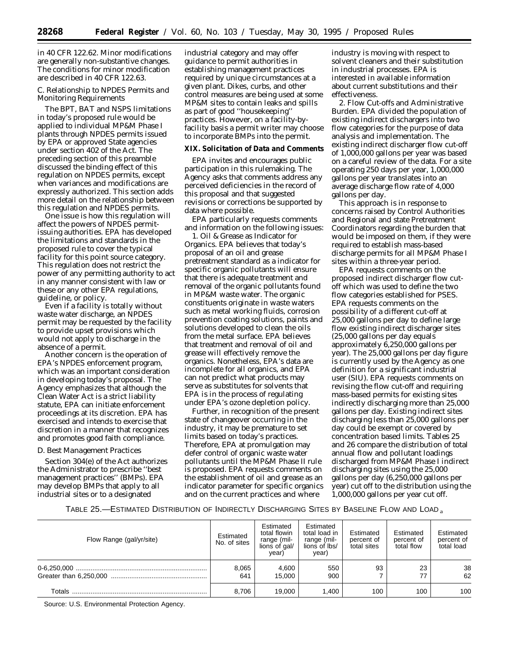in 40 CFR 122.62. Minor modifications are generally non-substantive changes. The conditions for minor modification are described in 40 CFR 122.63.

## *C. Relationship to NPDES Permits and Monitoring Requirements*

The BPT, BAT and NSPS limitations in today's proposed rule would be applied to individual MP&M Phase I plants through NPDES permits issued by EPA or approved State agencies under section 402 of the Act. The preceding section of this preamble discussed the binding effect of this regulation on NPDES permits, except when variances and modifications are expressly authorized. This section adds more detail on the relationship between this regulation and NPDES permits.

One issue is how this regulation will affect the powers of NPDES permitissuing authorities. EPA has developed the limitations and standards in the proposed rule to cover the typical facility for this point source category. This regulation does not restrict the power of any permitting authority to act in any manner consistent with law or these or any other EPA regulations, guideline, or policy.

Even if a facility is totally without waste water discharge, an NPDES permit may be requested by the facility to provide upset provisions which would not apply to discharge in the absence of a permit.

Another concern is the operation of EPA's NPDES enforcement program, which was an important consideration in developing today's proposal. The Agency emphasizes that although the Clean Water Act is a strict liability statute, EPA can initiate enforcement proceedings at its discretion. EPA has exercised and intends to exercise that discretion in a manner that recognizes and promotes good faith compliance.

## *D. Best Management Practices*

Section 304(e) of the Act authorizes the Administrator to prescribe ''best management practices'' (BMPs). EPA may develop BMPs that apply to all industrial sites or to a designated

industrial category and may offer guidance to permit authorities in establishing management practices required by unique circumstances at a given plant. Dikes, curbs, and other control measures are being used at some MP&M sites to contain leaks and spills as part of good ''housekeeping'' practices. However, on a facility-byfacility basis a permit writer may choose to incorporate BMPs into the permit.

#### **XIX. Solicitation of Data and Comments**

EPA invites and encourages public participation in this rulemaking. The Agency asks that comments address any perceived deficiencies in the record of this proposal and that suggested revisions or corrections be supported by data where possible.

EPA particularly requests comments and information on the following issues:

1. Oil & Grease as Indicator for Organics. EPA believes that today's proposal of an oil and grease pretreatment standard as a indicator for specific organic pollutants will ensure that there is adequate treatment and removal of the organic pollutants found in MP&M waste water. The organic constituents originate in waste waters such as metal working fluids, corrosion prevention coating solutions, paints and solutions developed to clean the oils from the metal surface. EPA believes that treatment and removal of oil and grease will effectively remove the organics. Nonetheless, EPA's data are incomplete for all organics, and EPA can not predict what products may serve as substitutes for solvents that EPA is in the process of regulating under EPA's ozone depletion policy.

Further, in recognition of the present state of changeover occurring in the industry, it may be premature to set limits based on today's practices. Therefore, EPA at promulgation may defer control of organic waste water pollutants until the MP&M Phase II rule is proposed. EPA requests comments on the establishment of oil and grease as an indicator parameter for specific organics and on the current practices and where

industry is moving with respect to solvent cleaners and their substitution in industrial processes. EPA is interested in available information about current substitutions and their effectiveness.

2. Flow Cut-offs and Administrative Burden. EPA divided the population of existing indirect dischargers into two flow categories for the purpose of data analysis and implementation. The existing indirect discharger flow cut-off of 1,000,000 gallons per year was based on a careful review of the data. For a site operating 250 days per year, 1,000,000 gallons per year translates into an average discharge flow rate of 4,000 gallons per day.

This approach is in response to concerns raised by Control Authorities and Regional and state Pretreatment Coordinators regarding the burden that would be imposed on them, if they were required to establish mass-based discharge permits for all MP&M Phase I sites within a three-year period.

EPA requests comments on the proposed indirect discharger flow cutoff which was used to define the two flow categories established for PSES. EPA requests comments on the possibility of a different cut-off at 25,000 gallons per day to define large flow existing indirect discharger sites (25,000 gallons per day equals approximately 6,250,000 gallons per year). The 25,000 gallons per day figure is currently used by the Agency as one definition for a significant industrial user (SIU). EPA requests comments on revising the flow cut-off and requiring mass-based permits for existing sites indirectly discharging more than 25,000 gallons per day. Existing indirect sites discharging less than 25,000 gallons per day could be exempt or covered by concentration based limits. Tables 25 and 26 compare the distribution of total annual flow and pollutant loadings discharged from MP&M Phase I indirect discharging sites using the 25,000 gallons per day (6,250,000 gallons per year) cut off to the distribution using the 1,000,000 gallons per year cut off.

TABLE 25.—ESTIMATED DISTRIBUTION OF INDIRECTLY DISCHARGING SITES BY BASELINE FLOW AND LOAD a

| Flow Range (gal/yr/site) | Estimated<br>No. of sites | Estimated<br>total flowin<br>range (mil-<br>lions of gal/<br>vear) | Estimated<br>total load in<br>range (mil-<br>lions of lbs/<br>year) | Estimated<br>percent of<br>total sites | Estimated<br>percent of<br>total flow | Estimated<br>percent of<br>total load |
|--------------------------|---------------------------|--------------------------------------------------------------------|---------------------------------------------------------------------|----------------------------------------|---------------------------------------|---------------------------------------|
|                          | 8.065<br>641              | 4,600<br>15.000                                                    | 550<br>900                                                          | 93                                     | 23<br>77                              | 38<br>62                              |
| Totals                   | 8.706                     | 19,000                                                             | 1.400                                                               | 100                                    | 100                                   | 100                                   |

Source: U.S. Environmental Protection Agency.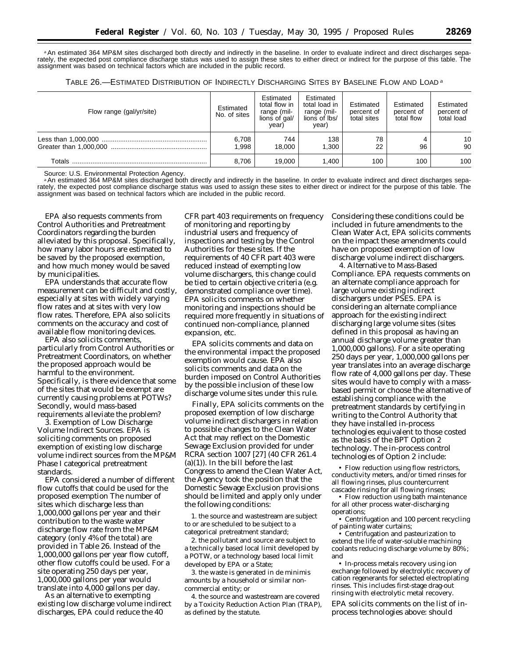aAn estimated 364 MP&M sites discharged both directly and indirectly in the baseline. In order to evaluate indirect and direct discharges separately, the expected post compliance discharge status was used to assign these sites to either direct or indirect for the purpose of this table. The assignment was based on technical factors which are included in the public record.

| Table 26.—Estimated Distribution of Indirectly Discharging Sites by Baseline Flow and Load a |  |  |  |  |
|----------------------------------------------------------------------------------------------|--|--|--|--|
|----------------------------------------------------------------------------------------------|--|--|--|--|

| Flow range (gal/yr/site) | Estimated<br>No. of sites | Estimated<br>total flow in<br>range (mil-<br>lions of gal/<br>year) | Estimated<br>total load in<br>range (mil-<br>lions of lbs/<br>year) | Estimated<br>percent of<br>total sites | Estimated<br>percent of<br>total flow | Estimated<br>percent of<br>total load |
|--------------------------|---------------------------|---------------------------------------------------------------------|---------------------------------------------------------------------|----------------------------------------|---------------------------------------|---------------------------------------|
|                          | 6,708<br><b>998.</b>      | 744<br>18.000                                                       | 138<br>1.300                                                        | 78<br>22                               | 96                                    | 10<br>90                              |
| Totals                   | 8.706                     | 19.000                                                              | 1.400                                                               | 100                                    | 100                                   | 100                                   |

Source: U.S. Environmental Protection Agency.

aAn estimated 364 MP&M sites discharged both directly and indirectly in the baseline. In order to evaluate indirect and direct discharges separately, the expected post compliance discharge status was used to assign these sites to either direct or indirect for the purpose of this table. The assignment was based on technical factors which are included in the public record.

EPA also requests comments from Control Authorities and Pretreatment Coordinators regarding the burden alleviated by this proposal. Specifically, how many labor hours are estimated to be saved by the proposed exemption, and how much money would be saved by municipalities.

EPA understands that accurate flow measurement can be difficult and costly, especially at sites with widely varying flow rates and at sites with very low flow rates. Therefore, EPA also solicits comments on the accuracy and cost of available flow monitoring devices.

EPA also solicits comments, particularly from Control Authorities or Pretreatment Coordinators, on whether the proposed approach would be harmful to the environment. Specifically, is there evidence that some of the sites that would be exempt are currently causing problems at POTWs? Secondly, would mass-based requirements alleviate the problem?

3. Exemption of Low Discharge Volume Indirect Sources. EPA is soliciting comments on proposed exemption of existing low discharge volume indirect sources from the MP&M Phase I categorical pretreatment standards.

EPA considered a number of different flow cutoffs that could be used for the proposed exemption The number of sites which discharge less than 1,000,000 gallons per year and their contribution to the waste water discharge flow rate from the MP&M category (only 4%of the total) are provided in Table 26. Instead of the 1,000,000 gallons per year flow cutoff, other flow cutoffs could be used. For a site operating 250 days per year, 1,000,000 gallons per year would translate into 4,000 gallons per day.

As an alternative to exempting existing low discharge volume indirect discharges, EPA could reduce the 40

CFR part 403 requirements on frequency of monitoring and reporting by industrial users and frequency of inspections and testing by the Control Authorities for these sites. If the requirements of 40 CFR part 403 were reduced instead of exempting low volume dischargers, this change could be tied to certain objective criteria (e.g. demonstrated compliance over time). EPA solicits comments on whether monitoring and inspections should be required more frequently in situations of continued non-compliance, planned expansion, etc.

EPA solicits comments and data on the environmental impact the proposed exemption would cause. EPA also solicits comments and data on the burden imposed on Control Authorities by the possible inclusion of these low discharge volume sites under this rule.

Finally, EPA solicits comments on the proposed exemption of low discharge volume indirect dischargers in relation to possible changes to the Clean Water Act that may reflect on the Domestic Sewage Exclusion provided for under RCRA section 1007 [27] (40 CFR 261.4  $(a)(1)$ ). In the bill before the last Congress to amend the Clean Water Act, the Agency took the position that the Domestic Sewage Exclusion provisions should be limited and apply only under the following conditions:

1. the source and wastestream are subject to or are scheduled to be subject to a categorical pretreatment standard;

2. the pollutant and source are subject to a technically based local limit developed by a POTW, or a technology based local limit developed by EPA or a State;

3. the waste is generated in de minimis amounts by a household or similar noncommercial entity; or

4. the source and wastestream are covered by a Toxicity Reduction Action Plan (TRAP), as defined by the statute.

Considering these conditions could be included in future amendments to the Clean Water Act, EPA solicits comments on the impact these amendments could have on proposed exemption of low discharge volume indirect dischargers.

4. Alternative to Mass-Based Compliance. EPA requests comments on an alternate compliance approach for large volume existing indirect dischargers under PSES. EPA is considering an alternate compliance approach for the existing indirect discharging large volume sites (sites defined in this proposal as having an annual discharge volume greater than 1,000,000 gallons). For a site operating 250 days per year, 1,000,000 gallons per year translates into an average discharge flow rate of 4,000 gallons per day. These sites would have to comply with a massbased permit or choose the alternative of establishing compliance with the pretreatment standards by certifying in writing to the Control Authority that they have installed in-process technologies equivalent to those costed as the basis of the BPT Option 2 technology. The in-process control technologies of Option 2 include:

• Flow reduction using flow restrictors, conductivity meters, and/or timed rinses for all flowing rinses, plus countercurrent cascade rinsing for all flowing rinses;

• Flow reduction using bath maintenance for all other process water-discharging operations;

• Centrifugation and 100 percent recycling of painting water curtains;

• Centrifugation and pasteurization to extend the life of water-soluble machining coolants reducing discharge volume by 80%; and

• In-process metals recovery using ion exchange followed by electrolytic recovery of cation regenerants for selected electroplating rinses. This includes first-stage drag-out rinsing with electrolytic metal recovery.

EPA solicits comments on the list of inprocess technologies above: should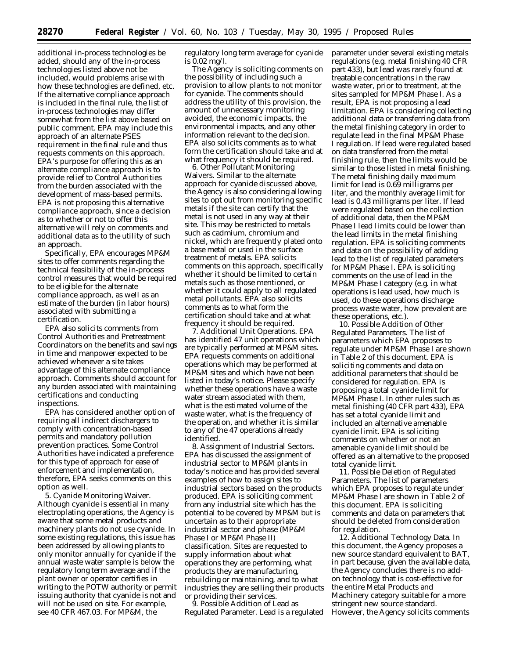additional in-process technologies be added, should any of the in-process technologies listed above not be included, would problems arise with how these technologies are defined, etc. If the alternative compliance approach is included in the final rule, the list of in-process technologies may differ somewhat from the list above based on public comment. EPA may include this approach of an alternate PSES requirement in the final rule and thus requests comments on this approach. EPA's purpose for offering this as an alternate compliance approach is to provide relief to Control Authorities from the burden associated with the development of mass-based permits. EPA is not proposing this alternative compliance approach, since a decision as to whether or not to offer this alternative will rely on comments and additional data as to the utility of such an approach.

Specifically, EPA encourages MP&M sites to offer comments regarding the technical feasibility of the in-process control measures that would be required to be eligible for the alternate compliance approach, as well as an estimate of the burden (in labor hours) associated with submitting a certification.

EPA also solicits comments from Control Authorities and Pretreatment Coordinators on the benefits and savings in time and manpower expected to be achieved whenever a site takes advantage of this alternate compliance approach. Comments should account for any burden associated with maintaining certifications and conducting inspections.

EPA has considered another option of requiring all indirect dischargers to comply with concentration-based permits and mandatory pollution prevention practices. Some Control Authorities have indicated a preference for this type of approach for ease of enforcement and implementation, therefore, EPA seeks comments on this option as well.

5. Cyanide Monitoring Waiver. Although cyanide is essential in many electroplating operations, the Agency is aware that some metal products and machinery plants do not use cyanide. In some existing regulations, this issue has been addressed by allowing plants to only monitor annually for cyanide if the annual waste water sample is below the regulatory long term average and if the plant owner or operator certifies in writing to the POTW authority or permit issuing authority that cyanide is not and will not be used on site. For example, see 40 CFR 467.03. For MP&M, the

regulatory long term average for cyanide is 0.02 mg/l.

The Agency is soliciting comments on the possibility of including such a provision to allow plants to not monitor for cyanide. The comments should address the utility of this provision, the amount of unnecessary monitoring avoided, the economic impacts, the environmental impacts, and any other information relevant to the decision. EPA also solicits comments as to what form the certification should take and at what frequency it should be required.

6. Other Pollutant Monitoring Waivers. Similar to the alternate approach for cyanide discussed above, the Agency is also considering allowing sites to opt out from monitoring specific metals if the site can certify that the metal is not used in any way at their site. This may be restricted to metals such as cadmium, chromium and nickel, which are frequently plated onto a base metal or used in the surface treatment of metals. EPA solicits comments on this approach, specifically whether it should be limited to certain metals such as those mentioned, or whether it could apply to all regulated metal pollutants. EPA also solicits comments as to what form the certification should take and at what frequency it should be required.

7. Additional Unit Operations. EPA has identified 47 unit operations which are typically performed at MP&M sites. EPA requests comments on additional operations which may be performed at MP&M sites and which have not been listed in today's notice. Please specify whether these operations have a waste water stream associated with them, what is the estimated volume of the waste water, what is the frequency of the operation, and whether it is similar to any of the 47 operations already identified.

8. Assignment of Industrial Sectors. EPA has discussed the assignment of industrial sector to MP&M plants in today's notice and has provided several examples of how to assign sites to industrial sectors based on the products produced. EPA is soliciting comment from any industrial site which has the potential to be covered by MP&M but is uncertain as to their appropriate industrial sector and phase (MP&M Phase I or MP&M Phase II) classification. Sites are requested to supply information about what operations they are performing, what products they are manufacturing, rebuilding or maintaining, and to what industries they are selling their products or providing their services.

9. Possible Addition of Lead as Regulated Parameter. Lead is a regulated parameter under several existing metals regulations (e.g. metal finishing 40 CFR part 433), but lead was rarely found at treatable concentrations in the raw waste water, prior to treatment, at the sites sampled for MP&M Phase I. As a result, EPA is not proposing a lead limitation. EPA is considering collecting additional data or transferring data from the metal finishing category in order to regulate lead in the final MP&M Phase I regulation. If lead were regulated based on data transferred from the metal finishing rule, then the limits would be similar to those listed in metal finishing. The metal finishing daily maximum limit for lead is 0.69 milligrams per liter, and the monthly average limit for lead is 0.43 milligrams per liter. If lead were regulated based on the collection of additional data, then the MP&M Phase I lead limits could be lower than the lead limits in the metal finishing regulation. EPA is soliciting comments and data on the possibility of adding lead to the list of regulated parameters for MP&M Phase I. EPA is soliciting comments on the use of lead in the MP&M Phase I category (e.g. in what operations is lead used, how much is used, do these operations discharge process waste water, how prevalent are these operations, etc.).

10. Possible Addition of Other Regulated Parameters. The list of parameters which EPA proposes to regulate under MP&M Phase I are shown in Table 2 of this document. EPA is soliciting comments and data on additional parameters that should be considered for regulation. EPA is proposing a total cyanide limit for MP&M Phase I. In other rules such as metal finishing (40 CFR part 433), EPA has set a total cyanide limit and included an alternative amenable cyanide limit. EPA is soliciting comments on whether or not an amenable cyanide limit should be offered as an alternative to the proposed total cyanide limit.

11. Possible Deletion of Regulated Parameters. The list of parameters which EPA proposes to regulate under MP&M Phase I are shown in Table 2 of this document. EPA is soliciting comments and data on parameters that should be deleted from consideration for regulation.

12. Additional Technology Data. In this document, the Agency proposes a new source standard equivalent to BAT, in part because, given the available data, the Agency concludes there is no addon technology that is cost-effective for the entire Metal Products and Machinery category suitable for a more stringent new source standard. However, the Agency solicits comments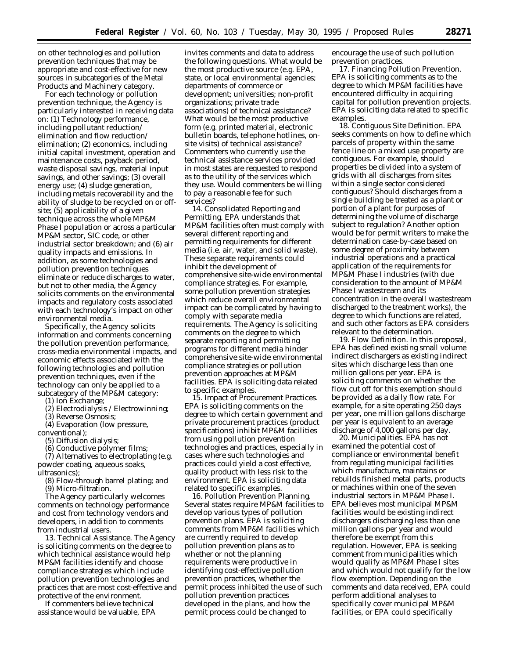on other technologies and pollution prevention techniques that may be appropriate and cost-effective for new sources in subcategories of the Metal Products and Machinery category.

For each technology or pollution prevention technique, the Agency is particularly interested in receiving data on: (1) Technology performance, including pollutant reduction/ elimination and flow reduction/ elimination; (2) economics, including initial capital investment, operation and maintenance costs, payback period, waste disposal savings, material input savings, and other savings; (3) overall energy use; (4) sludge generation, including metals recoverability and the ability of sludge to be recycled on or offsite; (5) applicability of a given technique across the whole MP&M Phase I population or across a particular MP&M sector, SIC code, or other industrial sector breakdown; and (6) air quality impacts and emissions. In addition, as some technologies and pollution prevention techniques eliminate or reduce discharges to water, but not to other media, the Agency solicits comments on the environmental impacts and regulatory costs associated with each technology's impact on other environmental media.

Specifically, the Agency solicits information and comments concerning the pollution prevention performance, cross-media environmental impacts, and economic effects associated with the following technologies and pollution prevention techniques, even if the technology can only be applied to a subcategory of the MP&M category:

(1) Ion Exchange;

(2) Electrodialysis / Electrowinning;

(3) Reverse Osmosis;

(4) Evaporation (low pressure, conventional);

(5) Diffusion dialysis;

(6) Conductive polymer films;

(7) Alternatives to electroplating (e.g. powder coating, aqueous soaks, ultrasonics);

(8) Flow-through barrel plating; and

(9) Micro-filtration.

The Agency particularly welcomes comments on technology performance and cost from technology vendors and developers, in addition to comments from industrial users.

13. Technical Assistance. The Agency is soliciting comments on the degree to which technical assistance would help MP&M facilities identify and choose compliance strategies which include pollution prevention technologies and practices that are most cost-effective and protective of the environment.

If commenters believe technical assistance would be valuable, EPA

invites comments and data to address the following questions. What would be the most productive source (e.g. EPA, state, or local environmental agencies; departments of commerce or development; universities; non-profit organizations; private trade associations) of technical assistance? What would be the most productive form (e.g. printed material, electronic bulletin boards, telephone hotlines, onsite visits) of technical assistance? Commenters who currently use the technical assistance services provided in most states are requested to respond as to the utility of the services which they use. Would commenters be willing to pay a reasonable fee for such services?

14. Consolidated Reporting and Permitting. EPA understands that MP&M facilities often must comply with several different reporting and permitting requirements for different media (i.e. air, water, and solid waste). These separate requirements could inhibit the development of comprehensive site-wide environmental compliance strategies. For example, some pollution prevention strategies which reduce overall environmental impact can be complicated by having to comply with separate media requirements. The Agency is soliciting comments on the degree to which separate reporting and permitting programs for different media hinder comprehensive site-wide environmental compliance strategies or pollution prevention approaches at MP&M facilities. EPA is soliciting data related to specific examples.

15. Impact of Procurement Practices. EPA is soliciting comments on the degree to which certain government and private procurement practices (product specifications) inhibit MP&M facilities from using pollution prevention technologies and practices, especially in cases where such technologies and practices could yield a cost effective, quality product with less risk to the environment. EPA is soliciting data related to specific examples.

16. Pollution Prevention Planning. Several states require MP&M facilities to develop various types of pollution prevention plans. EPA is soliciting comments from MP&M facilities which are currently required to develop pollution prevention plans as to whether or not the planning requirements were productive in identifying cost-effective pollution prevention practices, whether the permit process inhibited the use of such pollution prevention practices developed in the plans, and how the permit process could be changed to

encourage the use of such pollution prevention practices.

17. Financing Pollution Prevention. EPA is soliciting comments as to the degree to which MP&M facilities have encountered difficulty in acquiring capital for pollution prevention projects. EPA is soliciting data related to specific examples.

18. Contiguous Site Definition. EPA seeks comments on how to define which parcels of property within the same fence line on a mixed use property are contiguous. For example, should properties be divided into a system of grids with all discharges from sites within a single sector considered contiguous? Should discharges from a single building be treated as a plant or portion of a plant for purposes of determining the volume of discharge subject to regulation? Another option would be for permit writers to make the determination case-by-case based on some degree of proximity between industrial operations and a practical application of the requirements for MP&M Phase I industries (with due consideration to the amount of MP&M Phase I wastestream and its concentration in the overall wastestream discharged to the treatment works), the degree to which functions are related, and such other factors as EPA considers relevant to the determination.

19. Flow Definition. In this proposal, EPA has defined existing small volume indirect dischargers as existing indirect sites which discharge less than one million gallons per year. EPA is soliciting comments on whether the flow cut off for this exemption should be provided as a daily flow rate. For example, for a site operating 250 days per year, one million gallons discharge per year is equivalent to an average discharge of 4,000 gallons per day.

20. Municipalities. EPA has not examined the potential cost of compliance or environmental benefit from regulating municipal facilities which manufacture, maintains or rebuilds finished metal parts, products or machines within one of the seven industrial sectors in MP&M Phase I. EPA believes most municipal MP&M facilities would be existing indirect dischargers discharging less than one million gallons per year and would therefore be exempt from this regulation. However, EPA is seeking comment from municipalities which would qualify as MP&M Phase I sites and which would not qualify for the low flow exemption. Depending on the comments and data received, EPA could perform additional analyses to specifically cover municipal MP&M facilities, or EPA could specifically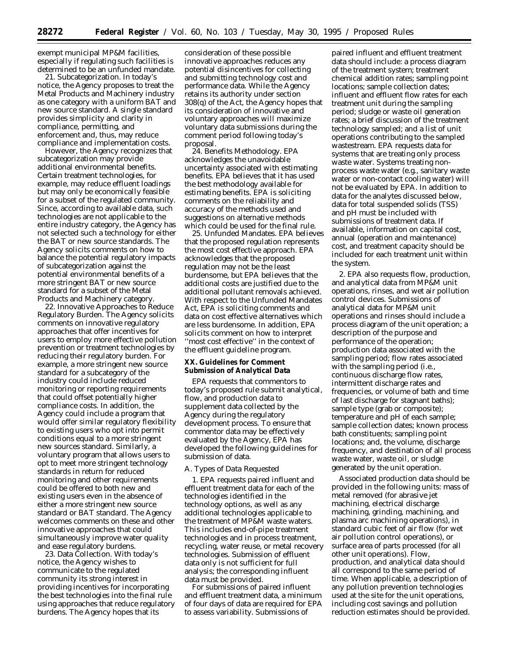exempt municipal MP&M facilities, especially if regulating such facilities is determined to be an unfunded mandate.

21. Subcategorization. In today's notice, the Agency proposes to treat the Metal Products and Machinery industry as one category with a uniform BAT and new source standard. A single standard provides simplicity and clarity in compliance, permitting, and enforcement and, thus, may reduce compliance and implementation costs.

However, the Agency recognizes that subcategorization may provide additional environmental benefits. Certain treatment technologies, for example, may reduce effluent loadings but may only be economically feasible for a subset of the regulated community. Since, according to available data, such technologies are not applicable to the entire industry category, the Agency has not selected such a technology for either the BAT or new source standards. The Agency solicits comments on how to balance the potential regulatory impacts of subcategorization against the potential environmental benefits of a more stringent BAT or new source standard for a subset of the Metal Products and Machinery category.

22. Innovative Approaches to Reduce Regulatory Burden. The Agency solicits comments on innovative regulatory approaches that offer incentives for users to employ more effective pollution prevention or treatment technologies by reducing their regulatory burden. For example, a more stringent new source standard for a subcategory of the industry could include reduced monitoring or reporting requirements that could offset potentially higher compliance costs. In addition, the Agency could include a program that would offer similar regulatory flexibility to existing users who opt into permit conditions equal to a more stringent new sources standard. Similarly, a voluntary program that allows users to opt to meet more stringent technology standards in return for reduced monitoring and other requirements could be offered to both new and existing users even in the absence of either a more stringent new source standard or BAT standard. The Agency welcomes comments on these and other innovative approaches that could simultaneously improve water quality and ease regulatory burdens.

23. Data Collection. With today's notice, the Agency wishes to communicate to the regulated community its strong interest in providing incentives for incorporating the best technologies into the final rule using approaches that reduce regulatory burdens. The Agency hopes that its

consideration of these possible innovative approaches reduces any potential disincentives for collecting and submitting technology cost and performance data. While the Agency retains its authority under section 308(q) of the Act, the Agency hopes that its consideration of innovative and voluntary approaches will maximize voluntary data submissions during the comment period following today's proposal.

24. Benefits Methodology. EPA acknowledges the unavoidable uncertainty associated with estimating benefits. EPA believes that it has used the best methodology available for estimating benefits. EPA is soliciting comments on the reliability and accuracy of the methods used and suggestions on alternative methods which could be used for the final rule.

25. Unfunded Mandates. EPA believes that the proposed regulation represents the most cost effective approach. EPA acknowledges that the proposed regulation may not be the least burdensome, but EPA believes that the additional costs are justified due to the additional pollutant removals achieved. With respect to the Unfunded Mandates Act, EPA is soliciting comments and data on cost effective alternatives which are less burdensome. In addition, EPA solicits comment on how to interpret ''most cost effective'' in the context of the effluent guideline program.

## **XX. Guidelines for Comment Submission of Analytical Data**

EPA requests that commentors to today's proposed rule submit analytical, flow, and production data to supplement data collected by the Agency during the regulatory development process. To ensure that commentor data may be effectively evaluated by the Agency, EPA has developed the following guidelines for submission of data.

#### *A. Types of Data Requested*

1. EPA requests paired influent and effluent treatment data for each of the technologies identified in the technology options, as well as any additional technologies applicable to the treatment of MP&M waste waters. This includes end-of-pipe treatment technologies and in process treatment, recycling, water reuse, or metal recovery technologies. Submission of effluent data only is not sufficient for full analysis; the corresponding influent data must be provided.

For submissions of paired influent and effluent treatment data, a minimum of four days of data are required for EPA to assess variability. Submissions of

paired influent and effluent treatment data should include: a process diagram of the treatment system; treatment chemical addition rates; sampling point locations; sample collection dates; influent and effluent flow rates for each treatment unit during the sampling period; sludge or waste oil generation rates; a brief discussion of the treatment technology sampled; and a list of unit operations contributing to the sampled wastestream. EPA requests data for systems that are treating only process waste water. Systems treating nonprocess waste water (e.g., sanitary waste water or non-contact cooling water) will not be evaluated by EPA. In addition to data for the analytes discussed below, data for total suspended solids (TSS) and pH must be included with submissions of treatment data. If available, information on capital cost, annual (operation and maintenance) cost, and treatment capacity should be included for each treatment unit within the system.

2. EPA also requests flow, production, and analytical data from MP&M unit operations, rinses, and wet air pollution control devices. Submissions of analytical data for MP&M unit operations and rinses should include a process diagram of the unit operation; a description of the purpose and performance of the operation; production data associated with the sampling period; flow rates associated with the sampling period (i.e., continuous discharge flow rates, intermittent discharge rates and frequencies, or volume of bath and time of last discharge for stagnant baths); sample type (grab or composite); temperature and pH of each sample; sample collection dates; known process bath constituents; sampling point locations; and, the volume, discharge frequency, and destination of all process waste water, waste oil, or sludge generated by the unit operation.

Associated production data should be provided in the following units: mass of metal removed (for abrasive jet machining, electrical discharge machining, grinding, machining, and plasma arc machining operations), in standard cubic feet of air flow (for wet air pollution control operations), or surface area of parts processed (for all other unit operations). Flow, production, and analytical data should all correspond to the same period of time. When applicable, a description of any pollution prevention technologies used at the site for the unit operations, including cost savings and pollution reduction estimates should be provided.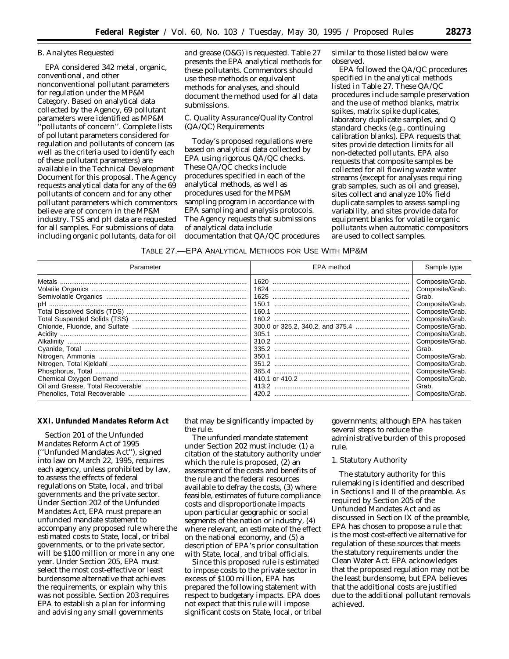## *B. Analytes Requested*

EPA considered 342 metal, organic, conventional, and other nonconventional pollutant parameters for regulation under the MP&M Category. Based on analytical data collected by the Agency, 69 pollutant parameters were identified as MP&M 'pollutants of concern''. Complete lists of pollutant parameters considered for regulation and pollutants of concern (as well as the criteria used to identify each of these pollutant parameters) are available in the Technical Development Document for this proposal. The Agency requests analytical data for any of the 69 pollutants of concern and for any other pollutant parameters which commentors believe are of concern in the MP&M industry. TSS and pH data are requested for all samples. For submissions of data including organic pollutants, data for oil and grease (O&G) is requested. Table 27 presents the EPA analytical methods for these pollutants. Commentors should use these methods or equivalent methods for analyses, and should document the method used for all data submissions.

## *C. Quality Assurance/Quality Control (QA/QC) Requirements*

Today's proposed regulations were based on analytical data collected by EPA using rigorous QA/QC checks. These QA/QC checks include procedures specified in each of the analytical methods, as well as procedures used for the MP&M sampling program in accordance with EPA sampling and analysis protocols. The Agency requests that submissions of analytical data include documentation that QA/QC procedures similar to those listed below were observed.

EPA followed the QA/QC procedures specified in the analytical methods listed in Table 27. These QA/QC procedures include sample preservation and the use of method blanks, matrix spikes, matrix spike duplicates, laboratory duplicate samples, and Q standard checks (e.g., continuing calibration blanks). EPA requests that sites provide detection limits for all non-detected pollutants. EPA also requests that composite samples be collected for all flowing waste water streams (except for analyses requiring grab samples, such as oil and grease), sites collect and analyze 10% field duplicate samples to assess sampling variability, and sites provide data for equipment blanks for volatile organic pollutants when automatic compositors are used to collect samples.

| TABLE 27.—EPA ANALYTICAL METHODS FOR USE WITH MP&M |  |  |
|----------------------------------------------------|--|--|
|----------------------------------------------------|--|--|

| Parameter | EPA method | Sample type     |
|-----------|------------|-----------------|
|           | 1620       | Composite/Grab. |
|           | 1624       | Composite/Grab. |
|           | 1625       | Grab.           |
|           | 150.1      | Composite/Grab. |
|           |            | Composite/Grab. |
|           |            | Composite/Grab. |
|           |            | Composite/Grab. |
|           |            | Composite/Grab. |
|           |            | Composite/Grab. |
|           |            | Grab.           |
|           |            | Composite/Grab. |
|           |            | Composite/Grab. |
|           |            | Composite/Grab. |
|           |            | Composite/Grab. |
|           |            | Grab.           |
|           |            | Composite/Grab. |

## **XXI. Unfunded Mandates Reform Act**

Section 201 of the Unfunded Mandates Reform Act of 1995 (''Unfunded Mandates Act''), signed into law on March 22, 1995, requires each agency, unless prohibited by law, to assess the effects of federal regulations on State, local, and tribal governments and the private sector. Under Section 202 of the Unfunded Mandates Act, EPA must prepare an unfunded mandate statement to accompany any proposed rule where the estimated costs to State, local, or tribal governments, or to the private sector, will be \$100 million or more in any one year. Under Section 205, EPA must select the most cost-effective or least burdensome alternative that achieves the requirements, or explain why this was not possible. Section 203 requires EPA to establish a plan for informing and advising any small governments

that may be significantly impacted by the rule.

The unfunded mandate statement under Section 202 must include: (1) a citation of the statutory authority under which the rule is proposed, (2) an assessment of the costs and benefits of the rule and the federal resources available to defray the costs, (3) where feasible, estimates of future compliance costs and disproportionate impacts upon particular geographic or social segments of the nation or industry, (4) where relevant, an estimate of the effect on the national economy, and (5) a description of EPA's prior consultation with State, local, and tribal officials.

Since this proposed rule is estimated to impose costs to the private sector in excess of \$100 million, EPA has prepared the following statement with respect to budgetary impacts. EPA does not expect that this rule will impose significant costs on State, local, or tribal

governments; although EPA has taken several steps to reduce the administrative burden of this proposed rule.

#### 1. Statutory Authority

The statutory authority for this rulemaking is identified and described in Sections I and II of the preamble. As required by Section 205 of the Unfunded Mandates Act and as discussed in Section IX of the preamble, EPA has chosen to propose a rule that is the most cost-effective alternative for regulation of these sources that meets the statutory requirements under the Clean Water Act. EPA acknowledges that the proposed regulation may not be the least burdensome, but EPA believes that the additional costs are justified due to the additional pollutant removals achieved.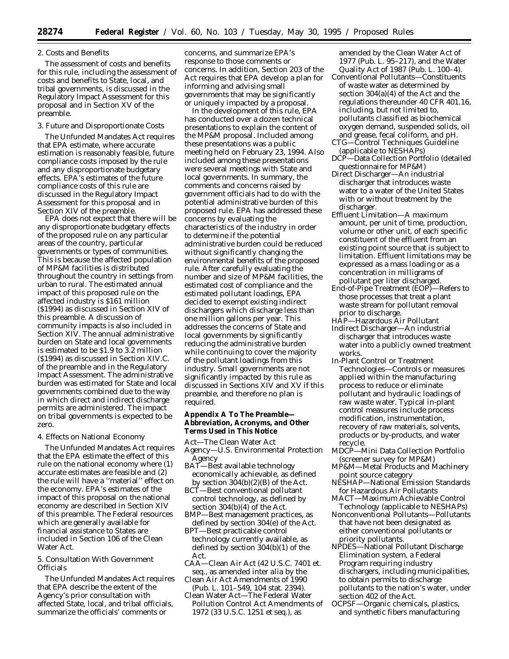#### 2. Costs and Benefits

The assessment of costs and benefits for this rule, including the assessment of costs and benefits to State, local, and tribal governments, is discussed in the Regulatory Impact Assessment for this proposal and in Section XV of the preamble.

#### 3. Future and Disproportionate Costs

The Unfunded Mandates Act requires that EPA estimate, where accurate estimation is reasonably feasible, future compliance costs imposed by the rule and any disproportionate budgetary effects. EPA's estimates of the future compliance costs of this rule are discussed in the Regulatory Impact Assessment for this proposal and in Section XIV of the preamble.

EPA does not expect that there will be any disproportionate budgetary effects of the proposed rule on any particular areas of the country, particular governments or types of communities. This is because the affected population of MP&M facilities is distributed throughout the country in settings from urban to rural. The estimated annual impact of this proposed rule on the affected industry is \$161 million (\$1994) as discussed in Section XIV of this preamble. A discussion of community impacts is also included in Section XIV. The annual administrative burden on State and local governments is estimated to be \$1.9 to 3.2 million (\$1994) as discussed in Section XIV.C. of the preamble and in the Regulatory Impact Assessment. The administrative burden was estimated for State and local governments combined due to the way in which direct and indirect discharge permits are administered. The impact on tribal governments is expected to be zero.

## 4. Effects on National Economy

The Unfunded Mandates Act requires that the EPA estimate the effect of this rule on the national economy where (1) accurate estimates are feasible and (2) the rule will have a ''material'' effect on the economy. EPA's estimates of the impact of this proposal on the national economy are described in Section XIV of this preamble. The Federal resources which are generally available for financial assistance to States are included in Section 106 of the Clean Water Act.

5. Consultation With Government **Officials** 

The Unfunded Mandates Act requires that EPA describe the extent of the Agency's prior consultation with affected State, local, and tribal officials, summarize the officials' comments or

concerns, and summarize EPA's response to those comments or concerns. In addition, Section 203 of the Act requires that EPA develop a plan for informing and advising small governments that may be significantly or uniquely impacted by a proposal.

In the development of this rule, EPA has conducted over a dozen technical presentations to explain the content of the MP&M proposal. Included among these presentations was a public meeting held on February 23, 1994. Also included among these presentations were several meetings with State and local governments. In summary, the comments and concerns raised by government officials had to do with the potential administrative burden of this proposed rule. EPA has addressed these concerns by evaluating the characteristics of the industry in order to determine if the potential administrative burden could be reduced without significantly changing the environmental benefits of the proposed rule. After carefully evaluating the number and size of MP&M facilities, the estimated cost of compliance and the estimated pollutant loadings, EPA decided to exempt existing indirect dischargers which discharge less than one million gallons per year. This addresses the concerns of State and local governments by significantly reducing the administrative burden while continuing to cover the majority of the pollutant loadings from this industry. Small governments are not significantly impacted by this rule as discussed in Sections XIV and XV if this preamble, and therefore no plan is required.

## **Appendix A To The Preamble— Abbreviation, Acronyms, and Other Terms Used in This Notice**

- Act—The Clean Water Act
- Agency—U.S. Environmental Protection Agency
- BAT-Best available technology economically achievable, as defined by section  $304(b)(2)(B)$  of the Act.
- BCT—Best conventional pollutant control technology, as defined by section 304(b)(4) of the Act.
- BMP—Best management practices, as defined by section 304(e) of the Act.
- BPT—Best practicable control technology currently available, as defined by section 304(b)(1) of the Act.
- CAA—Clean Air Act (42 U.S.C. 7401 et. seq., as amended *inter alia* by the
- Clean Air Act Amendments of 1990 (Pub. L. 101–549, 104 stat. 2394).
- Clean Water Act—The Federal Water Pollution Control Act Amendments of 1972 (33 U.S.C. 1251 et seq.), as

amended by the Clean Water Act of 1977 (Pub. L. 95–217), and the Water Quality Act of 1987 (Pub. L. 100–4).

- Conventional Pollutants—Constituents of waste water as determined by section 304(a)(4) of the Act and the regulations thereunder 40 CFR 401.16, including, but not limited to, pollutants classified as biochemical oxygen demand, suspended solids, oil and grease, fecal coliform, and pH.
- CTG—Control Techniques Guideline (applicable to NESHAPs)
- DCP—Data Collection Portfolio (detailed questionnaire for MP&M)
- Direct Discharger—An industrial discharger that introduces waste water to a water of the United States with or without treatment by the discharger.
- Effluent Limitation—A maximum amount, per unit of time, production, volume or other unit, of each specific constituent of the effluent from an existing point source that is subject to limitation. Effluent limitations may be expressed as a mass loading or as a concentration in milligrams of pollutant per liter discharged.
- End-of-Pipe Treatment (EOP)—Refers to those processes that treat a plant waste stream for pollutant removal prior to discharge.
- HAP—Hazardous Air Pollutant Indirect Discharger—An industrial discharger that introduces waste water into a publicly owned treatment works.
- In-Plant Control or Treatment Technologies—Controls or measures applied within the manufacturing process to reduce or eliminate pollutant and hydraulic loadings of raw waste water. Typical in-plant control measures include process modification, instrumentation, recovery of raw materials, solvents, products or by-products, and water recycle.
- MDCP—Mini Data Collection Portfolio (screener survey for MP&M)
- MP&M—Metal Products and Machinery point source category
- NESHAP—National Emission Standards for Hazardous Air Pollutants
- MACT—Maximum Achievable Control Technology (applicable to NESHAPs)
- Nonconventional Pollutants—Pollutants that have not been designated as either conventional pollutants or priority pollutants.
- NPDES—National Pollutant Discharge Elimination system, a Federal Program requiring industry dischargers, including municipalities, to obtain permits to discharge pollutants to the nation's water, under section 402 of the Act.
- OCPSF—Organic chemicals, plastics, and synthetic fibers manufacturing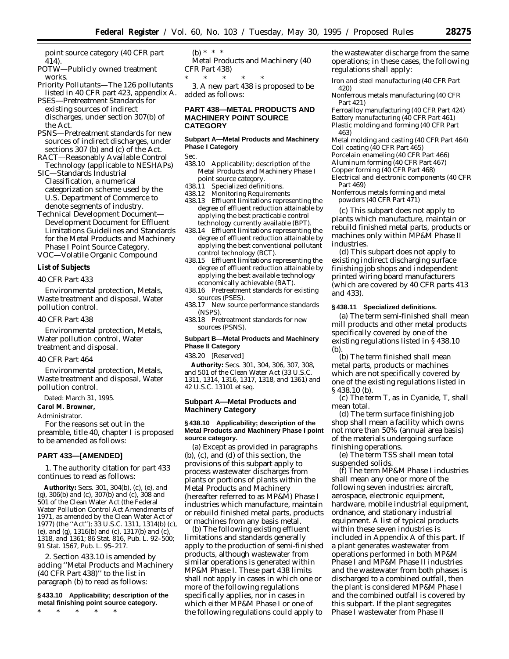point source category (40 CFR part 414).

POTW—Publicly owned treatment works.

Priority Pollutants—The 126 pollutants listed in 40 CFR part 423, appendix A.

PSES—Pretreatment Standards for existing sources of indirect discharges, under section 307(b) of the Act.

PSNS—Pretreatment standards for new sources of indirect discharges, under sections 307 (b) and (c) of the Act.

RACT—Reasonably Available Control Technology (applicable to NESHAPs)

SIC—Standards Industrial Classification, a numerical categorization scheme used by the U.S. Department of Commerce to denote segments of industry.

Technical Development Document— Development Document for Effluent Limitations Guidelines and Standards for the Metal Products and Machinery Phase I Point Source Category.

VOC—Volatile Organic Compound

## **List of Subjects**

#### *40 CFR Part 433*

Environmental protection, Metals, Waste treatment and disposal, Water pollution control.

## *40 CFR Part 438*

Environmental protection, Metals, Water pollution control, Water treatment and disposal.

#### *40 CFR Part 464*

Environmental protection, Metals, Waste treatment and disposal, Water pollution control.

Dated: March 31, 1995.

## **Carol M. Browner,**

*Administrator.*

For the reasons set out in the preamble, title 40, chapter I is proposed to be amended as follows:

#### **PART 433—[AMENDED]**

1. The authority citation for part 433 continues to read as follows:

**Authority:** Secs. 301, 304(b), (c), (e), and (g), 306(b) and (c), 307(b) and (c), 308 and 501 of the Clean Water Act (the Federal Water Pollution Control Act Amendments of 1971, as amended by the Clean Water Act of 1977) (the ''Act''); 33 U.S.C. 1311, 1314(b) (c), (e), and (g), 1316(b) and (c), 1317(b) and (c), 1318, and 1361; 86 Stat. 816, Pub. L. 92–500; 91 Stat. 1567, Pub. L. 95–217.

2. Section 433.10 is amended by adding ''Metal Products and Machinery (40 CFR Part 438)'' to the list in paragraph (b) to read as follows:

## **§ 433.10 Applicability; description of the metal finishing point source category.**

\* \* \* \* \*

# (b) \* \* \*

Metal Products and Machinery (40 CFR Part 438)

\* \* \* \* \* 3. A new part 438 is proposed to be added as follows:

## **PART 438—METAL PRODUCTS AND MACHINERY POINT SOURCE CATEGORY**

## **Subpart A—Metal Products and Machinery Phase I Category**

Sec.

- 438.10 Applicability; description of the Metal Products and Machinery Phase I point source category.
- 438.11 Specialized definitions.
- 438.12 Monitoring Requirements
- 438.13 Effluent limitations representing the degree of effluent reduction attainable by applying the best practicable control technology currently available (BPT).
- 438.14 Effluent limitations representing the degree of effluent reduction attainable by applying the best conventional pollutant control technology (BCT).
- 438.15 Effluent limitations representing the degree of effluent reduction attainable by applying the best available technology economically achievable (BAT).
- 438.16 Pretreatment standards for existing sources (PSES).
- 438.17 New source performance standards (NSPS).
- 438.18 Pretreatment standards for new sources (PSNS).

## **Subpart B—Metal Products and Machinery Phase II Category**

438.20 [Reserved]

**Authority:** Secs. 301, 304, 306, 307, 308, and 501 of the Clean Water Act (33 U.S.C. 1311, 1314, 1316, 1317, 1318, and 1361) and 42 U.S.C. 13101 et seq.

## **Subpart A—Metal Products and Machinery Category**

#### **§ 438.10 Applicability; description of the Metal Products and Machinery Phase I point source category.**

(a) Except as provided in paragraphs (b), (c), and (d) of this section, the provisions of this subpart apply to process wastewater discharges from plants or portions of plants within the Metal Products and Machinery (hereafter referred to as MP&M) Phase I industries which manufacture, maintain or rebuild finished metal parts, products or machines from any basis metal.

(b) The following existing effluent limitations and standards generally apply to the production of semi-finished products, although wastewater from similar operations is generated within MP&M Phase I. These part 438 limits shall not apply in cases in which one or more of the following regulations specifically applies, nor in cases in which either MP&M Phase I or one of the following regulations could apply to

the wastewater discharge from the same operations; in these cases, the following regulations shall apply:

Iron and steel manufacturing (40 CFR Part 420)

Nonferrous metals manufacturing (40 CFR Part 421)

Ferroalloy manufacturing (40 CFR Part 424) Battery manufacturing (40 CFR Part 461) Plastic molding and forming (40 CFR Part 463)

Metal molding and casting (40 CFR Part 464) Coil coating (40 CFR Part 465)

Porcelain enameling (40 CFR Part 466)

Aluminum forming (40 CFR Part 467)

Copper forming (40 CFR Part 468)

Electrical and electronic components (40 CFR Part 469)

Nonferrous metals forming and metal powders (40 CFR Part 471)

(c) This subpart does not apply to plants which manufacture, maintain or rebuild finished metal parts, products or machines only within MP&M Phase II industries.

(d) This subpart does not apply to existing indirect discharging surface finishing job shops and independent printed wiring board manufacturers (which are covered by 40 CFR parts 413 and 433).

## **§ 438.11 Specialized definitions.**

(a) The term *semi-finished* shall mean mill products and other metal products specifically covered by one of the existing regulations listed in § 438.10  $(b)$ 

(b) The term *finished* shall mean metal parts, products or machines which are not specifically covered by one of the existing regulations listed in § 438.10 (b).

(c) The term *T*, as in *Cyanide, T*, shall mean total.

(d) The term *surface finishing job shop* shall mean a facility which owns not more than 50% (annual area basis) of the materials undergoing surface finishing operations.

(e) The term *TSS* shall mean total suspended solids.

(f) The term *MP&M Phase I industries* shall mean any one or more of the following seven industries: aircraft, aerospace, electronic equipment, hardware, mobile industrial equipment, ordnance, and stationary industrial equipment. A list of typical products within these seven industries is included in Appendix A of this part. If a plant generates wastewater from operations performed in both MP&M Phase I and MP&M Phase II industries and the wastewater from both phases is discharged to a combined outfall, then the plant is considered MP&M Phase I and the combined outfall is covered by this subpart. If the plant segregates Phase I wastewater from Phase II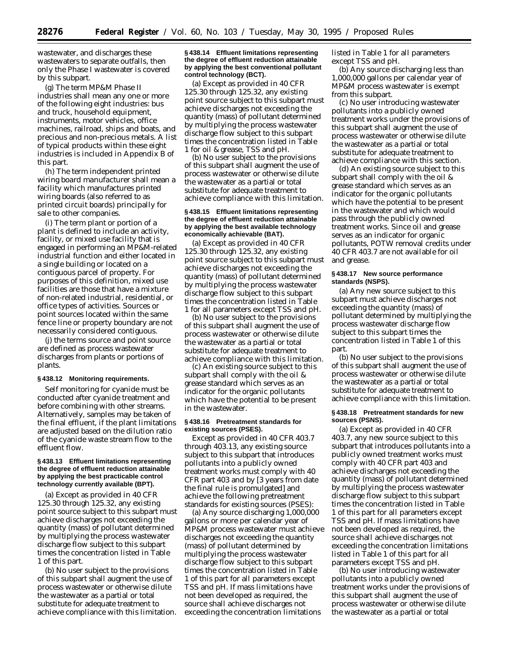wastewater, and discharges these wastewaters to separate outfalls, then only the Phase I wastewater is covered by this subpart.

(g) The term *MP&M Phase II industries* shall mean any one or more of the following eight industries: bus and truck, household equipment, instruments, motor vehicles, office machines, railroad, ships and boats, and precious and non-precious metals. A list of typical products within these eight industries is included in Appendix B of this part.

(h) The term *independent printed wiring board manufacturer* shall mean a facility which manufactures printed wiring boards (also referred to as printed circuit boards) principally for sale to other companies.

(i) The term *plant or portion of a plant* is defined to include an activity, facility, or mixed use facility that is engaged in performing an MP&M-related industrial function and either located in a single building or located on a contiguous parcel of property. For purposes of this definition, mixed use facilities are those that have a mixture of non-related industrial, residential, or office types of activities. Sources or point sources located within the same fence line or property boundary are not necessarily considered contiguous.

(j) the terms *source* and *point source* are defined as process wastewater discharges from plants or portions of plants.

#### **§ 438.12 Monitoring requirements.**

Self monitoring for cyanide must be conducted after cyanide treatment and before combining with other streams. Alternatively, samples may be taken of the final effluent, if the plant limitations are adjusted based on the dilution ratio of the cyanide waste stream flow to the effluent flow.

#### **§ 438.13 Effluent limitations representing the degree of effluent reduction attainable by applying the best practicable control technology currently available (BPT).**

(a) Except as provided in 40 CFR 125.30 through 125.32, any existing point source subject to this subpart must achieve discharges not exceeding the quantity (mass) of pollutant determined by multiplying the process wastewater discharge flow subject to this subpart times the concentration listed in Table 1 of this part.

(b) No user subject to the provisions of this subpart shall augment the use of process wastewater or otherwise dilute the wastewater as a partial or total substitute for adequate treatment to achieve compliance with this limitation.

## **§ 438.14 Effluent limitations representing the degree of effluent reduction attainable by applying the best conventional pollutant control technology (BCT).**

(a) Except as provided in 40 CFR 125.30 through 125.32, any existing point source subject to this subpart must achieve discharges not exceeding the quantity (mass) of pollutant determined by multiplying the process wastewater discharge flow subject to this subpart times the concentration listed in Table 1 for oil & grease, TSS and pH.

(b) No user subject to the provisions of this subpart shall augment the use of process wastewater or otherwise dilute the wastewater as a partial or total substitute for adequate treatment to achieve compliance with this limitation.

#### **§ 438.15 Effluent limitations representing the degree of effluent reduction attainable by applying the best available technology economically achievable (BAT).**

(a) Except as provided in 40 CFR 125.30 through 125.32, any existing point source subject to this subpart must achieve discharges not exceeding the quantity (mass) of pollutant determined by multiplying the process wastewater discharge flow subject to this subpart times the concentration listed in Table 1 for all parameters except TSS and pH.

(b) No user subject to the provisions of this subpart shall augment the use of process wastewater or otherwise dilute the wastewater as a partial or total substitute for adequate treatment to achieve compliance with this limitation.

(c) An existing source subject to this subpart shall comply with the oil & grease standard which serves as an indicator for the organic pollutants which have the potential to be present in the wastewater.

#### **§ 438.16 Pretreatment standards for existing sources (PSES).**

Except as provided in 40 CFR 403.7 through 403.13, any existing source subject to this subpart that introduces pollutants into a publicly owned treatment works must comply with 40 CFR part 403 and by [3 years from date the final rule is promulgated] and achieve the following pretreatment standards for existing sources (PSES):

(a) Any source discharging 1,000,000 gallons or more per calendar year of MP&M process wastewater must achieve discharges not exceeding the quantity (mass) of pollutant determined by multiplying the process wastewater discharge flow subject to this subpart times the concentration listed in Table 1 of this part for all parameters except TSS and pH. If mass limitations have not been developed as required, the source shall achieve discharges not exceeding the concentration limitations

listed in Table 1 for all parameters except TSS and pH.

(b) Any source discharging less than 1,000,000 gallons per calendar year of MP&M process wastewater is exempt from this subpart.

(c) No user introducing wastewater pollutants into a publicly owned treatment works under the provisions of this subpart shall augment the use of process wastewater or otherwise dilute the wastewater as a partial or total substitute for adequate treatment to achieve compliance with this section.

(d) An existing source subject to this subpart shall comply with the oil & grease standard which serves as an indicator for the organic pollutants which have the potential to be present in the wastewater and which would pass through the publicly owned treatment works. Since oil and grease serves as an indicator for organic pollutants, POTW removal credits under 40 CFR 403.7 are not available for oil and grease.

#### **§ 438.17 New source performance standards (NSPS).**

(a) Any new source subject to this subpart must achieve discharges not exceeding the quantity (mass) of pollutant determined by multiplying the process wastewater discharge flow subject to this subpart times the concentration listed in Table 1 of this part.

(b) No user subject to the provisions of this subpart shall augment the use of process wastewater or otherwise dilute the wastewater as a partial or total substitute for adequate treatment to achieve compliance with this limitation.

#### **§ 438.18 Pretreatment standards for new sources (PSNS).**

(a) Except as provided in 40 CFR 403.7, any new source subject to this subpart that introduces pollutants into a publicly owned treatment works must comply with 40 CFR part 403 and achieve discharges not exceeding the quantity (mass) of pollutant determined by multiplying the process wastewater discharge flow subject to this subpart times the concentration listed in Table 1 of this part for all parameters except TSS and pH. If mass limitations have not been developed as required, the source shall achieve discharges not exceeding the concentration limitations listed in Table 1 of this part for all parameters except TSS and pH.

(b) No user introducing wastewater pollutants into a publicly owned treatment works under the provisions of this subpart shall augment the use of process wastewater or otherwise dilute the wastewater as a partial or total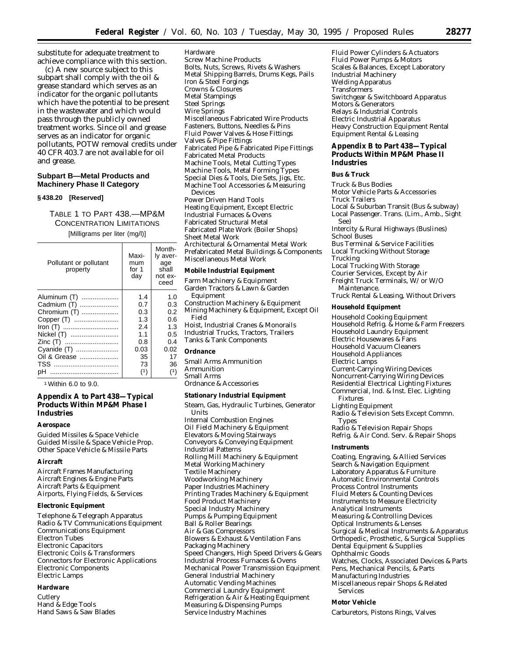substitute for adequate treatment to achieve compliance with this section.

(c) A new source subject to this subpart shall comply with the oil & grease standard which serves as an indicator for the organic pollutants which have the potential to be present in the wastewater and which would pass through the publicly owned treatment works. Since oil and grease serves as an indicator for organic pollutants, POTW removal credits under 40 CFR 403.7 are not available for oil and grease.

## **Subpart B—Metal Products and Machinery Phase II Category**

#### **§ 438.20 [Reserved]**

TABLE 1 TO PART 438.—MP&M CONCENTRATION LIMITATIONS [Milligrams per liter (mg/l)]

Month-

| Pollutant or pollutant<br>property | Maxi-<br>mum<br>for 1<br>day | Iv aver-<br>age<br>shall<br>not ex-<br>ceed |
|------------------------------------|------------------------------|---------------------------------------------|
| Aluminum (T)                       | 1.4                          | 1.0                                         |
| Cadmium (T)                        | 0.7                          | 0.3                                         |
| Chromium (T)                       | 0.3                          | 0.2                                         |
| Copper (T)                         | 1.3                          | 0.6                                         |
|                                    | 2.4                          | 1.3                                         |
| Nickel (T)                         | 1.1                          | 0.5                                         |
| Zinc (T)                           | 0.8                          | 0.4                                         |
| Cyanide (T)                        | 0.03                         | 0.02                                        |
| Oil & Grease                       | 35                           | 17                                          |
|                                    | 73                           | 36                                          |
| pН                                 | (1)                          | (1)                                         |

1Within 6.0 to 9.0.

## **Appendix A to Part 438—Typical Products Within MP&M Phase I Industries**

#### **Aerospace**

Guided Missiles & Space Vehicle Guided Missile & Space Vehicle Prop. Other Space Vehicle & Missile Parts

#### **Aircraft**

Aircraft Frames Manufacturing Aircraft Engines & Engine Parts Aircraft Parts & Equipment Airports, Flying Fields, & Services

#### **Electronic Equipment**

Telephone & Telegraph Apparatus Radio & TV Communications Equipment Communications Equipment Electron Tubes Electronic Capacitors Electronic Coils & Transformers Connectors for Electronic Applications Electronic Components Electric Lamps

#### **Hardware**

**Cutlery** Hand & Edge Tools Hand Saws & Saw Blades

Hardware Screw Machine Products Bolts, Nuts, Screws, Rivets & Washers Metal Shipping Barrels, Drums Kegs, Pails Iron & Steel Forgings Crowns & Closures Metal Stampings Steel Springs Wire Springs Miscellaneous Fabricated Wire Products Fasteners, Buttons, Needles & Pins Fluid Power Valves & Hose Fittings Valves & Pipe Fittings Fabricated Pipe & Fabricated Pipe Fittings Fabricated Metal Products Machine Tools, Metal Cutting Types Machine Tools, Metal Forming Types Special Dies & Tools, Die Sets, Jigs, Etc. Machine Tool Accessories & Measuring Devices Power Driven Hand Tools Heating Equipment, Except Electric Industrial Furnaces & Ovens Fabricated Structural Metal Fabricated Plate Work (Boiler Shops) Sheet Metal Work Architectural & Ornamental Metal Work Prefabricated Metal Buildings & Components Miscellaneous Metal Work

#### **Mobile Industrial Equipment**

Farm Machinery & Equipment Garden Tractors & Lawn & Garden Equipment Construction Machinery & Equipment Mining Machinery & Equipment, Except Oil Field Hoist, Industrial Cranes & Monorails Industrial Trucks, Tractors, Trailers Tanks & Tank Components **Ordnance** Small Arms Ammunition

#### Ammunition

Small Arms

#### Ordnance & Accessories

#### **Stationary Industrial Equipment**

Steam, Gas, Hydraulic Turbines, Generator Units Internal Combustion Engines Oil Field Machinery & Equipment Elevators & Moving Stairways Conveyors & Conveying Equipment Industrial Patterns Rolling Mill Machinery & Equipment Metal Working Machinery Textile Machinery Woodworking Machinery Paper Industries Machinery Printing Trades Machinery & Equipment Food Product Machinery Special Industry Machinery Pumps & Pumping Equipment Ball & Roller Bearings Air & Gas Compressors Blowers & Exhaust & Ventilation Fans Packaging Machinery Speed Changers, High Speed Drivers & Gears Industrial Process Furnaces & Ovens Mechanical Power Transmission Equipment General Industrial Machinery Automatic Vending Machines Commercial Laundry Equipment Refrigeration & Air & Heating Equipment Measuring & Dispensing Pumps Service Industry Machines

Fluid Power Cylinders & Actuators Fluid Power Pumps & Motors Scales & Balances, Except Laboratory Industrial Machinery Welding Apparatus **Transformers** Switchgear & Switchboard Apparatus Motors & Generators Relays & Industrial Controls Electric Industrial Apparatus Heavy Construction Equipment Rental Equipment Rental & Leasing

## **Appendix B to Part 438—Typical Products Within MP&M Phase II Industries**

#### **Bus & Truck**

Truck & Bus Bodies Motor Vehicle Parts & Accessories Truck Trailers Local & Suburban Transit (Bus & subway) Local Passenger. Trans. (Lim., Amb., Sight See) Intercity & Rural Highways (Buslines) School Buses Bus Terminal & Service Facilities Local Trucking Without Storage Trucking Local Trucking With Storage Courier Services, Except by Air Freight Truck Terminals, W/ or W/O Maintenance. Truck Rental & Leasing, Without Drivers

#### **Household Equipment**

Household Cooking Equipment Household Refrig. & Home & Farm Freezers Household Laundry Equipment Electric Housewares & Fans Household Vacuum Cleaners Household Appliances Electric Lamps Current-Carrying Wiring Devices Noncurrent-Carrying Wiring Devices Residential Electrical Lighting Fixtures Commercial, Ind. & Inst. Elec. Lighting Fixtures Lighting Equipment Radio & Television Sets Except Commn. Types Radio & Television Repair Shops Refrig. & Air Cond. Serv. & Repair Shops **Instruments** Coating, Engraving, & Allied Services Search & Navigation Equipment Laboratory Apparatus & Furniture Automatic Environmental Controls Process Control Instruments Fluid Meters & Counting Devices

Instruments to Measure Electricity

- Analytical Instruments
- Measuring & Controlling Devices
- Optical Instruments & Lenses
- Surgical & Medical Instruments & Apparatus
- Orthopedic, Prosthetic, & Surgical Supplies Dental Equipment & Supplies
- Ophthalmic Goods
- Watches, Clocks, Associated Devices & Parts Pens, Mechanical Pencils, & Parts
- Manufacturing Industries
- Miscellaneous repair Shops & Related Services

#### **Motor Vehicle**

Carburetors, Pistons Rings, Valves